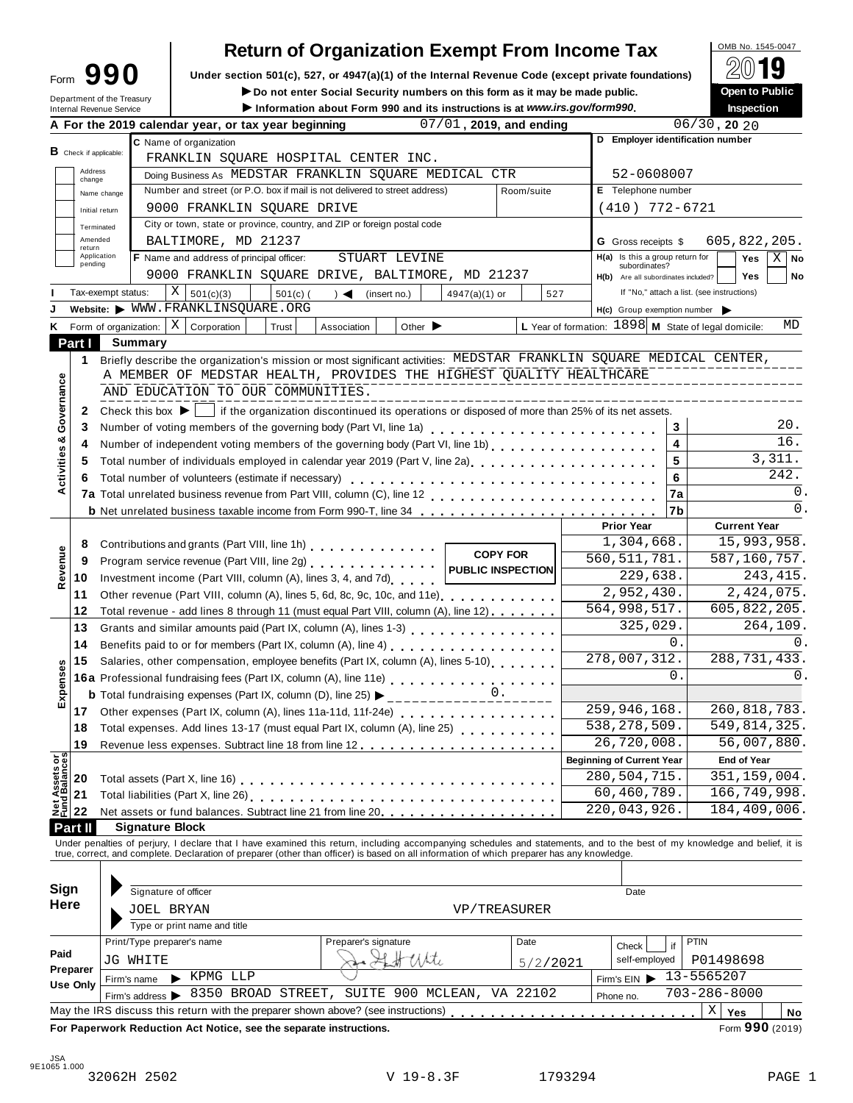## **Return of Organization Exempt From Income Tax**  $\sqrt{\frac{6M\text{B No. }1545-0047}{\text{O}}}\sqrt{10}$

Form 990 Under section 501(c), 527, or 4947(a)(1) of the Internal Revenue Code (except private foundations) <u>A</u>∪ in Security **A¥** Do not enter Social Security numbers on this form as it may be made public.

Form **JJU** Under section 501(c), 527, or 4947(a)(1) or the internal Revenue Code (except private foundations)<br>
Department of the Treasury **Department of the Treasury Department of the Treasury** 

|                                        |                               | Department of the Treasury<br>Internal Revenue Service |                                                                                                                                                                                                                                | $\blacktriangleright$ Do not enter Social Security numbers on this form as it may be made public.<br>Information about Form 990 and its instructions is at www.irs.gov/form990. |                                    |                         |                                  |                                                               | Open to Public<br><b>Inspection</b>                        |  |
|----------------------------------------|-------------------------------|--------------------------------------------------------|--------------------------------------------------------------------------------------------------------------------------------------------------------------------------------------------------------------------------------|---------------------------------------------------------------------------------------------------------------------------------------------------------------------------------|------------------------------------|-------------------------|----------------------------------|---------------------------------------------------------------|------------------------------------------------------------|--|
|                                        |                               |                                                        | A For the 2019 calendar year, or tax year beginning                                                                                                                                                                            |                                                                                                                                                                                 |                                    | 07/01, 2019, and ending |                                  |                                                               | $06/30$ , 20 20                                            |  |
|                                        |                               |                                                        | C Name of organization                                                                                                                                                                                                         |                                                                                                                                                                                 | D Employer identification number   |                         |                                  |                                                               |                                                            |  |
|                                        | <b>B</b> Check if applicable: |                                                        | FRANKLIN SQUARE HOSPITAL CENTER INC.                                                                                                                                                                                           |                                                                                                                                                                                 |                                    |                         |                                  |                                                               |                                                            |  |
|                                        | Address                       |                                                        | Doing Business As MEDSTAR FRANKLIN SQUARE MEDICAL CTR                                                                                                                                                                          |                                                                                                                                                                                 |                                    |                         |                                  | 52-0608007                                                    |                                                            |  |
|                                        | change                        |                                                        | Number and street (or P.O. box if mail is not delivered to street address)                                                                                                                                                     |                                                                                                                                                                                 |                                    | Room/suite              |                                  | E Telephone number                                            |                                                            |  |
|                                        |                               | Name change                                            | 9000 FRANKLIN SQUARE DRIVE                                                                                                                                                                                                     |                                                                                                                                                                                 |                                    |                         |                                  | $(410)$ 772-6721                                              |                                                            |  |
|                                        | Initial return                |                                                        | City or town, state or province, country, and ZIP or foreign postal code                                                                                                                                                       |                                                                                                                                                                                 |                                    |                         |                                  |                                                               |                                                            |  |
|                                        | Terminated<br>Amended         |                                                        |                                                                                                                                                                                                                                |                                                                                                                                                                                 |                                    |                         |                                  |                                                               |                                                            |  |
|                                        | return<br>Application         |                                                        | BALTIMORE, MD 21237                                                                                                                                                                                                            |                                                                                                                                                                                 |                                    |                         |                                  | <b>G</b> Gross receipts \$<br>H(a) Is this a group return for | 605,822,205.                                               |  |
|                                        | pending                       |                                                        | F Name and address of principal officer:                                                                                                                                                                                       | STUART LEVINE                                                                                                                                                                   |                                    |                         |                                  | subordinates?                                                 | Yes<br>$X \mid$ No                                         |  |
|                                        |                               |                                                        | 9000 FRANKLIN SQUARE DRIVE, BALTIMORE, MD 21237                                                                                                                                                                                |                                                                                                                                                                                 |                                    |                         |                                  | H(b) Are all subordinates included?                           | <b>Yes</b><br>No                                           |  |
|                                        |                               | Tax-exempt status:                                     | Χ<br>501(c)(3)<br>$501(c)$ (                                                                                                                                                                                                   | $\rightarrow$ $\blacktriangleleft$<br>(insert no.)                                                                                                                              | $4947(a)(1)$ or                    | 527                     |                                  |                                                               | If "No," attach a list. (see instructions)                 |  |
|                                        |                               |                                                        | Website: WWW.FRANKLINSQUARE.ORG                                                                                                                                                                                                |                                                                                                                                                                                 |                                    |                         |                                  | H(c) Group exemption number                                   |                                                            |  |
| ĸ                                      |                               | Form of organization: $\mid X \mid$                    | Corporation<br>Trust                                                                                                                                                                                                           | Other $\blacktriangleright$<br>Association                                                                                                                                      |                                    |                         |                                  |                                                               | L Year of formation: 1898 M State of legal domicile:<br>MD |  |
|                                        | Part I                        | <b>Summary</b>                                         |                                                                                                                                                                                                                                |                                                                                                                                                                                 |                                    |                         |                                  |                                                               |                                                            |  |
|                                        | 1                             |                                                        | Briefly describe the organization's mission or most significant activities: MEDSTAR FRANKLIN SQUARE MEDICAL CENTER,                                                                                                            |                                                                                                                                                                                 |                                    |                         |                                  |                                                               |                                                            |  |
|                                        |                               |                                                        | A MEMBER OF MEDSTAR HEALTH, PROVIDES THE HIGHEST QUALITY HEALTHCARE                                                                                                                                                            |                                                                                                                                                                                 |                                    |                         |                                  |                                                               |                                                            |  |
|                                        |                               |                                                        | AND EDUCATION TO OUR COMMUNITIES.                                                                                                                                                                                              |                                                                                                                                                                                 |                                    |                         |                                  |                                                               |                                                            |  |
| Activities & Governance                | 2                             |                                                        | Check this box $\blacktriangleright$   if the organization discontinued its operations or disposed of more than 25% of its net assets.                                                                                         |                                                                                                                                                                                 |                                    |                         |                                  |                                                               |                                                            |  |
|                                        | 3                             |                                                        |                                                                                                                                                                                                                                |                                                                                                                                                                                 |                                    |                         |                                  | 3                                                             | 20.                                                        |  |
|                                        | 4                             |                                                        | Number of independent voting members of the governing body (Part VI, line 1b)                                                                                                                                                  |                                                                                                                                                                                 |                                    |                         |                                  | 4                                                             | 16.                                                        |  |
|                                        | 5                             |                                                        | Total number of individuals employed in calendar year 2019 (Part V, line 2a)<br>The 2a)                                                                                                                                        |                                                                                                                                                                                 |                                    |                         |                                  | 5                                                             | 3,311.                                                     |  |
|                                        | 6                             |                                                        | Total number of volunteers (estimate if necessary)                                                                                                                                                                             |                                                                                                                                                                                 |                                    |                         |                                  | 6                                                             | 242.                                                       |  |
|                                        |                               |                                                        |                                                                                                                                                                                                                                |                                                                                                                                                                                 |                                    |                         |                                  | 7a                                                            | 0.                                                         |  |
|                                        |                               |                                                        | <b>b</b> Net unrelated business taxable income from Form 990-T, line 34                                                                                                                                                        |                                                                                                                                                                                 |                                    |                         |                                  | 7b                                                            | 0.                                                         |  |
|                                        |                               |                                                        |                                                                                                                                                                                                                                |                                                                                                                                                                                 |                                    |                         | <b>Prior Year</b>                |                                                               | <b>Current Year</b>                                        |  |
|                                        | 8                             |                                                        | Contributions and grants (Part VIII, line 1h)                                                                                                                                                                                  |                                                                                                                                                                                 |                                    |                         |                                  | 1,304,668.                                                    | 15,993,958.                                                |  |
|                                        | 9                             |                                                        |                                                                                                                                                                                                                                |                                                                                                                                                                                 |                                    | <b>COPY FOR</b>         |                                  | 560, 511, 781.                                                | 587,160,757.                                               |  |
| Revenue                                | 10                            |                                                        | Investment income (Part VIII, column (A), lines 3, 4, and 7d)                                                                                                                                                                  |                                                                                                                                                                                 |                                    |                         |                                  | 229,638.                                                      | 243, 415.                                                  |  |
|                                        | 11                            |                                                        | Other revenue (Part VIII, column (A), lines 5, 6d, 8c, 9c, 10c, and 11e)                                                                                                                                                       |                                                                                                                                                                                 |                                    |                         |                                  | 2,952,430.                                                    | 2,424,075.                                                 |  |
|                                        | 12                            |                                                        | Total revenue - add lines 8 through 11 (must equal Part VIII, column (A), line 12)                                                                                                                                             |                                                                                                                                                                                 |                                    |                         |                                  | 564,998,517.                                                  | 605,822,205.                                               |  |
|                                        | 13                            |                                                        | Grants and similar amounts paid (Part IX, column (A), lines 1-3)                                                                                                                                                               |                                                                                                                                                                                 |                                    |                         |                                  | 325,029.                                                      | 264,109.                                                   |  |
|                                        | 14                            |                                                        |                                                                                                                                                                                                                                |                                                                                                                                                                                 |                                    |                         |                                  | $\mathbf{0}$ .                                                | $\Omega$ .                                                 |  |
|                                        |                               |                                                        | Salaries, other compensation, employee benefits (Part IX, column (A), lines 5-10)                                                                                                                                              |                                                                                                                                                                                 |                                    |                         |                                  | 278,007,312.                                                  | 288, 731, 433.                                             |  |
|                                        | 15                            |                                                        |                                                                                                                                                                                                                                |                                                                                                                                                                                 | $\mathsf{O}$ .                     | 0.                      |                                  |                                                               |                                                            |  |
| Expenses                               |                               |                                                        | 16a Professional fundraising fees (Part IX, column (A), line 11e)<br>16a Professional fundraising fees (Part IX, column (A), line 11e)                                                                                         |                                                                                                                                                                                 |                                    |                         |                                  |                                                               |                                                            |  |
|                                        |                               |                                                        | <b>b</b> Total fundraising expenses (Part IX, column (D), line 25) $\triangleright$ _________________                                                                                                                          |                                                                                                                                                                                 |                                    |                         |                                  | 259,946,168.                                                  | 260,818,783.                                               |  |
|                                        | 17                            |                                                        | Other expenses (Part IX, column (A), lines 11a-11d, 11f-24e)                                                                                                                                                                   |                                                                                                                                                                                 | distribution de la construction de |                         |                                  | 538, 278, 509.                                                | 549, 814, 325.                                             |  |
|                                        | 18                            |                                                        | Total expenses. Add lines 13-17 (must equal Part IX, column (A), line 25)                                                                                                                                                      |                                                                                                                                                                                 |                                    |                         |                                  | 26,720,008.                                                   | 56,007,880.                                                |  |
|                                        | 19                            |                                                        |                                                                                                                                                                                                                                |                                                                                                                                                                                 |                                    |                         |                                  |                                                               |                                                            |  |
| <b>Net Assets or<br/>Fund Balances</b> |                               |                                                        |                                                                                                                                                                                                                                |                                                                                                                                                                                 |                                    |                         | <b>Beginning of Current Year</b> |                                                               | <b>End of Year</b>                                         |  |
|                                        | 20                            |                                                        |                                                                                                                                                                                                                                |                                                                                                                                                                                 |                                    |                         |                                  | 280,504,715.                                                  | 351, 159, 004.                                             |  |
|                                        | 21                            |                                                        |                                                                                                                                                                                                                                |                                                                                                                                                                                 |                                    |                         |                                  | 60,460,789.                                                   | 166,749,998.                                               |  |
|                                        | 22                            |                                                        | Net assets or fund balances. Subtract line 21 from line 20.                                                                                                                                                                    |                                                                                                                                                                                 |                                    |                         |                                  | 220,043,926.                                                  | 184, 409, 006.                                             |  |
|                                        | Part II                       |                                                        | <b>Signature Block</b>                                                                                                                                                                                                         |                                                                                                                                                                                 |                                    |                         |                                  |                                                               |                                                            |  |
|                                        |                               |                                                        | Under penalties of perjury, I declare that I have examined this return, including accompanying schedules and statements, and to the best of my knowledge and belief, it is true, correct, and complete. Declaration of prepare |                                                                                                                                                                                 |                                    |                         |                                  |                                                               |                                                            |  |
|                                        |                               |                                                        |                                                                                                                                                                                                                                |                                                                                                                                                                                 |                                    |                         |                                  |                                                               |                                                            |  |
| Sign                                   |                               |                                                        |                                                                                                                                                                                                                                |                                                                                                                                                                                 |                                    |                         |                                  |                                                               |                                                            |  |
| <b>Here</b>                            |                               |                                                        | Signature of officer                                                                                                                                                                                                           |                                                                                                                                                                                 |                                    |                         |                                  | Date                                                          |                                                            |  |
|                                        |                               |                                                        | JOEL BRYAN                                                                                                                                                                                                                     |                                                                                                                                                                                 |                                    | VP/TREASURER            |                                  |                                                               |                                                            |  |
|                                        |                               |                                                        | Type or print name and title                                                                                                                                                                                                   |                                                                                                                                                                                 |                                    |                         |                                  |                                                               |                                                            |  |
|                                        |                               |                                                        | Print/Type preparer's name                                                                                                                                                                                                     | Preparer's signature                                                                                                                                                            |                                    | Date                    |                                  | if<br>Check                                                   | PTIN                                                       |  |
| Paid                                   |                               | JG WHITE                                               |                                                                                                                                                                                                                                |                                                                                                                                                                                 |                                    | 5/2/2021                |                                  | self-employed                                                 | P01498698                                                  |  |
|                                        | Preparer                      | Firm's name                                            | $\blacktriangleright$ KPMG LLP                                                                                                                                                                                                 |                                                                                                                                                                                 |                                    |                         | Firm's $EIN$                     |                                                               | 13-5565207                                                 |  |
|                                        | Use Only                      | Firm's address >                                       | 8350 BROAD STREET, SUITE 900 MCLEAN, VA 22102                                                                                                                                                                                  |                                                                                                                                                                                 |                                    |                         | Phone no.                        |                                                               | $703 - 286 - 8000$                                         |  |
|                                        |                               |                                                        | May the IRS discuss this return with the preparer shown above? (see instructions)                                                                                                                                              |                                                                                                                                                                                 |                                    |                         |                                  |                                                               | $\mathbf X$<br>Yes<br>No                                   |  |
|                                        |                               |                                                        | For Paperwork Reduction Act Notice, see the separate instructions.                                                                                                                                                             |                                                                                                                                                                                 |                                    |                         |                                  |                                                               | Form 990 (2019)                                            |  |
|                                        |                               |                                                        |                                                                                                                                                                                                                                |                                                                                                                                                                                 |                                    |                         |                                  |                                                               |                                                            |  |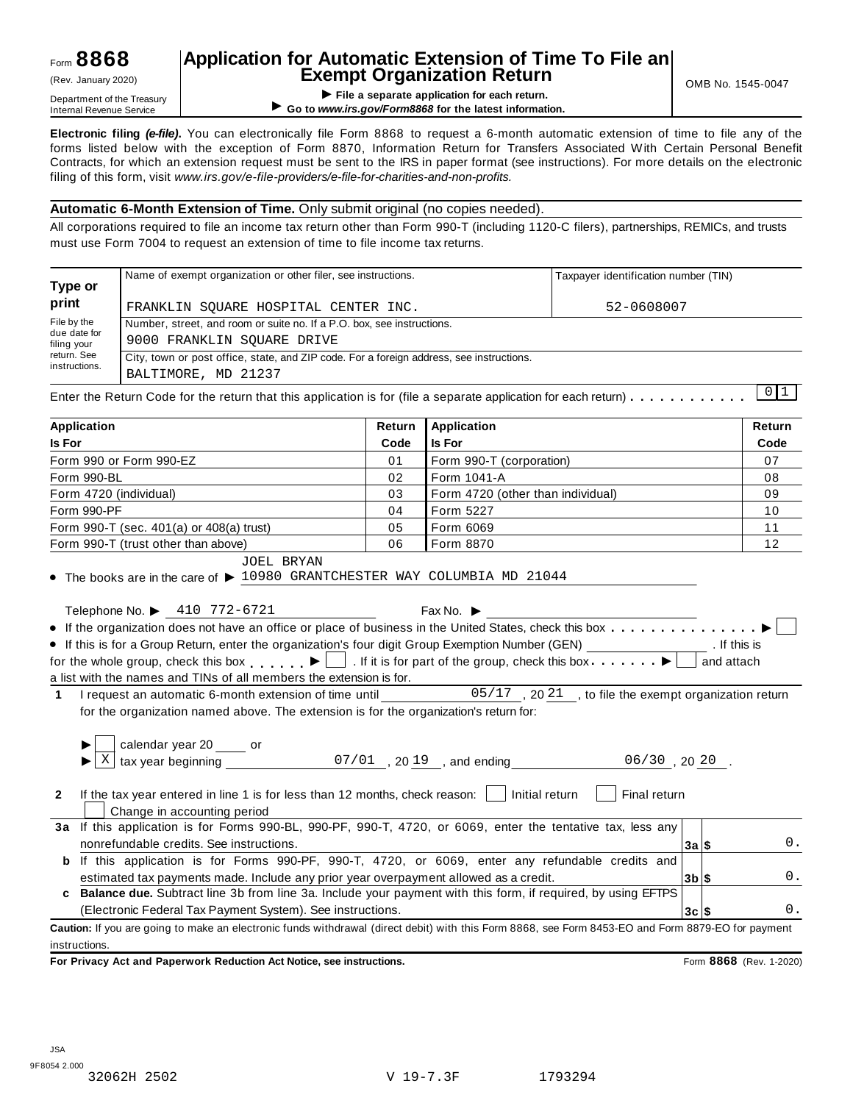#### **Application for Automatic Extension of Time To File an Exempt Organization Return**  $(Rev.$  January 2020)  $\begin{bmatrix} 1 & 1 \end{bmatrix}$  **Exempt Organization Return**

**I Department of the Treasury Consumer Separate application for each return.**<br>Internal Revenue Service **Department of the Service Consumers.gov/Form8868 for the latest information of the Service** ▶ Go to www.irs.gov/Form8868 for the latest information.

**Electronic filing** *(e-file)***.** You can electronically file Form 8868 to request a 6-month automatic extension of time to file any of the forms listed below with the exception of Form 8870, Information Return for Transfers Associated With Certain Personal Benefit Contracts, for which an extension request must be sent to the IRS in paper format (see instructions). For more details on the electronic filing of this form, visit *www.irs.gov/e-file-providers/e-file-for-charities-and-non-profits.*

#### **Automatic 6-Month Extension of Time.** Only submit original (no copies needed).

All corporations required to file an income tax return other than Form 990-T (including 1120-C filers), partnerships, REMICs, and trusts must use Form 7004 to request an extension of time to file income tax returns.

| Type or                     | Name of exempt organization or other filer, see instructions.                            |                            | Taxpayer identification number (TIN) |               |  |  |  |  |
|-----------------------------|------------------------------------------------------------------------------------------|----------------------------|--------------------------------------|---------------|--|--|--|--|
| print                       | FRANKLIN SOUARE HOSPITAL CENTER INC.                                                     |                            | 52-0608007                           |               |  |  |  |  |
| File by the                 | Number, street, and room or suite no. If a P.O. box, see instructions.                   |                            |                                      |               |  |  |  |  |
| due date for<br>filing your | 9000 FRANKLIN SOUARE DRIVE                                                               |                            |                                      |               |  |  |  |  |
| return. See                 | City, town or post office, state, and ZIP code. For a foreign address, see instructions. |                            |                                      |               |  |  |  |  |
| instructions.               | BALTIMORE, MD 21237                                                                      |                            |                                      |               |  |  |  |  |
|                             |                                                                                          |                            |                                      |               |  |  |  |  |
| <b>Annlication</b>          |                                                                                          | <b>Doturn LAnnlication</b> |                                      | <b>Doturn</b> |  |  |  |  |

| <b>Application</b>                                                                                                                                                                                                                                                                                                                                                                                                                                                                                                                                                                                                                                                                                                                                                                                                                                                                                                         | Return          | <b>Application</b>       | Return                |  |  |  |  |  |  |
|----------------------------------------------------------------------------------------------------------------------------------------------------------------------------------------------------------------------------------------------------------------------------------------------------------------------------------------------------------------------------------------------------------------------------------------------------------------------------------------------------------------------------------------------------------------------------------------------------------------------------------------------------------------------------------------------------------------------------------------------------------------------------------------------------------------------------------------------------------------------------------------------------------------------------|-----------------|--------------------------|-----------------------|--|--|--|--|--|--|
| <b>Is For</b>                                                                                                                                                                                                                                                                                                                                                                                                                                                                                                                                                                                                                                                                                                                                                                                                                                                                                                              | Code            | <b>Is For</b>            | Code                  |  |  |  |  |  |  |
| Form 990 or Form 990-EZ                                                                                                                                                                                                                                                                                                                                                                                                                                                                                                                                                                                                                                                                                                                                                                                                                                                                                                    | 01              | Form 990-T (corporation) | 07                    |  |  |  |  |  |  |
| Form 990-BL<br>Form 1041-A<br>02                                                                                                                                                                                                                                                                                                                                                                                                                                                                                                                                                                                                                                                                                                                                                                                                                                                                                           |                 |                          |                       |  |  |  |  |  |  |
| 03<br>Form 4720 (other than individual)<br>Form 4720 (individual)                                                                                                                                                                                                                                                                                                                                                                                                                                                                                                                                                                                                                                                                                                                                                                                                                                                          |                 |                          |                       |  |  |  |  |  |  |
| Form 5227<br>Form 990-PF<br>04                                                                                                                                                                                                                                                                                                                                                                                                                                                                                                                                                                                                                                                                                                                                                                                                                                                                                             |                 |                          |                       |  |  |  |  |  |  |
| Form 990-T (sec. 401(a) or 408(a) trust)                                                                                                                                                                                                                                                                                                                                                                                                                                                                                                                                                                                                                                                                                                                                                                                                                                                                                   | 05<br>Form 6069 |                          |                       |  |  |  |  |  |  |
| Form 990-T (trust other than above)                                                                                                                                                                                                                                                                                                                                                                                                                                                                                                                                                                                                                                                                                                                                                                                                                                                                                        | 06              | Form 8870                | 12                    |  |  |  |  |  |  |
| JOEL BRYAN<br>$\bullet$ The books are in the care of $\blacktriangleright$ 10980 GRANTCHESTER WAY COLUMBIA MD 21044<br>Telephone No. ▶ 410 772-6721<br>Fax No. $\blacktriangleright$<br>• If this is for a Group Return, enter the organization's four digit Group Exemption Number (GEN) _________________. If this is<br>for the whole group, check this box $\blacktriangleright$ $\blacksquare$ . If it is for part of the group, check this box $\blacktriangleright$<br>and attach<br>a list with the names and TINs of all members the extension is for.<br>I request an automatic 6-month extension of time until<br>05/17, 2021, to file the exempt organization return<br>$\mathbf{1}$<br>for the organization named above. The extension is for the organization's return for:<br>calendar year 20 _____ or<br>$\boxed{\text{X}}$ tax year beginning $\boxed{07/01}$ , 2019, and ending $\boxed{06/30}$ , 2020. |                 |                          |                       |  |  |  |  |  |  |
| If the tax year entered in line 1 is for less than 12 months, check reason: [<br>Initial return<br>Final return<br>$\mathbf{2}$<br>Change in accounting period<br>3a If this application is for Forms 990-BL, 990-PF, 990-T, 4720, or 6069, enter the tentative tax, less any<br>nonrefundable credits. See instructions.<br>0.<br>3a S<br><b>b</b> If this application is for Forms 990-PF, 990-T, 4720, or 6069, enter any refundable credits and<br>estimated tax payments made. Include any prior year overpayment allowed as a credit.<br>0.<br>$3b$ \$<br>c Balance due. Subtract line 3b from line 3a. Include your payment with this form, if required, by using EFTPS                                                                                                                                                                                                                                             |                 |                          |                       |  |  |  |  |  |  |
| (Electronic Federal Tax Payment System). See instructions.                                                                                                                                                                                                                                                                                                                                                                                                                                                                                                                                                                                                                                                                                                                                                                                                                                                                 |                 |                          | 0.<br>$3c$ $\sqrt{5}$ |  |  |  |  |  |  |
| Caution: If you are going to make an electronic funds withdrawal (direct debit) with this Form 8868, see Form 8453-EO and Form 8879-EO for payment                                                                                                                                                                                                                                                                                                                                                                                                                                                                                                                                                                                                                                                                                                                                                                         |                 |                          |                       |  |  |  |  |  |  |
| instructions.                                                                                                                                                                                                                                                                                                                                                                                                                                                                                                                                                                                                                                                                                                                                                                                                                                                                                                              |                 |                          |                       |  |  |  |  |  |  |

**For Privacy Act and Paperwork Reduction Act Notice, see instructions.** Form **8868** (Rev. 1-2020)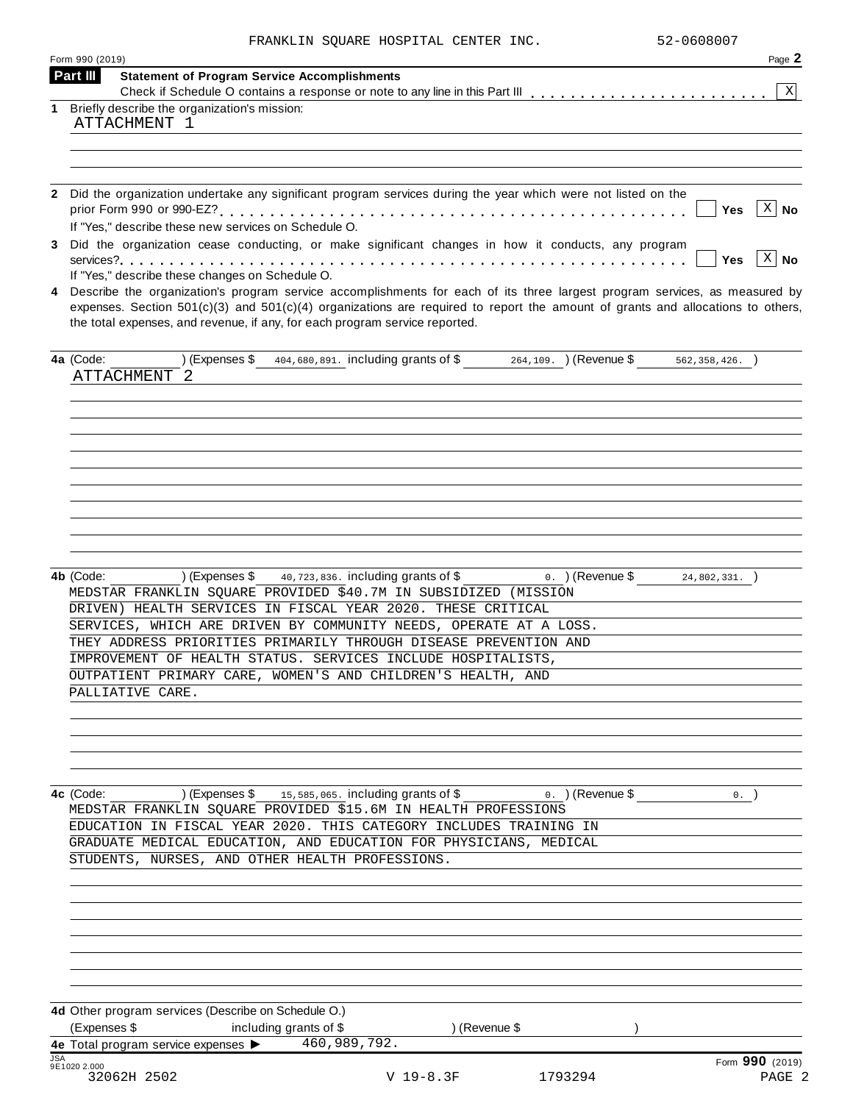|  |  |  | FRANKLIN SOUARE HOSPITAL CENTER INC. |  |  |
|--|--|--|--------------------------------------|--|--|
|--|--|--|--------------------------------------|--|--|

|            | Form 990 (2019) |                   |                                                                                                                |                                      |               |                    | Page 2                                                                                                                             |
|------------|-----------------|-------------------|----------------------------------------------------------------------------------------------------------------|--------------------------------------|---------------|--------------------|------------------------------------------------------------------------------------------------------------------------------------|
|            | Part III        |                   | <b>Statement of Program Service Accomplishments</b>                                                            |                                      |               |                    |                                                                                                                                    |
| 1          |                 |                   | Briefly describe the organization's mission:                                                                   |                                      |               |                    | X                                                                                                                                  |
|            |                 | ATTACHMENT 1      |                                                                                                                |                                      |               |                    |                                                                                                                                    |
|            |                 |                   |                                                                                                                |                                      |               |                    |                                                                                                                                    |
|            |                 |                   |                                                                                                                |                                      |               |                    |                                                                                                                                    |
|            |                 |                   |                                                                                                                |                                      |               |                    |                                                                                                                                    |
|            |                 |                   | 2 Did the organization undertake any significant program services during the year which were not listed on the |                                      |               |                    |                                                                                                                                    |
|            |                 |                   |                                                                                                                |                                      |               |                    | $X \mid No$<br>Yes                                                                                                                 |
|            |                 |                   | If "Yes," describe these new services on Schedule O.                                                           |                                      |               |                    |                                                                                                                                    |
|            |                 |                   | 3 Did the organization cease conducting, or make significant changes in how it conducts, any program           |                                      |               |                    |                                                                                                                                    |
|            |                 |                   | If "Yes," describe these changes on Schedule O.                                                                |                                      |               |                    | $X \mid No$<br><b>Yes</b>                                                                                                          |
| 4          |                 |                   |                                                                                                                |                                      |               |                    | Describe the organization's program service accomplishments for each of its three largest program services, as measured by         |
|            |                 |                   |                                                                                                                |                                      |               |                    | expenses. Section $501(c)(3)$ and $501(c)(4)$ organizations are required to report the amount of grants and allocations to others, |
|            |                 |                   | the total expenses, and revenue, if any, for each program service reported.                                    |                                      |               |                    |                                                                                                                                    |
|            |                 |                   |                                                                                                                |                                      |               |                    |                                                                                                                                    |
|            | 4a (Code:       |                   | (Expenses \$404,680,891. including grants of \$264,109. ) (Revenue \$562,358,426. )                            |                                      |               |                    |                                                                                                                                    |
|            |                 | ATTACHMENT<br>- 2 |                                                                                                                |                                      |               |                    |                                                                                                                                    |
|            |                 |                   |                                                                                                                |                                      |               |                    |                                                                                                                                    |
|            |                 |                   |                                                                                                                |                                      |               |                    |                                                                                                                                    |
|            |                 |                   |                                                                                                                |                                      |               |                    |                                                                                                                                    |
|            |                 |                   |                                                                                                                |                                      |               |                    |                                                                                                                                    |
|            |                 |                   |                                                                                                                |                                      |               |                    |                                                                                                                                    |
|            |                 |                   |                                                                                                                |                                      |               |                    |                                                                                                                                    |
|            |                 |                   |                                                                                                                |                                      |               |                    |                                                                                                                                    |
|            |                 |                   |                                                                                                                |                                      |               |                    |                                                                                                                                    |
|            |                 |                   |                                                                                                                |                                      |               |                    |                                                                                                                                    |
|            |                 |                   |                                                                                                                |                                      |               |                    |                                                                                                                                    |
|            | 4b (Code:       |                   | ) (Expenses \$                                                                                                 | 40, 723, 836. including grants of \$ |               | $0.$ ) (Revenue \$ | $24,802,331.$ )                                                                                                                    |
|            |                 |                   | MEDSTAR FRANKLIN SQUARE PROVIDED \$40.7M IN SUBSIDIZED (MISSION                                                |                                      |               |                    |                                                                                                                                    |
|            |                 |                   | DRIVEN) HEALTH SERVICES IN FISCAL YEAR 2020. THESE CRITICAL                                                    |                                      |               |                    |                                                                                                                                    |
|            |                 |                   | SERVICES, WHICH ARE DRIVEN BY COMMUNITY NEEDS, OPERATE AT A LOSS.                                              |                                      |               |                    |                                                                                                                                    |
|            |                 |                   | THEY ADDRESS PRIORITIES PRIMARILY THROUGH DISEASE PREVENTION AND                                               |                                      |               |                    |                                                                                                                                    |
|            |                 |                   | IMPROVEMENT OF HEALTH STATUS. SERVICES INCLUDE HOSPITALISTS,                                                   |                                      |               |                    |                                                                                                                                    |
|            |                 |                   | OUTPATIENT PRIMARY CARE, WOMEN'S AND CHILDREN'S HEALTH, AND                                                    |                                      |               |                    |                                                                                                                                    |
|            |                 | PALLIATIVE CARE.  |                                                                                                                |                                      |               |                    |                                                                                                                                    |
|            |                 |                   |                                                                                                                |                                      |               |                    |                                                                                                                                    |
|            |                 |                   |                                                                                                                |                                      |               |                    |                                                                                                                                    |
|            |                 |                   |                                                                                                                |                                      |               |                    |                                                                                                                                    |
|            |                 |                   |                                                                                                                |                                      |               |                    |                                                                                                                                    |
|            |                 |                   |                                                                                                                |                                      |               |                    |                                                                                                                                    |
|            | 4c (Code:       |                   | (Expenses \$ 15,585,065. including grants of \$ $0.$ ) (Revenue \$                                             |                                      |               |                    | $0.$ )                                                                                                                             |
|            |                 |                   | MEDSTAR FRANKLIN SOUARE PROVIDED \$15.6M IN HEALTH PROFESSIONS                                                 |                                      |               |                    |                                                                                                                                    |
|            |                 |                   | EDUCATION IN FISCAL YEAR 2020. THIS CATEGORY INCLUDES TRAINING IN                                              |                                      |               |                    |                                                                                                                                    |
|            |                 |                   | GRADUATE MEDICAL EDUCATION, AND EDUCATION FOR PHYSICIANS, MEDICAL                                              |                                      |               |                    |                                                                                                                                    |
|            |                 |                   | STUDENTS, NURSES, AND OTHER HEALTH PROFESSIONS.                                                                |                                      |               |                    |                                                                                                                                    |
|            |                 |                   |                                                                                                                |                                      |               |                    |                                                                                                                                    |
|            |                 |                   |                                                                                                                |                                      |               |                    |                                                                                                                                    |
|            |                 |                   |                                                                                                                |                                      |               |                    |                                                                                                                                    |
|            |                 |                   |                                                                                                                |                                      |               |                    |                                                                                                                                    |
|            |                 |                   |                                                                                                                |                                      |               |                    |                                                                                                                                    |
|            |                 |                   |                                                                                                                |                                      |               |                    |                                                                                                                                    |
|            |                 |                   |                                                                                                                |                                      |               |                    |                                                                                                                                    |
|            |                 |                   | 4d Other program services (Describe on Schedule O.)                                                            |                                      |               |                    |                                                                                                                                    |
|            | (Expenses \$    |                   | including grants of \$                                                                                         |                                      | ) (Revenue \$ |                    |                                                                                                                                    |
|            |                 |                   | 4e Total program service expenses > 460,989,792.                                                               |                                      |               |                    |                                                                                                                                    |
| <b>JSA</b> |                 |                   |                                                                                                                |                                      |               |                    | Form 990 (2019)                                                                                                                    |
|            | 9E1020 2.000    | 32062H 2502       |                                                                                                                | $V$ 19-8.3F                          |               | 1793294            | PAGE 2                                                                                                                             |
|            |                 |                   |                                                                                                                |                                      |               |                    |                                                                                                                                    |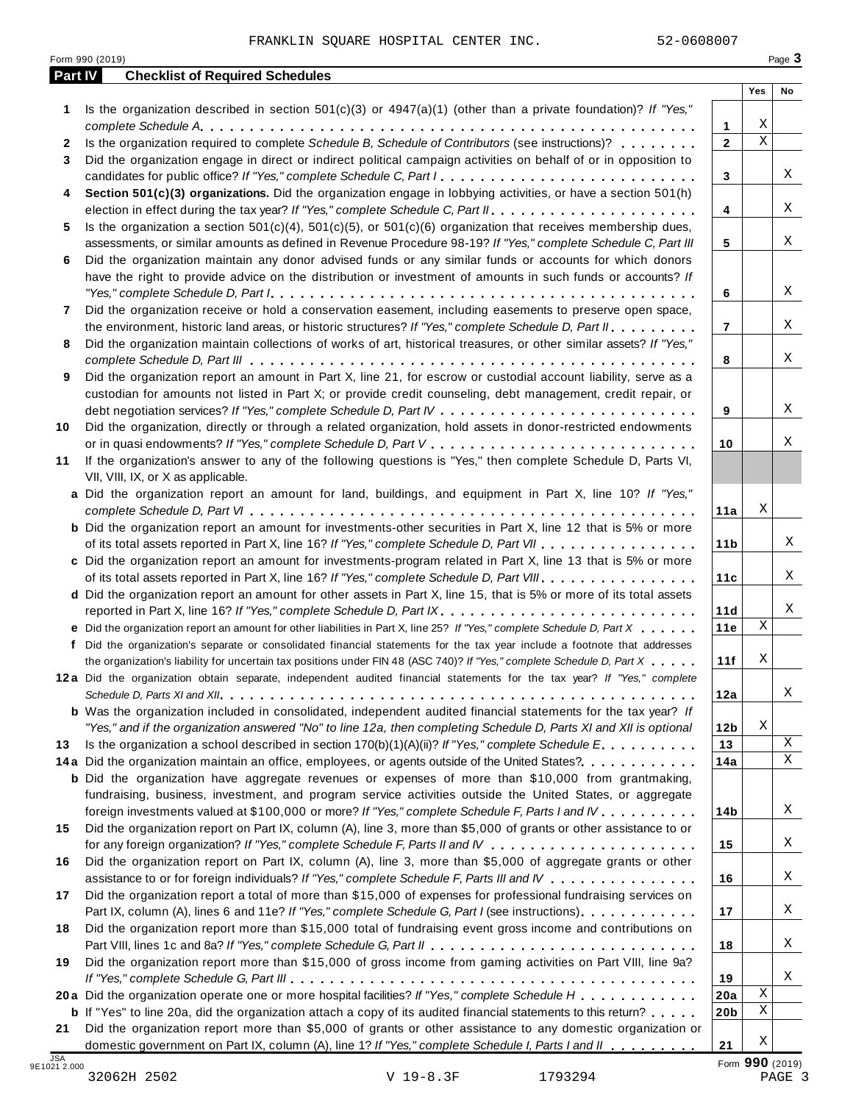| Part IV | <b>Checklist of Required Schedules</b>                                                                                    |                   | Yes                     | No |
|---------|---------------------------------------------------------------------------------------------------------------------------|-------------------|-------------------------|----|
|         |                                                                                                                           |                   |                         |    |
| 1       | Is the organization described in section $501(c)(3)$ or $4947(a)(1)$ (other than a private foundation)? If "Yes,"         |                   | Χ                       |    |
|         | Is the organization required to complete Schedule B, Schedule of Contributors (see instructions)?                         | 1<br>$\mathbf{2}$ | $\overline{\mathbf{x}}$ |    |
| 2<br>3  | Did the organization engage in direct or indirect political campaign activities on behalf of or in opposition to          |                   |                         |    |
|         | candidates for public office? If "Yes," complete Schedule C, Part I.                                                      | 3                 |                         | X  |
| 4       | Section 501(c)(3) organizations. Did the organization engage in lobbying activities, or have a section 501(h)             |                   |                         |    |
|         |                                                                                                                           | 4                 |                         | X  |
| 5       | Is the organization a section $501(c)(4)$ , $501(c)(5)$ , or $501(c)(6)$ organization that receives membership dues,      |                   |                         |    |
|         | assessments, or similar amounts as defined in Revenue Procedure 98-19? If "Yes," complete Schedule C, Part III            | 5                 |                         | X  |
| 6       | Did the organization maintain any donor advised funds or any similar funds or accounts for which donors                   |                   |                         |    |
|         | have the right to provide advice on the distribution or investment of amounts in such funds or accounts? If               |                   |                         |    |
|         |                                                                                                                           | 6                 |                         | X  |
| 7       | Did the organization receive or hold a conservation easement, including easements to preserve open space,                 |                   |                         |    |
|         | the environment, historic land areas, or historic structures? If "Yes," complete Schedule D, Part II.                     | $\overline{7}$    |                         | X  |
| 8       | Did the organization maintain collections of works of art, historical treasures, or other similar assets? If "Yes,"       |                   |                         |    |
|         |                                                                                                                           | 8                 |                         | Χ  |
| 9       | Did the organization report an amount in Part X, line 21, for escrow or custodial account liability, serve as a           |                   |                         |    |
|         | custodian for amounts not listed in Part X; or provide credit counseling, debt management, credit repair, or              |                   |                         |    |
|         |                                                                                                                           | 9                 |                         | Χ  |
| 10      | Did the organization, directly or through a related organization, hold assets in donor-restricted endowments              |                   |                         |    |
|         |                                                                                                                           | 10                |                         | Χ  |
| 11      | If the organization's answer to any of the following questions is "Yes," then complete Schedule D, Parts VI,              |                   |                         |    |
|         | VII, VIII, IX, or X as applicable.                                                                                        |                   |                         |    |
|         | a Did the organization report an amount for land, buildings, and equipment in Part X, line 10? If "Yes,"                  |                   |                         |    |
|         |                                                                                                                           | 11a               | Χ                       |    |
|         | <b>b</b> Did the organization report an amount for investments-other securities in Part X, line 12 that is 5% or more     |                   |                         |    |
|         | of its total assets reported in Part X, line 16? If "Yes," complete Schedule D, Part VII                                  | 11 <sub>b</sub>   |                         |    |
|         | c Did the organization report an amount for investments-program related in Part X, line 13 that is 5% or more             |                   |                         |    |
|         | of its total assets reported in Part X, line 16? If "Yes," complete Schedule D, Part VIII                                 | 11c               |                         |    |
|         | d Did the organization report an amount for other assets in Part X, line 15, that is 5% or more of its total assets       |                   |                         |    |
|         |                                                                                                                           | 11d               |                         |    |
|         | e Did the organization report an amount for other liabilities in Part X, line 25? If "Yes," complete Schedule D, Part X   | 11e               | $\mathbf X$             |    |
|         | f Did the organization's separate or consolidated financial statements for the tax year include a footnote that addresses |                   | Χ                       |    |
|         | the organization's liability for uncertain tax positions under FIN 48 (ASC 740)? If "Yes," complete Schedule D, Part X    | 11f               |                         |    |
|         | 12a Did the organization obtain separate, independent audited financial statements for the tax year? If "Yes," complete   |                   |                         | Χ  |
|         | <b>b</b> Was the organization included in consolidated, independent audited financial statements for the tax year? If     | 12a               |                         |    |
|         | "Yes," and if the organization answered "No" to line 12a, then completing Schedule D, Parts XI and XII is optional        | 12 <sub>b</sub>   | Χ                       |    |
| 13      | Is the organization a school described in section $170(b)(1)(A)(ii)$ ? If "Yes," complete Schedule E                      | 13                |                         | X  |
|         | 14a Did the organization maintain an office, employees, or agents outside of the United States?                           | 14a               |                         | Χ  |
|         | <b>b</b> Did the organization have aggregate revenues or expenses of more than \$10,000 from grantmaking,                 |                   |                         |    |
|         | fundraising, business, investment, and program service activities outside the United States, or aggregate                 |                   |                         |    |
|         | foreign investments valued at \$100,000 or more? If "Yes," complete Schedule F, Parts I and IV                            | 14 <sub>b</sub>   |                         | X  |
| 15      | Did the organization report on Part IX, column (A), line 3, more than \$5,000 of grants or other assistance to or         |                   |                         |    |
|         |                                                                                                                           | 15                |                         | X  |
| 16      | Did the organization report on Part IX, column (A), line 3, more than \$5,000 of aggregate grants or other                |                   |                         |    |
|         | assistance to or for foreign individuals? If "Yes," complete Schedule F, Parts III and IV                                 | 16                |                         | X  |
| 17      | Did the organization report a total of more than \$15,000 of expenses for professional fundraising services on            |                   |                         |    |
|         | Part IX, column (A), lines 6 and 11e? If "Yes," complete Schedule G, Part I (see instructions)                            | 17                |                         | X  |
| 18      | Did the organization report more than \$15,000 total of fundraising event gross income and contributions on               |                   |                         |    |
|         |                                                                                                                           | 18                |                         | X  |
| 19      | Did the organization report more than \$15,000 of gross income from gaming activities on Part VIII, line 9a?              |                   |                         |    |
|         |                                                                                                                           | 19                |                         | X  |
|         | 20a Did the organization operate one or more hospital facilities? If "Yes," complete Schedule H                           | 20a               | Χ                       |    |
|         | <b>b</b> If "Yes" to line 20a, did the organization attach a copy of its audited financial statements to this return?     | 20 <sub>b</sub>   | Χ                       |    |
| 21      | Did the organization report more than \$5,000 of grants or other assistance to any domestic organization or               |                   |                         |    |
|         | domestic government on Part IX, column (A), line 1? If "Yes," complete Schedule I, Parts I and II                         | 21                | Χ                       |    |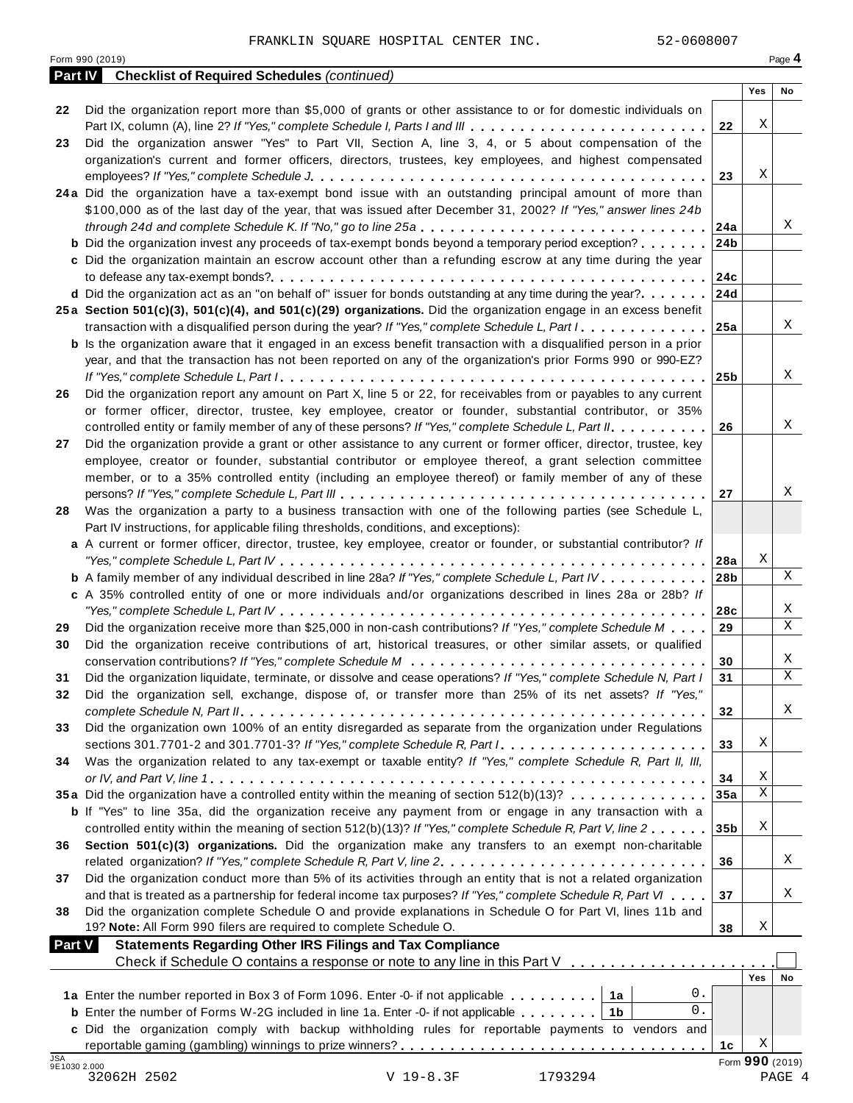|                            | 52-0608007<br>FRANKLIN SQUARE HOSPITAL CENTER INC.                                                                                                                                                                          |     |            |                 |
|----------------------------|-----------------------------------------------------------------------------------------------------------------------------------------------------------------------------------------------------------------------------|-----|------------|-----------------|
|                            | Form 990 (2019)                                                                                                                                                                                                             |     |            | Page 4          |
| <b>Part IV</b>             | <b>Checklist of Required Schedules (continued)</b>                                                                                                                                                                          |     | Yes        | No              |
| 22                         | Did the organization report more than \$5,000 of grants or other assistance to or for domestic individuals on                                                                                                               |     |            |                 |
|                            | Part IX, column (A), line 2? If "Yes," complete Schedule I, Parts I and III                                                                                                                                                 | 22  | Χ          |                 |
| 23                         | Did the organization answer "Yes" to Part VII, Section A, line 3, 4, or 5 about compensation of the                                                                                                                         |     |            |                 |
|                            | organization's current and former officers, directors, trustees, key employees, and highest compensated                                                                                                                     |     |            |                 |
|                            |                                                                                                                                                                                                                             | 23  | Χ          |                 |
|                            | 24a Did the organization have a tax-exempt bond issue with an outstanding principal amount of more than<br>\$100,000 as of the last day of the year, that was issued after December 31, 2002? If "Yes," answer lines 24b    |     |            |                 |
|                            | through 24d and complete Schedule K. If "No," go to line 25a                                                                                                                                                                | 24a |            | Χ               |
|                            | <b>b</b> Did the organization invest any proceeds of tax-exempt bonds beyond a temporary period exception?                                                                                                                  | 24b |            |                 |
|                            | c Did the organization maintain an escrow account other than a refunding escrow at any time during the year                                                                                                                 |     |            |                 |
|                            |                                                                                                                                                                                                                             | 24c |            |                 |
|                            | d Did the organization act as an "on behalf of" issuer for bonds outstanding at any time during the year?                                                                                                                   | 24d |            |                 |
|                            | 25a Section 501(c)(3), 501(c)(4), and 501(c)(29) organizations. Did the organization engage in an excess benefit                                                                                                            |     |            |                 |
|                            | transaction with a disqualified person during the year? If "Yes," complete Schedule L, Part I                                                                                                                               | 25a |            | X               |
|                            | <b>b</b> Is the organization aware that it engaged in an excess benefit transaction with a disqualified person in a prior                                                                                                   |     |            |                 |
|                            | year, and that the transaction has not been reported on any of the organization's prior Forms 990 or 990-EZ?                                                                                                                | 25b |            | Χ               |
| 26                         | Did the organization report any amount on Part X, line 5 or 22, for receivables from or payables to any current                                                                                                             |     |            |                 |
|                            | or former officer, director, trustee, key employee, creator or founder, substantial contributor, or 35%                                                                                                                     |     |            |                 |
|                            | controlled entity or family member of any of these persons? If "Yes," complete Schedule L, Part II.                                                                                                                         | 26  |            | Χ               |
| 27                         | Did the organization provide a grant or other assistance to any current or former officer, director, trustee, key                                                                                                           |     |            |                 |
|                            | employee, creator or founder, substantial contributor or employee thereof, a grant selection committee                                                                                                                      |     |            |                 |
|                            | member, or to a 35% controlled entity (including an employee thereof) or family member of any of these                                                                                                                      |     |            |                 |
|                            |                                                                                                                                                                                                                             | 27  |            | Χ               |
| 28                         | Was the organization a party to a business transaction with one of the following parties (see Schedule L,                                                                                                                   |     |            |                 |
|                            | Part IV instructions, for applicable filing thresholds, conditions, and exceptions):<br>a A current or former officer, director, trustee, key employee, creator or founder, or substantial contributor? If                  |     |            |                 |
|                            |                                                                                                                                                                                                                             | 28a | Χ          |                 |
|                            | <b>b</b> A family member of any individual described in line 28a? If "Yes," complete Schedule L, Part IV.                                                                                                                   | 28b |            | X               |
|                            | c A 35% controlled entity of one or more individuals and/or organizations described in lines 28a or 28b? If                                                                                                                 |     |            |                 |
|                            |                                                                                                                                                                                                                             | 28c |            | Χ               |
| 29                         | Did the organization receive more than \$25,000 in non-cash contributions? If "Yes," complete Schedule M                                                                                                                    | 29  |            | X               |
| 30                         | Did the organization receive contributions of art, historical treasures, or other similar assets, or qualified                                                                                                              |     |            |                 |
|                            |                                                                                                                                                                                                                             | 30  |            | Χ               |
| 31                         | Did the organization liquidate, terminate, or dissolve and cease operations? If "Yes," complete Schedule N, Part I                                                                                                          | 31  |            | Χ               |
| 32                         | Did the organization sell, exchange, dispose of, or transfer more than 25% of its net assets? If "Yes,"                                                                                                                     | 32  |            | Χ               |
| 33                         | Did the organization own 100% of an entity disregarded as separate from the organization under Regulations                                                                                                                  |     |            |                 |
|                            |                                                                                                                                                                                                                             | 33  | Χ          |                 |
| 34                         | Was the organization related to any tax-exempt or taxable entity? If "Yes," complete Schedule R, Part II, III,                                                                                                              |     |            |                 |
|                            |                                                                                                                                                                                                                             | 34  | Χ          |                 |
|                            | 35a Did the organization have a controlled entity within the meaning of section 512(b)(13)?                                                                                                                                 | 35a | X          |                 |
|                            | <b>b</b> If "Yes" to line 35a, did the organization receive any payment from or engage in any transaction with a                                                                                                            |     |            |                 |
|                            | controlled entity within the meaning of section 512(b)(13)? If "Yes," complete Schedule R, Part V, line 2                                                                                                                   | 35b | Χ          |                 |
| 36                         | Section 501(c)(3) organizations. Did the organization make any transfers to an exempt non-charitable                                                                                                                        |     |            | Χ               |
| 37                         | Did the organization conduct more than 5% of its activities through an entity that is not a related organization                                                                                                            | 36  |            |                 |
|                            | and that is treated as a partnership for federal income tax purposes? If "Yes," complete Schedule R, Part VI                                                                                                                | 37  |            | Χ               |
| 38                         | Did the organization complete Schedule O and provide explanations in Schedule O for Part VI, lines 11b and                                                                                                                  |     |            |                 |
|                            | 19? Note: All Form 990 filers are required to complete Schedule O.                                                                                                                                                          | 38  | Χ          |                 |
| Part V                     | <b>Statements Regarding Other IRS Filings and Tax Compliance</b>                                                                                                                                                            |     |            |                 |
|                            | Check if Schedule O contains a response or note to any line in this Part V                                                                                                                                                  |     |            |                 |
|                            |                                                                                                                                                                                                                             |     | <b>Yes</b> | No              |
|                            | 0.<br>1a Enter the number reported in Box 3 of Form 1096. Enter -0- if not applicable<br>1a<br>0.                                                                                                                           |     |            |                 |
|                            | <b>b</b> Enter the number of Forms W-2G included in line 1a. Enter -0- if not applicable $\ldots \ldots \ldots$<br>1b<br>c Did the organization comply with backup withholding rules for reportable payments to vendors and |     |            |                 |
|                            |                                                                                                                                                                                                                             | 1c  | Χ          |                 |
| <b>JSA</b><br>9E1030 2.000 |                                                                                                                                                                                                                             |     |            | Form 990 (2019) |
|                            | 32062H 2502<br>V 19-8.3F<br>1793294                                                                                                                                                                                         |     |            | PAGE 4          |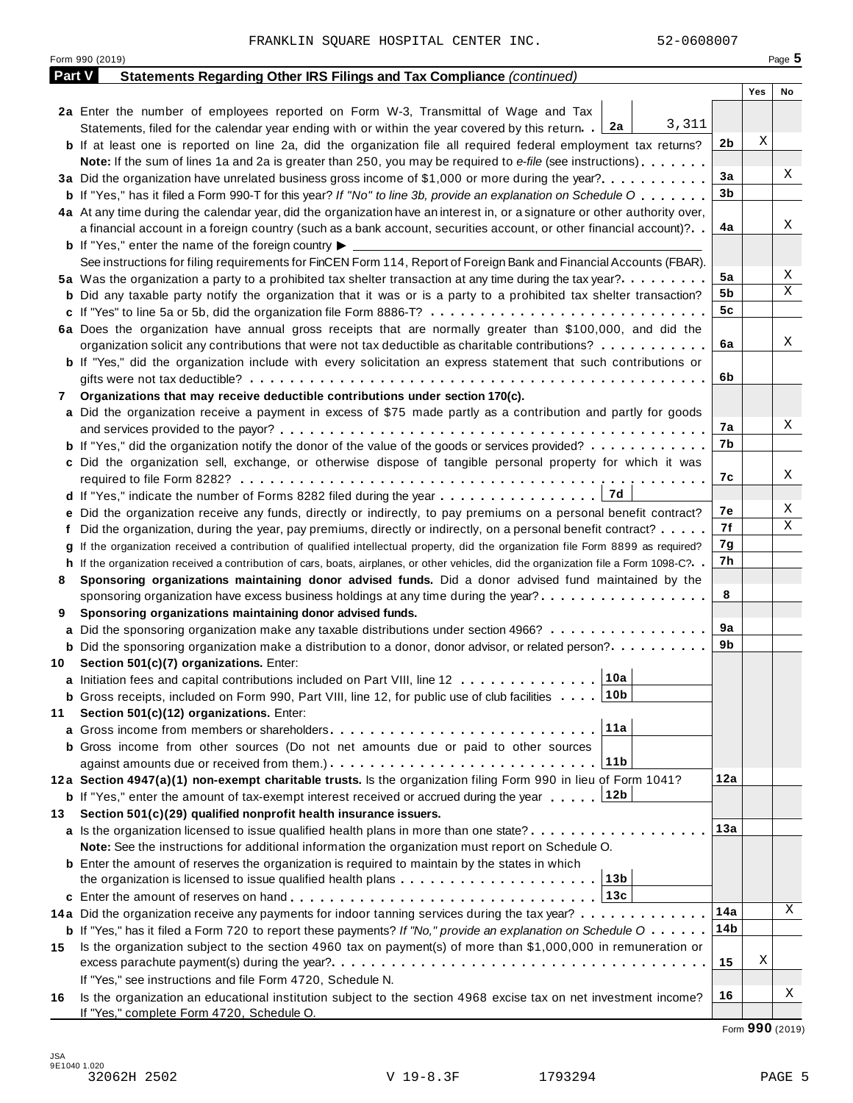|               | 52-0608007<br>FRANKLIN SQUARE HOSPITAL CENTER INC.                                                                                           |                |     |          |
|---------------|----------------------------------------------------------------------------------------------------------------------------------------------|----------------|-----|----------|
|               | Form 990 (2019)                                                                                                                              |                |     | Page $5$ |
| <b>Part V</b> | Statements Regarding Other IRS Filings and Tax Compliance (continued)                                                                        |                |     |          |
|               |                                                                                                                                              |                | Yes | No       |
|               | 2a Enter the number of employees reported on Form W-3, Transmittal of Wage and Tax                                                           |                |     |          |
|               | 3,311<br>Statements, filed for the calendar year ending with or within the year covered by this return. 2a                                   |                |     |          |
|               | <b>b</b> If at least one is reported on line 2a, did the organization file all required federal employment tax returns?                      | 2b             | Χ   |          |
|               | Note: If the sum of lines 1a and 2a is greater than 250, you may be required to e-file (see instructions)                                    |                |     |          |
|               | 3a Did the organization have unrelated business gross income of \$1,000 or more during the year?                                             | 3a             |     | Χ        |
|               | <b>b</b> If "Yes," has it filed a Form 990-T for this year? If "No" to line 3b, provide an explanation on Schedule O                         | 3b             |     |          |
|               | 4a At any time during the calendar year, did the organization have an interest in, or a signature or other authority over,                   |                |     |          |
|               | a financial account in a foreign country (such as a bank account, securities account, or other financial account)?                           | 4a             |     | Χ        |
|               | <b>b</b> If "Yes," enter the name of the foreign country $\blacktriangleright$                                                               |                |     |          |
|               | See instructions for filing requirements for FinCEN Form 114, Report of Foreign Bank and Financial Accounts (FBAR).                          |                |     |          |
|               | 5a Was the organization a party to a prohibited tax shelter transaction at any time during the tax year?                                     | 5a             |     | Χ        |
|               | <b>b</b> Did any taxable party notify the organization that it was or is a party to a prohibited tax shelter transaction?                    | 5b             |     | X        |
|               |                                                                                                                                              | 5 <sub>c</sub> |     |          |
|               | 6a Does the organization have annual gross receipts that are normally greater than \$100,000, and did the                                    |                |     |          |
|               | organization solicit any contributions that were not tax deductible as charitable contributions?                                             | 6a             |     | Χ        |
|               | <b>b</b> If "Yes," did the organization include with every solicitation an express statement that such contributions or                      |                |     |          |
|               |                                                                                                                                              | 6b             |     |          |
| 7             | Organizations that may receive deductible contributions under section 170(c).                                                                |                |     |          |
|               | a Did the organization receive a payment in excess of \$75 made partly as a contribution and partly for goods                                |                |     |          |
|               |                                                                                                                                              | 7а             |     | Χ        |
|               | <b>b</b> If "Yes," did the organization notify the donor of the value of the goods or services provided?                                     | 7b             |     |          |
|               | c Did the organization sell, exchange, or otherwise dispose of tangible personal property for which it was                                   |                |     |          |
|               |                                                                                                                                              | 7c             |     | Χ        |
|               |                                                                                                                                              |                |     |          |
|               | e Did the organization receive any funds, directly or indirectly, to pay premiums on a personal benefit contract?                            | 7е             |     | Χ        |
|               | f Did the organization, during the year, pay premiums, directly or indirectly, on a personal benefit contract?                               | 7f             |     | Χ        |
| g             | If the organization received a contribution of qualified intellectual property, did the organization file Form 8899 as required?             | 7g             |     |          |
|               | h If the organization received a contribution of cars, boats, airplanes, or other vehicles, did the organization file a Form 1098-C?. .      | 7h             |     |          |
| 8             | Sponsoring organizations maintaining donor advised funds. Did a donor advised fund maintained by the                                         |                |     |          |
|               | sponsoring organization have excess business holdings at any time during the year?                                                           | 8              |     |          |
| 9             | Sponsoring organizations maintaining donor advised funds.                                                                                    |                |     |          |
|               | a Did the sponsoring organization make any taxable distributions under section 4966?                                                         | 9a             |     |          |
|               | <b>b</b> Did the sponsoring organization make a distribution to a donor, donor advisor, or related person?                                   | 9b             |     |          |
| 10            | Section 501(c)(7) organizations. Enter:                                                                                                      |                |     |          |
|               | 10a<br>a Initiation fees and capital contributions included on Part VIII, line 12                                                            |                |     |          |
|               | 10 <sub>b</sub><br><b>b</b> Gross receipts, included on Form 990, Part VIII, line 12, for public use of club facilities                      |                |     |          |
| 11            | Section 501(c)(12) organizations. Enter:                                                                                                     |                |     |          |
| a             | 11a<br>Gross income from members or shareholders                                                                                             |                |     |          |
|               | <b>b</b> Gross income from other sources (Do not net amounts due or paid to other sources                                                    |                |     |          |
|               | 11b                                                                                                                                          |                |     |          |
|               | 12a Section 4947(a)(1) non-exempt charitable trusts. Is the organization filing Form 990 in lieu of Form 1041?                               | 12a            |     |          |
|               | <b>b</b> If "Yes," enter the amount of tax-exempt interest received or accrued during the year 12b                                           |                |     |          |
| 13            | Section 501(c)(29) qualified nonprofit health insurance issuers.                                                                             |                |     |          |
|               | a Is the organization licensed to issue qualified health plans in more than one state?                                                       | 13а            |     |          |
|               | Note: See the instructions for additional information the organization must report on Schedule O.                                            |                |     |          |
|               | <b>b</b> Enter the amount of reserves the organization is required to maintain by the states in which                                        |                |     |          |
|               | 13 <sub>b</sub><br>the organization is licensed to issue qualified health plans                                                              |                |     |          |
|               | 13c                                                                                                                                          |                |     |          |
|               | 14a Did the organization receive any payments for indoor tanning services during the tax year?                                               | 14a            |     | Χ        |
|               | <b>b</b> If "Yes," has it filed a Form 720 to report these payments? If "No," provide an explanation on Schedule $0 \cdot \cdot \cdot \cdot$ | 14b            |     |          |
| 15            | Is the organization subject to the section 4960 tax on payment(s) of more than \$1,000,000 in remuneration or                                |                |     |          |
|               |                                                                                                                                              | 15             | Χ   |          |
|               | If "Yes," see instructions and file Form 4720, Schedule N.                                                                                   |                |     |          |
| 16            | Is the organization an educational institution subject to the section 4968 excise tax on net investment income?                              | 16             |     | Χ        |
|               | If "Yes," complete Form 4720, Schedule O.                                                                                                    |                |     |          |

Form **990** (2019)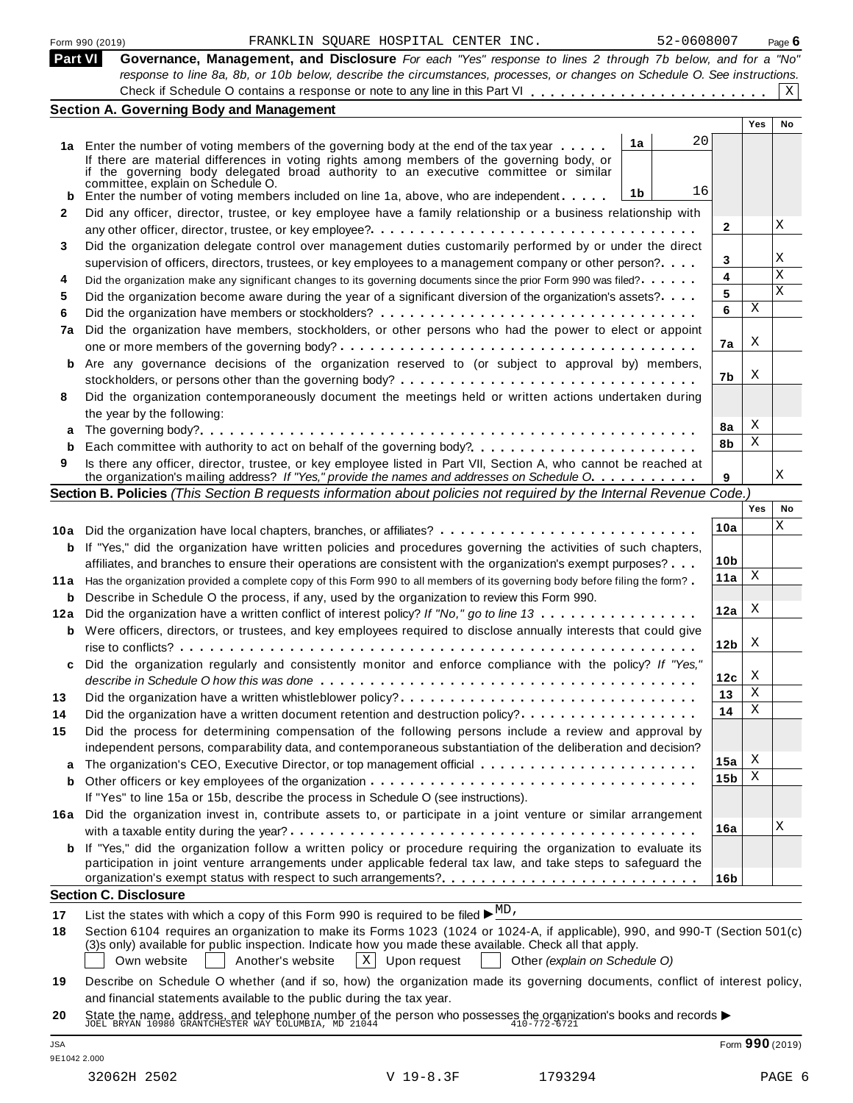| <b>Part VI</b> | Governance, Management, and Disclosure For each "Yes" response to lines 2 through 7b below, and for a "No"                                                                                                                                     |                 |     |    |
|----------------|------------------------------------------------------------------------------------------------------------------------------------------------------------------------------------------------------------------------------------------------|-----------------|-----|----|
|                | response to line 8a, 8b, or 10b below, describe the circumstances, processes, or changes on Schedule O. See instructions.                                                                                                                      |                 |     |    |
|                |                                                                                                                                                                                                                                                |                 |     | X  |
|                | <b>Section A. Governing Body and Management</b>                                                                                                                                                                                                |                 |     |    |
|                |                                                                                                                                                                                                                                                |                 | Yes | No |
|                | 20<br>1a<br>1a Enter the number of voting members of the governing body at the end of the tax year                                                                                                                                             |                 |     |    |
|                | If there are material differences in voting rights among members of the governing body, or                                                                                                                                                     |                 |     |    |
|                | if the governing body delegated broad authority to an executive committee or similar                                                                                                                                                           |                 |     |    |
|                | committée, explain on Schedule O.<br>16<br>1b<br><b>b</b> Enter the number of voting members included on line 1a, above, who are independent                                                                                                   |                 |     |    |
| 2              | Did any officer, director, trustee, or key employee have a family relationship or a business relationship with                                                                                                                                 |                 |     |    |
|                |                                                                                                                                                                                                                                                | 2               |     | Χ  |
| 3              | Did the organization delegate control over management duties customarily performed by or under the direct                                                                                                                                      |                 |     |    |
|                | supervision of officers, directors, trustees, or key employees to a management company or other person?                                                                                                                                        | 3               |     | Χ  |
| 4              | Did the organization make any significant changes to its governing documents since the prior Form 990 was filed?                                                                                                                               | 4               |     | X  |
| 5              | Did the organization become aware during the year of a significant diversion of the organization's assets?                                                                                                                                     | 5               |     | X  |
| 6              |                                                                                                                                                                                                                                                | 6               | Χ   |    |
| 7a             | Did the organization have members, stockholders, or other persons who had the power to elect or appoint                                                                                                                                        |                 |     |    |
|                |                                                                                                                                                                                                                                                | 7a              | X   |    |
| b              | Are any governance decisions of the organization reserved to (or subject to approval by) members,                                                                                                                                              |                 |     |    |
|                |                                                                                                                                                                                                                                                | 7b              | Χ   |    |
| 8              | Did the organization contemporaneously document the meetings held or written actions undertaken during                                                                                                                                         |                 |     |    |
|                | the year by the following:                                                                                                                                                                                                                     |                 |     |    |
|                |                                                                                                                                                                                                                                                | 8а              | X   |    |
| b              | Each committee with authority to act on behalf of the governing body?                                                                                                                                                                          | 8b              | Χ   |    |
| 9              | Is there any officer, director, trustee, or key employee listed in Part VII, Section A, who cannot be reached at                                                                                                                               |                 |     | Χ  |
|                | the organization's mailing address? If "Yes," provide the names and addresses on Schedule O.                                                                                                                                                   | 9               |     |    |
|                | Section B. Policies (This Section B requests information about policies not required by the Internal Revenue Code.)                                                                                                                            |                 | Yes | No |
|                |                                                                                                                                                                                                                                                | 10a             |     | Χ  |
|                | 10a Did the organization have local chapters, branches, or affiliates?                                                                                                                                                                         |                 |     |    |
|                | <b>b</b> If "Yes," did the organization have written policies and procedures governing the activities of such chapters,                                                                                                                        | 10 <sub>b</sub> |     |    |
|                | affiliates, and branches to ensure their operations are consistent with the organization's exempt purposes?<br>11a Has the organization provided a complete copy of this Form 990 to all members of its governing body before filing the form? | 11a             | X   |    |
|                | <b>b</b> Describe in Schedule O the process, if any, used by the organization to review this Form 990.                                                                                                                                         |                 |     |    |
|                | 12a Did the organization have a written conflict of interest policy? If "No," go to line 13                                                                                                                                                    | 12a             | X   |    |
|                | <b>b</b> Were officers, directors, or trustees, and key employees required to disclose annually interests that could give                                                                                                                      |                 |     |    |
|                |                                                                                                                                                                                                                                                | 12 <sub>b</sub> | X   |    |
| c              | Did the organization regularly and consistently monitor and enforce compliance with the policy? If "Yes,"                                                                                                                                      |                 |     |    |
|                |                                                                                                                                                                                                                                                | 12с             | X   |    |
| 13             | Did the organization have a written whistleblower policy?                                                                                                                                                                                      | 13              | Χ   |    |
| 14             |                                                                                                                                                                                                                                                | 14              | Χ   |    |
| 15             | Did the process for determining compensation of the following persons include a review and approval by                                                                                                                                         |                 |     |    |
|                | independent persons, comparability data, and contemporaneous substantiation of the deliberation and decision?                                                                                                                                  |                 |     |    |
|                |                                                                                                                                                                                                                                                | 15a             | Х   |    |
| b              |                                                                                                                                                                                                                                                | 15 <sub>b</sub> | Χ   |    |
|                | If "Yes" to line 15a or 15b, describe the process in Schedule O (see instructions).                                                                                                                                                            |                 |     |    |
| 16a            | Did the organization invest in, contribute assets to, or participate in a joint venture or similar arrangement                                                                                                                                 |                 |     |    |
|                |                                                                                                                                                                                                                                                | 16a             |     | Χ  |
| b              | If "Yes," did the organization follow a written policy or procedure requiring the organization to evaluate its                                                                                                                                 |                 |     |    |
|                | participation in joint venture arrangements under applicable federal tax law, and take steps to safeguard the                                                                                                                                  |                 |     |    |
|                |                                                                                                                                                                                                                                                | 16b             |     |    |
|                | <b>Section C. Disclosure</b>                                                                                                                                                                                                                   |                 |     |    |
| 17             | List the states with which a copy of this Form 990 is required to be filed $\blacktriangleright \frac{MD}{ }$ ,                                                                                                                                |                 |     |    |
| 18             | Section 6104 requires an organization to make its Forms 1023 (1024 or 1024-A, if applicable), 990, and 990-T (Section 501(c)                                                                                                                   |                 |     |    |
|                | (3)s only) available for public inspection. Indicate how you made these available. Check all that apply.                                                                                                                                       |                 |     |    |
|                |                                                                                                                                                                                                                                                |                 |     |    |
|                | Own website<br>Another's website<br>$ X $ Upon request<br>Other (explain on Schedule O)                                                                                                                                                        |                 |     |    |
| 19             | Describe on Schedule O whether (and if so, how) the organization made its governing documents, conflict of interest policy,<br>and financial statements available to the public during the tax year.                                           |                 |     |    |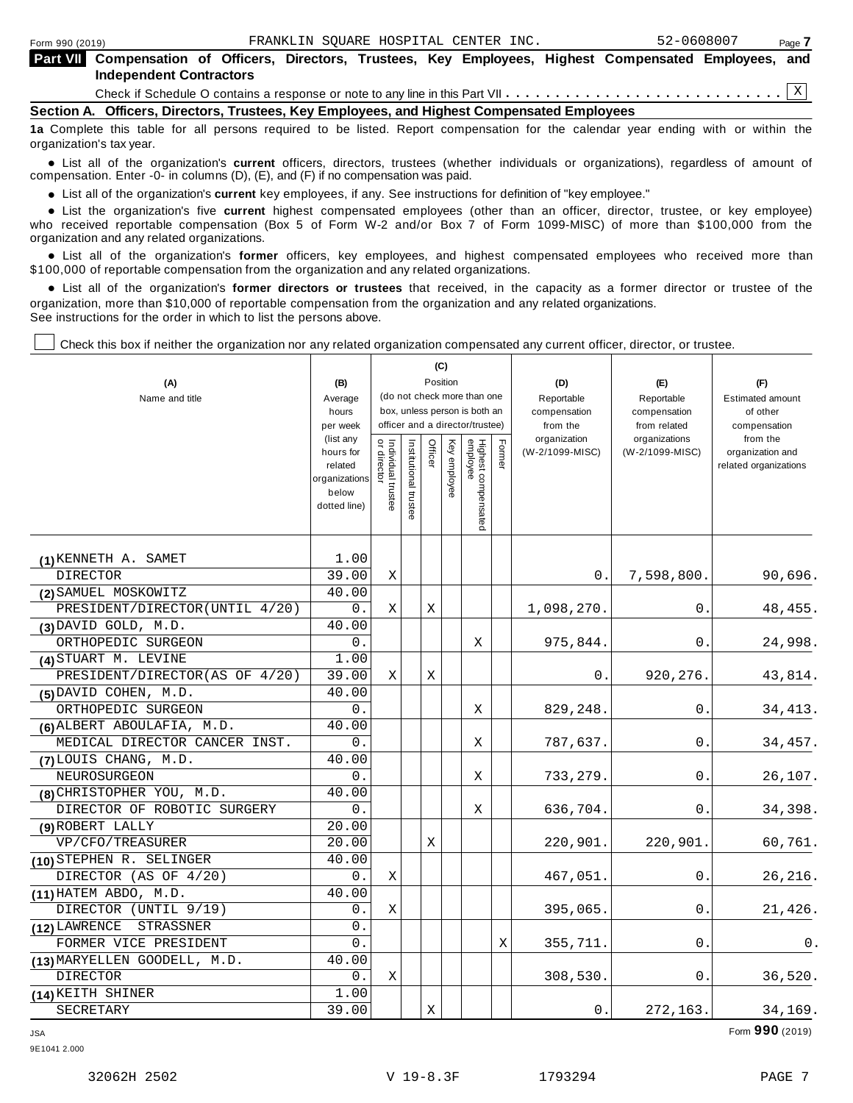| Form 990 (2019)                                                                                                                        | 52-0608007<br>Page 7                                                                                      |  |  |  |  |  |  |  |
|----------------------------------------------------------------------------------------------------------------------------------------|-----------------------------------------------------------------------------------------------------------|--|--|--|--|--|--|--|
| <b>Independent Contractors</b>                                                                                                         | Part VII Compensation of Officers, Directors, Trustees, Key Employees, Highest Compensated Employees, and |  |  |  |  |  |  |  |
|                                                                                                                                        |                                                                                                           |  |  |  |  |  |  |  |
|                                                                                                                                        | Section A. Officers, Directors, Trustees, Key Employees, and Highest Compensated Employees                |  |  |  |  |  |  |  |
| da Associate this tehnis for all seconds seconds due ha listed. Because concerning for the colorades common solidary contribution that |                                                                                                           |  |  |  |  |  |  |  |

**1a** Complete this table for all persons required to be listed. Report compensation for the calendar year ending with or within the organization's tax year.

anization's lax year.<br>● List all of the organization's **current** officers, directors, trustees (whether individuals or organizations), regardless of amount of<br>nnensation Enter -0- in columns (D) (E) and (E) if no compensa compensation. Enter -0- in columns (D), (E), and (F) if no compensation was paid.

**■** List all of the organization's **current** key employees, if any. See instructions for definition of "key employee."<br>■ List the experimentals five expect highest expressed explores (other than an efficer director t

**Example in the organization's current** key employees, if any. See instructions for definition of key employee.<br>• List the organization's five **current** highest compensated employees (other than an officer, director, trust who received reportable compensation (Box 5 of Form W-2 and/or Box 7 of Form 1099-MISC) of more than \$100,000 from the

organization and any related organizations.<br>• List all of the organization's **former** officers, key employees, and highest compensated employees who received more than<br>\$1.00.000 of reportable componention from the erganiza \$100,000 of reportable compensation from the organization and any related organizations.

% List all of the organization's **former directors or trustees** that received, in the capacity as a former director or trustee of the organization, more than \$10,000 of reportable compensation from the organization and any related organizations. See instructions for the order in which to list the persons above.

Check this box if neither the organization nor any related organization compensated any current officer, director, or trustee.

| (A)<br>Name and title                     | (B)<br>Average                                                                          | (C)<br>Position<br>(do not check more than one<br>box, unless person is both an<br>officer and a director/trustee) |                       |         |              |                                 |       | (D)<br>Reportable                           | (E)<br>Reportable                                | (F)<br><b>Estimated amount</b>                                        |
|-------------------------------------------|-----------------------------------------------------------------------------------------|--------------------------------------------------------------------------------------------------------------------|-----------------------|---------|--------------|---------------------------------|-------|---------------------------------------------|--------------------------------------------------|-----------------------------------------------------------------------|
|                                           | hours                                                                                   |                                                                                                                    |                       |         |              |                                 |       | compensation                                | compensation                                     | of other                                                              |
|                                           | per week<br>(list any<br>hours for<br>related<br>organizations<br>below<br>dotted line) | Individual trustee<br>or director                                                                                  | Institutional trustee | Officer | Key employee | Highest compensated<br>employee | Fomer | from the<br>organization<br>(W-2/1099-MISC) | from related<br>organizations<br>(W-2/1099-MISC) | compensation<br>from the<br>organization and<br>related organizations |
|                                           | 1.00                                                                                    |                                                                                                                    |                       |         |              |                                 |       |                                             |                                                  |                                                                       |
| $(1)$ KENNETH A. SAMET<br><b>DIRECTOR</b> | 39.00                                                                                   | X                                                                                                                  |                       |         |              |                                 |       | 0.                                          | 7,598,800.                                       | 90,696.                                                               |
| (2) SAMUEL MOSKOWITZ                      | 40.00                                                                                   |                                                                                                                    |                       |         |              |                                 |       |                                             |                                                  |                                                                       |
| PRESIDENT/DIRECTOR(UNTIL 4/20)            | 0.                                                                                      | X                                                                                                                  |                       | X       |              |                                 |       | 1,098,270.                                  | 0.                                               | 48, 455.                                                              |
| $(3)$ DAVID GOLD, M.D.                    | 40.00                                                                                   |                                                                                                                    |                       |         |              |                                 |       |                                             |                                                  |                                                                       |
| ORTHOPEDIC SURGEON                        | 0.                                                                                      |                                                                                                                    |                       |         |              | X                               |       | 975,844.                                    | 0.                                               | 24,998.                                                               |
| (4) STUART M. LEVINE                      | 1.00                                                                                    |                                                                                                                    |                       |         |              |                                 |       |                                             |                                                  |                                                                       |
| PRESIDENT/DIRECTOR(AS OF 4/20)            | 39.00                                                                                   | X                                                                                                                  |                       | X       |              |                                 |       | 0.                                          | 920,276.                                         | 43,814.                                                               |
| $(5)$ DAVID COHEN, M.D.                   | 40.00                                                                                   |                                                                                                                    |                       |         |              |                                 |       |                                             |                                                  |                                                                       |
| ORTHOPEDIC SURGEON                        | 0.                                                                                      |                                                                                                                    |                       |         |              | X                               |       | 829,248.                                    | 0.                                               | 34, 413.                                                              |
| (6) ALBERT ABOULAFIA, M.D.                | 40.00                                                                                   |                                                                                                                    |                       |         |              |                                 |       |                                             |                                                  |                                                                       |
| MEDICAL DIRECTOR CANCER INST.             | 0.                                                                                      |                                                                                                                    |                       |         |              | Χ                               |       | 787,637.                                    | 0.                                               | 34,457.                                                               |
| (7) LOUIS CHANG, M.D.                     | 40.00                                                                                   |                                                                                                                    |                       |         |              |                                 |       |                                             |                                                  |                                                                       |
| NEUROSURGEON                              | О.                                                                                      |                                                                                                                    |                       |         |              | Χ                               |       | 733,279.                                    | 0.                                               | 26,107.                                                               |
| (8) CHRISTOPHER YOU, M.D.                 | 40.00                                                                                   |                                                                                                                    |                       |         |              |                                 |       |                                             |                                                  |                                                                       |
| DIRECTOR OF ROBOTIC SURGERY               | $0$ .                                                                                   |                                                                                                                    |                       |         |              | Χ                               |       | 636,704.                                    | 0.                                               | 34,398.                                                               |
| (9) ROBERT LALLY                          | 20.00                                                                                   |                                                                                                                    |                       |         |              |                                 |       |                                             |                                                  |                                                                       |
| VP/CFO/TREASURER                          | 20.00                                                                                   |                                                                                                                    |                       | X       |              |                                 |       | 220,901.                                    | 220,901.                                         | 60,761.                                                               |
| (10) STEPHEN R. SELINGER                  | 40.00                                                                                   |                                                                                                                    |                       |         |              |                                 |       |                                             |                                                  |                                                                       |
| DIRECTOR (AS OF 4/20)                     | 0.                                                                                      | X                                                                                                                  |                       |         |              |                                 |       | 467,051.                                    | 0.                                               | 26, 216.                                                              |
| $(11)$ HATEM ABDO, M.D.                   | 40.00                                                                                   |                                                                                                                    |                       |         |              |                                 |       |                                             |                                                  |                                                                       |
| DIRECTOR (UNTIL 9/19)                     | 0.                                                                                      | X                                                                                                                  |                       |         |              |                                 |       | 395,065.                                    | 0.                                               | 21,426.                                                               |
| (12) LAWRENCE<br>STRASSNER                | 0.                                                                                      |                                                                                                                    |                       |         |              |                                 |       |                                             |                                                  |                                                                       |
| FORMER VICE PRESIDENT                     | 0.                                                                                      |                                                                                                                    |                       |         |              |                                 | Χ     | 355,711.                                    | 0.                                               | 0.                                                                    |
| (13) MARYELLEN GOODELL, M.D.              | 40.00                                                                                   |                                                                                                                    |                       |         |              |                                 |       |                                             |                                                  |                                                                       |
| DIRECTOR                                  | 0.                                                                                      | Χ                                                                                                                  |                       |         |              |                                 |       | 308,530.                                    | 0.                                               | 36,520.                                                               |
| (14) KEITH SHINER                         | 1.00                                                                                    |                                                                                                                    |                       |         |              |                                 |       |                                             |                                                  |                                                                       |
| SECRETARY                                 | 39.00                                                                                   |                                                                                                                    |                       | Χ       |              |                                 |       | 0.                                          | 272,163.                                         | 34,169.                                                               |

JSA Form **990** (2019)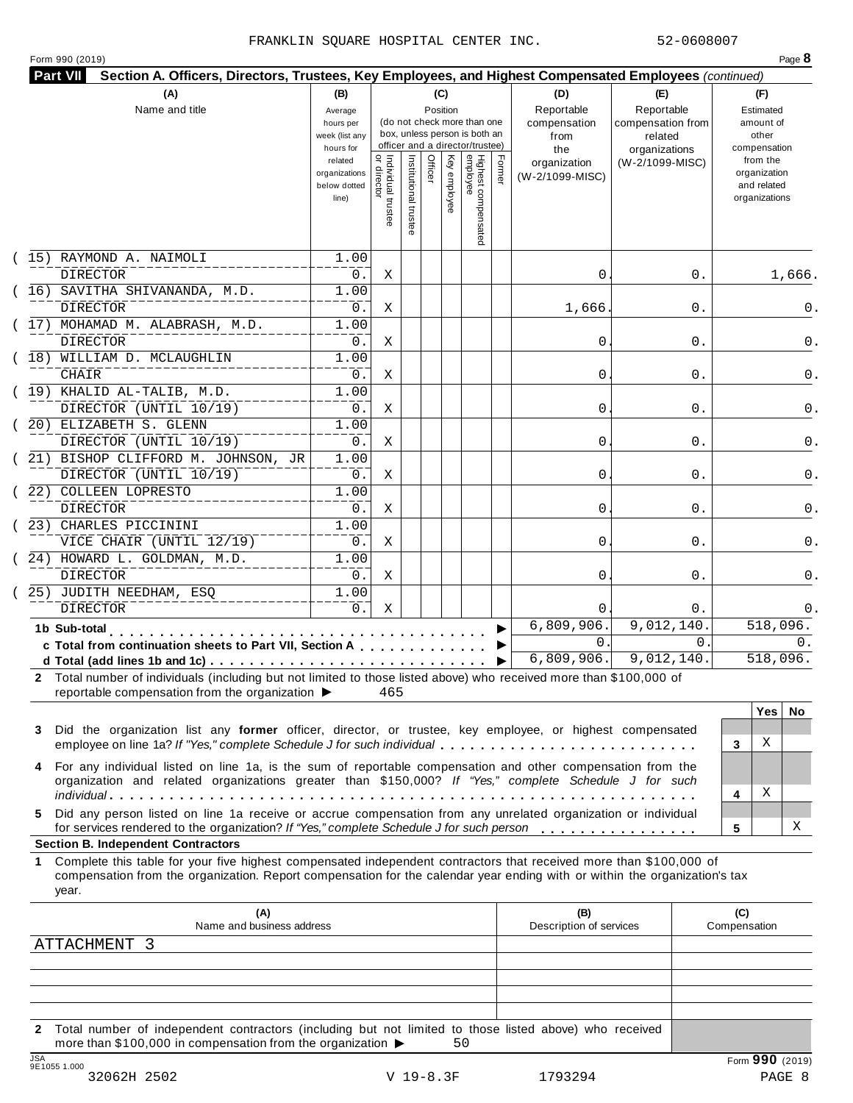#### FRANKLIN SQUARE HOSPITAL CENTER INC. 52-0608007

|  |  | Form 990 (2019) |  |
|--|--|-----------------|--|
|--|--|-----------------|--|

|    | (15) RAYMOND A. NAIMOLI<br><b>DIRECTOR</b><br>(16) SAVITHA SHIVANANDA, M.D.<br>DIRECTOR<br>(17) MOHAMAD M. ALABRASH, M.D.<br><b>DIRECTOR</b><br>(18) WILLIAM D. MCLAUGHLIN                                                                                                                     | related<br>organizations<br>below dotted<br>line)<br>1.00<br>0.<br>1.00<br>$0$ .<br>1.00 | <br>  Individual trustee<br>  or director<br>Χ | Institutional trustee | Officer | Key employee | Highest compensated<br>employee | Former | organization<br>(W-2/1099-MISC) | (W-2/1099-MISC)          | from the<br>organization<br>and related<br>organizations |
|----|------------------------------------------------------------------------------------------------------------------------------------------------------------------------------------------------------------------------------------------------------------------------------------------------|------------------------------------------------------------------------------------------|------------------------------------------------|-----------------------|---------|--------------|---------------------------------|--------|---------------------------------|--------------------------|----------------------------------------------------------|
|    |                                                                                                                                                                                                                                                                                                |                                                                                          |                                                |                       |         |              |                                 |        |                                 |                          |                                                          |
|    |                                                                                                                                                                                                                                                                                                |                                                                                          |                                                |                       |         |              |                                 |        | 0                               | 0.                       | 1,666.                                                   |
|    |                                                                                                                                                                                                                                                                                                |                                                                                          | Χ                                              |                       |         |              |                                 |        | 1,666.                          | 0.                       | 0.                                                       |
|    |                                                                                                                                                                                                                                                                                                | $0$ .                                                                                    | Χ                                              |                       |         |              |                                 |        | 0                               | 0.                       | 0.                                                       |
|    | CHAIR                                                                                                                                                                                                                                                                                          | 1.00<br>$0$ .                                                                            | Χ                                              |                       |         |              |                                 |        | 0                               | 0.                       | 0.                                                       |
|    | $(19)$ KHALID AL-TALIB, M.D.<br>DIRECTOR (UNTIL 10/19)                                                                                                                                                                                                                                         | 1.00<br>$0$ .                                                                            | Χ                                              |                       |         |              |                                 |        | 0                               | 0.                       | 0.                                                       |
|    | (20) ELIZABETH S. GLENN<br>DIRECTOR (UNTIL 10/19)                                                                                                                                                                                                                                              | 1.00<br>$0$ .                                                                            | Χ                                              |                       |         |              |                                 |        | 0                               | 0.                       | 0.                                                       |
|    | (21) BISHOP CLIFFORD M. JOHNSON, JR<br>DIRECTOR (UNTIL 10/19)                                                                                                                                                                                                                                  | 1.00<br>0.                                                                               | Χ                                              |                       |         |              |                                 |        | 0                               | 0.                       | 0.                                                       |
|    | (22) COLLEEN LOPRESTO<br>DIRECTOR                                                                                                                                                                                                                                                              | 1.00<br>$0$ .                                                                            | Χ                                              |                       |         |              |                                 |        | 0                               | 0.                       | 0.                                                       |
|    | (23) CHARLES PICCININI<br>VICE CHAIR (UNTIL 12/19)                                                                                                                                                                                                                                             | 1.00<br>0.                                                                               | Χ                                              |                       |         |              |                                 |        | 0                               | 0.                       | 0.                                                       |
|    | $(24)$ HOWARD L. GOLDMAN, M.D.<br><b>DIRECTOR</b><br>25) JUDITH NEEDHAM, ESQ                                                                                                                                                                                                                   | 1.00<br>$0$ .<br>1.00                                                                    | Χ                                              |                       |         |              |                                 |        | 0                               | 0.                       | 0.                                                       |
|    | <b>DIRECTOR</b>                                                                                                                                                                                                                                                                                | 0.                                                                                       | Χ                                              |                       |         |              |                                 |        | 0<br>6,809,906.                 | 0.<br>9,012,140.         | 0.<br>518,096.                                           |
|    | 1b Sub-total<br>c Total from continuation sheets to Part VII, Section A                                                                                                                                                                                                                        |                                                                                          |                                                |                       |         |              |                                 |        | 0.<br>6,809,906.                | $\Omega$ .<br>9,012,140. | 0.<br>518,096.                                           |
| 3  | 2 Total number of individuals (including but not limited to those listed above) who received more than \$100,000 of<br>reportable compensation from the organization ▶<br>Did the organization list any former officer, director, or trustee, key employee, or highest compensated             |                                                                                          | 465                                            |                       |         |              |                                 |        |                                 |                          | Yes<br>No.                                               |
| 4  | employee on line 1a? If "Yes," complete Schedule J for such individual<br>For any individual listed on line 1a, is the sum of reportable compensation and other compensation from the<br>organization and related organizations greater than \$150,000? If "Yes," complete Schedule J for such |                                                                                          |                                                |                       |         |              |                                 |        |                                 |                          | Χ<br>3<br>Χ<br>4                                         |
| 5. | Did any person listed on line 1a receive or accrue compensation from any unrelated organization or individual<br>for services rendered to the organization? If "Yes," complete Schedule J for such person<br><b>Section B. Independent Contractors</b>                                         |                                                                                          |                                                |                       |         |              |                                 |        |                                 |                          | Χ<br>5                                                   |
| 1  | Complete this table for your five highest compensated independent contractors that received more than \$100,000 of<br>compensation from the organization. Report compensation for the calendar year ending with or within the organization's tax<br>year.                                      |                                                                                          |                                                |                       |         |              |                                 |        |                                 |                          |                                                          |
|    | (A)<br>Name and business address                                                                                                                                                                                                                                                               |                                                                                          |                                                |                       |         |              |                                 |        | (B)<br>Description of services  |                          | (C)<br>Compensation                                      |
|    | <b>ATTACHMENT</b><br>- 3                                                                                                                                                                                                                                                                       |                                                                                          |                                                |                       |         |              |                                 |        |                                 |                          |                                                          |
|    |                                                                                                                                                                                                                                                                                                |                                                                                          |                                                |                       |         |              |                                 |        |                                 |                          |                                                          |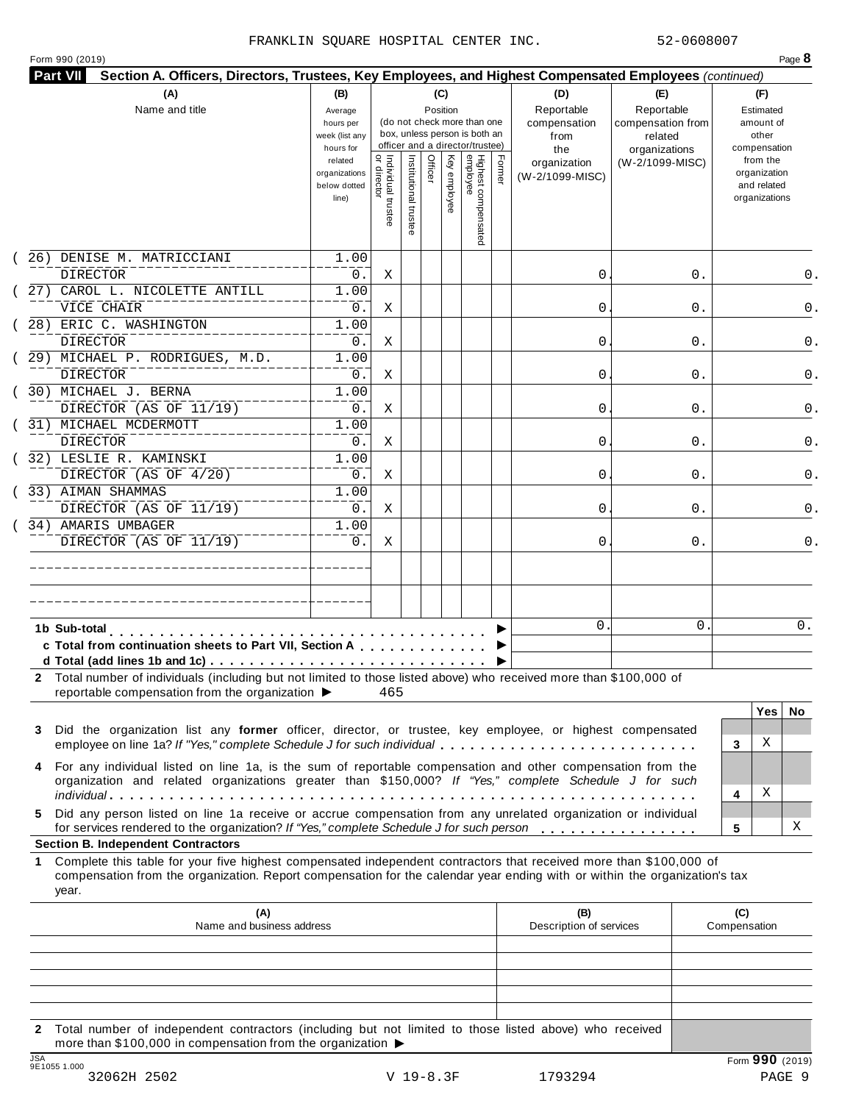|  | Form 990 (2019) |  |
|--|-----------------|--|
|  |                 |  |

|    | (A)                                                                                                                                                                                                                                                       | (B)                                                 |                                           |                       |         | (C)          |                                                                                                 |        | (D)                                       | (E)                                                         | (F)                                                      |                   |  |  |
|----|-----------------------------------------------------------------------------------------------------------------------------------------------------------------------------------------------------------------------------------------------------------|-----------------------------------------------------|-------------------------------------------|-----------------------|---------|--------------|-------------------------------------------------------------------------------------------------|--------|-------------------------------------------|-------------------------------------------------------------|----------------------------------------------------------|-------------------|--|--|
|    | Name and title                                                                                                                                                                                                                                            | Average<br>hours per<br>week (list any<br>hours for |                                           |                       |         | Position     | (do not check more than one<br>box, unless person is both an<br>officer and a director/trustee) |        | Reportable<br>compensation<br>from<br>the | Reportable<br>compensation from<br>related<br>organizations | Estimated<br>amount of<br>other<br>compensation          |                   |  |  |
|    |                                                                                                                                                                                                                                                           | related<br>organizations<br>below dotted<br>line)   | <br>  Individual trustee<br>  or director | Institutional trustee | Officer | Key employee | Highest compensated<br>employee                                                                 | Former | organization<br>(W-2/1099-MISC)           | (W-2/1099-MISC)                                             | from the<br>organization<br>and related<br>organizations |                   |  |  |
|    | 26) DENISE M. MATRICCIANI                                                                                                                                                                                                                                 | 1.00                                                |                                           |                       |         |              |                                                                                                 |        |                                           |                                                             |                                                          |                   |  |  |
|    | DIRECTOR<br>27) CAROL L. NICOLETTE ANTILL                                                                                                                                                                                                                 | 0.<br>1.00                                          | Χ                                         |                       |         |              |                                                                                                 |        | 0                                         | 0.                                                          |                                                          |                   |  |  |
|    | VICE CHAIR                                                                                                                                                                                                                                                | 0.                                                  | Χ                                         |                       |         |              |                                                                                                 |        | 0                                         | 0.                                                          |                                                          |                   |  |  |
|    | 28) ERIC C. WASHINGTON                                                                                                                                                                                                                                    | 1.00                                                |                                           |                       |         |              |                                                                                                 |        |                                           |                                                             |                                                          |                   |  |  |
|    | <b>DIRECTOR</b>                                                                                                                                                                                                                                           | 0.                                                  | Χ                                         |                       |         |              |                                                                                                 |        | 0                                         | 0.                                                          |                                                          |                   |  |  |
|    | 29) MICHAEL P. RODRIGUES, M.D.                                                                                                                                                                                                                            | 1.00                                                |                                           |                       |         |              |                                                                                                 |        |                                           |                                                             |                                                          |                   |  |  |
|    | <b>DIRECTOR</b>                                                                                                                                                                                                                                           | 0.                                                  | Χ                                         |                       |         |              |                                                                                                 |        | 0                                         | 0.                                                          |                                                          |                   |  |  |
|    | 30) MICHAEL J. BERNA                                                                                                                                                                                                                                      | 1.00                                                |                                           |                       |         |              |                                                                                                 |        |                                           |                                                             |                                                          |                   |  |  |
|    | DIRECTOR (AS OF 11/19)                                                                                                                                                                                                                                    | $0$ .                                               | Χ                                         |                       |         |              |                                                                                                 |        | 0                                         | 0.                                                          |                                                          |                   |  |  |
|    | 31) MICHAEL MCDERMOTT                                                                                                                                                                                                                                     | 1.00                                                |                                           |                       |         |              |                                                                                                 |        |                                           |                                                             |                                                          |                   |  |  |
|    | DIRECTOR                                                                                                                                                                                                                                                  | $0$ .                                               | Χ                                         |                       |         |              |                                                                                                 |        | 0                                         | 0.                                                          |                                                          |                   |  |  |
|    | 32) LESLIE R. KAMINSKI<br>DIRECTOR (AS OF 4/20)                                                                                                                                                                                                           | 1.00<br>0.                                          | Χ                                         |                       |         |              |                                                                                                 |        | 0                                         | 0.                                                          |                                                          |                   |  |  |
|    | 33) AIMAN SHAMMAS                                                                                                                                                                                                                                         | 1.00                                                |                                           |                       |         |              |                                                                                                 |        |                                           |                                                             |                                                          |                   |  |  |
|    | DIRECTOR (AS OF 11/19)                                                                                                                                                                                                                                    | $0$ .                                               | Χ                                         |                       |         |              |                                                                                                 |        | 0                                         | 0.                                                          |                                                          |                   |  |  |
|    | 34) AMARIS UMBAGER                                                                                                                                                                                                                                        | 1.00                                                |                                           |                       |         |              |                                                                                                 |        |                                           |                                                             |                                                          |                   |  |  |
|    | DIRECTOR (AS OF 11/19)                                                                                                                                                                                                                                    | $0$ .                                               | Χ                                         |                       |         |              |                                                                                                 |        | 0                                         | 0.                                                          |                                                          |                   |  |  |
|    |                                                                                                                                                                                                                                                           |                                                     |                                           |                       |         |              |                                                                                                 |        |                                           |                                                             |                                                          |                   |  |  |
|    |                                                                                                                                                                                                                                                           |                                                     |                                           |                       |         |              |                                                                                                 |        |                                           |                                                             |                                                          |                   |  |  |
|    | 1b Sub-total                                                                                                                                                                                                                                              |                                                     |                                           |                       |         |              |                                                                                                 |        | $\mathbf{0}$                              | 0                                                           |                                                          | $0$ .             |  |  |
|    | c Total from continuation sheets to Part VII, Section A                                                                                                                                                                                                   |                                                     |                                           |                       |         |              |                                                                                                 |        |                                           |                                                             |                                                          |                   |  |  |
|    | 2 Total number of individuals (including but not limited to those listed above) who received more than \$100,000 of<br>reportable compensation from the organization ▶                                                                                    |                                                     | 465                                       |                       |         |              |                                                                                                 |        |                                           |                                                             |                                                          |                   |  |  |
|    |                                                                                                                                                                                                                                                           |                                                     |                                           |                       |         |              |                                                                                                 |        |                                           |                                                             |                                                          | <b>Yes</b><br>No. |  |  |
| 3  | Did the organization list any former officer, director, or trustee, key employee, or highest compensated<br>employee on line 1a? If "Yes," complete Schedule J for such individual                                                                        |                                                     |                                           |                       |         |              |                                                                                                 |        |                                           |                                                             | Χ<br>3                                                   |                   |  |  |
| 4  | For any individual listed on line 1a, is the sum of reportable compensation and other compensation from the<br>organization and related organizations greater than \$150,000? If "Yes," complete Schedule J for such                                      |                                                     |                                           |                       |         |              |                                                                                                 |        |                                           |                                                             | Χ                                                        |                   |  |  |
| 5. | Did any person listed on line 1a receive or accrue compensation from any unrelated organization or individual<br>for services rendered to the organization? If "Yes," complete Schedule J for such person                                                 |                                                     |                                           |                       |         |              |                                                                                                 |        |                                           |                                                             | 4<br>5                                                   | Χ                 |  |  |
|    | <b>Section B. Independent Contractors</b>                                                                                                                                                                                                                 |                                                     |                                           |                       |         |              |                                                                                                 |        |                                           |                                                             |                                                          |                   |  |  |
| 1. | Complete this table for your five highest compensated independent contractors that received more than \$100,000 of<br>compensation from the organization. Report compensation for the calendar year ending with or within the organization's tax<br>year. |                                                     |                                           |                       |         |              |                                                                                                 |        |                                           |                                                             |                                                          |                   |  |  |
|    | (A)<br>Name and business address                                                                                                                                                                                                                          |                                                     |                                           |                       |         |              |                                                                                                 |        | (B)<br>Description of services            |                                                             | (C)<br>Compensation                                      |                   |  |  |
|    |                                                                                                                                                                                                                                                           |                                                     |                                           |                       |         |              |                                                                                                 |        |                                           |                                                             |                                                          |                   |  |  |
|    |                                                                                                                                                                                                                                                           |                                                     |                                           |                       |         |              |                                                                                                 |        |                                           |                                                             |                                                          |                   |  |  |
|    |                                                                                                                                                                                                                                                           |                                                     |                                           |                       |         |              |                                                                                                 |        |                                           |                                                             |                                                          |                   |  |  |

**2** Total number of independent contractors (including but not limited to those listed above) who received more than \$100,000 in compensation from the organization  $\blacktriangleright$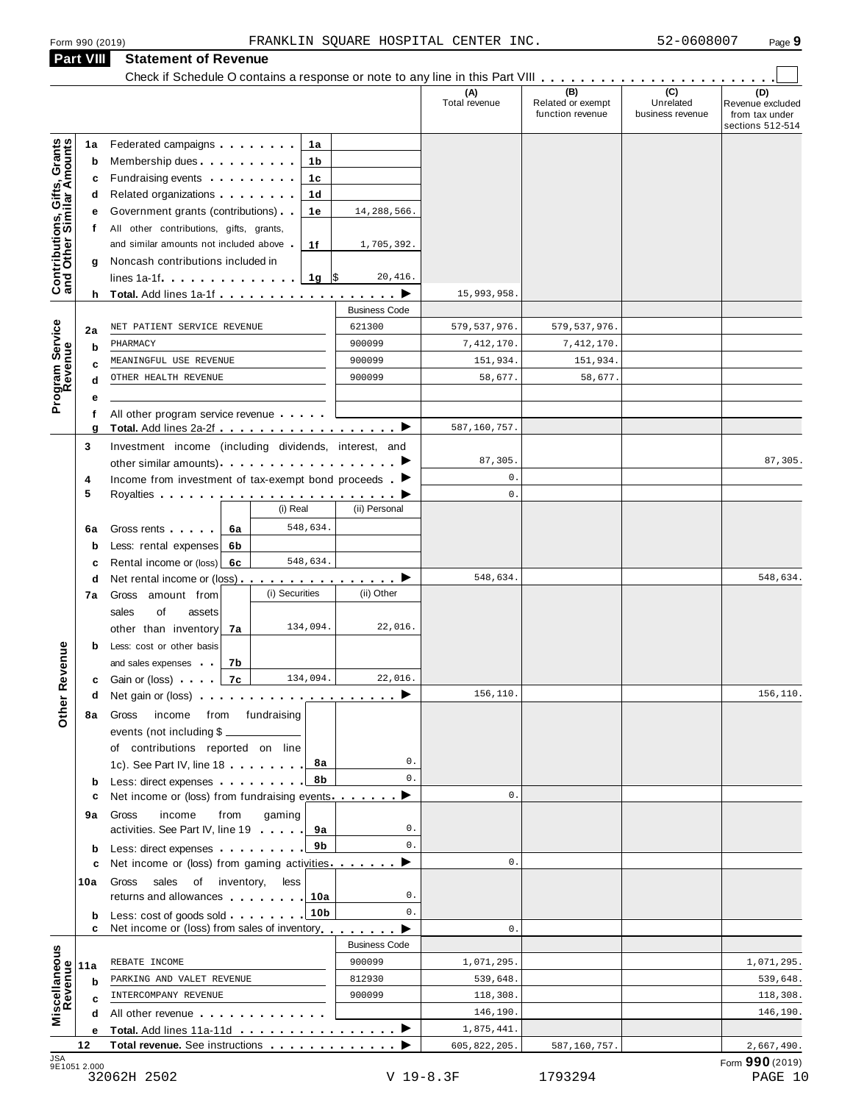## **Part VIII Statement of Revenue**<br>Check if Schedule O contains a res

|                                                           | Form 990 (2019) |                                                                                                                                                                                                                                      |                          | FRANKLIN SQUARE HOSPITAL CENTER INC. |                                              | 52-0608007                                        | Page 9                                                        |
|-----------------------------------------------------------|-----------------|--------------------------------------------------------------------------------------------------------------------------------------------------------------------------------------------------------------------------------------|--------------------------|--------------------------------------|----------------------------------------------|---------------------------------------------------|---------------------------------------------------------------|
|                                                           | Part VIII       | <b>Statement of Revenue</b>                                                                                                                                                                                                          |                          |                                      |                                              |                                                   |                                                               |
|                                                           |                 | Check if Schedule O contains a response or note to any line in this Part VIII                                                                                                                                                        |                          |                                      |                                              |                                                   |                                                               |
|                                                           |                 |                                                                                                                                                                                                                                      |                          | (A)<br>Total revenue                 | (B)<br>Related or exempt<br>function revenue | $\overline{(c)}$<br>Unrelated<br>business revenue | (D)<br>Revenue excluded<br>from tax under<br>sections 512-514 |
|                                                           | 1a              | Federated campaigns <b>Federated</b>                                                                                                                                                                                                 | 1a                       |                                      |                                              |                                                   |                                                               |
| Contributions, Gifts, Grants<br>and Other Similar Amounts | b               | Membership dues <b>All Accords</b> Membership dues                                                                                                                                                                                   | 1b                       |                                      |                                              |                                                   |                                                               |
|                                                           | c               | Fundraising events <b>Exercises</b>                                                                                                                                                                                                  | 1c                       |                                      |                                              |                                                   |                                                               |
|                                                           | d               |                                                                                                                                                                                                                                      | 1d                       |                                      |                                              |                                                   |                                                               |
|                                                           |                 | Government grants (contributions)                                                                                                                                                                                                    | 1e<br>14,288,566.        |                                      |                                              |                                                   |                                                               |
|                                                           | f               | All other contributions, gifts, grants,                                                                                                                                                                                              |                          |                                      |                                              |                                                   |                                                               |
|                                                           |                 | and similar amounts not included above.                                                                                                                                                                                              | 1f<br>1,705,392.         |                                      |                                              |                                                   |                                                               |
|                                                           | g               | Noncash contributions included in                                                                                                                                                                                                    |                          |                                      |                                              |                                                   |                                                               |
|                                                           |                 | $lines 1a-1f$ $\ldots$ $\ldots$ $\ldots$                                                                                                                                                                                             | 1g $\sqrt{5}$<br>20,416. |                                      |                                              |                                                   |                                                               |
|                                                           |                 |                                                                                                                                                                                                                                      | <b>Business Code</b>     | 15,993,958                           |                                              |                                                   |                                                               |
|                                                           |                 | NET PATIENT SERVICE REVENUE                                                                                                                                                                                                          | 621300                   | 579, 537, 976.                       | 579, 537, 976.                               |                                                   |                                                               |
|                                                           | 2a              | PHARMACY                                                                                                                                                                                                                             | 900099                   | 7,412,170.                           | 7,412,170.                                   |                                                   |                                                               |
|                                                           | b               | MEANINGFUL USE REVENUE                                                                                                                                                                                                               | 900099                   | 151,934.                             | 151,934.                                     |                                                   |                                                               |
| Program Service<br>Revenue                                |                 | OTHER HEALTH REVENUE                                                                                                                                                                                                                 | 900099                   | 58,677.                              | 58,677.                                      |                                                   |                                                               |
|                                                           |                 |                                                                                                                                                                                                                                      |                          |                                      |                                              |                                                   |                                                               |
|                                                           | f               | All other program service revenue                                                                                                                                                                                                    |                          |                                      |                                              |                                                   |                                                               |
|                                                           | g               |                                                                                                                                                                                                                                      |                          | 587,160,757.                         |                                              |                                                   |                                                               |
|                                                           | 3               | Investment income (including dividends, interest, and                                                                                                                                                                                |                          |                                      |                                              |                                                   |                                                               |
|                                                           |                 |                                                                                                                                                                                                                                      |                          | 87,305.                              |                                              |                                                   | 87,305.                                                       |
|                                                           | 4               | Income from investment of tax-exempt bond proceeds $\blacktriangleright$                                                                                                                                                             |                          | $\mathsf{0}$ .                       |                                              |                                                   |                                                               |
|                                                           | 5               | (i) Real                                                                                                                                                                                                                             | (ii) Personal            | $\mathbf{0}$ .                       |                                              |                                                   |                                                               |
|                                                           |                 |                                                                                                                                                                                                                                      |                          |                                      |                                              |                                                   |                                                               |
|                                                           | 6a              | 548,634.<br>Gross rents <b>Called Called Called Called Called Called Called Called Called Called Called Called Called Called Called Called Called Called Called Called Called Called Called Ca</b><br>6а                             |                          |                                      |                                              |                                                   |                                                               |
|                                                           | b               | Less: rental expenses<br>6b<br>548,634.                                                                                                                                                                                              |                          |                                      |                                              |                                                   |                                                               |
|                                                           | с               | Rental income or (loss) 6c<br>Net rental income or (loss) $\cdots$ $\cdots$ $\cdots$ $\cdots$ $\cdots$                                                                                                                               |                          | 548,634.                             |                                              |                                                   | 548,634.                                                      |
|                                                           | d<br>7a         | (i) Securities<br>Gross amount from                                                                                                                                                                                                  | (ii) Other               |                                      |                                              |                                                   |                                                               |
|                                                           |                 | sales<br>of<br>assets                                                                                                                                                                                                                |                          |                                      |                                              |                                                   |                                                               |
|                                                           |                 | 134,094.<br>other than inventory<br>7a                                                                                                                                                                                               | 22,016.                  |                                      |                                              |                                                   |                                                               |
|                                                           | b               | Less: cost or other basis                                                                                                                                                                                                            |                          |                                      |                                              |                                                   |                                                               |
| <b>Other Revenue</b>                                      |                 | and sales expenses<br>7b                                                                                                                                                                                                             |                          |                                      |                                              |                                                   |                                                               |
|                                                           | c               | 134,094.<br>Gain or (loss) [1999]<br>7с                                                                                                                                                                                              | 22,016.                  |                                      |                                              |                                                   |                                                               |
|                                                           | a               | Net gain or (loss) $\cdots$ $\cdots$ $\cdots$ $\cdots$ $\cdots$ $\cdots$                                                                                                                                                             |                          | 156,110.                             |                                              |                                                   | 156,110.                                                      |
|                                                           | 8а              | Gross<br>income<br>from<br>fundraising                                                                                                                                                                                               |                          |                                      |                                              |                                                   |                                                               |
|                                                           |                 | events (not including \$                                                                                                                                                                                                             |                          |                                      |                                              |                                                   |                                                               |
|                                                           |                 | of contributions reported on line                                                                                                                                                                                                    |                          |                                      |                                              |                                                   |                                                               |
|                                                           |                 | 1c). See Part IV, line 18                                                                                                                                                                                                            | 8а                       | 0.<br>$\mathbf{0}$ .                 |                                              |                                                   |                                                               |
|                                                           | b               | Less: direct expenses                                                                                                                                                                                                                | 8b                       | $\mathbf{0}$ .                       |                                              |                                                   |                                                               |
|                                                           | c               | Net income or (loss) from fundraising events ▶                                                                                                                                                                                       |                          |                                      |                                              |                                                   |                                                               |
|                                                           | 9а              | Gross<br>income<br>from<br>gaming<br>activities. See Part IV, line 19                                                                                                                                                                | 9а                       | 0.                                   |                                              |                                                   |                                                               |
|                                                           |                 | Less: direct expenses                                                                                                                                                                                                                | 9b                       | $\mathbf{0}$ .                       |                                              |                                                   |                                                               |
|                                                           | b<br>c          | Net income or (loss) from gaming activities.                                                                                                                                                                                         | ▶                        | $\mathbf{0}$ .                       |                                              |                                                   |                                                               |
|                                                           | 10a             | Gross<br>sales<br>of inventory,<br>less                                                                                                                                                                                              |                          |                                      |                                              |                                                   |                                                               |
|                                                           |                 | returns and allowances <b>with the set of the set of the set of the set of the set of the set of the set of the set of the set of the set of the set of the set of the set of the set of the set of the set of the set of the se</b> | 10a                      | 0.                                   |                                              |                                                   |                                                               |
|                                                           | b               |                                                                                                                                                                                                                                      | 10 <sub>b</sub>          | $\mathbf{0}$ .                       |                                              |                                                   |                                                               |
|                                                           | c               | Net income or (loss) from sales of inventory                                                                                                                                                                                         |                          | $\mathbf{0}$ .                       |                                              |                                                   |                                                               |
|                                                           |                 |                                                                                                                                                                                                                                      | <b>Business Code</b>     |                                      |                                              |                                                   |                                                               |
| Miscellaneous<br>Revenue                                  | 11a             | REBATE INCOME                                                                                                                                                                                                                        | 900099                   | 1,071,295.                           |                                              |                                                   | 1,071,295.                                                    |
|                                                           | b               | PARKING AND VALET REVENUE                                                                                                                                                                                                            | 812930                   | 539,648.                             |                                              |                                                   | 539,648.                                                      |
|                                                           |                 | INTERCOMPANY REVENUE                                                                                                                                                                                                                 | 900099                   | 118,308.                             |                                              |                                                   | 118,308.                                                      |
|                                                           |                 | All other revenue                                                                                                                                                                                                                    |                          | 146,190.<br>1,875,441.               |                                              |                                                   | 146,190.                                                      |
|                                                           | е<br>12         | Total revenue. See instructions <b>and the set of the set of the set of the set of the set of the set of the set of the set of the set of the set of the set of the set of the set of the set of the set of the set of the set o</b> |                          | 605, 822, 205.                       | 587,160,757.                                 |                                                   | 2,667,490.                                                    |
| <b>JSA</b>                                                |                 |                                                                                                                                                                                                                                      |                          |                                      |                                              |                                                   |                                                               |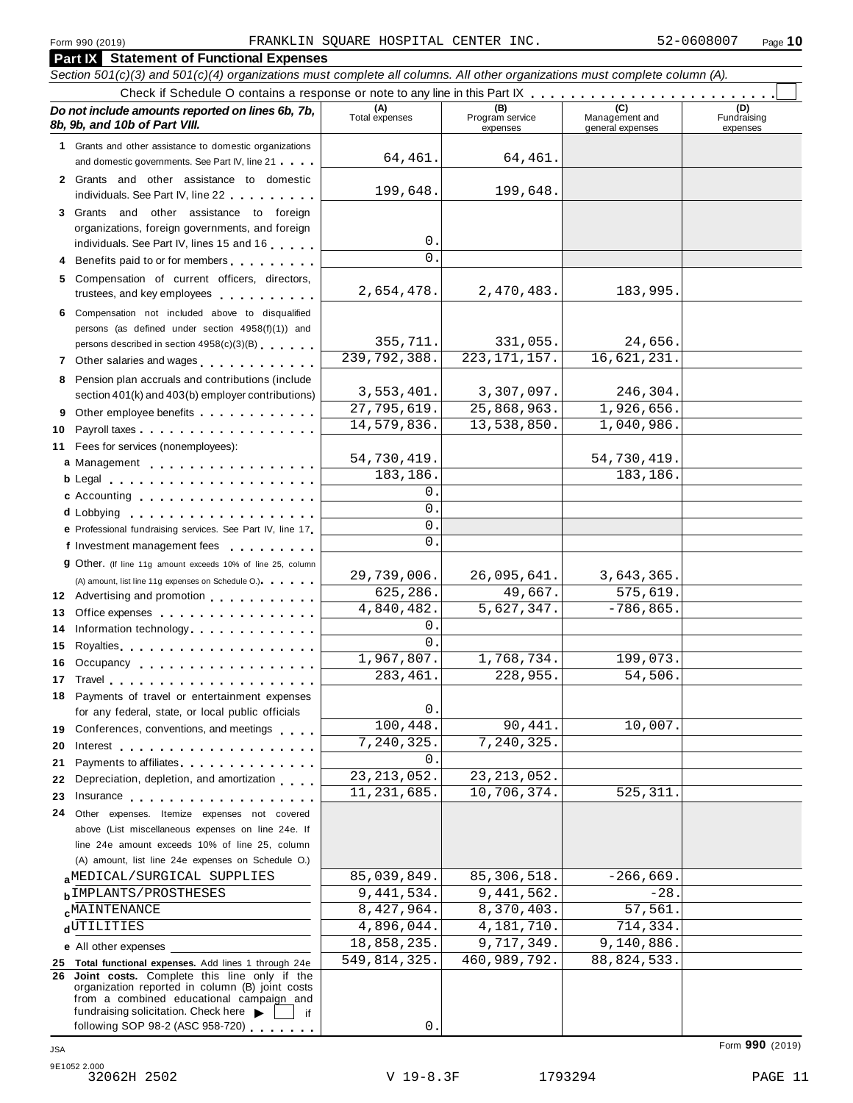#### **Part IX Statement of Functional Expenses** Section 501(c)(3) and 501(c)(4) organizations must complete all columns. All other organizations must complete column (A). Check if Schedule O contains a response or note to any line in this Part  $\begin{array}{c|c|c|c|c} \hline \text{Check if Schedule O contains a response or note to any line in this Part } \mathbb{X} & \text{if } \mathbb{X} & \text{if } \mathbb{X} & \text{if } \mathbb{X} & \text{if } \mathbb{X} & \text{if } \mathbb{X} & \text{if } \mathbb{X} & \text{if } \mathbb{X} & \text{if } \mathbb{X} & \text{if } \math$ *Do no* **(A) (B) (C) (D)** *t include amounts reported on lines 6b, 7b,* **8b, 9b, and 10b of Part VIII.** The construction of *B***, 9b, and 10b of Part VIII.** expenses Management and general expenses Fundraising expenses **1** Grants and other assistance to domestic organizations and domestic governments. See Part IV, line 21 m m m **2** Grants and other assistance to domestic individuals. See Part IV, line 22 **3** Grants and other assistance to foreign organizations, foreign governments, and foreign individuals. See Part IV, lines <sup>15</sup> and <sup>16</sup> <sup>m</sup> <sup>m</sup> <sup>m</sup> <sup>m</sup> <sup>m</sup> **<sup>4</sup>** Benefits paid to or for members <sup>m</sup> <sup>m</sup> <sup>m</sup> <sup>m</sup> <sup>m</sup> <sup>m</sup> <sup>m</sup> <sup>m</sup> <sup>m</sup> **5** Compensation of current officers, directors, trustees, and key employees m m m m m m m m m m **6** Compensation not included above to disqualified persons (as defined under section 4958(f)(1)) and persons described in section 4958(c)(3)(B) <sup>m</sup> <sup>m</sup> <sup>m</sup> <sup>m</sup> <sup>m</sup> <sup>m</sup> **<sup>7</sup>** Other salaries and wages <sup>m</sup> <sup>m</sup> <sup>m</sup> <sup>m</sup> <sup>m</sup> <sup>m</sup> <sup>m</sup> <sup>m</sup> <sup>m</sup> <sup>m</sup> <sup>m</sup> <sup>m</sup> **8** Pension plan accruals and contributions (include section 401(k) and 403(b) employer contributions) **9** Section 401(k) and 403(b) employer contributions<br>9 Other employee benefits 9 Other employee benefits **10** Payroll taxes **10** Fees for services (nonemployees): **11** A) amount, list line 11g expenses on Schedule O.)<br>**12** Advertising and promotion **manual 13** Office expenses **13** Office expenses<br>**14** Information technology............. **15 16** Occupancy m m m m m m m m m m m m m m m m m m **16** Occupancy ...................<br>17 Travel..................... **18** Payments of travel or entertainment expenses for any federal, state, or local public officials<br>**19** Conferences, conventions, and meetings **19** Conferences, conventions, and meetings **endorship.**<br>20 Interest **manual meeting 21** 21 Payments to affiliates<br>22 Depreciation, depletion, and amortization <sub>1</sub> . . . **22** Depreciation, depletion, and amortization **manufation**<br>23 Insurance 24 Other expenses. Itemize expenses not covered | Fees for services (nonemployees):<br>**a** Management ..................<br>**b** Legal ......................... **cd** Lobbying m m m m m m m m m m m m m m m m m m m **e** Professional fundraising services. See Part IV, line <sup>17</sup> m **P** Professional fundraising services. See Part IV, line 17<br>**f** Investment management fees **g** Other. (If line 11g amount exceeds 10% of line 25, column Legal m m m m m m m m m m m m m m m m m m m m m c Accounting . . . . . . . . . . . . . . m m m m m m m m m m m m m m m m m m (A) amount, list line 11g expenses on Schedule O.) measurement m m m m m m m m m m m m m m m m Royalties m m m m m m m m m m m m m m m m m m m m for any federal, state, or local public officials Payments to affiliates m m m m m m m m m m m m m m above (List miscellaneous expenses on line 24e. If line 24e amount exceeds 10% of line 25, column (A) amount, list line 24e expenses on Schedule O.) **a**<sup>MEDICAL/SURGICAL SUPPLIES 85,039,849. 85,300,518. -200,009.<br>**b**IMPLANTS/PROSTHESES 9,441,534. 9,441,562. -28.</sup> **c**<sup>MAINTENANCE</sup><br> **d**<sup>UTILITIES 4,896,044. 4,181,710. 714,334.</sup> **e** All other expenses **25 Total functional expenses.** Add lines 1 through 24e **26 Joint costs.** Complete this line only if the organization reported in column (B) joint costs from a combined educational campaign and from a combined educational campaign and<br>fundraising solicitation. Check here  $\blacktriangleright$  if<br>following SOP 98-2 (ASC 958-720) 64,461. 64,461. 199,648. 199,648. 0.  $\cap$ 2,654,478. 2,470,483. 183,995. 355,711. 331,055. 24,656. 239,792,388. 223,171,157. 16,621,231. 3,553,401. 3,307,097. 246,304. 27,795,619. 25,868,963. 1,926,656. 14,579,836. 13,538,850. 1,040,986. 54,730,419. 54,730,419. 183,186. 183,186 0.  $\overline{0}$ . 0.  $\overline{0}$ 29,739,006. 26,095,641. 3,643,365. 625,286. 49,667. 575,619.  $4,840,482.$   $5,627,347.$   $-786,865.$ 0. 0. 1,967,807. 1,768,734. 199,073 283,461. 228,955. 54,506. 0. 100,448. 90,441. 10,007. 7,240,325. 7,240,325.  $\Omega$ 23,213,052. 23,213,052. 11,231,685. 10,706,374. 525,311. MEDICAL/SURGICAL SUPPLIES 85,039,849. 85,306,518. -266,669. **MAINTENANCE** 8,427,964. 8,370,403. 57,561 18,858,235. 9,717,349. 9,140,886. 549,814,325. 460,989,792. 88,824,533.

0.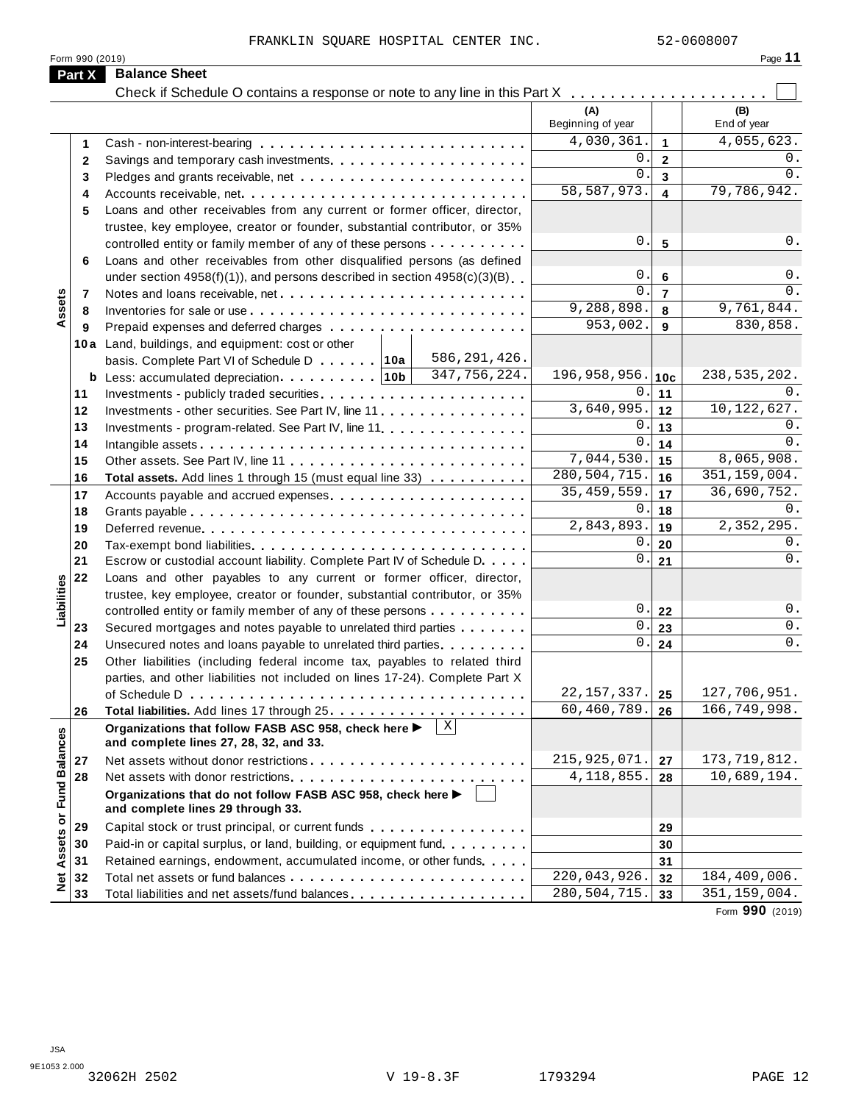|                                                                                                                                                                                                         | FRANKLIN SOUARE HOSPITAL CENTER INC.                                                             |                          |                         | 52-0608007               |
|---------------------------------------------------------------------------------------------------------------------------------------------------------------------------------------------------------|--------------------------------------------------------------------------------------------------|--------------------------|-------------------------|--------------------------|
| Part X                                                                                                                                                                                                  | Form 990 (2019)<br><b>Balance Sheet</b>                                                          |                          |                         | Page 11                  |
|                                                                                                                                                                                                         | Check if Schedule O contains a response or note to any line in this Part X                       |                          |                         |                          |
|                                                                                                                                                                                                         |                                                                                                  |                          |                         |                          |
|                                                                                                                                                                                                         |                                                                                                  | (A)<br>Beginning of year |                         | (B)<br>End of year       |
| 1                                                                                                                                                                                                       |                                                                                                  | 4,030,361.               | $\blacktriangleleft$    | $\overline{4,055,623}$ . |
| $\mathbf{2}$                                                                                                                                                                                            |                                                                                                  | 0.                       | $\overline{2}$          | 0.                       |
| 3                                                                                                                                                                                                       |                                                                                                  | 0.                       | $\mathbf{3}$            | 0.                       |
| 4                                                                                                                                                                                                       |                                                                                                  | 58, 587, 973.            | $\overline{\mathbf{4}}$ | 79,786,942.              |
|                                                                                                                                                                                                         | Loans and other receivables from any current or former officer, director,                        |                          |                         |                          |
|                                                                                                                                                                                                         | trustee, key employee, creator or founder, substantial contributor, or 35%                       |                          |                         |                          |
| 5<br>6<br>Assets<br>7<br>8<br>9<br>10a Land, buildings, and equipment: cost or other<br>basis. Complete Part VI of Schedule D 10a<br>Less: accumulated depreciation $\ldots \ldots \ldots$   10b  <br>b | controlled entity or family member of any of these persons                                       | 0.                       | 5                       | 0.                       |
|                                                                                                                                                                                                         | Loans and other receivables from other disqualified persons (as defined                          |                          |                         |                          |
|                                                                                                                                                                                                         | under section $4958(f)(1)$ , and persons described in section $4958(c)(3)(B)$                    | 0.                       | 6                       | 0.                       |
|                                                                                                                                                                                                         |                                                                                                  | 0.                       | $\overline{7}$          | 0.                       |
|                                                                                                                                                                                                         |                                                                                                  | 9,288,898.               | 8                       | 9,761,844.               |
|                                                                                                                                                                                                         |                                                                                                  | 953,002.                 | 9                       | 830,858.                 |
|                                                                                                                                                                                                         |                                                                                                  |                          |                         |                          |
|                                                                                                                                                                                                         | 586, 291, 426.                                                                                   |                          |                         |                          |
|                                                                                                                                                                                                         | 347,756,224.                                                                                     | 196, 958, 956.           | 10c                     | 238, 535, 202.           |
| 11                                                                                                                                                                                                      |                                                                                                  | 0.1                      | 11                      | 0.                       |
| 12                                                                                                                                                                                                      | Investments - other securities. See Part IV, line 11                                             | 3,640,995.               | 12                      | 10, 122, 627.            |
| 13                                                                                                                                                                                                      | Investments - program-related. See Part IV, line 11                                              | 0.                       | 13                      | 0.                       |
| 14                                                                                                                                                                                                      |                                                                                                  | $0$ .                    | 14                      | 0.                       |
| 15                                                                                                                                                                                                      |                                                                                                  | 7,044,530.               | 15                      | 8,065,908.               |
| 16                                                                                                                                                                                                      | Total assets. Add lines 1 through 15 (must equal line 33)                                        | 280,504,715.             | 16                      | 351, 159, 004.           |
| 17                                                                                                                                                                                                      | Accounts payable and accrued expenses                                                            | 35, 459, 559.            | 17                      | 36,690,752.              |
| 18                                                                                                                                                                                                      |                                                                                                  | 0.                       | 18                      | $0$ .                    |
| 19                                                                                                                                                                                                      |                                                                                                  | 2,843,893.               | 19                      | 2,352,295.               |
| 20                                                                                                                                                                                                      |                                                                                                  | 0.                       | 20                      | 0.                       |
| 21                                                                                                                                                                                                      | Escrow or custodial account liability. Complete Part IV of Schedule D.                           | $0$ .                    | 21                      | $0$ .                    |
| 22                                                                                                                                                                                                      | Loans and other payables to any current or former officer, director,                             |                          |                         |                          |
|                                                                                                                                                                                                         | trustee, key employee, creator or founder, substantial contributor, or 35%                       |                          |                         |                          |
|                                                                                                                                                                                                         | controlled entity or family member of any of these persons                                       | 0.                       | 22                      | 0.                       |
| 23                                                                                                                                                                                                      | Secured mortgages and notes payable to unrelated third parties                                   |                          | $0$ . 23                | $0$ .                    |
| 24                                                                                                                                                                                                      | Unsecured notes and loans payable to unrelated third parties                                     | 0.                       | 24                      | $0$ .                    |
| 25                                                                                                                                                                                                      | Other liabilities (including federal income tax, payables to related third                       |                          |                         |                          |
|                                                                                                                                                                                                         | parties, and other liabilities not included on lines 17-24). Complete Part X                     |                          |                         |                          |
|                                                                                                                                                                                                         |                                                                                                  | 22, 157, 337.            | 25                      | 127,706,951.             |
| 26                                                                                                                                                                                                      |                                                                                                  | 60,460,789.              | 26                      | 166,749,998.             |
|                                                                                                                                                                                                         | Organizations that follow FASB ASC 958, check here ▶<br>and complete lines 27, 28, 32, and 33.   |                          |                         |                          |
| 27                                                                                                                                                                                                      |                                                                                                  | 215, 925, 071.           | 27                      | 173, 719, 812.           |
| 28                                                                                                                                                                                                      |                                                                                                  | 4, 118, 855.             | 28                      | 10,689,194.              |
|                                                                                                                                                                                                         | Organizations that do not follow FASB ASC 958, check here ▶<br>and complete lines 29 through 33. |                          |                         |                          |
| 29                                                                                                                                                                                                      |                                                                                                  |                          | 29                      |                          |
| 30                                                                                                                                                                                                      | Paid-in or capital surplus, or land, building, or equipment fund.                                |                          | 30                      |                          |
| 31                                                                                                                                                                                                      | Retained earnings, endowment, accumulated income, or other funds                                 |                          | 31                      |                          |
| 32                                                                                                                                                                                                      |                                                                                                  | 220,043,926.             | 32                      | 184,409,006.             |
| 33                                                                                                                                                                                                      |                                                                                                  | 280,504,715.             | 33                      | 351, 159, 004.           |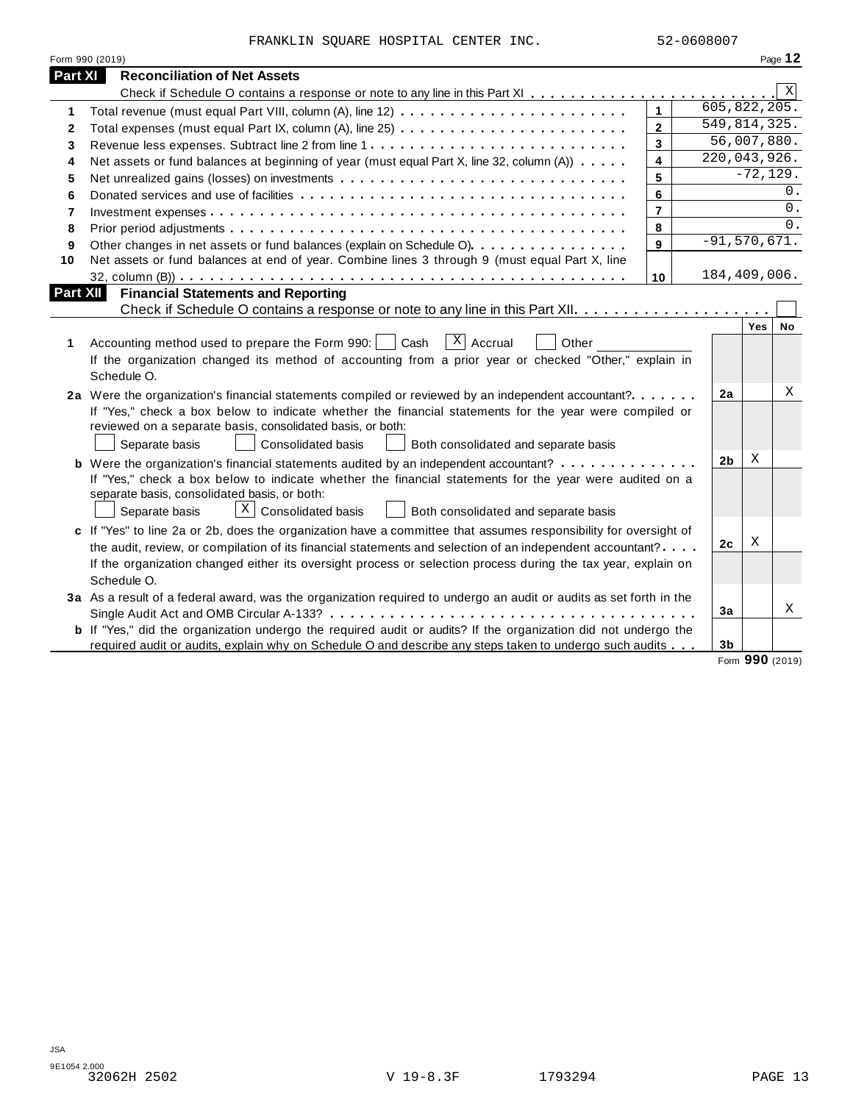|                | FRANKLIN SQUARE HOSPITAL CENTER INC.                                                                                                                                                                                                                 |                         | 52-0608007 |                |                  |            |
|----------------|------------------------------------------------------------------------------------------------------------------------------------------------------------------------------------------------------------------------------------------------------|-------------------------|------------|----------------|------------------|------------|
|                | Form 990 (2019)                                                                                                                                                                                                                                      |                         |            |                |                  | Page 12    |
| <b>Part XI</b> | <b>Reconciliation of Net Assets</b>                                                                                                                                                                                                                  |                         |            |                |                  |            |
|                |                                                                                                                                                                                                                                                      |                         |            |                |                  | Χ          |
| 1              |                                                                                                                                                                                                                                                      | $\mathbf{1}$            |            |                | 605, 822, 205.   |            |
| 2              |                                                                                                                                                                                                                                                      | $\overline{2}$          |            |                | 549,814,325.     |            |
| 3              | Revenue less expenses. Subtract line 2 from line 1                                                                                                                                                                                                   | $\mathbf{3}$            |            |                | 56,007,880.      |            |
| 4              | Net assets or fund balances at beginning of year (must equal Part X, line 32, column (A))                                                                                                                                                            | $\overline{\mathbf{4}}$ |            |                | 220,043,926.     |            |
| 5              |                                                                                                                                                                                                                                                      | 5                       |            |                | $-72, 129.$      |            |
| 6              |                                                                                                                                                                                                                                                      | 6                       |            |                |                  | 0.         |
| $\overline{7}$ |                                                                                                                                                                                                                                                      | $\overline{7}$          |            |                |                  | $0$ .      |
| 8              |                                                                                                                                                                                                                                                      | 8                       |            |                |                  | $\Omega$ . |
| 9              | Other changes in net assets or fund balances (explain on Schedule O).                                                                                                                                                                                | 9                       |            |                | $-91, 570, 671.$ |            |
| 10             | Net assets or fund balances at end of year. Combine lines 3 through 9 (must equal Part X, line                                                                                                                                                       |                         |            |                |                  |            |
|                |                                                                                                                                                                                                                                                      | 10                      |            |                | 184,409,006.     |            |
| 1              | $\overline{X}$ Accrual<br>Accounting method used to prepare the Form 990:<br>Cash<br>Other<br>If the organization changed its method of accounting from a prior year or checked "Other," explain in                                                  |                         |            |                | Yes              | No         |
|                | Schedule O.                                                                                                                                                                                                                                          |                         |            |                |                  |            |
|                | 2a Were the organization's financial statements compiled or reviewed by an independent accountant?                                                                                                                                                   |                         |            | 2a             |                  | Χ          |
|                | If "Yes," check a box below to indicate whether the financial statements for the year were compiled or<br>reviewed on a separate basis, consolidated basis, or both:<br>Separate basis<br>Consolidated basis<br>Both consolidated and separate basis |                         |            |                |                  |            |
|                |                                                                                                                                                                                                                                                      |                         |            | 2 <sub>b</sub> | X                |            |
|                | <b>b</b> Were the organization's financial statements audited by an independent accountant?                                                                                                                                                          |                         |            |                |                  |            |
|                | If "Yes," check a box below to indicate whether the financial statements for the year were audited on a<br>separate basis, consolidated basis, or both:<br>$X$ Consolidated basis<br>Separate basis<br>Both consolidated and separate basis          |                         |            |                |                  |            |
|                | c If "Yes" to line 2a or 2b, does the organization have a committee that assumes responsibility for oversight of                                                                                                                                     |                         |            |                |                  |            |
|                | the audit, review, or compilation of its financial statements and selection of an independent accountant?                                                                                                                                            |                         |            | 2 <sub>c</sub> | Χ                |            |
|                | If the organization changed either its oversight process or selection process during the tax year, explain on<br>Schedule O.                                                                                                                         |                         |            |                |                  |            |
|                | 3a As a result of a federal award, was the organization required to undergo an audit or audits as set forth in the                                                                                                                                   |                         |            |                |                  |            |
|                |                                                                                                                                                                                                                                                      |                         |            | 3a             |                  |            |
|                | <b>b</b> If "Yes," did the organization undergo the required audit or audits? If the organization did not undergo the<br>required audit or audits, explain why on Schedule O and describe any steps taken to undergo such audits                     |                         |            | 3 <sub>b</sub> |                  | X          |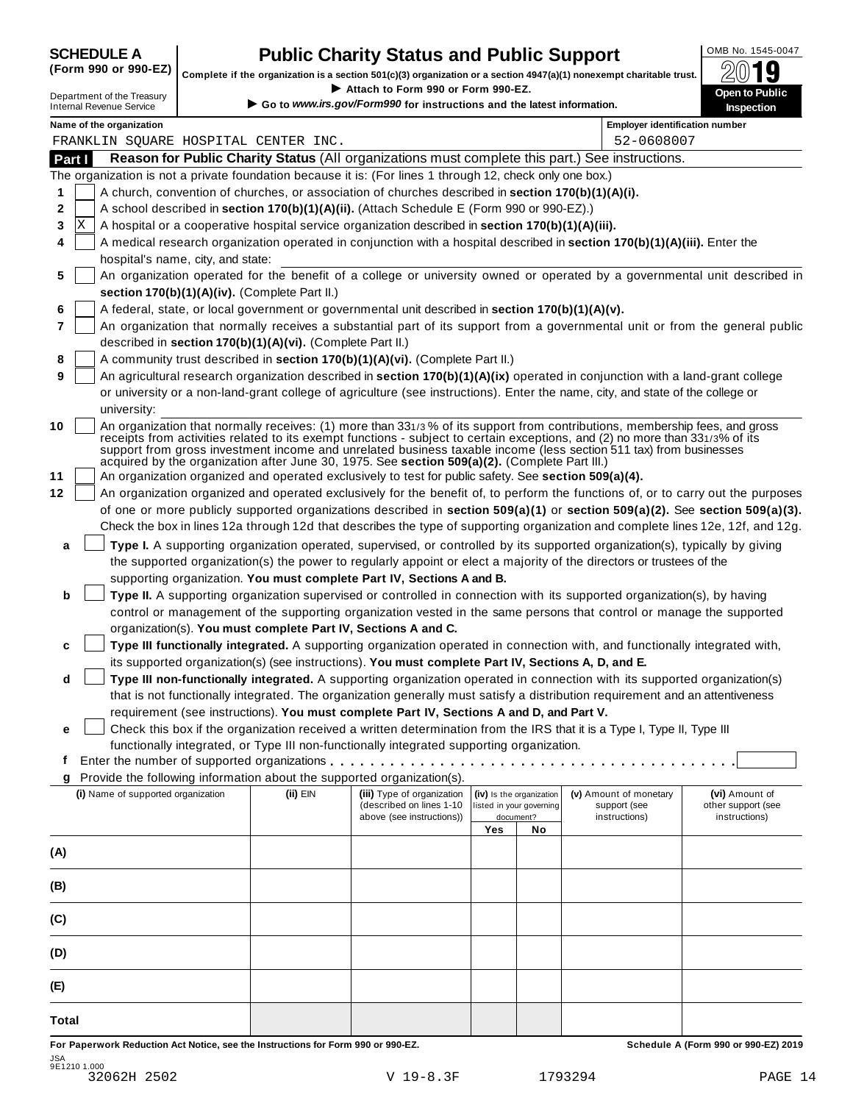| <b>SCHEDULE A</b>             |  |  |
|-------------------------------|--|--|
| $\sqrt{2}$ and and $\sqrt{2}$ |  |  |

### **CHEDULE A Public Charity Status and Public Support**  $\frac{100\text{dB No. }1545-0047}{000\text{dB}}$

(Form 990 or 990-EZ) complete if the organization is a section 501(c)(3) organization or a section 4947(a)(1) nonexempt charitable trust.  $2019$ 

|                                                               |                                                            |                                                                                                              |                          |                          | Complete if the organization is a section 501(c)(3) organization or a section 4947(a)(1) nonexempt charitable trust.             | ZW IJ                                |
|---------------------------------------------------------------|------------------------------------------------------------|--------------------------------------------------------------------------------------------------------------|--------------------------|--------------------------|----------------------------------------------------------------------------------------------------------------------------------|--------------------------------------|
| Department of the Treasury<br><b>Internal Revenue Service</b> |                                                            | Attach to Form 990 or Form 990-EZ.<br>Go to www.irs.gov/Form990 for instructions and the latest information. |                          |                          |                                                                                                                                  | Open to Public<br><b>Inspection</b>  |
| Name of the organization                                      |                                                            |                                                                                                              |                          |                          | <b>Employer identification number</b>                                                                                            |                                      |
| FRANKLIN SQUARE HOSPITAL CENTER INC.                          |                                                            |                                                                                                              |                          |                          | 52-0608007                                                                                                                       |                                      |
| Part I                                                        |                                                            |                                                                                                              |                          |                          | Reason for Public Charity Status (All organizations must complete this part.) See instructions.                                  |                                      |
|                                                               |                                                            | The organization is not a private foundation because it is: (For lines 1 through 12, check only one box.)    |                          |                          |                                                                                                                                  |                                      |
| 1                                                             |                                                            | A church, convention of churches, or association of churches described in section 170(b)(1)(A)(i).           |                          |                          |                                                                                                                                  |                                      |
| 2                                                             |                                                            | A school described in section 170(b)(1)(A)(ii). (Attach Schedule E (Form 990 or 990-EZ).)                    |                          |                          |                                                                                                                                  |                                      |
| x<br>3                                                        |                                                            | A hospital or a cooperative hospital service organization described in section 170(b)(1)(A)(iii).            |                          |                          |                                                                                                                                  |                                      |
| 4                                                             |                                                            |                                                                                                              |                          |                          | A medical research organization operated in conjunction with a hospital described in section 170(b)(1)(A)(iii). Enter the        |                                      |
| hospital's name, city, and state:                             |                                                            |                                                                                                              |                          |                          |                                                                                                                                  |                                      |
| 5                                                             | section 170(b)(1)(A)(iv). (Complete Part II.)              |                                                                                                              |                          |                          | An organization operated for the benefit of a college or university owned or operated by a governmental unit described in        |                                      |
| 6                                                             |                                                            | A federal, state, or local government or governmental unit described in section 170(b)(1)(A)(v).             |                          |                          |                                                                                                                                  |                                      |
| 7                                                             |                                                            |                                                                                                              |                          |                          | An organization that normally receives a substantial part of its support from a governmental unit or from the general public     |                                      |
|                                                               | described in section 170(b)(1)(A)(vi). (Complete Part II.) |                                                                                                              |                          |                          |                                                                                                                                  |                                      |
| 8                                                             |                                                            | A community trust described in section 170(b)(1)(A)(vi). (Complete Part II.)                                 |                          |                          |                                                                                                                                  |                                      |
| 9                                                             |                                                            |                                                                                                              |                          |                          | An agricultural research organization described in section 170(b)(1)(A)(ix) operated in conjunction with a land-grant college    |                                      |
|                                                               |                                                            |                                                                                                              |                          |                          | or university or a non-land-grant college of agriculture (see instructions). Enter the name, city, and state of the college or   |                                      |
| university:                                                   |                                                            |                                                                                                              |                          |                          |                                                                                                                                  |                                      |
| 10                                                            |                                                            |                                                                                                              |                          |                          | An organization that normally receives: (1) more than 331/3% of its support from contributions, membership fees, and gross       |                                      |
|                                                               |                                                            |                                                                                                              |                          |                          | receipts from activities related to its exempt functions - subject to certain exceptions, and (2) no more than 331/3% of its     |                                      |
|                                                               |                                                            | acquired by the organization after June 30, 1975. See section 509(a)(2). (Complete Part III.)                |                          |                          | support from gross investment income and unrelated business taxable income (less section 511 tax) from businesses                |                                      |
| 11                                                            |                                                            | An organization organized and operated exclusively to test for public safety. See section 509(a)(4).         |                          |                          |                                                                                                                                  |                                      |
| 12                                                            |                                                            |                                                                                                              |                          |                          | An organization organized and operated exclusively for the benefit of, to perform the functions of, or to carry out the purposes |                                      |
|                                                               |                                                            |                                                                                                              |                          |                          | of one or more publicly supported organizations described in section 509(a)(1) or section 509(a)(2). See section 509(a)(3).      |                                      |
|                                                               |                                                            |                                                                                                              |                          |                          | Check the box in lines 12a through 12d that describes the type of supporting organization and complete lines 12e, 12f, and 12g.  |                                      |
|                                                               |                                                            |                                                                                                              |                          |                          |                                                                                                                                  |                                      |
| a                                                             |                                                            |                                                                                                              |                          |                          | Type I. A supporting organization operated, supervised, or controlled by its supported organization(s), typically by giving      |                                      |
|                                                               |                                                            |                                                                                                              |                          |                          | the supported organization(s) the power to regularly appoint or elect a majority of the directors or trustees of the             |                                      |
|                                                               |                                                            | supporting organization. You must complete Part IV, Sections A and B.                                        |                          |                          |                                                                                                                                  |                                      |
| b                                                             |                                                            |                                                                                                              |                          |                          | Type II. A supporting organization supervised or controlled in connection with its supported organization(s), by having          |                                      |
|                                                               |                                                            |                                                                                                              |                          |                          | control or management of the supporting organization vested in the same persons that control or manage the supported             |                                      |
|                                                               |                                                            | organization(s). You must complete Part IV, Sections A and C.                                                |                          |                          |                                                                                                                                  |                                      |
| c                                                             |                                                            |                                                                                                              |                          |                          | Type III functionally integrated. A supporting organization operated in connection with, and functionally integrated with,       |                                      |
|                                                               |                                                            | its supported organization(s) (see instructions). You must complete Part IV, Sections A, D, and E.           |                          |                          |                                                                                                                                  |                                      |
| d                                                             |                                                            |                                                                                                              |                          |                          | Type III non-functionally integrated. A supporting organization operated in connection with its supported organization(s)        |                                      |
|                                                               |                                                            |                                                                                                              |                          |                          | that is not functionally integrated. The organization generally must satisfy a distribution requirement and an attentiveness     |                                      |
|                                                               |                                                            | requirement (see instructions). You must complete Part IV, Sections A and D, and Part V.                     |                          |                          |                                                                                                                                  |                                      |
| е                                                             |                                                            |                                                                                                              |                          |                          | Check this box if the organization received a written determination from the IRS that it is a Type I, Type II, Type III          |                                      |
|                                                               |                                                            | functionally integrated, or Type III non-functionally integrated supporting organization.                    |                          |                          |                                                                                                                                  |                                      |
| f                                                             |                                                            |                                                                                                              |                          |                          |                                                                                                                                  |                                      |
| g                                                             |                                                            | Provide the following information about the supported organization(s).                                       |                          |                          |                                                                                                                                  |                                      |
| (i) Name of supported organization                            | (ii) EIN                                                   | (iii) Type of organization<br>(described on lines 1-10                                                       | listed in your governing | (iv) Is the organization | (v) Amount of monetary<br>support (see                                                                                           | (vi) Amount of<br>other support (see |
|                                                               |                                                            | above (see instructions))                                                                                    |                          | document?                | instructions)                                                                                                                    | instructions)                        |
|                                                               |                                                            |                                                                                                              | Yes                      | No                       |                                                                                                                                  |                                      |
| (A)                                                           |                                                            |                                                                                                              |                          |                          |                                                                                                                                  |                                      |
|                                                               |                                                            |                                                                                                              |                          |                          |                                                                                                                                  |                                      |
| (B)                                                           |                                                            |                                                                                                              |                          |                          |                                                                                                                                  |                                      |
|                                                               |                                                            |                                                                                                              |                          |                          |                                                                                                                                  |                                      |
| (C)                                                           |                                                            |                                                                                                              |                          |                          |                                                                                                                                  |                                      |
|                                                               |                                                            |                                                                                                              |                          |                          |                                                                                                                                  |                                      |
| (D)                                                           |                                                            |                                                                                                              |                          |                          |                                                                                                                                  |                                      |
| (E)                                                           |                                                            |                                                                                                              |                          |                          |                                                                                                                                  |                                      |
|                                                               |                                                            |                                                                                                              |                          |                          |                                                                                                                                  |                                      |
| <b>Total</b>                                                  |                                                            |                                                                                                              |                          |                          |                                                                                                                                  |                                      |

For Paperwork Reduction Act Notice, see the Instructions for Form 990 or 990-EZ. Schedule A (Form 990 or 990-EZ) 2019 JSA 9E1210 1.000 32062H 2502 V 19-8.3F 1793294 PAGE 14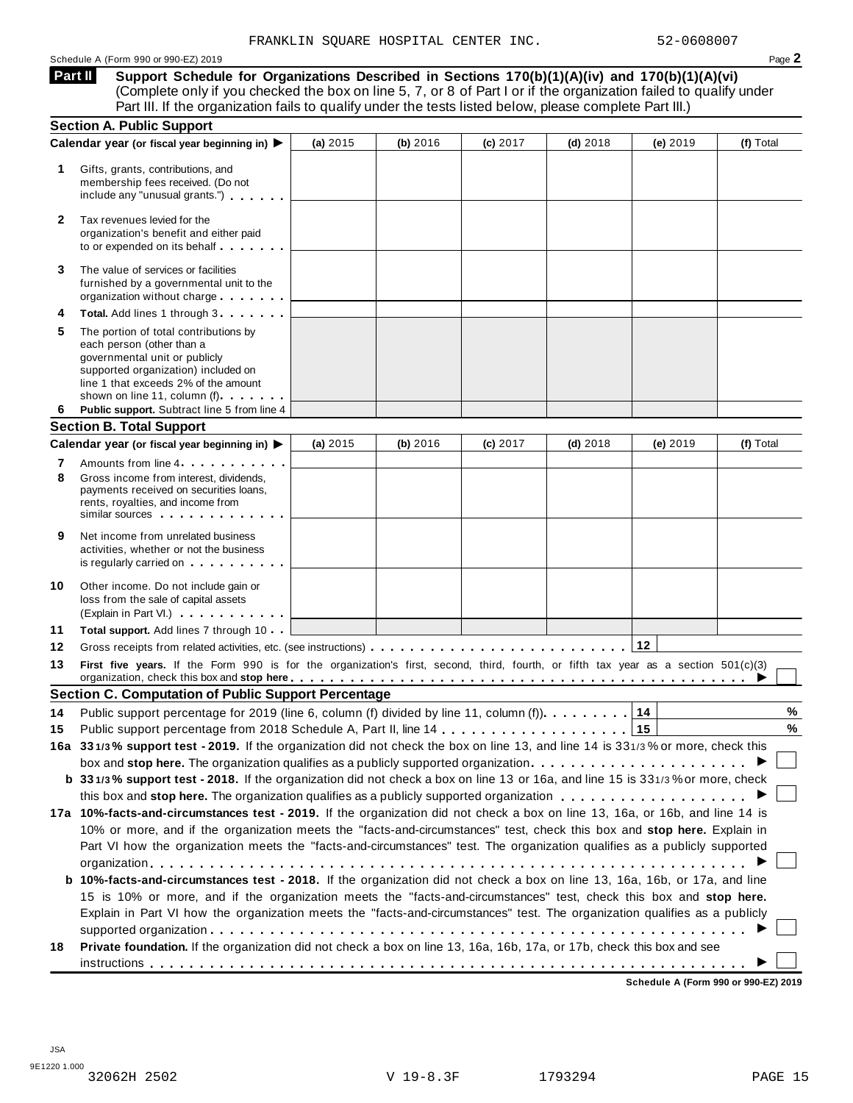#### Schedule A (Form 990 or 990-EZ) 2019 Page **2**

**Support Schedule for Organizations Described in Sections 170(b)(1)(A)(iv) and 170(b)(1)(A)(vi)** (Complete only if you checked the box on line 5, 7, or 8 of Part I or if the organization failed to qualify under **Part II** 

|              | Part III. If the organization fails to qualify under the tests listed below, please complete Part III.)                                                                                                                                                                                                                                                                              |            |          |          |            |            |           |
|--------------|--------------------------------------------------------------------------------------------------------------------------------------------------------------------------------------------------------------------------------------------------------------------------------------------------------------------------------------------------------------------------------------|------------|----------|----------|------------|------------|-----------|
|              | <b>Section A. Public Support</b>                                                                                                                                                                                                                                                                                                                                                     |            |          |          |            |            |           |
| 1.           | Calendar year (or fiscal year beginning in) ▶<br>Gifts, grants, contributions, and<br>membership fees received. (Do not<br>include any "unusual grants.")                                                                                                                                                                                                                            | (a) 2015   | (b) 2016 | (c) 2017 | $(d)$ 2018 | (e) $2019$ | (f) Total |
| $\mathbf{2}$ | Tax revenues levied for the<br>organization's benefit and either paid<br>to or expended on its behalf                                                                                                                                                                                                                                                                                |            |          |          |            |            |           |
| 3            | The value of services or facilities<br>furnished by a governmental unit to the<br>organization without charge                                                                                                                                                                                                                                                                        |            |          |          |            |            |           |
| 4            | Total. Add lines 1 through 3                                                                                                                                                                                                                                                                                                                                                         |            |          |          |            |            |           |
| 5            | The portion of total contributions by<br>each person (other than a<br>governmental unit or publicly<br>supported organization) included on<br>line 1 that exceeds 2% of the amount<br>shown on line 11, column (f) <b>Shown</b> on line 11, column (f)                                                                                                                               |            |          |          |            |            |           |
| 6            | Public support. Subtract line 5 from line 4                                                                                                                                                                                                                                                                                                                                          |            |          |          |            |            |           |
|              | <b>Section B. Total Support</b>                                                                                                                                                                                                                                                                                                                                                      |            |          |          |            |            |           |
|              | Calendar year (or fiscal year beginning in) ▶                                                                                                                                                                                                                                                                                                                                        | (a) $2015$ | (b) 2016 | (c) 2017 | $(d)$ 2018 | (e) 2019   | (f) Total |
| 7<br>8       | Amounts from line 4<br>Gross income from interest, dividends,<br>payments received on securities loans,<br>rents, royalties, and income from<br>similar sources experiences                                                                                                                                                                                                          |            |          |          |            |            |           |
| 9            | Net income from unrelated business<br>activities, whether or not the business<br>is regularly carried on the control of the set of the set of the set of the set of the set of the set of the s                                                                                                                                                                                      |            |          |          |            |            |           |
| 10           | Other income. Do not include gain or<br>loss from the sale of capital assets<br>(Explain in Part VI.) <b>COMPLAINER</b>                                                                                                                                                                                                                                                              |            |          |          |            |            |           |
| 11           | Total support. Add lines 7 through 10                                                                                                                                                                                                                                                                                                                                                |            |          |          |            |            |           |
| 12           |                                                                                                                                                                                                                                                                                                                                                                                      |            |          |          |            | 12         |           |
| 13           | First five years. If the Form 990 is for the organization's first, second, third, fourth, or fifth tax year as a section 501(c)(3)<br>organization, check this box and stop here entired and state and state and state and state and state and state and state and state and state and state and state and state and state and state and state and state and state                   |            |          |          |            |            |           |
|              | <b>Section C. Computation of Public Support Percentage</b>                                                                                                                                                                                                                                                                                                                           |            |          |          |            |            |           |
| 14           | Public support percentage for 2019 (line 6, column (f) divided by line 11, column (f).                                                                                                                                                                                                                                                                                               |            |          |          |            | 14         | $\%$      |
| 15           |                                                                                                                                                                                                                                                                                                                                                                                      |            |          |          |            |            | %         |
|              | 16a 331/3% support test - 2019. If the organization did not check the box on line 13, and line 14 is 331/3% or more, check this                                                                                                                                                                                                                                                      |            |          |          |            |            |           |
|              |                                                                                                                                                                                                                                                                                                                                                                                      |            |          |          |            |            |           |
|              | b 331/3% support test - 2018. If the organization did not check a box on line 13 or 16a, and line 15 is 331/3% or more, check                                                                                                                                                                                                                                                        |            |          |          |            |            |           |
|              |                                                                                                                                                                                                                                                                                                                                                                                      |            |          |          |            |            |           |
|              | 17a 10%-facts-and-circumstances test - 2019. If the organization did not check a box on line 13, 16a, or 16b, and line 14 is<br>10% or more, and if the organization meets the "facts-and-circumstances" test, check this box and stop here. Explain in<br>Part VI how the organization meets the "facts-and-circumstances" test. The organization qualifies as a publicly supported |            |          |          |            |            |           |
|              | <b>b 10%-facts-and-circumstances test - 2018.</b> If the organization did not check a box on line 13, 16a, 16b, or 17a, and line<br>15 is 10% or more, and if the organization meets the "facts-and-circumstances" test, check this box and stop here.                                                                                                                               |            |          |          |            |            |           |
|              | Explain in Part VI how the organization meets the "facts-and-circumstances" test. The organization qualifies as a publicly                                                                                                                                                                                                                                                           |            |          |          |            |            |           |
|              |                                                                                                                                                                                                                                                                                                                                                                                      |            |          |          |            |            |           |
| 18           | Private foundation. If the organization did not check a box on line 13, 16a, 16b, 17a, or 17b, check this box and see                                                                                                                                                                                                                                                                |            |          |          |            |            |           |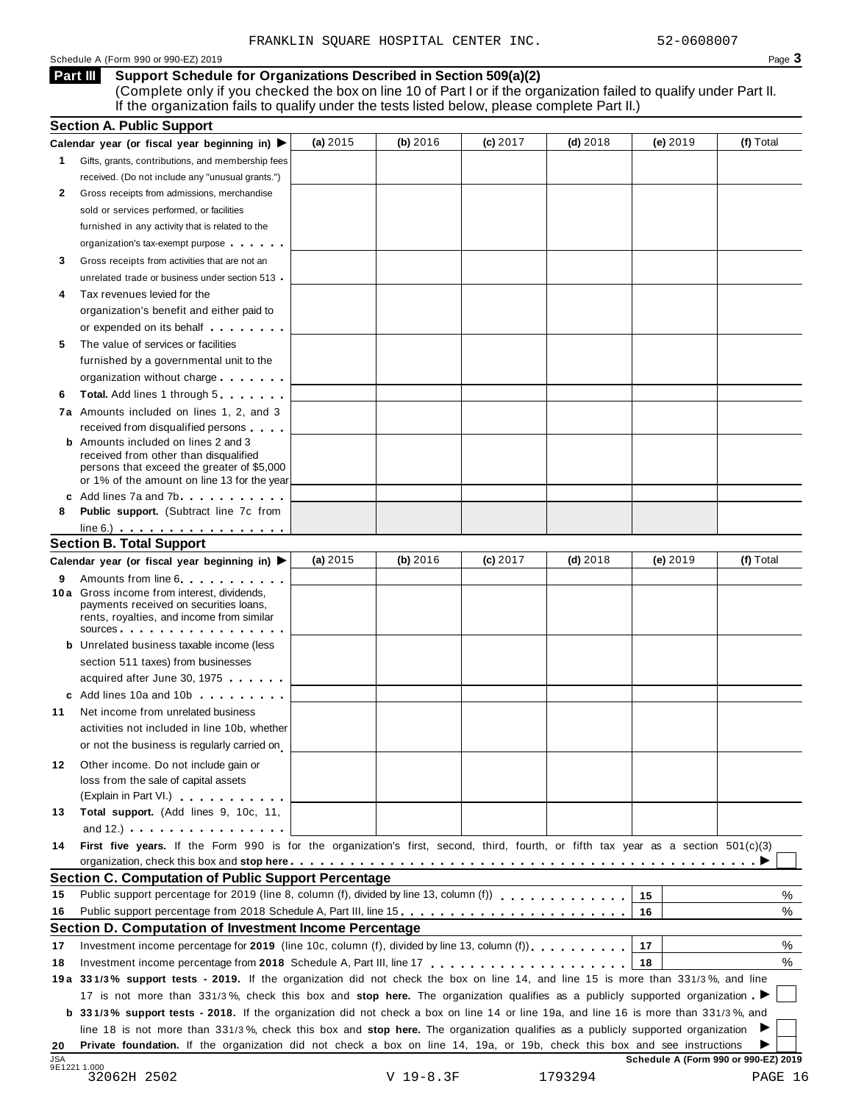#### Schedule A (Form 990 or 990-EZ) 2019 Page **3**

#### **Support Schedule for Organizations Described in Section 509(a)(2) Part III**

(Complete only if you checked the box on line 10 of Part I or if the organization failed to qualify under Part II. If the organization fails to qualify under the tests listed below, please complete Part II.)

|              | <b>Section A. Public Support</b>                                                                                                                                                                                                     |            |             |            |            |                                      |           |
|--------------|--------------------------------------------------------------------------------------------------------------------------------------------------------------------------------------------------------------------------------------|------------|-------------|------------|------------|--------------------------------------|-----------|
|              | Calendar year (or fiscal year beginning in) $\blacktriangleright$                                                                                                                                                                    | (a) $2015$ | (b) 2016    | $(c)$ 2017 | $(d)$ 2018 | (e) 2019                             | (f) Total |
| $\mathbf{1}$ | Gifts, grants, contributions, and membership fees                                                                                                                                                                                    |            |             |            |            |                                      |           |
|              | received. (Do not include any "unusual grants.")                                                                                                                                                                                     |            |             |            |            |                                      |           |
| 2            | Gross receipts from admissions, merchandise                                                                                                                                                                                          |            |             |            |            |                                      |           |
|              | sold or services performed, or facilities                                                                                                                                                                                            |            |             |            |            |                                      |           |
|              | furnished in any activity that is related to the                                                                                                                                                                                     |            |             |            |            |                                      |           |
|              | organization's tax-exempt purpose                                                                                                                                                                                                    |            |             |            |            |                                      |           |
| 3            | Gross receipts from activities that are not an                                                                                                                                                                                       |            |             |            |            |                                      |           |
|              | unrelated trade or business under section 513 .                                                                                                                                                                                      |            |             |            |            |                                      |           |
| 4            | Tax revenues levied for the                                                                                                                                                                                                          |            |             |            |            |                                      |           |
|              | organization's benefit and either paid to                                                                                                                                                                                            |            |             |            |            |                                      |           |
|              | or expended on its behalf <b>contains the set of the set of the set of the set of the set of the set of the set of the set of the set of the set of the set of the set of the set of the set of the set of the set of the set of</b> |            |             |            |            |                                      |           |
| 5            | The value of services or facilities                                                                                                                                                                                                  |            |             |            |            |                                      |           |
|              | furnished by a governmental unit to the                                                                                                                                                                                              |            |             |            |            |                                      |           |
|              | organization without charge                                                                                                                                                                                                          |            |             |            |            |                                      |           |
| 6            | Total. Add lines 1 through 5                                                                                                                                                                                                         |            |             |            |            |                                      |           |
|              | 7a Amounts included on lines 1, 2, and 3                                                                                                                                                                                             |            |             |            |            |                                      |           |
|              | received from disqualified persons                                                                                                                                                                                                   |            |             |            |            |                                      |           |
|              | <b>b</b> Amounts included on lines 2 and 3                                                                                                                                                                                           |            |             |            |            |                                      |           |
|              | received from other than disqualified                                                                                                                                                                                                |            |             |            |            |                                      |           |
|              | persons that exceed the greater of \$5,000                                                                                                                                                                                           |            |             |            |            |                                      |           |
|              | or 1% of the amount on line 13 for the year                                                                                                                                                                                          |            |             |            |            |                                      |           |
|              | c Add lines 7a and 7b                                                                                                                                                                                                                |            |             |            |            |                                      |           |
| 8            | <b>Public support.</b> (Subtract line 7c from                                                                                                                                                                                        |            |             |            |            |                                      |           |
|              | $line 6.)$                                                                                                                                                                                                                           |            |             |            |            |                                      |           |
|              | <b>Section B. Total Support</b>                                                                                                                                                                                                      |            |             |            |            |                                      |           |
|              | Calendar year (or fiscal year beginning in) ▶                                                                                                                                                                                        | (a) $2015$ | (b) 2016    | $(c)$ 2017 | $(d)$ 2018 | (e) 2019                             | (f) Total |
| 9            | Amounts from line 6 <b>Amounts</b> from line 6                                                                                                                                                                                       |            |             |            |            |                                      |           |
|              | 10 a Gross income from interest, dividends,<br>payments received on securities loans,                                                                                                                                                |            |             |            |            |                                      |           |
|              | rents, royalties, and income from similar                                                                                                                                                                                            |            |             |            |            |                                      |           |
|              | sources                                                                                                                                                                                                                              |            |             |            |            |                                      |           |
|              | <b>b</b> Unrelated business taxable income (less                                                                                                                                                                                     |            |             |            |            |                                      |           |
|              | section 511 taxes) from businesses                                                                                                                                                                                                   |            |             |            |            |                                      |           |
|              | acquired after June 30, 1975                                                                                                                                                                                                         |            |             |            |            |                                      |           |
|              | c Add lines 10a and 10b                                                                                                                                                                                                              |            |             |            |            |                                      |           |
| 11           | Net income from unrelated business                                                                                                                                                                                                   |            |             |            |            |                                      |           |
|              | activities not included in line 10b, whether                                                                                                                                                                                         |            |             |            |            |                                      |           |
|              | or not the business is regularly carried on                                                                                                                                                                                          |            |             |            |            |                                      |           |
| 12           | Other income. Do not include gain or                                                                                                                                                                                                 |            |             |            |            |                                      |           |
|              | loss from the sale of capital assets                                                                                                                                                                                                 |            |             |            |            |                                      |           |
|              | (Explain in Part VI.) <b>All Accords</b>                                                                                                                                                                                             |            |             |            |            |                                      |           |
| 13           | Total support. (Add lines 9, 10c, 11,                                                                                                                                                                                                |            |             |            |            |                                      |           |
|              | and $12.$ ) $\cdots$ $\cdots$ $\cdots$ $\cdots$ $\cdots$                                                                                                                                                                             |            |             |            |            |                                      |           |
| 14           | First five years. If the Form 990 is for the organization's first, second, third, fourth, or fifth tax year as a section 501(c)(3)                                                                                                   |            |             |            |            |                                      |           |
|              |                                                                                                                                                                                                                                      |            |             |            |            |                                      |           |
|              | Section C. Computation of Public Support Percentage                                                                                                                                                                                  |            |             |            |            |                                      |           |
| 15           | Public support percentage for 2019 (line 8, column (f), divided by line 13, column (f)) $\ldots$ ,,,,,,,,,,,,,                                                                                                                       |            |             |            |            | 15                                   | %         |
| 16           |                                                                                                                                                                                                                                      |            |             |            |            | 16                                   | %         |
|              | Section D. Computation of Investment Income Percentage                                                                                                                                                                               |            |             |            |            |                                      |           |
|              |                                                                                                                                                                                                                                      |            |             |            |            |                                      |           |
| 17           | Investment income percentage for 2019 (line 10c, column (f), divided by line 13, column (f)).                                                                                                                                        |            |             |            |            | 17                                   | %         |
| 18           |                                                                                                                                                                                                                                      |            |             |            |            | 18                                   | %         |
|              | 19a 331/3% support tests - 2019. If the organization did not check the box on line 14, and line 15 is more than 331/3%, and line                                                                                                     |            |             |            |            |                                      |           |
|              | 17 is not more than 331/3%, check this box and stop here. The organization qualifies as a publicly supported organization                                                                                                            |            |             |            |            |                                      |           |
|              | b 331/3% support tests - 2018. If the organization did not check a box on line 14 or line 19a, and line 16 is more than 331/3%, and                                                                                                  |            |             |            |            |                                      |           |
|              | line 18 is not more than 331/3%, check this box and stop here. The organization qualifies as a publicly supported organization                                                                                                       |            |             |            |            |                                      |           |
| 20           | Private foundation. If the organization did not check a box on line 14, 19a, or 19b, check this box and see instructions                                                                                                             |            |             |            |            |                                      |           |
| <b>JSA</b>   | 9E1221 1.000                                                                                                                                                                                                                         |            |             |            |            | Schedule A (Form 990 or 990-EZ) 2019 |           |
|              | 32062H 2502                                                                                                                                                                                                                          |            | $V 19-8.3F$ |            | 1793294    |                                      | PAGE 16   |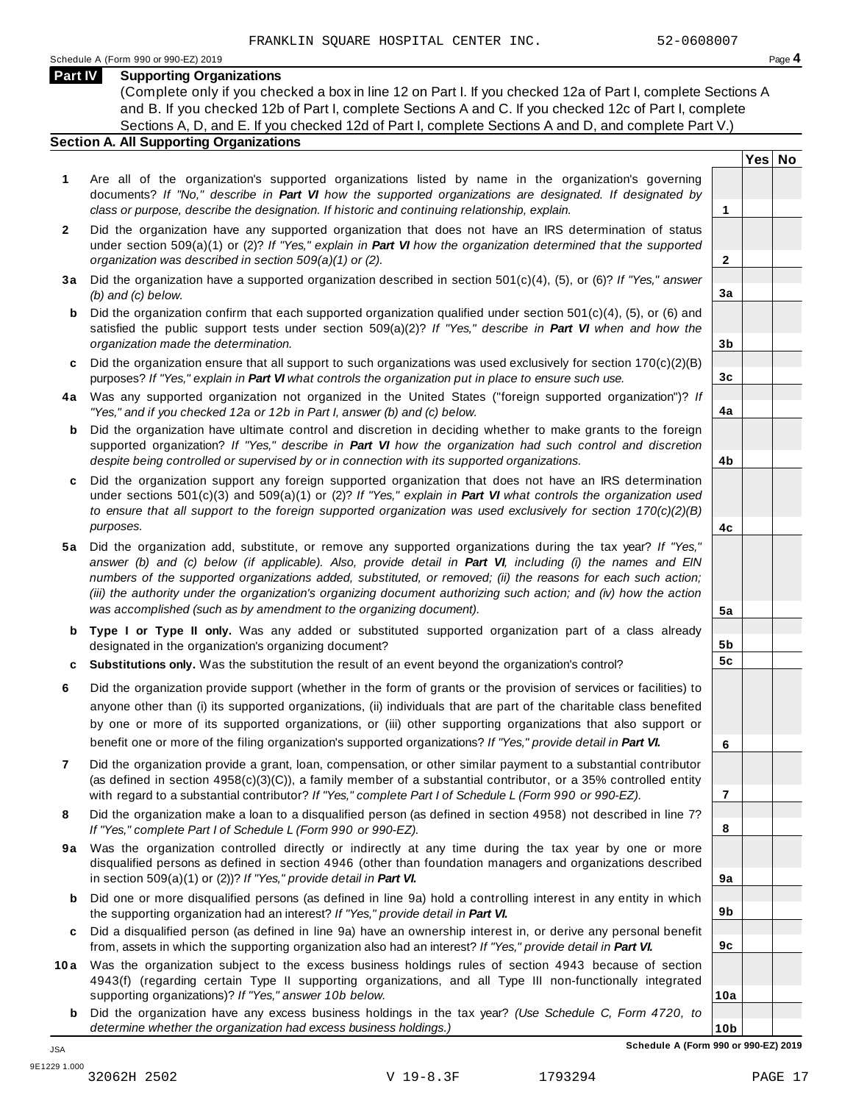#### **Part IV Supporting Organizations**

(Complete only if you checked a box in line 12 on Part I. If you checked 12a of Part I, complete Sections A and B. If you checked 12b of Part I, complete Sections A and C. If you checked 12c of Part I, complete Sections A, D, and E. If you checked 12d of Part I, complete Sections A and D, and complete Part V.)

#### **Section A. All Supporting Organizations**

- **1** Are all of the organization's supported organizations listed by name in the organization's governing documents? *If "No," describe in Part VI how the supported organizations are designated. If designated by class or purpose, describe the designation. If historic and continuing relationship, explain.* **1**
- **2** Did the organization have any supported organization that does not have an IRS determination of status under section 509(a)(1) or (2)? *If"Yes," explain in Part VI how the organization determined that the supported organization was described in section 509(a)(1) or (2).*
- **3 a** Did the organization have a supported organization described in section 501(c)(4), (5), or (6)? *If "Yes," answer (b) and (c) below.*
- **b** Did the organization confirm that each supported organization qualified under section 501(c)(4), (5), or (6) and | satisfied the public support tests under section 509(a)(2)? *If "Yes," describe in Part VI when and how the organization made the determination.*
- **c** Did the organization ensure that all support to such organizations was used exclusively for section 170(c)(2)(B) purposes? *If"Yes," explain in Part VI what controls the organization put in place to ensure such use.*
- **4 a** Was any supported organization not organized in the United States ("foreign supported organization")? *If "Yes," and if you checked 12a or 12b in Part I, answer (b) and (c) below.*
- **b** Did the organization have ultimate control and discretion in deciding whether to make grants to the foreign | supported organization? *If "Yes," describe in Part VI how the organization had such control and discretion despite being controlled or supervised by or in connection with its supported organizations.*
- **c** Did the organization support any foreign supported organization that does not have an IRS determination | under sections 501(c)(3) and 509(a)(1) or (2)? *If "Yes," explain in Part VI what controls the organization used to ensure that all support to the foreign supported organization was used exclusively for section 170(c)(2)(B) purposes.*
- **5 a** Did the organization add, substitute, or remove any supported organizations during the tax year? *If "Yes,"* answer (b) and (c) below (if applicable). Also, provide detail in Part VI, including (i) the names and EIN *numbers of the supported organizations added, substituted, or removed; (ii) the reasons for each such action;* (iii) the authority under the organization's organizing document authorizing such action; and (iv) how the action *was accomplished (such as by amendment to the organizing document).*
- **b Type I or Type II only.** Was any added or substituted supported organization part of a class already designated in the organization's organizing document?
- **c Substitutions only.** Was the substitution the result of an event beyond the organization's control?
- **6** Did the organization provide support (whether in the form of grants or the provision of services or facilities) to anyone other than (i) its supported organizations, (ii) individuals that are part of the charitable class benefited by one or more of its supported organizations, or (iii) other supporting organizations that also support or benefit one or more of the filing organization's supported organizations? *If"Yes," provide detail in Part VI.*
- **7** Did the organization provide a grant, loan, compensation, or other similar payment to a substantial contributor (as defined in section 4958(c)(3)(C)), a family member of a substantial contributor, or a 35% controlled entity with regard to a substantial contributor? *If"Yes," complete Part I of Schedule L (Form 990 or 990-EZ).*
- **8** Did the organization make a loan to a disqualified person (as defined in section 4958) not described in line 7? *If "Yes," complete Part I of Schedule L (Form 990 or 990-EZ).*
- **9a** Was the organization controlled directly or indirectly at any time during the tax year by one or more | disqualified persons as defined in section 4946 (other than foundation managers and organizations described in section 509(a)(1) or (2))? *If"Yes," provide detail in Part VI.*
- **b** Did one or more disqualified persons (as defined in line 9a) hold a controlling interest in any entity in which | the supporting organization had an interest? *If"Yes," provide detail in Part VI.*
- **c** Did a disqualified person (as defined in line 9a) have an ownership interest in, or derive any personal benefit from, assets in which the supporting organization also had an interest? *If"Yes," provide detail in Part VI.*
- **10a** Was the organization subject to the excess business holdings rules of section 4943 because of section | 4943(f) (regarding certain Type II supporting organizations, and all Type III non-functionally integrated supporting organizations)? *If"Yes," answer 10b below.*
	- **b** Did the organization have any excess business holdings in the tax year? *(Use Schedule C, Form 4720, to determine whether the organization had excess business holdings.)*

**Yes No**

**2**

**3a**

**3b**

**3c**

**4a**

**4b**

**4c**

**5a**

**5b 5c**

**6**

**7**

**8**

**9a**

**9b**

**9c**

**10a**

JSA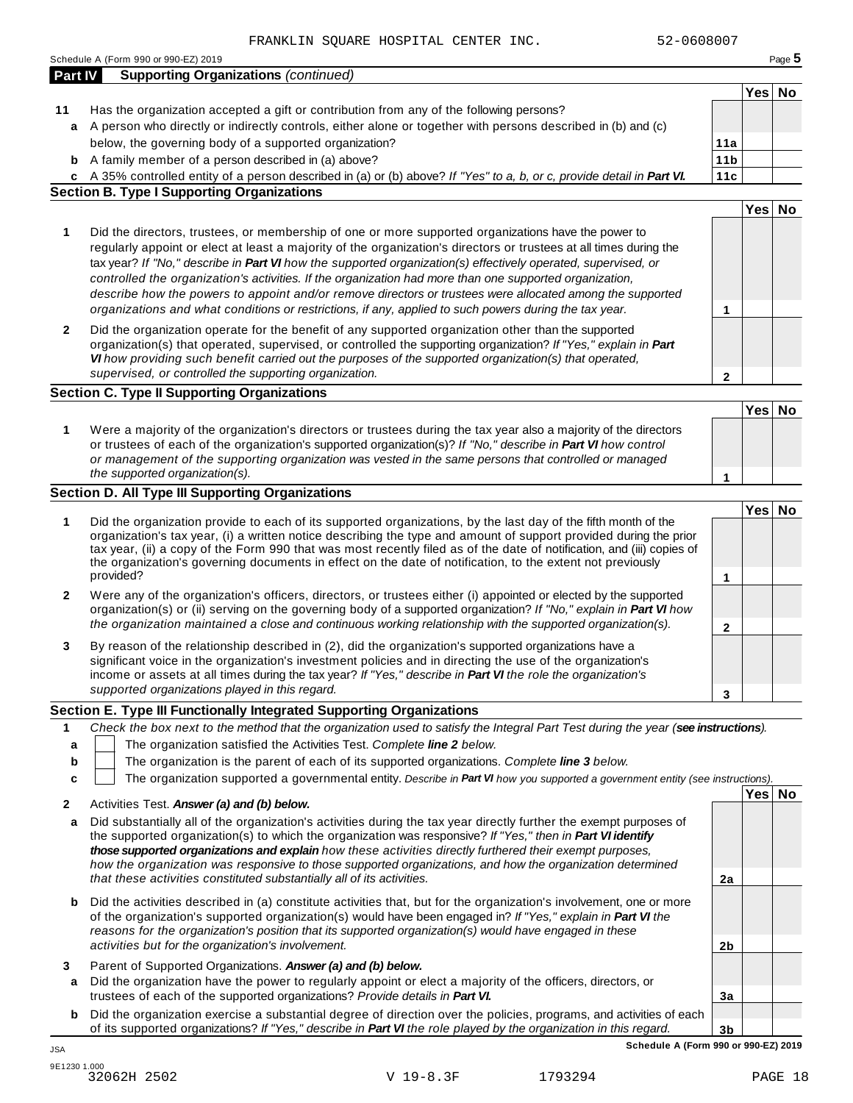|              | 52-0608007<br>FRANKLIN SQUARE HOSPITAL CENTER INC.                                                                                                                                                                                                                                                                                                                                                                                                                                                                                                                                                                                                                                                                                      |        |        |
|--------------|-----------------------------------------------------------------------------------------------------------------------------------------------------------------------------------------------------------------------------------------------------------------------------------------------------------------------------------------------------------------------------------------------------------------------------------------------------------------------------------------------------------------------------------------------------------------------------------------------------------------------------------------------------------------------------------------------------------------------------------------|--------|--------|
|              | Schedule A (Form 990 or 990-EZ) 2019                                                                                                                                                                                                                                                                                                                                                                                                                                                                                                                                                                                                                                                                                                    |        | Page 5 |
| Part IV      | <b>Supporting Organizations (continued)</b>                                                                                                                                                                                                                                                                                                                                                                                                                                                                                                                                                                                                                                                                                             |        |        |
|              |                                                                                                                                                                                                                                                                                                                                                                                                                                                                                                                                                                                                                                                                                                                                         | Yes No |        |
| 11           | Has the organization accepted a gift or contribution from any of the following persons?                                                                                                                                                                                                                                                                                                                                                                                                                                                                                                                                                                                                                                                 |        |        |
| a            | A person who directly or indirectly controls, either alone or together with persons described in (b) and (c)                                                                                                                                                                                                                                                                                                                                                                                                                                                                                                                                                                                                                            |        |        |
|              | below, the governing body of a supported organization?<br>11a                                                                                                                                                                                                                                                                                                                                                                                                                                                                                                                                                                                                                                                                           |        |        |
|              | 11 <sub>b</sub><br><b>b</b> A family member of a person described in (a) above?                                                                                                                                                                                                                                                                                                                                                                                                                                                                                                                                                                                                                                                         |        |        |
|              | c A 35% controlled entity of a person described in (a) or (b) above? If "Yes" to a, b, or c, provide detail in Part VI.<br>11c<br><b>Section B. Type I Supporting Organizations</b>                                                                                                                                                                                                                                                                                                                                                                                                                                                                                                                                                     |        |        |
|              |                                                                                                                                                                                                                                                                                                                                                                                                                                                                                                                                                                                                                                                                                                                                         | Yes No |        |
| 1            | Did the directors, trustees, or membership of one or more supported organizations have the power to<br>regularly appoint or elect at least a majority of the organization's directors or trustees at all times during the<br>tax year? If "No," describe in Part VI how the supported organization(s) effectively operated, supervised, or<br>controlled the organization's activities. If the organization had more than one supported organization,<br>describe how the powers to appoint and/or remove directors or trustees were allocated among the supported<br>organizations and what conditions or restrictions, if any, applied to such powers during the tax year.<br>1                                                       |        |        |
| 2            | Did the organization operate for the benefit of any supported organization other than the supported<br>organization(s) that operated, supervised, or controlled the supporting organization? If "Yes," explain in Part<br>VI how providing such benefit carried out the purposes of the supported organization(s) that operated,<br>supervised, or controlled the supporting organization.<br>$\mathbf{2}$                                                                                                                                                                                                                                                                                                                              |        |        |
|              | <b>Section C. Type II Supporting Organizations</b>                                                                                                                                                                                                                                                                                                                                                                                                                                                                                                                                                                                                                                                                                      |        |        |
|              |                                                                                                                                                                                                                                                                                                                                                                                                                                                                                                                                                                                                                                                                                                                                         | Yes No |        |
| 1            | Were a majority of the organization's directors or trustees during the tax year also a majority of the directors<br>or trustees of each of the organization's supported organization(s)? If "No," describe in Part VI how control<br>or management of the supporting organization was vested in the same persons that controlled or managed<br>the supported organization(s).<br>1                                                                                                                                                                                                                                                                                                                                                      |        |        |
|              | Section D. All Type III Supporting Organizations                                                                                                                                                                                                                                                                                                                                                                                                                                                                                                                                                                                                                                                                                        |        |        |
| 1<br>2       | Did the organization provide to each of its supported organizations, by the last day of the fifth month of the<br>organization's tax year, (i) a written notice describing the type and amount of support provided during the prior<br>tax year, (ii) a copy of the Form 990 that was most recently filed as of the date of notification, and (iii) copies of<br>the organization's governing documents in effect on the date of notification, to the extent not previously<br>provided?<br>1<br>Were any of the organization's officers, directors, or trustees either (i) appointed or elected by the supported<br>organization(s) or (ii) serving on the governing body of a supported organization? If "No," explain in Part VI how | Yes No |        |
|              | the organization maintained a close and continuous working relationship with the supported organization(s).<br>$\mathbf 2$                                                                                                                                                                                                                                                                                                                                                                                                                                                                                                                                                                                                              |        |        |
| 3            | By reason of the relationship described in (2), did the organization's supported organizations have a<br>significant voice in the organization's investment policies and in directing the use of the organization's<br>income or assets at all times during the tax year? If "Yes," describe in Part VI the role the organization's<br>supported organizations played in this regard.<br>3                                                                                                                                                                                                                                                                                                                                              |        |        |
|              | Section E. Type III Functionally Integrated Supporting Organizations                                                                                                                                                                                                                                                                                                                                                                                                                                                                                                                                                                                                                                                                    |        |        |
| 1<br>a<br>b  | Check the box next to the method that the organization used to satisfy the Integral Part Test during the year (see instructions).<br>The organization satisfied the Activities Test. Complete line 2 below.<br>The organization is the parent of each of its supported organizations. Complete line 3 below.                                                                                                                                                                                                                                                                                                                                                                                                                            |        |        |
| c            | The organization supported a governmental entity. Describe in Part VI how you supported a government entity (see instructions).                                                                                                                                                                                                                                                                                                                                                                                                                                                                                                                                                                                                         | Yes No |        |
| $\mathbf{2}$ | Activities Test. Answer (a) and (b) below.                                                                                                                                                                                                                                                                                                                                                                                                                                                                                                                                                                                                                                                                                              |        |        |
| a            | Did substantially all of the organization's activities during the tax year directly further the exempt purposes of<br>the supported organization(s) to which the organization was responsive? If "Yes," then in Part VI identify<br>those supported organizations and explain how these activities directly furthered their exempt purposes,<br>how the organization was responsive to those supported organizations, and how the organization determined<br>that these activities constituted substantially all of its activities.<br>2a                                                                                                                                                                                               |        |        |
| b            | Did the activities described in (a) constitute activities that, but for the organization's involvement, one or more<br>of the organization's supported organization(s) would have been engaged in? If "Yes," explain in Part VI the<br>reasons for the organization's position that its supported organization(s) would have engaged in these<br>activities but for the organization's involvement.<br>2 <sub>b</sub>                                                                                                                                                                                                                                                                                                                   |        |        |
| 3            | Parent of Supported Organizations. Answer (a) and (b) below.                                                                                                                                                                                                                                                                                                                                                                                                                                                                                                                                                                                                                                                                            |        |        |
| a            | Did the organization have the power to regularly appoint or elect a majority of the officers, directors, or<br>trustees of each of the supported organizations? Provide details in Part VI.<br>3a                                                                                                                                                                                                                                                                                                                                                                                                                                                                                                                                       |        |        |

**b** Did the organization exercise a substantial degree of direction over the policies, programs, and activities of each of its supported organizations? *If "Yes," describe in Part VI the role played by the organization in this regard.*

**3b Schedule A (Form 990 or 990-EZ) 2019** JSA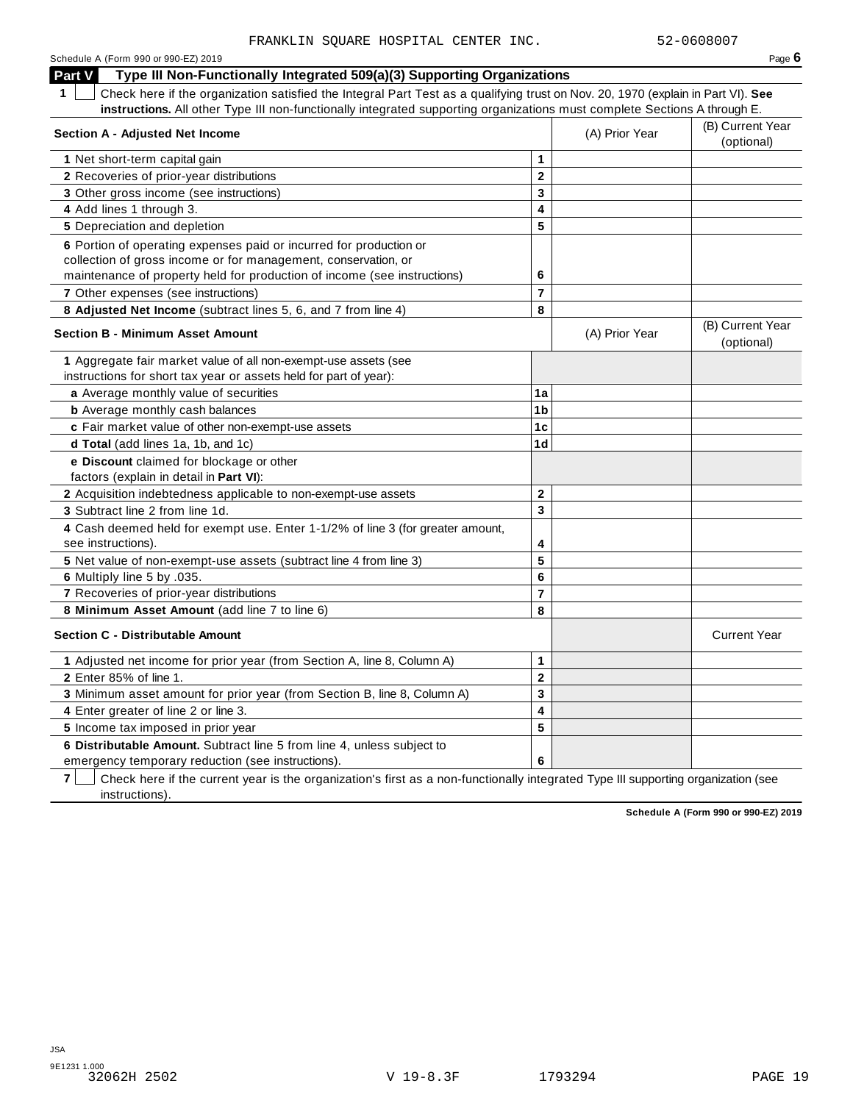| Schedule A (Form 990 or 990-EZ) 2019                                                                                                            |                |                | Page $6$                       |
|-------------------------------------------------------------------------------------------------------------------------------------------------|----------------|----------------|--------------------------------|
| Part V<br>Type III Non-Functionally Integrated 509(a)(3) Supporting Organizations                                                               |                |                |                                |
| $\mathbf 1$<br>Check here if the organization satisfied the Integral Part Test as a qualifying trust on Nov. 20, 1970 (explain in Part VI). See |                |                |                                |
| instructions. All other Type III non-functionally integrated supporting organizations must complete Sections A through E.                       |                |                |                                |
| <b>Section A - Adjusted Net Income</b>                                                                                                          |                | (A) Prior Year | (B) Current Year<br>(optional) |
| 1 Net short-term capital gain                                                                                                                   | 1              |                |                                |
| 2 Recoveries of prior-year distributions                                                                                                        | $\mathbf{2}$   |                |                                |
| 3 Other gross income (see instructions)                                                                                                         | 3              |                |                                |
| 4 Add lines 1 through 3.                                                                                                                        | 4              |                |                                |
| 5 Depreciation and depletion                                                                                                                    | 5              |                |                                |
| 6 Portion of operating expenses paid or incurred for production or                                                                              |                |                |                                |
| collection of gross income or for management, conservation, or                                                                                  |                |                |                                |
| maintenance of property held for production of income (see instructions)                                                                        | 6              |                |                                |
| 7 Other expenses (see instructions)                                                                                                             | $\overline{7}$ |                |                                |
| 8 Adjusted Net Income (subtract lines 5, 6, and 7 from line 4)                                                                                  | 8              |                |                                |
| <b>Section B - Minimum Asset Amount</b>                                                                                                         |                | (A) Prior Year | (B) Current Year<br>(optional) |
| 1 Aggregate fair market value of all non-exempt-use assets (see                                                                                 |                |                |                                |
| instructions for short tax year or assets held for part of year):                                                                               |                |                |                                |
| a Average monthly value of securities                                                                                                           | 1a             |                |                                |
| <b>b</b> Average monthly cash balances                                                                                                          | 1 <sub>b</sub> |                |                                |
| c Fair market value of other non-exempt-use assets                                                                                              | 1c             |                |                                |
| d Total (add lines 1a, 1b, and 1c)                                                                                                              | 1d             |                |                                |
| e Discount claimed for blockage or other                                                                                                        |                |                |                                |
| factors (explain in detail in Part VI):                                                                                                         |                |                |                                |
| 2 Acquisition indebtedness applicable to non-exempt-use assets                                                                                  | $\mathbf{2}$   |                |                                |
| 3 Subtract line 2 from line 1d.                                                                                                                 | 3              |                |                                |
| 4 Cash deemed held for exempt use. Enter 1-1/2% of line 3 (for greater amount,<br>see instructions).                                            | 4              |                |                                |
| 5 Net value of non-exempt-use assets (subtract line 4 from line 3)                                                                              | 5              |                |                                |
| 6 Multiply line 5 by .035.                                                                                                                      | 6              |                |                                |
| 7 Recoveries of prior-year distributions                                                                                                        | $\overline{7}$ |                |                                |
| 8 Minimum Asset Amount (add line 7 to line 6)                                                                                                   | 8              |                |                                |
| <b>Section C - Distributable Amount</b>                                                                                                         |                |                | <b>Current Year</b>            |
| 1 Adjusted net income for prior year (from Section A, line 8, Column A)                                                                         | $\mathbf{1}$   |                |                                |
| 2 Enter 85% of line 1.                                                                                                                          | $\mathbf{2}$   |                |                                |
| 3 Minimum asset amount for prior year (from Section B, line 8, Column A)                                                                        | 3              |                |                                |
| 4 Enter greater of line 2 or line 3.                                                                                                            | 4              |                |                                |
| 5 Income tax imposed in prior year                                                                                                              | 5              |                |                                |
| 6 Distributable Amount. Subtract line 5 from line 4, unless subject to                                                                          |                |                |                                |
| emergency temporary reduction (see instructions).                                                                                               | 6              |                |                                |

**7** Check here if the current year is the organization's first as a non-functionally integrated Type III supporting organization (see instructions).

**Schedule A (Form 990 or 990-EZ) 2019**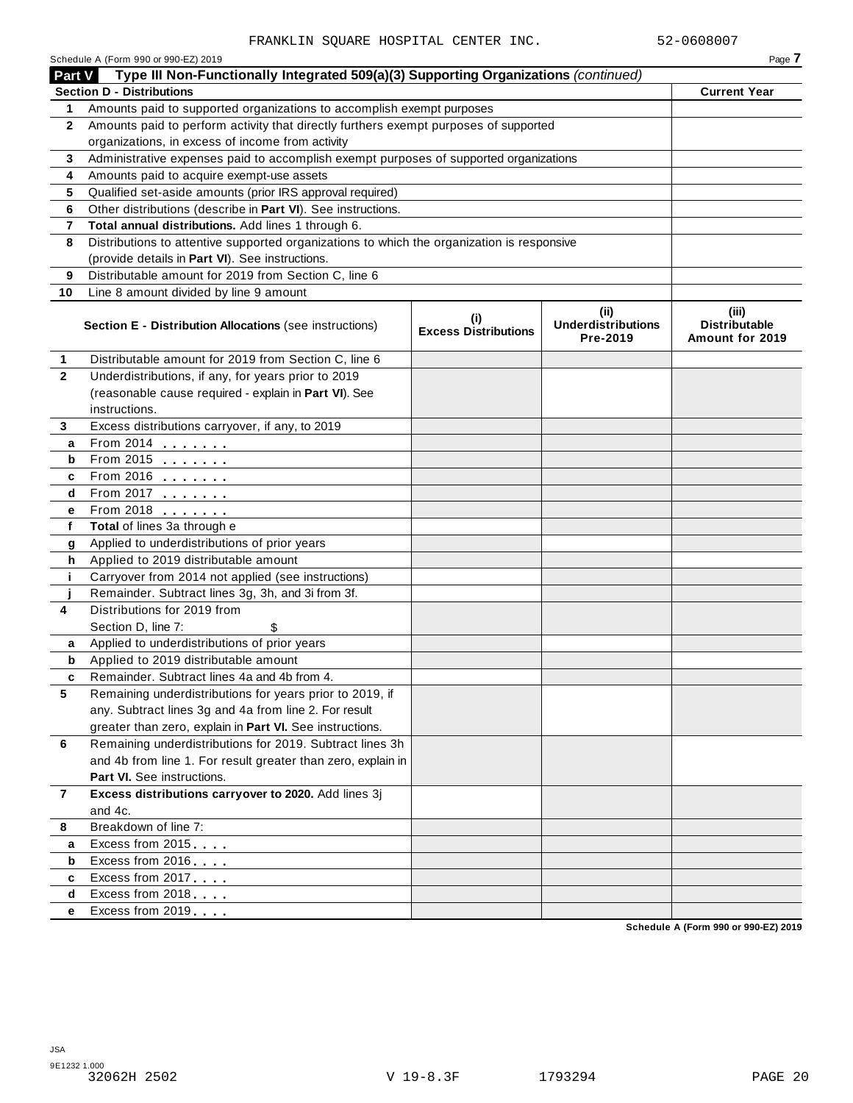|              | Schedule A (Form 990 or 990-EZ) 2019                                                       |                                    |                                               | Page 7                                           |
|--------------|--------------------------------------------------------------------------------------------|------------------------------------|-----------------------------------------------|--------------------------------------------------|
| Part V       | Type III Non-Functionally Integrated 509(a)(3) Supporting Organizations (continued)        |                                    |                                               |                                                  |
|              | <b>Section D - Distributions</b>                                                           |                                    |                                               | <b>Current Year</b>                              |
| 1            | Amounts paid to supported organizations to accomplish exempt purposes                      |                                    |                                               |                                                  |
| $\mathbf{2}$ | Amounts paid to perform activity that directly furthers exempt purposes of supported       |                                    |                                               |                                                  |
|              | organizations, in excess of income from activity                                           |                                    |                                               |                                                  |
| 3            | Administrative expenses paid to accomplish exempt purposes of supported organizations      |                                    |                                               |                                                  |
| 4            | Amounts paid to acquire exempt-use assets                                                  |                                    |                                               |                                                  |
| 5            | Qualified set-aside amounts (prior IRS approval required)                                  |                                    |                                               |                                                  |
| 6            | Other distributions (describe in Part VI). See instructions.                               |                                    |                                               |                                                  |
| 7            | Total annual distributions. Add lines 1 through 6.                                         |                                    |                                               |                                                  |
| 8            | Distributions to attentive supported organizations to which the organization is responsive |                                    |                                               |                                                  |
|              | (provide details in Part VI). See instructions.                                            |                                    |                                               |                                                  |
| 9            | Distributable amount for 2019 from Section C, line 6                                       |                                    |                                               |                                                  |
| 10           | Line 8 amount divided by line 9 amount                                                     |                                    |                                               |                                                  |
|              | <b>Section E - Distribution Allocations (see instructions)</b>                             | (i)<br><b>Excess Distributions</b> | (ii)<br><b>Underdistributions</b><br>Pre-2019 | (iii)<br><b>Distributable</b><br>Amount for 2019 |
| 1            | Distributable amount for 2019 from Section C, line 6                                       |                                    |                                               |                                                  |
| $\mathbf{2}$ | Underdistributions, if any, for years prior to 2019                                        |                                    |                                               |                                                  |
|              | (reasonable cause required - explain in Part VI). See                                      |                                    |                                               |                                                  |
|              | instructions.                                                                              |                                    |                                               |                                                  |
| 3            | Excess distributions carryover, if any, to 2019                                            |                                    |                                               |                                                  |
| a            | From 2014                                                                                  |                                    |                                               |                                                  |
| b            | From 2015 $\frac{1}{2}$                                                                    |                                    |                                               |                                                  |
| c            | From 2016 $\frac{2016}{200}$                                                               |                                    |                                               |                                                  |
| d            | From 2017                                                                                  |                                    |                                               |                                                  |
| е            | From 2018                                                                                  |                                    |                                               |                                                  |
| f            | Total of lines 3a through e                                                                |                                    |                                               |                                                  |
| g            | Applied to underdistributions of prior years                                               |                                    |                                               |                                                  |
| h            | Applied to 2019 distributable amount                                                       |                                    |                                               |                                                  |
| j.           | Carryover from 2014 not applied (see instructions)                                         |                                    |                                               |                                                  |
|              | Remainder. Subtract lines 3g, 3h, and 3i from 3f.                                          |                                    |                                               |                                                  |
| 4            | Distributions for 2019 from                                                                |                                    |                                               |                                                  |
|              | Section D, line 7:                                                                         |                                    |                                               |                                                  |
| a            | Applied to underdistributions of prior years                                               |                                    |                                               |                                                  |
| b            | Applied to 2019 distributable amount                                                       |                                    |                                               |                                                  |
|              | Remainder. Subtract lines 4a and 4b from 4.                                                |                                    |                                               |                                                  |
| 5            | Remaining underdistributions for years prior to 2019, if                                   |                                    |                                               |                                                  |
|              | any. Subtract lines 3g and 4a from line 2. For result                                      |                                    |                                               |                                                  |
|              | greater than zero, explain in Part VI. See instructions.                                   |                                    |                                               |                                                  |
| 6            | Remaining underdistributions for 2019. Subtract lines 3h                                   |                                    |                                               |                                                  |
|              | and 4b from line 1. For result greater than zero, explain in                               |                                    |                                               |                                                  |
|              | Part VI. See instructions.                                                                 |                                    |                                               |                                                  |
| 7            | Excess distributions carryover to 2020. Add lines 3j                                       |                                    |                                               |                                                  |
|              | and 4c.                                                                                    |                                    |                                               |                                                  |
| 8            | Breakdown of line 7:                                                                       |                                    |                                               |                                                  |
| a            | Excess from 2015                                                                           |                                    |                                               |                                                  |
| b            | Excess from 2016                                                                           |                                    |                                               |                                                  |
| c            | Excess from 2017                                                                           |                                    |                                               |                                                  |
| d            | Excess from 2018                                                                           |                                    |                                               |                                                  |
| е            | Excess from 2019                                                                           |                                    |                                               |                                                  |
|              |                                                                                            |                                    |                                               | Schedule A (Form 990 or 990-EZ) 2019             |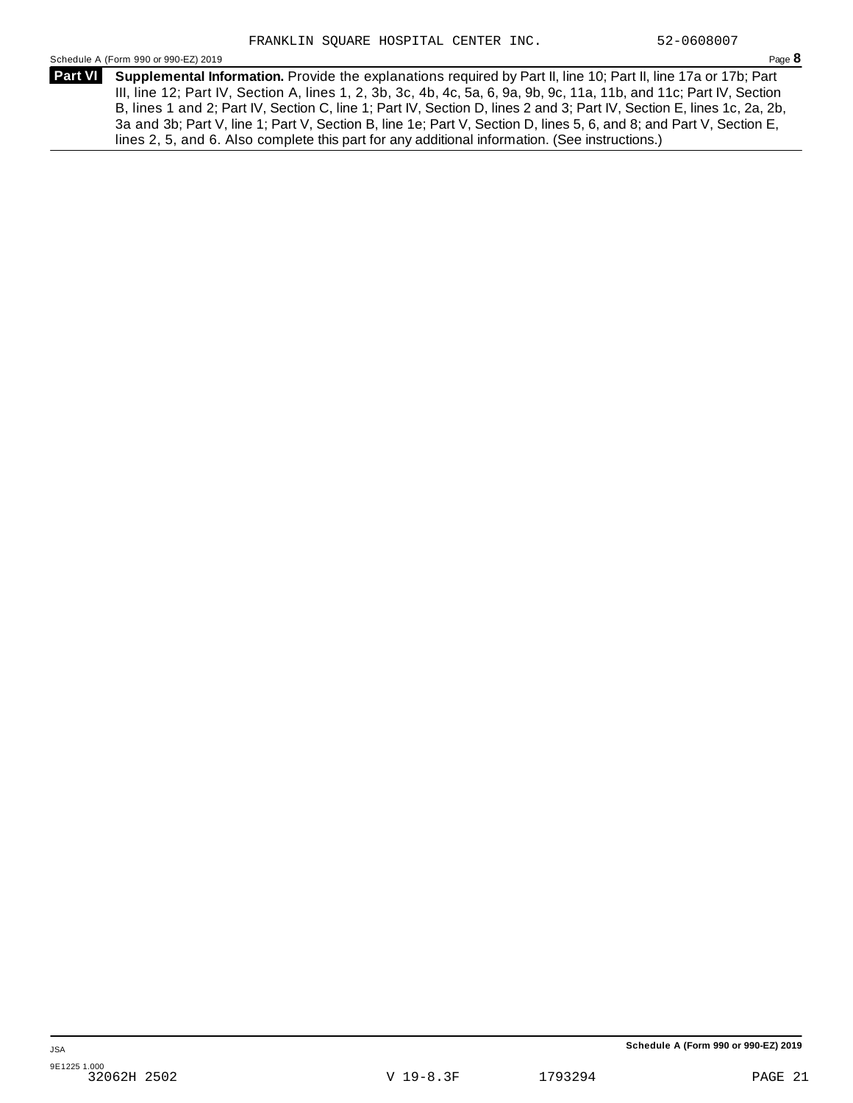Schedule A (Form 990 or 990-EZ) 2019 Page **8**

**Supplemental Information.** Provide the explanations required by Part II, line 10; Part II, line 17a or 17b; Part **Part VI**  III, line 12; Part IV, Section A, lines 1, 2, 3b, 3c, 4b, 4c, 5a, 6, 9a, 9b, 9c, 11a, 11b, and 11c; Part IV, Section B, lines 1 and 2; Part IV, Section C, line 1; Part IV, Section D, lines 2 and 3; Part IV, Section E, lines 1c, 2a, 2b, 3a and 3b; Part V, line 1; Part V, Section B, line 1e; Part V, Section D, lines 5, 6, and 8; and Part V, Section E, lines 2, 5, and 6. Also complete this part for any additional information. (See instructions.)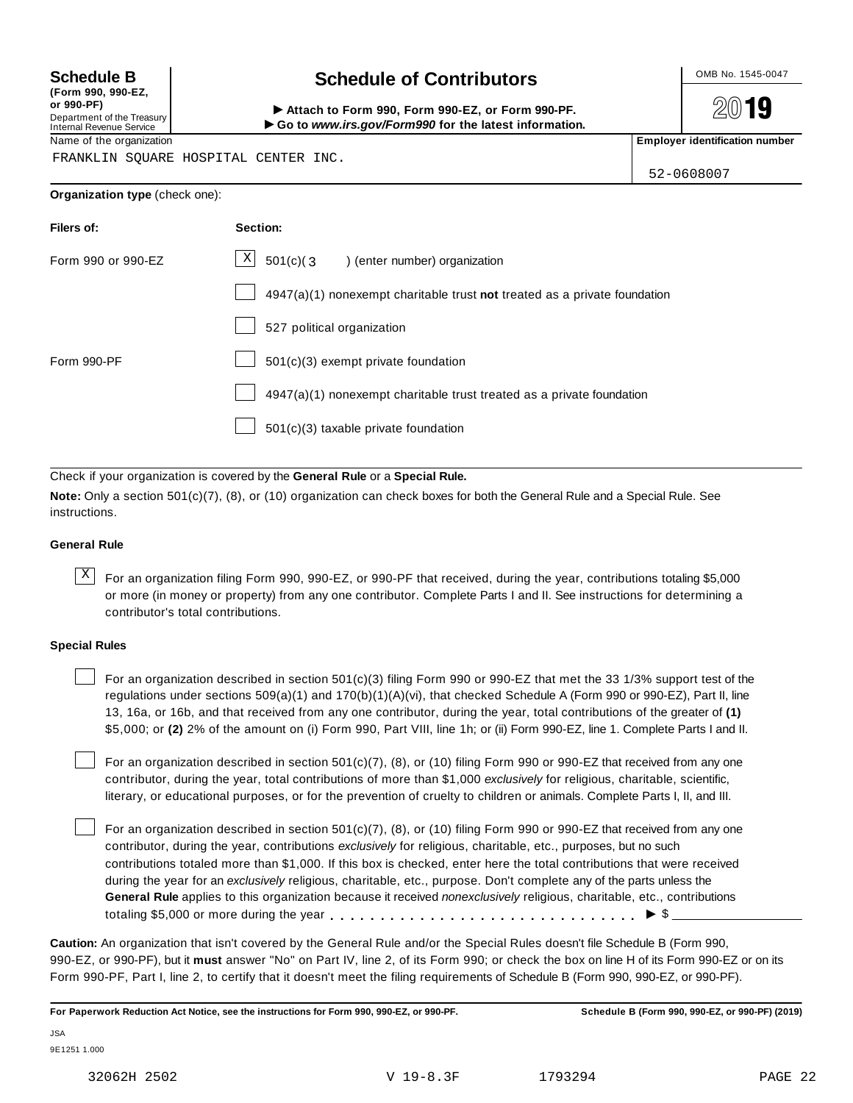**(Form 990, 990-EZ, or 990-PF)** Department of the Treasury Internal Revenue Service

### Schedule B **Schedule of Contributors**

2019

Attach to Form 990, Form 990-EZ, or Form 990-PF. I**Go to** *www.irs.gov/Form990* **for the latest information.**

Name of the organization **Employer identification number Employer identification number** 

FRANKLIN SQUARE HOSPITAL CENTER INC.

52-0608007

**Organization type** (check one):

| Filers of:         | Section:                                                                  |
|--------------------|---------------------------------------------------------------------------|
| Form 990 or 990-EZ | $\mathbf{X}$<br>501(c)(3) (enter number) organization                     |
|                    | 4947(a)(1) nonexempt charitable trust not treated as a private foundation |
|                    | 527 political organization                                                |
| Form 990-PF        | 501(c)(3) exempt private foundation                                       |
|                    | 4947(a)(1) nonexempt charitable trust treated as a private foundation     |
|                    | 501(c)(3) taxable private foundation                                      |

Check if your organization is covered by the **General Rule** or a **Special Rule.**

**Note:** Only a section 501(c)(7), (8), or (10) organization can check boxes for both the General Rule and a Special Rule. See instructions.

#### **General Rule**

 $\overline{X}$  For an organization filing Form 990, 990-EZ, or 990-PF that received, during the year, contributions totaling \$5,000 or more (in money or property) from any one contributor. Complete Parts I and II. See instructions for determining a contributor's total contributions.

#### **Special Rules**

For an organization described in section 501(c)(3) filing Form 990 or 990-EZ that met the 33 1/3% support test of the regulations under sections 509(a)(1) and 170(b)(1)(A)(vi), that checked Schedule A (Form 990 or 990-EZ), Part II, line 13, 16a, or 16b, and that received from any one contributor, during the year, total contributions of the greater of **(1)** \$5,000; or **(2)** 2% of the amount on (i) Form 990, Part VIII, line 1h; or (ii) Form 990-EZ, line 1. Complete Parts I and II.

For an organization described in section 501(c)(7), (8), or (10) filing Form 990 or 990-EZ that received from any one contributor, during the year, total contributions of more than \$1,000 *exclusively* for religious, charitable, scientific, literary, or educational purposes, or for the prevention of cruelty to children or animals. Complete Parts I, II, and III.

For an organization described in section 501(c)(7), (8), or (10) filing Form 990 or 990-EZ that received from any one contributor, during the year, contributions *exclusively* for religious, charitable, etc., purposes, but no such contributions totaled more than \$1,000. If this box is checked, enter here the total contributions that were received during the year for an *exclusively* religious, charitable, etc., purpose. Don't complete any of the parts unless the **General Rule** applies to this organization because it received *nonexclusively* religious, charitable, etc., contributions totaling \$5,000 or more during the year  $\ldots \ldots \ldots \ldots \ldots \ldots \ldots \ldots \ldots \vdots \bullet$   $\mathcal{S}$ 

**Caution:** An organization that isn't covered by the General Rule and/or the Special Rules doesn't file Schedule B (Form 990, 990-EZ, or 990-PF), but it **must** answer "No" on Part IV, line 2, of its Form 990; or check the box on line H of its Form 990-EZ or on its Form 990-PF, Part I, line 2, to certify that it doesn't meet the filing requirements of Schedule B (Form 990, 990-EZ, or 990-PF).

**For Paperwork Reduction Act Notice, see the instructions for Form 990, 990-EZ, or 990-PF. Schedule B (Form 990, 990-EZ, or 990-PF) (2019)**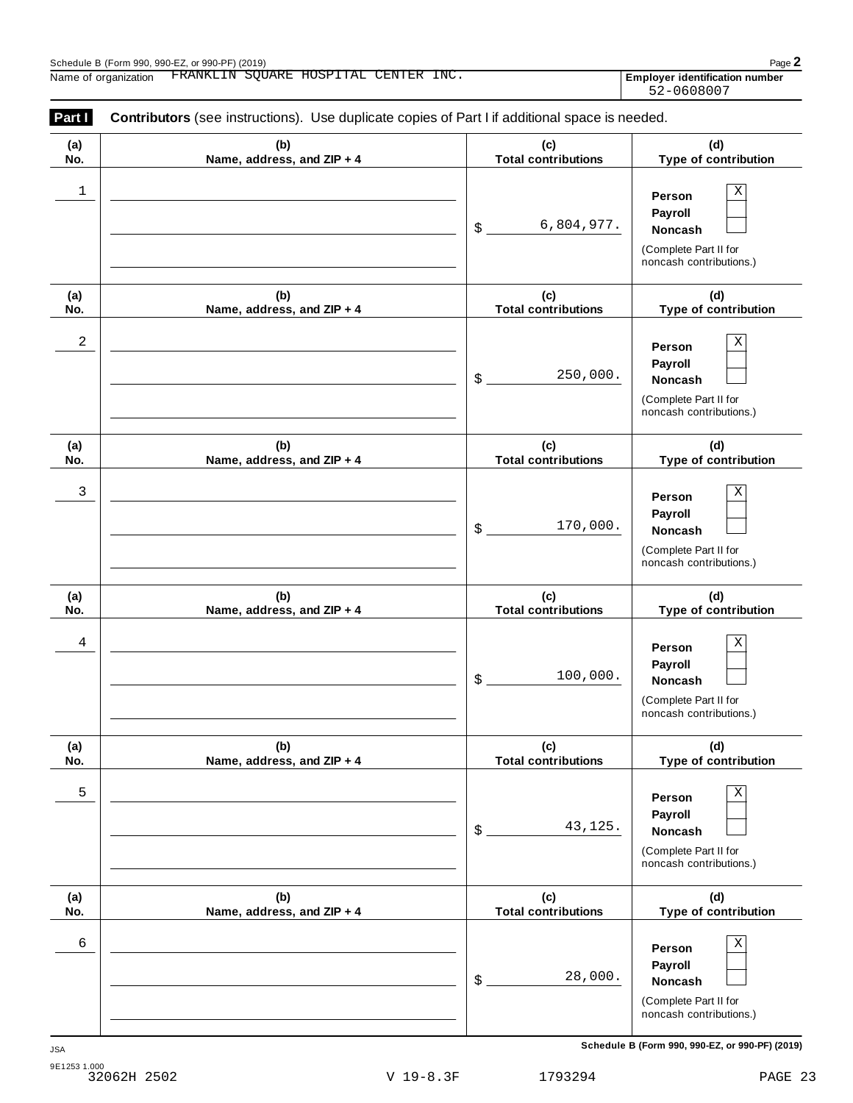| (a)<br>No. | (b)<br>Name, address, and ZIP + 4 | (c)<br><b>Total contributions</b> | (d)<br>Type of contribution                                                                            |
|------------|-----------------------------------|-----------------------------------|--------------------------------------------------------------------------------------------------------|
| 1          |                                   | 6,804,977.<br>\$                  | Χ<br>Person<br>Payroll<br>Noncash<br>(Complete Part II for<br>noncash contributions.)                  |
| (a)<br>No. | (b)<br>Name, address, and ZIP + 4 | (c)<br><b>Total contributions</b> | (d)<br>Type of contribution                                                                            |
| 2          |                                   | 250,000.<br>\$                    | Χ<br>Person<br>Payroll<br>Noncash<br>(Complete Part II for<br>noncash contributions.)                  |
| (a)<br>No. | (b)<br>Name, address, and ZIP + 4 | (c)<br><b>Total contributions</b> | (d)<br>Type of contribution                                                                            |
| 3          |                                   | 170,000.<br>\$                    | Χ<br>Person<br>Payroll<br>Noncash<br>(Complete Part II for<br>noncash contributions.)                  |
| (a)<br>No. | (b)<br>Name, address, and ZIP + 4 | (c)<br><b>Total contributions</b> | (d)<br>Type of contribution                                                                            |
| 4          |                                   | 100,000.<br>\$                    | $\mathbf X$<br>Person<br>Payroll<br>Noncash<br>(Complete Part II for<br>noncash contributions.)        |
| (a)<br>No. | (b)<br>Name, address, and ZIP + 4 | (c)<br><b>Total contributions</b> | (d)<br>Type of contribution                                                                            |
| 5          |                                   | 43,125.<br>\$                     | $\mathbf X$<br>Person<br>Payroll<br><b>Noncash</b><br>(Complete Part II for<br>noncash contributions.) |
| (a)<br>No. | (b)<br>Name, address, and ZIP + 4 | (c)<br><b>Total contributions</b> | (d)<br>Type of contribution                                                                            |
| 6          |                                   | 28,000.<br>\$                     | Χ<br>Person<br>Payroll<br>Noncash<br>(Complete Part II for<br>noncash contributions.)                  |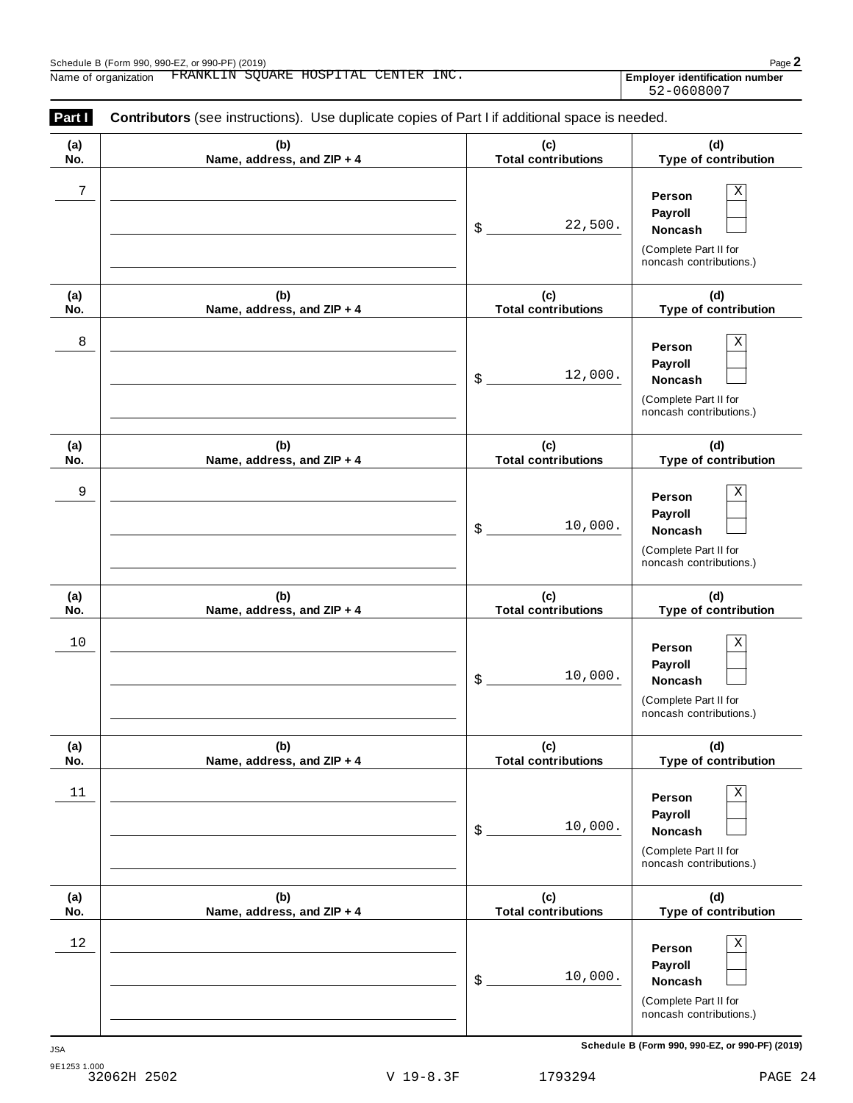| Part I     | <b>Contributors</b> (see instructions). Use duplicate copies of Part I if additional space is needed. |                                   |                                                                                                 |
|------------|-------------------------------------------------------------------------------------------------------|-----------------------------------|-------------------------------------------------------------------------------------------------|
| (a)<br>No. | (b)<br>Name, address, and ZIP + 4                                                                     | (c)<br><b>Total contributions</b> | (d)<br>Type of contribution                                                                     |
| 7          |                                                                                                       | 22,500.<br>\$                     | Х<br>Person<br>Payroll<br>Noncash<br>(Complete Part II for<br>noncash contributions.)           |
| (a)<br>No. | (b)<br>Name, address, and ZIP + 4                                                                     | (c)<br><b>Total contributions</b> | (d)<br>Type of contribution                                                                     |
| 8          |                                                                                                       | 12,000.<br>\$                     | Х<br>Person<br>Payroll<br>Noncash<br>(Complete Part II for<br>noncash contributions.)           |
| (a)<br>No. | (b)<br>Name, address, and ZIP + 4                                                                     | (c)<br><b>Total contributions</b> | (d)<br>Type of contribution                                                                     |
| 9          |                                                                                                       | 10,000.<br>\$                     | Χ<br>Person<br>Payroll<br>Noncash<br>(Complete Part II for<br>noncash contributions.)           |
| (a)<br>No. | (b)<br>Name, address, and ZIP + 4                                                                     | (c)<br><b>Total contributions</b> | (d)<br>Type of contribution                                                                     |
| $10$       |                                                                                                       | 10,000.<br>\$                     | Χ<br>Person<br>Payroll<br>Noncash<br>(Complete Part II for<br>noncash contributions.)           |
| (a)<br>No. | (b)<br>Name, address, and ZIP + 4                                                                     | (c)<br><b>Total contributions</b> | (d)<br>Type of contribution                                                                     |
| $11\,$     |                                                                                                       | 10,000.<br>\$                     | $\mathbf X$<br>Person<br>Payroll<br>Noncash<br>(Complete Part II for<br>noncash contributions.) |
| (a)<br>No. | (b)<br>Name, address, and ZIP + 4                                                                     | (c)<br><b>Total contributions</b> | (d)<br>Type of contribution                                                                     |
| 12         |                                                                                                       | 10,000.<br>\$                     | Χ<br>Person<br>Payroll<br>Noncash<br>(Complete Part II for<br>noncash contributions.)           |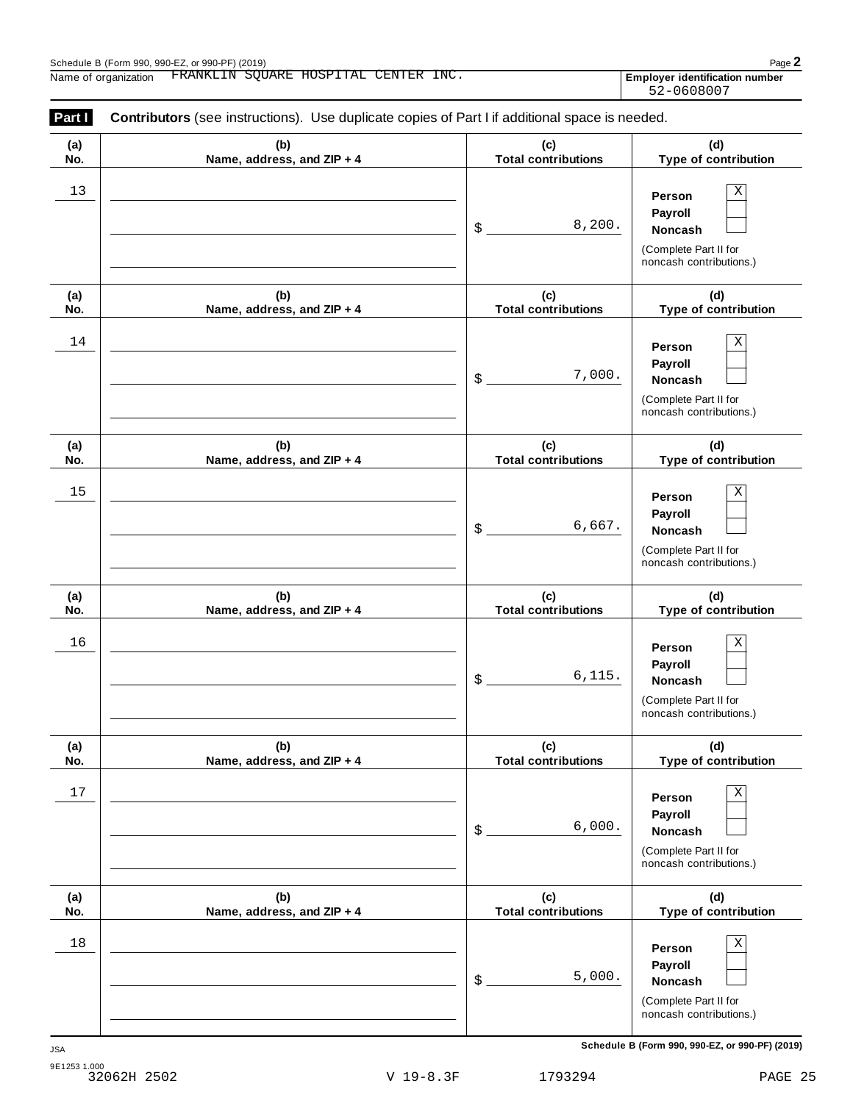| Part I     | <b>Contributors</b> (see instructions). Use duplicate copies of Part I if additional space is needed. |                                   |                                                                                              |
|------------|-------------------------------------------------------------------------------------------------------|-----------------------------------|----------------------------------------------------------------------------------------------|
| (a)<br>No. | (b)<br>Name, address, and ZIP + 4                                                                     | (c)<br><b>Total contributions</b> | (d)<br>Type of contribution                                                                  |
| 13         |                                                                                                       | 8,200.<br>\$                      | X<br>Person<br>Payroll<br><b>Noncash</b><br>(Complete Part II for<br>noncash contributions.) |
| (a)<br>No. | (b)<br>Name, address, and ZIP + 4                                                                     | (c)<br><b>Total contributions</b> | (d)<br>Type of contribution                                                                  |
| 14         |                                                                                                       | 7,000.<br>\$                      | Χ<br>Person<br>Payroll<br><b>Noncash</b><br>(Complete Part II for<br>noncash contributions.) |
| (a)<br>No. | (b)<br>Name, address, and ZIP + 4                                                                     | (c)<br><b>Total contributions</b> | (d)<br>Type of contribution                                                                  |
| 15         |                                                                                                       | 6,667.<br>\$                      | Χ<br>Person<br>Payroll<br><b>Noncash</b><br>(Complete Part II for<br>noncash contributions.) |
| (a)<br>No. | (b)<br>Name, address, and ZIP + 4                                                                     | (c)<br><b>Total contributions</b> | (d)<br>Type of contribution                                                                  |
| 16         |                                                                                                       | 6, 115.<br>\$                     | Χ<br>Person<br>Payroll<br><b>Noncash</b><br>(Complete Part II for<br>noncash contributions.) |
| (a)<br>No. | (b)<br>Name, address, and ZIP + 4                                                                     | (c)<br><b>Total contributions</b> | (d)<br>Type of contribution                                                                  |
| $17\,$     |                                                                                                       | 6,000.<br>\$                      | Χ<br>Person<br>Payroll<br>Noncash<br>(Complete Part II for<br>noncash contributions.)        |
| (a)<br>No. | (b)<br>Name, address, and ZIP + 4                                                                     | (c)<br><b>Total contributions</b> | (d)<br>Type of contribution                                                                  |
| 18         |                                                                                                       | 5,000.<br>\$                      | Χ<br>Person<br>Payroll<br>Noncash<br>(Complete Part II for<br>noncash contributions.)        |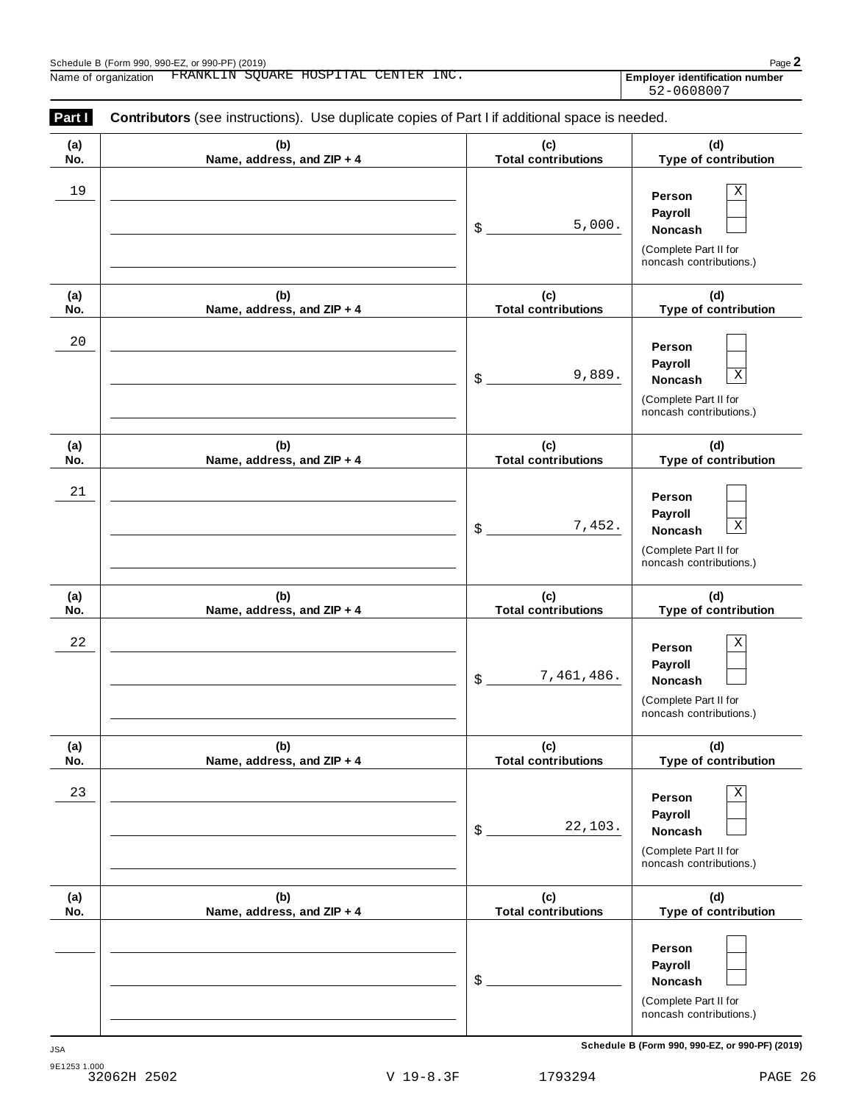| Part I     | <b>Contributors</b> (see instructions). Use duplicate copies of Part I if additional space is needed. |                                   |                                                                                                        |
|------------|-------------------------------------------------------------------------------------------------------|-----------------------------------|--------------------------------------------------------------------------------------------------------|
| (a)<br>No. | (b)<br>Name, address, and ZIP + 4                                                                     | (c)<br><b>Total contributions</b> | (d)<br>Type of contribution                                                                            |
| 19         |                                                                                                       | 5,000.<br>\$                      | Χ<br>Person<br>Payroll<br><b>Noncash</b><br>(Complete Part II for<br>noncash contributions.)           |
| (a)<br>No. | (b)<br>Name, address, and ZIP + 4                                                                     | (c)<br><b>Total contributions</b> | (d)<br>Type of contribution                                                                            |
| 20         |                                                                                                       | 9,889.<br>\$                      | Person<br>Payroll<br>$\mathbf X$<br><b>Noncash</b><br>(Complete Part II for<br>noncash contributions.) |
| (a)<br>No. | (b)<br>Name, address, and ZIP + 4                                                                     | (c)<br><b>Total contributions</b> | (d)<br>Type of contribution                                                                            |
| 21         |                                                                                                       | 7,452.<br>\$                      | Person<br>Payroll<br>$\mathbf X$<br><b>Noncash</b><br>(Complete Part II for<br>noncash contributions.) |
| (a)<br>No. | (b)<br>Name, address, and ZIP + 4                                                                     | (c)<br><b>Total contributions</b> | (d)<br>Type of contribution                                                                            |
| 22         |                                                                                                       | 7,461,486.<br>\$                  | Χ<br>Person<br>Payroll<br><b>Noncash</b><br>(Complete Part II for<br>noncash contributions.)           |
| (a)<br>No. | (b)<br>Name, address, and ZIP + 4                                                                     | (c)<br><b>Total contributions</b> | (d)<br>Type of contribution                                                                            |
| 23         |                                                                                                       | 22,103.<br>\$                     | Χ<br>Person<br>Payroll<br>Noncash<br>(Complete Part II for<br>noncash contributions.)                  |
| (a)<br>No. | (b)<br>Name, address, and ZIP + 4                                                                     | (c)<br><b>Total contributions</b> | (d)<br>Type of contribution                                                                            |
|            |                                                                                                       | \$                                | Person<br>Payroll<br><b>Noncash</b><br>(Complete Part II for<br>noncash contributions.)                |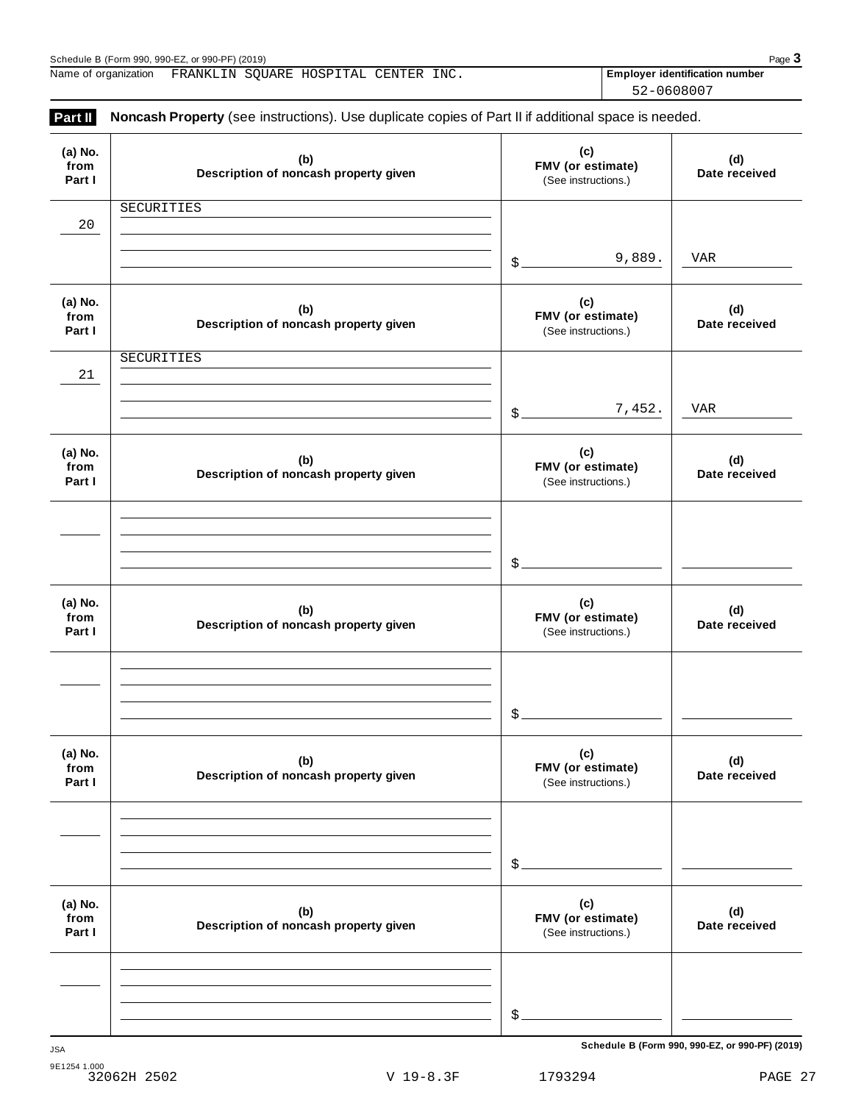| (a) No.<br>from<br>Part I | (b)<br>Description of noncash property given | $\mathbf{C}$<br>FMV (or estimate)<br>(See instructions.) | (d)<br>Date received |
|---------------------------|----------------------------------------------|----------------------------------------------------------|----------------------|
| 20                        | SECURITIES                                   |                                                          |                      |
|                           |                                              | 9,889.<br>$\frac{1}{2}$                                  | VAR                  |
| (a) No.<br>from<br>Part I | (b)<br>Description of noncash property given | (c)<br>FMV (or estimate)<br>(See instructions.)          | (d)<br>Date received |
| 21                        | SECURITIES                                   |                                                          |                      |
|                           |                                              | 7,452.<br>$\frac{2}{2}$                                  | <b>VAR</b>           |
| (a) No.<br>from<br>Part I | (b)<br>Description of noncash property given | (c)<br>FMV (or estimate)<br>(See instructions.)          | (d)<br>Date received |
|                           |                                              | $\frac{1}{2}$                                            |                      |
| (a) No.<br>from<br>Part I | (b)<br>Description of noncash property given | (c)<br>FMV (or estimate)<br>(See instructions.)          | (d)<br>Date received |
|                           |                                              | $\frac{1}{2}$                                            |                      |
| (a) No.<br>from<br>Part I | (b)<br>Description of noncash property given | (c)<br>FMV (or estimate)<br>(See instructions.)          | (d)<br>Date received |
|                           |                                              | \$                                                       |                      |
| (a) No.<br>from<br>Part I | (b)<br>Description of noncash property given | (c)<br>FMV (or estimate)<br>(See instructions.)          | (d)<br>Date received |
|                           |                                              |                                                          |                      |
|                           |                                              | \$                                                       |                      |

**(a) No.**

Schedule B (Form 990, 990-EZ, or 990-PF) (2019)<br>Name of organization FRANKLIN SQUARE HOSPITAL CENTER INC. **Property and Fundance Internation number** Page **3** Name of organization **Employer identification number** FRANKLIN SQUARE HOSPITAL CENTER INC.

**Part II** Noncash Property (see instructions). Use duplicate copies of Part II if additional space is needed.

52-0608007

**(c)**

9E1254 1.000 32062H 2502 V 19-8.3F 1793294 PAGE 27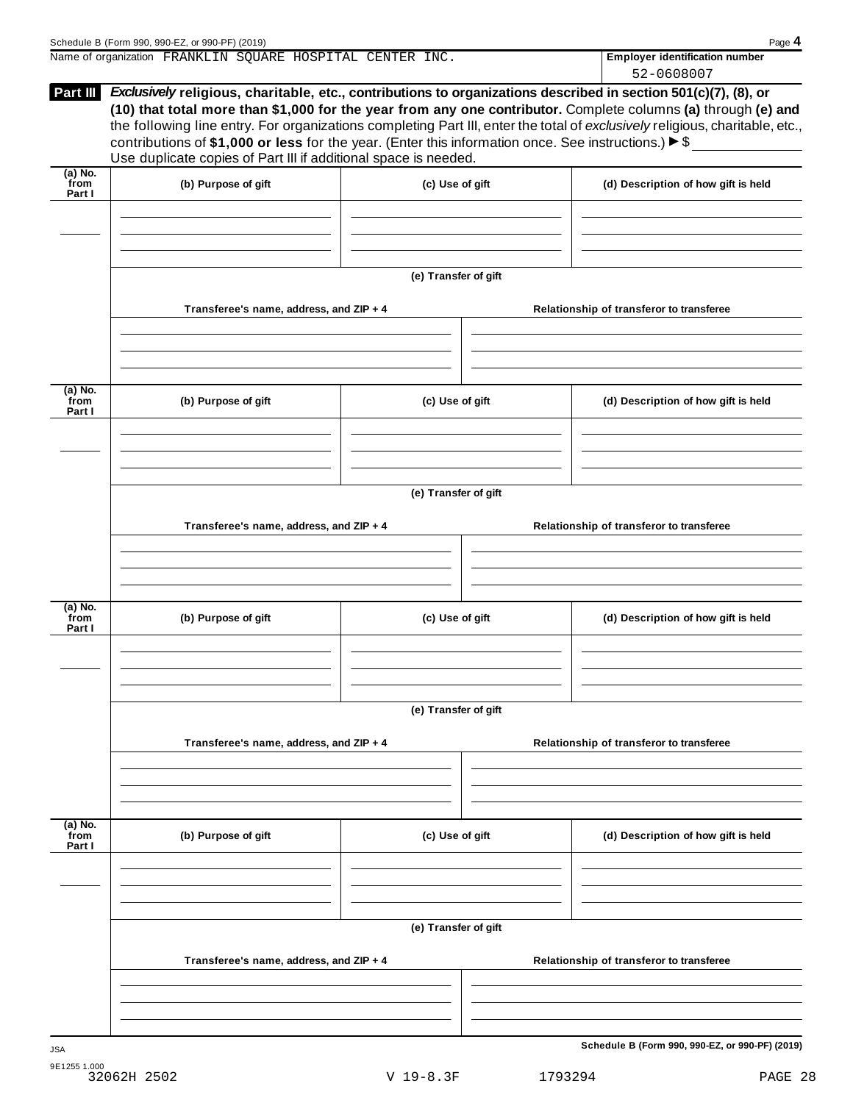| Schedule B (Form 990, 990-EZ, or 990-PF) (2019)                                                                                           | Page 4                                |
|-------------------------------------------------------------------------------------------------------------------------------------------|---------------------------------------|
| Name of organization FRANKLIN SQUARE HOSPITAL CENTER INC.                                                                                 | <b>Employer identification number</b> |
|                                                                                                                                           | 52-0608007                            |
| <b>Part III</b><br><i>Exclusively</i> religious, charitable, etc., contributions to organizations described in section 501(c)(7), (8), or |                                       |
| (10) that total more than \$1,000 for the year from any one contributor. Complete columns (a) through (e) and                             |                                       |
| the following line entry. For organizations completing Part III, enter the total of exclusively religious, charitable, etc.,              |                                       |
| contributions of \$1,000 or less for the year. (Enter this information once See instructions) $\triangleright$ \$                         |                                       |

| (a) No.<br>from<br>Part I   | (b) Purpose of gift                     | (c) Use of gift      | (d) Description of how gift is held      |
|-----------------------------|-----------------------------------------|----------------------|------------------------------------------|
|                             |                                         |                      |                                          |
|                             |                                         |                      |                                          |
|                             |                                         | (e) Transfer of gift |                                          |
|                             |                                         |                      |                                          |
|                             | Transferee's name, address, and ZIP + 4 |                      | Relationship of transferor to transferee |
|                             |                                         |                      |                                          |
|                             |                                         |                      |                                          |
| $(a)$ No.<br>from<br>Part I | (b) Purpose of gift                     | (c) Use of gift      | (d) Description of how gift is held      |
|                             |                                         |                      |                                          |
|                             |                                         |                      |                                          |
|                             |                                         | (e) Transfer of gift |                                          |
|                             | Transferee's name, address, and ZIP + 4 |                      | Relationship of transferor to transferee |
|                             |                                         |                      |                                          |
|                             |                                         |                      |                                          |
| $(a)$ No.<br>from           |                                         | (c) Use of gift      |                                          |
| Part I                      | (b) Purpose of gift                     |                      | (d) Description of how gift is held      |
|                             |                                         |                      |                                          |
|                             |                                         |                      |                                          |
|                             |                                         |                      |                                          |
|                             |                                         | (e) Transfer of gift |                                          |
|                             | Transferee's name, address, and ZIP + 4 |                      | Relationship of transferor to transferee |
|                             |                                         |                      |                                          |
|                             |                                         |                      |                                          |
|                             | (b) Purpose of gift                     | (c) Use of gift      |                                          |
| $(a)$ No.<br>from<br>Part I |                                         |                      | (d) Description of how gift is held      |
|                             |                                         |                      |                                          |
|                             |                                         | (e) Transfer of gift |                                          |
|                             | Transferee's name, address, and ZIP + 4 |                      | Relationship of transferor to transferee |
|                             |                                         |                      |                                          |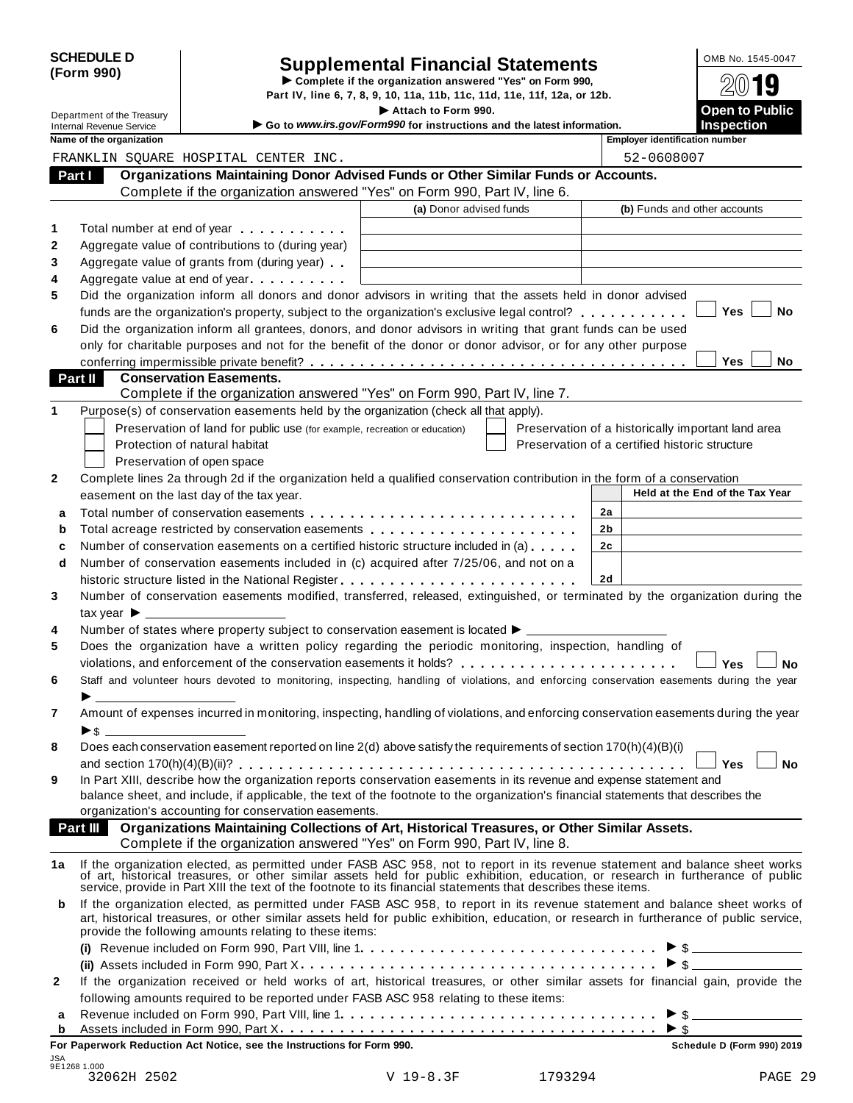| <b>SCHEDULE D</b> |  |
|-------------------|--|
| (Form 990)        |  |

# SCHEDULE D<br>
Supplemental Financial Statements<br>
Form 990) Part IV, line 6, 7, 8, 9, 10, 11a, 11b, 11c, 11d, 11e, 11f, 12a, or 12b.

| Department of the Treasury                                  |                               |                                                                                                                                                                                                                                                     |                                                                                               |                                                    |                                            |           |
|-------------------------------------------------------------|-------------------------------|-----------------------------------------------------------------------------------------------------------------------------------------------------------------------------------------------------------------------------------------------------|-----------------------------------------------------------------------------------------------|----------------------------------------------------|--------------------------------------------|-----------|
|                                                             |                               |                                                                                                                                                                                                                                                     | Attach to Form 990.<br>Go to www.irs.gov/Form990 for instructions and the latest information. |                                                    | <b>Open to Public</b><br><b>Inspection</b> |           |
| <b>Internal Revenue Service</b><br>Name of the organization |                               |                                                                                                                                                                                                                                                     |                                                                                               | <b>Employer identification number</b>              |                                            |           |
|                                                             |                               | FRANKLIN SQUARE HOSPITAL CENTER INC.                                                                                                                                                                                                                |                                                                                               | 52-0608007                                         |                                            |           |
| Part I                                                      |                               | Organizations Maintaining Donor Advised Funds or Other Similar Funds or Accounts.                                                                                                                                                                   |                                                                                               |                                                    |                                            |           |
|                                                             |                               | Complete if the organization answered "Yes" on Form 990, Part IV, line 6.                                                                                                                                                                           |                                                                                               |                                                    |                                            |           |
|                                                             |                               |                                                                                                                                                                                                                                                     | (a) Donor advised funds                                                                       | (b) Funds and other accounts                       |                                            |           |
|                                                             |                               | Total number at end of year example.                                                                                                                                                                                                                |                                                                                               |                                                    |                                            |           |
|                                                             |                               | Aggregate value of contributions to (during year)                                                                                                                                                                                                   |                                                                                               |                                                    |                                            |           |
|                                                             |                               | Aggregate value of grants from (during year)                                                                                                                                                                                                        |                                                                                               |                                                    |                                            |           |
|                                                             |                               | Aggregate value at end of year                                                                                                                                                                                                                      |                                                                                               |                                                    |                                            |           |
|                                                             |                               | Did the organization inform all donors and donor advisors in writing that the assets held in donor advised                                                                                                                                          |                                                                                               |                                                    |                                            |           |
|                                                             |                               | funds are the organization's property, subject to the organization's exclusive legal control?                                                                                                                                                       |                                                                                               |                                                    | Yes                                        | No        |
|                                                             |                               | Did the organization inform all grantees, donors, and donor advisors in writing that grant funds can be used                                                                                                                                        |                                                                                               |                                                    |                                            |           |
|                                                             |                               | only for charitable purposes and not for the benefit of the donor or donor advisor, or for any other purpose                                                                                                                                        |                                                                                               |                                                    |                                            |           |
|                                                             |                               |                                                                                                                                                                                                                                                     |                                                                                               |                                                    | Yes                                        | No.       |
| Part II                                                     |                               | <b>Conservation Easements.</b>                                                                                                                                                                                                                      |                                                                                               |                                                    |                                            |           |
|                                                             |                               | Complete if the organization answered "Yes" on Form 990, Part IV, line 7.                                                                                                                                                                           |                                                                                               |                                                    |                                            |           |
|                                                             |                               | Purpose(s) of conservation easements held by the organization (check all that apply).                                                                                                                                                               |                                                                                               |                                                    |                                            |           |
|                                                             |                               | Preservation of land for public use (for example, recreation or education)                                                                                                                                                                          |                                                                                               | Preservation of a historically important land area |                                            |           |
|                                                             | Protection of natural habitat |                                                                                                                                                                                                                                                     |                                                                                               | Preservation of a certified historic structure     |                                            |           |
|                                                             | Preservation of open space    |                                                                                                                                                                                                                                                     |                                                                                               |                                                    |                                            |           |
|                                                             |                               | Complete lines 2a through 2d if the organization held a qualified conservation contribution in the form of a conservation                                                                                                                           |                                                                                               |                                                    |                                            |           |
|                                                             |                               | easement on the last day of the tax year.                                                                                                                                                                                                           |                                                                                               |                                                    | Held at the End of the Tax Year            |           |
|                                                             |                               |                                                                                                                                                                                                                                                     |                                                                                               | 2a                                                 |                                            |           |
|                                                             |                               | Total acreage restricted by conservation easements                                                                                                                                                                                                  |                                                                                               | 2b                                                 |                                            |           |
|                                                             |                               | Number of conservation easements on a certified historic structure included in (a)                                                                                                                                                                  |                                                                                               | 2 <sub>c</sub>                                     |                                            |           |
|                                                             |                               | Number of conservation easements included in (c) acquired after 7/25/06, and not on a                                                                                                                                                               |                                                                                               |                                                    |                                            |           |
|                                                             |                               |                                                                                                                                                                                                                                                     |                                                                                               | 2d                                                 |                                            |           |
|                                                             |                               | Number of conservation easements modified, transferred, released, extinguished, or terminated by the organization during the                                                                                                                        |                                                                                               |                                                    |                                            |           |
| tax year $\blacktriangleright$ $\perp$                      |                               |                                                                                                                                                                                                                                                     |                                                                                               |                                                    |                                            |           |
|                                                             |                               | Number of states where property subject to conservation easement is located ▶ _________                                                                                                                                                             |                                                                                               |                                                    |                                            |           |
|                                                             |                               | Does the organization have a written policy regarding the periodic monitoring, inspection, handling of                                                                                                                                              |                                                                                               |                                                    |                                            |           |
|                                                             |                               | violations, and enforcement of the conservation easements it holds?                                                                                                                                                                                 |                                                                                               |                                                    | Yes                                        | No        |
|                                                             |                               | Staff and volunteer hours devoted to monitoring, inspecting, handling of violations, and enforcing conservation easements during the year                                                                                                           |                                                                                               |                                                    |                                            |           |
|                                                             |                               |                                                                                                                                                                                                                                                     |                                                                                               |                                                    |                                            |           |
|                                                             |                               |                                                                                                                                                                                                                                                     |                                                                                               |                                                    |                                            |           |
|                                                             |                               | Amount of expenses incurred in monitoring, inspecting, handling of violations, and enforcing conservation easements during the year                                                                                                                 |                                                                                               |                                                    |                                            |           |
|                                                             |                               |                                                                                                                                                                                                                                                     |                                                                                               |                                                    |                                            |           |
|                                                             |                               | Does each conservation easement reported on line 2(d) above satisfy the requirements of section 170(h)(4)(B)(i)                                                                                                                                     |                                                                                               |                                                    |                                            |           |
|                                                             |                               |                                                                                                                                                                                                                                                     |                                                                                               |                                                    | Yes                                        | <b>No</b> |
|                                                             |                               | In Part XIII, describe how the organization reports conservation easements in its revenue and expense statement and                                                                                                                                 |                                                                                               |                                                    |                                            |           |
|                                                             |                               | balance sheet, and include, if applicable, the text of the footnote to the organization's financial statements that describes the                                                                                                                   |                                                                                               |                                                    |                                            |           |
|                                                             |                               | organization's accounting for conservation easements.                                                                                                                                                                                               |                                                                                               |                                                    |                                            |           |
|                                                             |                               | Organizations Maintaining Collections of Art, Historical Treasures, or Other Similar Assets.                                                                                                                                                        |                                                                                               |                                                    |                                            |           |
|                                                             |                               | Complete if the organization answered "Yes" on Form 990, Part IV, line 8.                                                                                                                                                                           |                                                                                               |                                                    |                                            |           |
|                                                             |                               | If the organization elected, as permitted under FASB ASC 958, not to report in its revenue statement and balance sheet works                                                                                                                        |                                                                                               |                                                    |                                            |           |
|                                                             |                               | of art, historical treasures, or other similar assets held for public exhibition, education, or research in furtherance of public<br>service, provide in Part XIII the text of the footnote to its financial statements that describes these items. |                                                                                               |                                                    |                                            |           |
|                                                             |                               | If the organization elected, as permitted under FASB ASC 958, to report in its revenue statement and balance sheet works of                                                                                                                         |                                                                                               |                                                    |                                            |           |
|                                                             |                               | art, historical treasures, or other similar assets held for public exhibition, education, or research in furtherance of public service,                                                                                                             |                                                                                               |                                                    |                                            |           |
|                                                             |                               | provide the following amounts relating to these items:                                                                                                                                                                                              |                                                                                               |                                                    |                                            |           |
|                                                             |                               |                                                                                                                                                                                                                                                     |                                                                                               |                                                    |                                            |           |
|                                                             |                               |                                                                                                                                                                                                                                                     |                                                                                               |                                                    |                                            |           |
|                                                             |                               | If the organization received or held works of art, historical treasures, or other similar assets for financial gain, provide the                                                                                                                    |                                                                                               |                                                    |                                            |           |
| Part III<br>1a<br>b                                         |                               | following amounts required to be reported under FASB ASC 958 relating to these items:                                                                                                                                                               |                                                                                               |                                                    |                                            |           |
| а<br>b                                                      |                               |                                                                                                                                                                                                                                                     |                                                                                               | $\blacktriangleright$ \$                           | $\triangleright$ \$                        |           |

| <b>b</b> Assets included in Form 990, Part $X_1, \ldots, Y_n, \ldots, Y_n, \ldots, Y_n$ |  |
|-----------------------------------------------------------------------------------------|--|
|                                                                                         |  |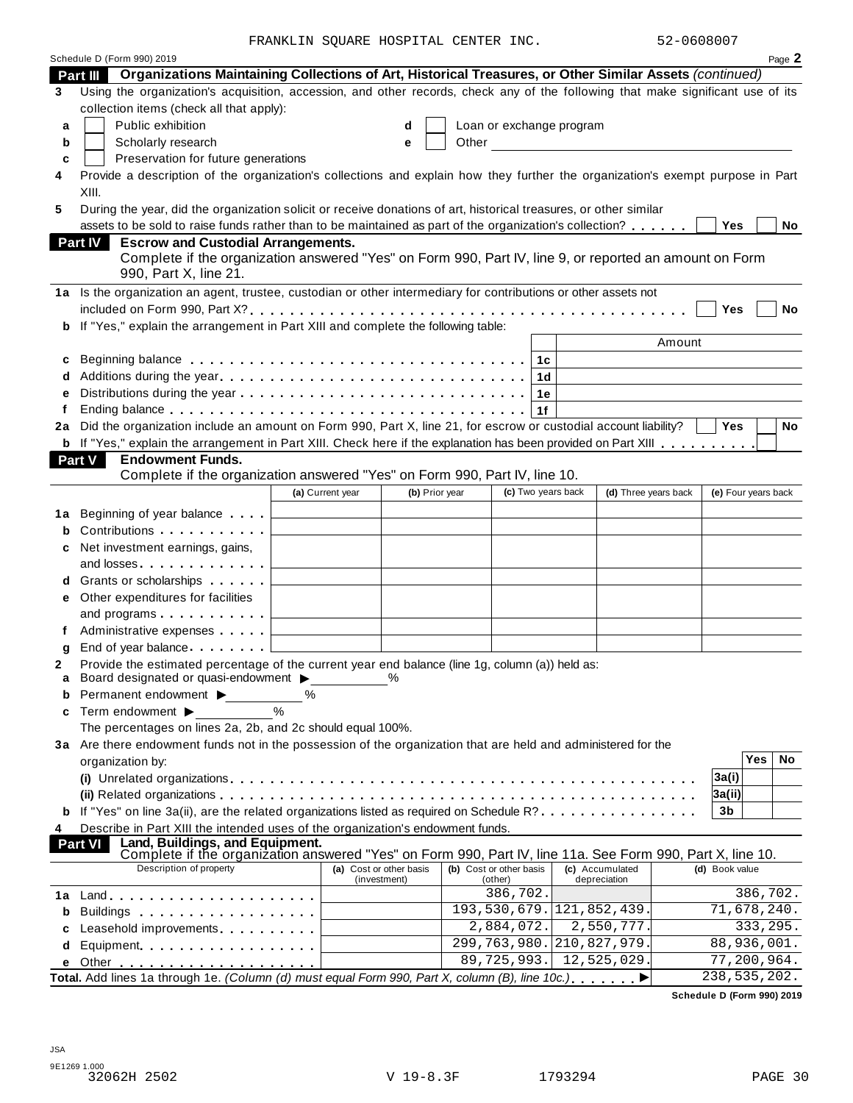FRANKLIN SQUARE HOSPITAL CENTER INC. 52-0608007

|        | Schedule D (Form 990) 2019                                                                                                                                                                                                    |                  |                         |  |                               |    |                 |                      |                            |                     | Page 2 |
|--------|-------------------------------------------------------------------------------------------------------------------------------------------------------------------------------------------------------------------------------|------------------|-------------------------|--|-------------------------------|----|-----------------|----------------------|----------------------------|---------------------|--------|
|        | Organizations Maintaining Collections of Art, Historical Treasures, or Other Similar Assets (continued)<br>Part III                                                                                                           |                  |                         |  |                               |    |                 |                      |                            |                     |        |
| 3      | Using the organization's acquisition, accession, and other records, check any of the following that make significant use of its                                                                                               |                  |                         |  |                               |    |                 |                      |                            |                     |        |
|        | collection items (check all that apply):                                                                                                                                                                                      |                  |                         |  |                               |    |                 |                      |                            |                     |        |
| a      | Public exhibition                                                                                                                                                                                                             |                  | d                       |  | Loan or exchange program      |    |                 |                      |                            |                     |        |
| b      | Scholarly research                                                                                                                                                                                                            |                  | е                       |  |                               |    |                 |                      |                            |                     |        |
| c      | Preservation for future generations                                                                                                                                                                                           |                  |                         |  |                               |    |                 |                      |                            |                     |        |
| 4      | Provide a description of the organization's collections and explain how they further the organization's exempt purpose in Part                                                                                                |                  |                         |  |                               |    |                 |                      |                            |                     |        |
|        | XIII.                                                                                                                                                                                                                         |                  |                         |  |                               |    |                 |                      |                            |                     |        |
| 5      | During the year, did the organization solicit or receive donations of art, historical treasures, or other similar                                                                                                             |                  |                         |  |                               |    |                 |                      |                            |                     |        |
|        | assets to be sold to raise funds rather than to be maintained as part of the organization's collection?                                                                                                                       |                  |                         |  |                               |    |                 |                      | Yes                        |                     | No     |
|        | <b>Escrow and Custodial Arrangements.</b><br><b>Part IV</b>                                                                                                                                                                   |                  |                         |  |                               |    |                 |                      |                            |                     |        |
|        | Complete if the organization answered "Yes" on Form 990, Part IV, line 9, or reported an amount on Form                                                                                                                       |                  |                         |  |                               |    |                 |                      |                            |                     |        |
|        | 990, Part X, line 21.                                                                                                                                                                                                         |                  |                         |  |                               |    |                 |                      |                            |                     |        |
|        | 1a Is the organization an agent, trustee, custodian or other intermediary for contributions or other assets not                                                                                                               |                  |                         |  |                               |    |                 |                      |                            |                     |        |
|        |                                                                                                                                                                                                                               |                  |                         |  |                               |    |                 |                      | Yes                        |                     | No     |
| b      | If "Yes," explain the arrangement in Part XIII and complete the following table:                                                                                                                                              |                  |                         |  |                               |    |                 |                      |                            |                     |        |
|        |                                                                                                                                                                                                                               |                  |                         |  |                               |    |                 | Amount               |                            |                     |        |
| c      | Beginning balance $\dots\dots\dots\dots\dots\dots\dots\dots\dots\dots\dots\dots\dots$                                                                                                                                         |                  |                         |  |                               |    |                 |                      |                            |                     |        |
|        |                                                                                                                                                                                                                               |                  |                         |  |                               | 1d |                 |                      |                            |                     |        |
|        |                                                                                                                                                                                                                               |                  |                         |  |                               | 1е |                 |                      |                            |                     |        |
|        | Ending balance $\ldots \ldots \ldots \ldots \ldots \ldots \ldots \ldots \ldots \ldots$                                                                                                                                        |                  |                         |  |                               |    |                 |                      |                            |                     |        |
| 2a     | Did the organization include an amount on Form 990, Part X, line 21, for escrow or custodial account liability?                                                                                                               |                  |                         |  |                               |    |                 |                      | <b>Yes</b>                 |                     | No     |
|        | <b>b</b> If "Yes," explain the arrangement in Part XIII. Check here if the explanation has been provided on Part XIII                                                                                                         |                  |                         |  |                               |    |                 |                      |                            |                     |        |
|        | Part V<br><b>Endowment Funds.</b>                                                                                                                                                                                             |                  |                         |  |                               |    |                 |                      |                            |                     |        |
|        | Complete if the organization answered "Yes" on Form 990, Part IV, line 10.                                                                                                                                                    |                  |                         |  |                               |    |                 |                      |                            |                     |        |
|        |                                                                                                                                                                                                                               | (a) Current year | (b) Prior year          |  | (c) Two years back            |    |                 | (d) Three years back |                            | (e) Four years back |        |
| 1a     | Beginning of year balance [100]                                                                                                                                                                                               |                  |                         |  |                               |    |                 |                      |                            |                     |        |
| b      | Contributions <b>Contributions</b>                                                                                                                                                                                            |                  |                         |  |                               |    |                 |                      |                            |                     |        |
|        | Net investment earnings, gains,                                                                                                                                                                                               |                  |                         |  |                               |    |                 |                      |                            |                     |        |
|        | and losses                                                                                                                                                                                                                    |                  |                         |  |                               |    |                 |                      |                            |                     |        |
|        |                                                                                                                                                                                                                               |                  |                         |  |                               |    |                 |                      |                            |                     |        |
|        | Grants or scholarships                                                                                                                                                                                                        |                  |                         |  |                               |    |                 |                      |                            |                     |        |
| е      | Other expenditures for facilities                                                                                                                                                                                             |                  |                         |  |                               |    |                 |                      |                            |                     |        |
|        |                                                                                                                                                                                                                               |                  |                         |  |                               |    |                 |                      |                            |                     |        |
|        | Administrative expenses                                                                                                                                                                                                       |                  |                         |  |                               |    |                 |                      |                            |                     |        |
| g      | End of year balance l                                                                                                                                                                                                         |                  |                         |  |                               |    |                 |                      |                            |                     |        |
| 2<br>a | Provide the estimated percentage of the current year end balance (line 1g, column (a)) held as:<br>Board designated or quasi-endowment >                                                                                      |                  | %                       |  |                               |    |                 |                      |                            |                     |        |
| b      | Permanent endowment ▶                                                                                                                                                                                                         | ℅                |                         |  |                               |    |                 |                      |                            |                     |        |
| c      | Term endowment ▶                                                                                                                                                                                                              | $\frac{0}{0}$    |                         |  |                               |    |                 |                      |                            |                     |        |
|        | The percentages on lines 2a, 2b, and 2c should equal 100%.                                                                                                                                                                    |                  |                         |  |                               |    |                 |                      |                            |                     |        |
|        | 3a Are there endowment funds not in the possession of the organization that are held and administered for the                                                                                                                 |                  |                         |  |                               |    |                 |                      |                            |                     |        |
|        | organization by:                                                                                                                                                                                                              |                  |                         |  |                               |    |                 |                      |                            | Yes                 | No     |
|        |                                                                                                                                                                                                                               |                  |                         |  |                               |    |                 |                      | 3a(i)                      |                     |        |
|        |                                                                                                                                                                                                                               |                  |                         |  |                               |    |                 |                      | 3a(ii)                     |                     |        |
|        | <b>b</b> If "Yes" on line 3a(ii), are the related organizations listed as required on Schedule R?                                                                                                                             |                  |                         |  |                               |    |                 |                      | 3b                         |                     |        |
| 4      | Describe in Part XIII the intended uses of the organization's endowment funds.                                                                                                                                                |                  |                         |  |                               |    |                 |                      |                            |                     |        |
|        | Land, Buildings, and Equipment.<br><b>Part VI</b>                                                                                                                                                                             |                  |                         |  |                               |    |                 |                      |                            |                     |        |
|        | Complete if the organization answered "Yes" on Form 990, Part IV, line 11a. See Form 990, Part X, line 10.                                                                                                                    |                  |                         |  |                               |    |                 |                      |                            |                     |        |
|        | Description of property                                                                                                                                                                                                       |                  | (a) Cost or other basis |  | (b) Cost or other basis       |    | (c) Accumulated |                      | (d) Book value             |                     |        |
| 1a     |                                                                                                                                                                                                                               |                  | (investment)            |  | (other)<br>386,702.           |    | depreciation    |                      |                            | 386,702.            |        |
| b      | Buildings experiences and the series of the series of the series of the series of the series of the series of the series of the series of the series of the series of the series of the series of the series of the series of |                  |                         |  | 193, 530, 679. 121, 852, 439. |    |                 |                      |                            | 71,678,240.         |        |
|        |                                                                                                                                                                                                                               |                  |                         |  | 2,884,072.                    |    |                 | 2,550,777.           |                            | 333,295.            |        |
| c      | Leasehold improvements experiences                                                                                                                                                                                            |                  |                         |  | 299,763,980.                  |    |                 | 210,827,979.         |                            | 88,936,001.         |        |
| d      | Equipment                                                                                                                                                                                                                     |                  |                         |  | 89,725,993.                   |    |                 | 12,525,029.          |                            | 77,200,964.         |        |
| е      | Total. Add lines 1a through 1e. (Column (d) must equal Form 990, Part X, column (B), line 10c.)                                                                                                                               |                  |                         |  |                               |    |                 |                      | 238,535,202.               |                     |        |
|        |                                                                                                                                                                                                                               |                  |                         |  |                               |    |                 |                      |                            |                     |        |
|        |                                                                                                                                                                                                                               |                  |                         |  |                               |    |                 |                      | Schedule D (Form 990) 2019 |                     |        |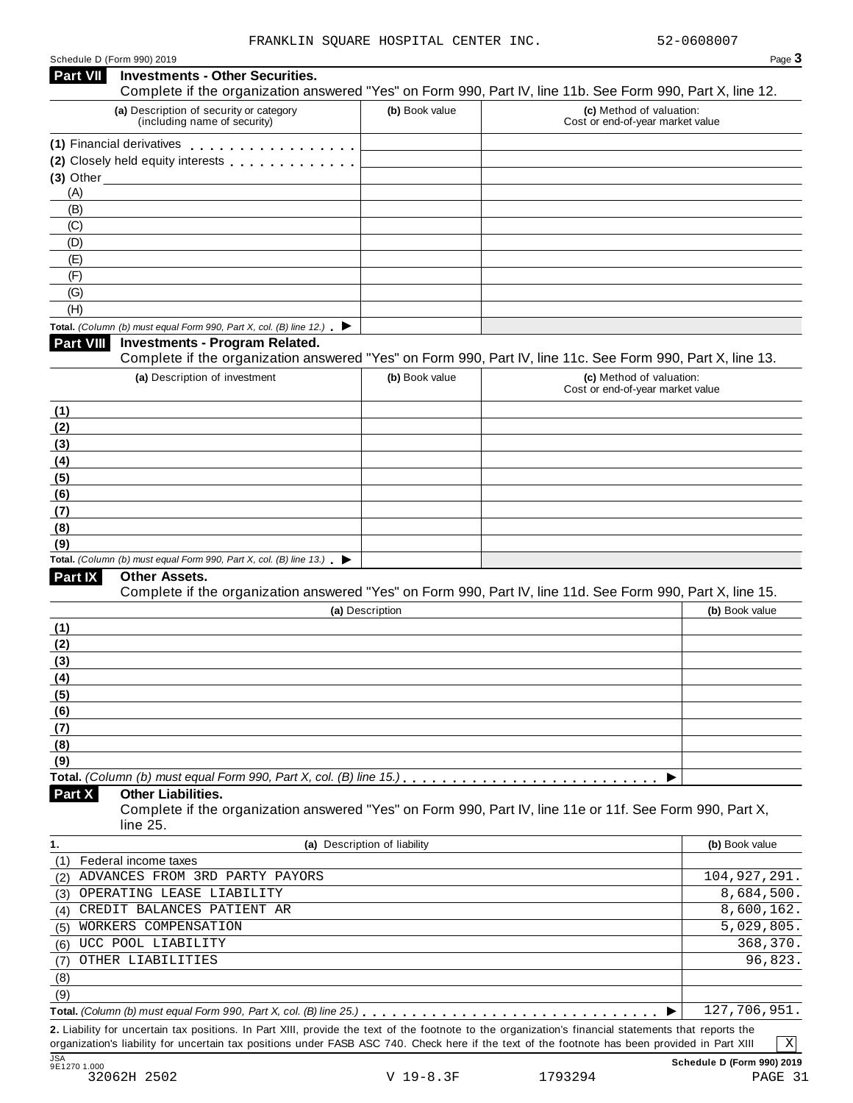| Schedule D (Form 990) 2019 |  |  |
|----------------------------|--|--|

|                                                               | Schedule D (Form 990) 2019<br><b>Investments - Other Securities.</b>                     |                              | Page 3                                                                                                                                                                     |
|---------------------------------------------------------------|------------------------------------------------------------------------------------------|------------------------------|----------------------------------------------------------------------------------------------------------------------------------------------------------------------------|
|                                                               | (a) Description of security or category<br>(including name of security)                  | (b) Book value               | Complete if the organization answered "Yes" on Form 990, Part IV, line 11b. See Form 990, Part X, line 12.<br>(c) Method of valuation:<br>Cost or end-of-year market value |
|                                                               | (1) Financial derivatives                                                                |                              |                                                                                                                                                                            |
|                                                               | (2) Closely held equity interests                                                        |                              |                                                                                                                                                                            |
| $(3)$ Other                                                   |                                                                                          |                              |                                                                                                                                                                            |
| (A)                                                           |                                                                                          |                              |                                                                                                                                                                            |
| (B)                                                           |                                                                                          |                              |                                                                                                                                                                            |
| (C)                                                           |                                                                                          |                              |                                                                                                                                                                            |
| (D)                                                           |                                                                                          |                              |                                                                                                                                                                            |
| (E)                                                           |                                                                                          |                              |                                                                                                                                                                            |
| (F)                                                           |                                                                                          |                              |                                                                                                                                                                            |
| (G)                                                           |                                                                                          |                              |                                                                                                                                                                            |
| (H)                                                           |                                                                                          |                              |                                                                                                                                                                            |
|                                                               | Total. (Column (b) must equal Form 990, Part X, col. (B) line 12.) $\blacktriangleright$ |                              |                                                                                                                                                                            |
| <b>Part VIII</b>                                              | <b>Investments - Program Related.</b>                                                    |                              |                                                                                                                                                                            |
|                                                               |                                                                                          |                              | Complete if the organization answered "Yes" on Form 990, Part IV, line 11c. See Form 990, Part X, line 13.                                                                 |
|                                                               | (a) Description of investment                                                            | (b) Book value               | (c) Method of valuation:                                                                                                                                                   |
|                                                               |                                                                                          |                              | Cost or end-of-year market value                                                                                                                                           |
| (1)                                                           |                                                                                          |                              |                                                                                                                                                                            |
| (2)                                                           |                                                                                          |                              |                                                                                                                                                                            |
| (3)                                                           |                                                                                          |                              |                                                                                                                                                                            |
| (4)                                                           |                                                                                          |                              |                                                                                                                                                                            |
| (5)                                                           |                                                                                          |                              |                                                                                                                                                                            |
| (6)                                                           |                                                                                          |                              |                                                                                                                                                                            |
| (7)                                                           |                                                                                          |                              |                                                                                                                                                                            |
| (8)                                                           |                                                                                          |                              |                                                                                                                                                                            |
| (9)                                                           |                                                                                          |                              |                                                                                                                                                                            |
|                                                               | Total. (Column (b) must equal Form 990, Part X, col. (B) line $13$ .)                    |                              |                                                                                                                                                                            |
| Part IX                                                       | <b>Other Assets.</b>                                                                     |                              |                                                                                                                                                                            |
|                                                               |                                                                                          |                              | Complete if the organization answered "Yes" on Form 990, Part IV, line 11d. See Form 990, Part X, line 15.                                                                 |
|                                                               |                                                                                          | (a) Description              | (b) Book value                                                                                                                                                             |
| (1)                                                           |                                                                                          |                              |                                                                                                                                                                            |
| (2)                                                           |                                                                                          |                              |                                                                                                                                                                            |
| (3)                                                           |                                                                                          |                              |                                                                                                                                                                            |
| (4)                                                           |                                                                                          |                              |                                                                                                                                                                            |
| (5)                                                           |                                                                                          |                              |                                                                                                                                                                            |
|                                                               |                                                                                          |                              |                                                                                                                                                                            |
|                                                               |                                                                                          |                              |                                                                                                                                                                            |
|                                                               |                                                                                          |                              |                                                                                                                                                                            |
|                                                               |                                                                                          |                              |                                                                                                                                                                            |
|                                                               |                                                                                          |                              |                                                                                                                                                                            |
|                                                               |                                                                                          |                              |                                                                                                                                                                            |
| (6)<br>(7)<br>(8)<br>(9)                                      |                                                                                          |                              | ▶                                                                                                                                                                          |
|                                                               | <b>Other Liabilities.</b>                                                                |                              |                                                                                                                                                                            |
|                                                               |                                                                                          |                              | Complete if the organization answered "Yes" on Form 990, Part IV, line 11e or 11f. See Form 990, Part X,                                                                   |
|                                                               | line 25.                                                                                 |                              |                                                                                                                                                                            |
|                                                               |                                                                                          | (a) Description of liability | (b) Book value                                                                                                                                                             |
|                                                               | Federal income taxes                                                                     |                              |                                                                                                                                                                            |
|                                                               | ADVANCES FROM 3RD PARTY PAYORS                                                           |                              | 104, 927, 291.                                                                                                                                                             |
|                                                               | OPERATING LEASE LIABILITY                                                                |                              | 8,684,500.                                                                                                                                                                 |
|                                                               | CREDIT BALANCES PATIENT AR                                                               |                              | 8,600,162.                                                                                                                                                                 |
|                                                               | WORKERS COMPENSATION                                                                     |                              | 5,029,805.                                                                                                                                                                 |
|                                                               | UCC POOL LIABILITY                                                                       |                              | 368,370.                                                                                                                                                                   |
| Part X<br>1.<br>(1)<br>(2)<br>(3)<br>(4)<br>(5)<br>(6)<br>(7) | OTHER LIABILITIES                                                                        |                              | 96,823.                                                                                                                                                                    |
| (8)                                                           |                                                                                          |                              |                                                                                                                                                                            |
| (9)                                                           |                                                                                          |                              | 127,706,951.                                                                                                                                                               |

organization's liability for uncertain tax positions under FASB ASC 740. Check here if the text of the footnote has been provided in Part XIII

X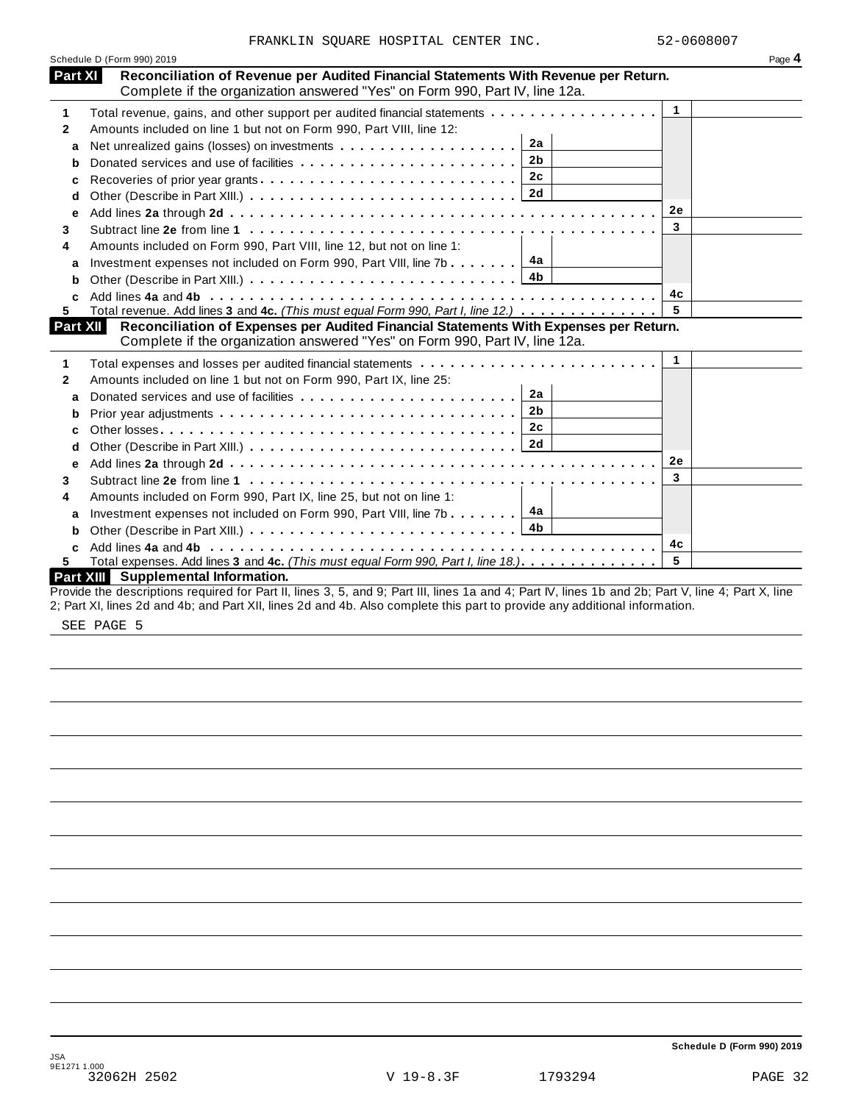|                | FRANKLIN SQUARE HOSPITAL CENTER INC.                                                                                                                               | 52-0608007           |        |
|----------------|--------------------------------------------------------------------------------------------------------------------------------------------------------------------|----------------------|--------|
|                | Schedule D (Form 990) 2019                                                                                                                                         |                      | Page 4 |
| <b>Part XI</b> | Reconciliation of Revenue per Audited Financial Statements With Revenue per Return.<br>Complete if the organization answered "Yes" on Form 990, Part IV, line 12a. |                      |        |
| 1              | Total revenue, gains, and other support per audited financial statements                                                                                           | $\blacktriangleleft$ |        |
| $\mathbf{2}$   | Amounts included on line 1 but not on Form 990, Part VIII, line 12:                                                                                                |                      |        |
| a              | 2a                                                                                                                                                                 |                      |        |
| b              | 2 <sub>b</sub>                                                                                                                                                     |                      |        |
| c              | 2c                                                                                                                                                                 |                      |        |
| d              |                                                                                                                                                                    |                      |        |
| e              |                                                                                                                                                                    | 2e                   |        |
| 3              |                                                                                                                                                                    | 3                    |        |
| 4              | Amounts included on Form 990, Part VIII, line 12, but not on line 1:                                                                                               |                      |        |
| a              | Investment expenses not included on Form 990, Part VIII, line 7b $\boxed{4a}$                                                                                      |                      |        |
| b              |                                                                                                                                                                    |                      |        |
| C              |                                                                                                                                                                    | 4c                   |        |
|                | Total revenue. Add lines 3 and 4c. (This must equal Form 990, Part I, line 12.)                                                                                    |                      |        |
| 5.             |                                                                                                                                                                    | 5                    |        |
| Part XII       | Reconciliation of Expenses per Audited Financial Statements With Expenses per Return.                                                                              |                      |        |
|                | Complete if the organization answered "Yes" on Form 990, Part IV, line 12a.                                                                                        |                      |        |
| 1              |                                                                                                                                                                    | $\mathbf{1}$         |        |
| $\mathbf{2}$   | Amounts included on line 1 but not on Form 990, Part IX, line 25:                                                                                                  |                      |        |
| a              | 2a                                                                                                                                                                 |                      |        |
| b              | 2 <sub>b</sub>                                                                                                                                                     |                      |        |
| c              |                                                                                                                                                                    |                      |        |
| d              |                                                                                                                                                                    |                      |        |
| е              |                                                                                                                                                                    | <b>2e</b>            |        |
| 3              |                                                                                                                                                                    | 3                    |        |
| 4              |                                                                                                                                                                    |                      |        |
|                | Amounts included on Form 990, Part IX, line 25, but not on line 1:                                                                                                 |                      |        |
| a<br>b         | Investment expenses not included on Form 990, Part VIII, line 7b 4a                                                                                                |                      |        |
| C              |                                                                                                                                                                    | 4c                   |        |
| 5.             | Total expenses. Add lines 3 and 4c. (This must equal Form 990, Part I, line 18.)                                                                                   | 5                    |        |

SEE PAGE 5

**Schedule D (Form 990) 2019**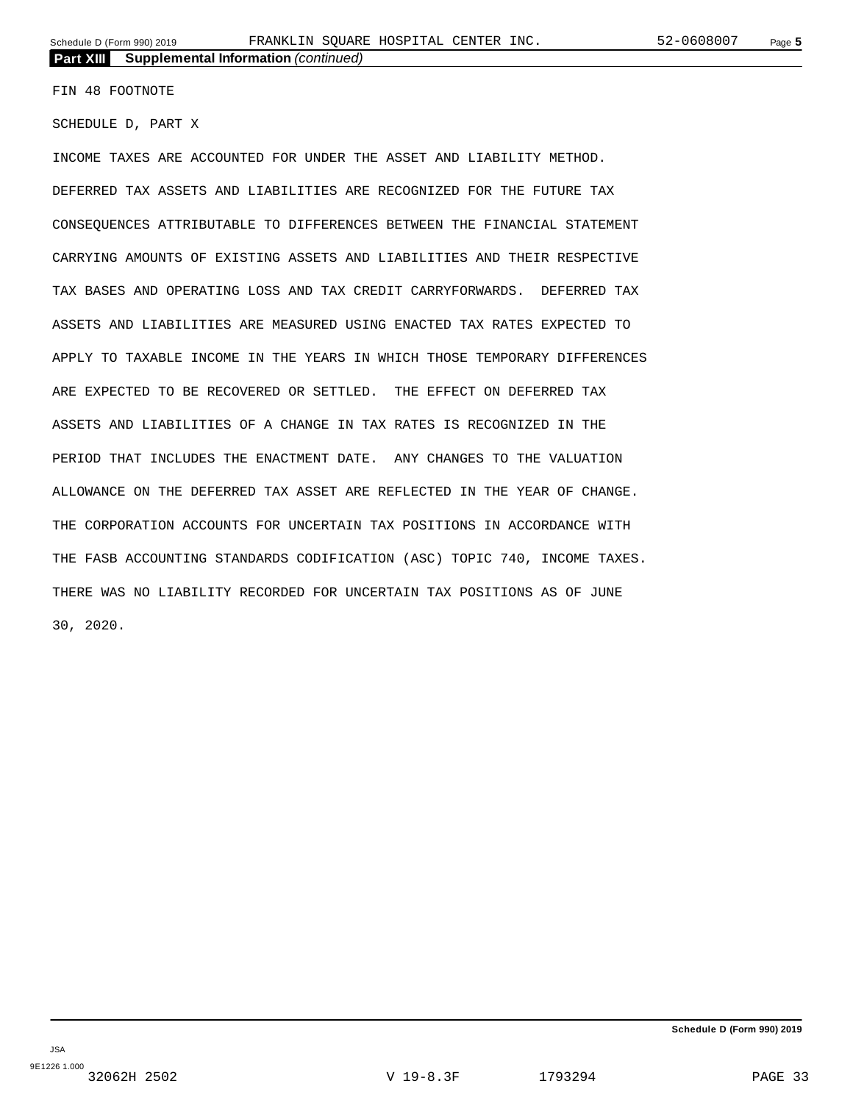FIN 48 FOOTNOTE

SCHEDULE D, PART X

INCOME TAXES ARE ACCOUNTED FOR UNDER THE ASSET AND LIABILITY METHOD. DEFERRED TAX ASSETS AND LIABILITIES ARE RECOGNIZED FOR THE FUTURE TAX CONSEQUENCES ATTRIBUTABLE TO DIFFERENCES BETWEEN THE FINANCIAL STATEMENT CARRYING AMOUNTS OF EXISTING ASSETS AND LIABILITIES AND THEIR RESPECTIVE TAX BASES AND OPERATING LOSS AND TAX CREDIT CARRYFORWARDS. DEFERRED TAX ASSETS AND LIABILITIES ARE MEASURED USING ENACTED TAX RATES EXPECTED TO APPLY TO TAXABLE INCOME IN THE YEARS IN WHICH THOSE TEMPORARY DIFFERENCES ARE EXPECTED TO BE RECOVERED OR SETTLED. THE EFFECT ON DEFERRED TAX ASSETS AND LIABILITIES OF A CHANGE IN TAX RATES IS RECOGNIZED IN THE PERIOD THAT INCLUDES THE ENACTMENT DATE. ANY CHANGES TO THE VALUATION ALLOWANCE ON THE DEFERRED TAX ASSET ARE REFLECTED IN THE YEAR OF CHANGE. THE CORPORATION ACCOUNTS FOR UNCERTAIN TAX POSITIONS IN ACCORDANCE WITH THE FASB ACCOUNTING STANDARDS CODIFICATION (ASC) TOPIC 740, INCOME TAXES. THERE WAS NO LIABILITY RECORDED FOR UNCERTAIN TAX POSITIONS AS OF JUNE 30, 2020.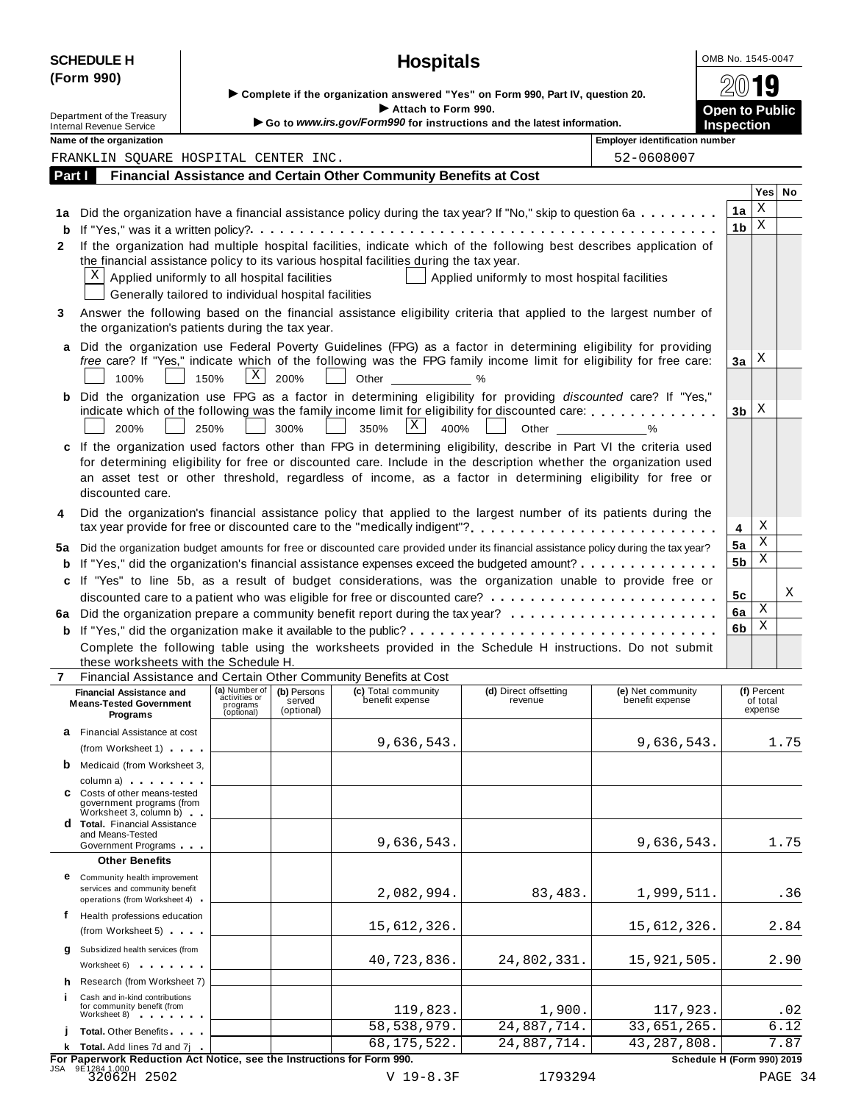|              | <b>SCHEDULE H</b>                                                                                                                                                                                                             |                                                                                                          |                       | <b>Hospitals</b>                                                                                                                       |                                               |                                       | OMB No. 1545-0047     |                         |      |  |  |  |
|--------------|-------------------------------------------------------------------------------------------------------------------------------------------------------------------------------------------------------------------------------|----------------------------------------------------------------------------------------------------------|-----------------------|----------------------------------------------------------------------------------------------------------------------------------------|-----------------------------------------------|---------------------------------------|-----------------------|-------------------------|------|--|--|--|
|              | (Form 990)                                                                                                                                                                                                                    |                                                                                                          |                       |                                                                                                                                        |                                               |                                       |                       |                         |      |  |  |  |
|              |                                                                                                                                                                                                                               |                                                                                                          |                       | Complete if the organization answered "Yes" on Form 990, Part IV, question 20.                                                         |                                               |                                       |                       |                         |      |  |  |  |
|              | Department of the Treasury                                                                                                                                                                                                    |                                                                                                          |                       | Attach to Form 990.<br>Go to www.irs.gov/Form990 for instructions and the latest information.                                          |                                               |                                       | <b>Open to Public</b> |                         |      |  |  |  |
|              | Internal Revenue Service<br>Name of the organization                                                                                                                                                                          |                                                                                                          |                       |                                                                                                                                        |                                               | <b>Employer identification number</b> | <b>Inspection</b>     |                         |      |  |  |  |
|              | FRANKLIN SQUARE HOSPITAL CENTER INC.                                                                                                                                                                                          |                                                                                                          |                       |                                                                                                                                        |                                               | 52-0608007                            |                       |                         |      |  |  |  |
| Part I       |                                                                                                                                                                                                                               |                                                                                                          |                       | Financial Assistance and Certain Other Community Benefits at Cost                                                                      |                                               |                                       |                       |                         |      |  |  |  |
|              |                                                                                                                                                                                                                               |                                                                                                          |                       |                                                                                                                                        |                                               |                                       |                       | Yes                     | No   |  |  |  |
|              |                                                                                                                                                                                                                               |                                                                                                          |                       | 1a Did the organization have a financial assistance policy during the tax year? If "No," skip to question 6a                           |                                               |                                       | 1a                    | Χ                       |      |  |  |  |
|              |                                                                                                                                                                                                                               |                                                                                                          |                       |                                                                                                                                        |                                               |                                       | 1 <sub>b</sub>        | Χ                       |      |  |  |  |
| $\mathbf{2}$ |                                                                                                                                                                                                                               |                                                                                                          |                       | If the organization had multiple hospital facilities, indicate which of the following best describes application of                    |                                               |                                       |                       |                         |      |  |  |  |
|              |                                                                                                                                                                                                                               |                                                                                                          |                       | the financial assistance policy to its various hospital facilities during the tax year.                                                |                                               |                                       |                       |                         |      |  |  |  |
|              | X                                                                                                                                                                                                                             | Applied uniformly to all hospital facilities                                                             |                       |                                                                                                                                        | Applied uniformly to most hospital facilities |                                       |                       |                         |      |  |  |  |
|              |                                                                                                                                                                                                                               | Generally tailored to individual hospital facilities                                                     |                       |                                                                                                                                        |                                               |                                       |                       |                         |      |  |  |  |
| 3            |                                                                                                                                                                                                                               |                                                                                                          |                       | Answer the following based on the financial assistance eligibility criteria that applied to the largest number of                      |                                               |                                       |                       |                         |      |  |  |  |
|              | the organization's patients during the tax year.                                                                                                                                                                              |                                                                                                          |                       |                                                                                                                                        |                                               |                                       |                       |                         |      |  |  |  |
|              |                                                                                                                                                                                                                               |                                                                                                          |                       | a Did the organization use Federal Poverty Guidelines (FPG) as a factor in determining eligibility for providing                       |                                               |                                       |                       |                         |      |  |  |  |
|              |                                                                                                                                                                                                                               |                                                                                                          |                       | free care? If "Yes," indicate which of the following was the FPG family income limit for eligibility for free care:                    |                                               |                                       | 3a                    | Χ                       |      |  |  |  |
|              | 100%                                                                                                                                                                                                                          | Χ<br>150%                                                                                                | 200%                  | Other                                                                                                                                  | %                                             |                                       |                       |                         |      |  |  |  |
|              |                                                                                                                                                                                                                               |                                                                                                          |                       | b Did the organization use FPG as a factor in determining eligibility for providing discounted care? If "Yes,"                         |                                               |                                       |                       |                         |      |  |  |  |
|              |                                                                                                                                                                                                                               |                                                                                                          |                       | indicate which of the following was the family income limit for eligibility for discounted care:                                       |                                               |                                       | 3 <sub>b</sub>        | Х                       |      |  |  |  |
|              | 200%                                                                                                                                                                                                                          | 250%                                                                                                     | 300%                  | X<br>350%<br>400%                                                                                                                      | Other                                         | $\%$                                  |                       |                         |      |  |  |  |
|              |                                                                                                                                                                                                                               |                                                                                                          |                       | c If the organization used factors other than FPG in determining eligibility, describe in Part VI the criteria used                    |                                               |                                       |                       |                         |      |  |  |  |
|              |                                                                                                                                                                                                                               |                                                                                                          |                       | for determining eligibility for free or discounted care. Include in the description whether the organization used                      |                                               |                                       |                       |                         |      |  |  |  |
|              |                                                                                                                                                                                                                               |                                                                                                          |                       | an asset test or other threshold, regardless of income, as a factor in determining eligibility for free or                             |                                               |                                       |                       |                         |      |  |  |  |
|              | discounted care.                                                                                                                                                                                                              |                                                                                                          |                       |                                                                                                                                        |                                               |                                       |                       |                         |      |  |  |  |
| 4            |                                                                                                                                                                                                                               |                                                                                                          |                       | Did the organization's financial assistance policy that applied to the largest number of its patients during the                       |                                               |                                       |                       | Χ                       |      |  |  |  |
|              |                                                                                                                                                                                                                               |                                                                                                          |                       | tax year provide for free or discounted care to the "medically indigent"?                                                              |                                               |                                       | 4                     | Χ                       |      |  |  |  |
|              |                                                                                                                                                                                                                               |                                                                                                          |                       | 5a Did the organization budget amounts for free or discounted care provided under its financial assistance policy during the tax year? |                                               |                                       | 5a                    | Χ                       |      |  |  |  |
|              |                                                                                                                                                                                                                               |                                                                                                          |                       | <b>b</b> If "Yes," did the organization's financial assistance expenses exceed the budgeted amount?                                    |                                               |                                       | 5 <sub>b</sub>        |                         |      |  |  |  |
|              |                                                                                                                                                                                                                               |                                                                                                          |                       | c If "Yes" to line 5b, as a result of budget considerations, was the organization unable to provide free or                            |                                               |                                       |                       |                         | Χ    |  |  |  |
|              |                                                                                                                                                                                                                               |                                                                                                          |                       |                                                                                                                                        |                                               |                                       |                       | 5c<br>Χ<br>6a           |      |  |  |  |
|              |                                                                                                                                                                                                                               |                                                                                                          |                       |                                                                                                                                        |                                               |                                       | 6b                    | Χ                       |      |  |  |  |
|              |                                                                                                                                                                                                                               | Complete the following table using the worksheets provided in the Schedule H instructions. Do not submit |                       |                                                                                                                                        |                                               |                                       |                       |                         |      |  |  |  |
|              | these worksheets with the Schedule H.                                                                                                                                                                                         |                                                                                                          |                       |                                                                                                                                        |                                               |                                       |                       |                         |      |  |  |  |
| 7            |                                                                                                                                                                                                                               |                                                                                                          |                       | Financial Assistance and Certain Other Community Benefits at Cost                                                                      |                                               |                                       |                       |                         |      |  |  |  |
|              | <b>Financial Assistance and</b>                                                                                                                                                                                               | (a) Number of<br>activities or                                                                           | (b) Persons<br>served | (c) Total community<br>benefit expense                                                                                                 | (d) Direct offsetting<br>revenue              | (e) Net community<br>benefit expense  |                       | (f) Percent<br>of total |      |  |  |  |
|              | <b>Means-Tested Government</b><br>Programs                                                                                                                                                                                    | programs<br>(optional)                                                                                   | (optional)            |                                                                                                                                        |                                               |                                       |                       | expense                 |      |  |  |  |
|              | <b>a</b> Financial Assistance at cost                                                                                                                                                                                         |                                                                                                          |                       |                                                                                                                                        |                                               |                                       |                       |                         |      |  |  |  |
|              | (from Worksheet 1)                                                                                                                                                                                                            |                                                                                                          |                       | 9,636,543.                                                                                                                             |                                               | 9,636,543.                            |                       |                         | 1.75 |  |  |  |
|              | <b>b</b> Medicaid (from Worksheet 3,                                                                                                                                                                                          |                                                                                                          |                       |                                                                                                                                        |                                               |                                       |                       |                         |      |  |  |  |
|              | column a) column a                                                                                                                                                                                                            |                                                                                                          |                       |                                                                                                                                        |                                               |                                       |                       |                         |      |  |  |  |
|              | C Costs of other means-tested<br>government programs (from                                                                                                                                                                    |                                                                                                          |                       |                                                                                                                                        |                                               |                                       |                       |                         |      |  |  |  |
|              | Worksheet 3, column b)<br><b>d</b> Total. Financial Assistance                                                                                                                                                                |                                                                                                          |                       |                                                                                                                                        |                                               |                                       |                       |                         |      |  |  |  |
|              | and Means-Tested                                                                                                                                                                                                              |                                                                                                          |                       | 9,636,543.                                                                                                                             |                                               |                                       |                       |                         | 1.75 |  |  |  |
|              | Government Programs                                                                                                                                                                                                           |                                                                                                          |                       |                                                                                                                                        |                                               | 9,636,543.                            |                       |                         |      |  |  |  |
|              | <b>Other Benefits</b>                                                                                                                                                                                                         |                                                                                                          |                       |                                                                                                                                        |                                               |                                       |                       |                         |      |  |  |  |
|              | <b>e</b> Community health improvement<br>services and community benefit                                                                                                                                                       |                                                                                                          |                       | 2,082,994.                                                                                                                             | 83,483.                                       | 1,999,511.                            |                       |                         | .36  |  |  |  |
|              | operations (from Worksheet 4)                                                                                                                                                                                                 |                                                                                                          |                       |                                                                                                                                        |                                               |                                       |                       |                         |      |  |  |  |
| f            | Health professions education                                                                                                                                                                                                  |                                                                                                          |                       | 15,612,326.                                                                                                                            |                                               | 15,612,326.                           |                       |                         | 2.84 |  |  |  |
|              | (from Worksheet 5)                                                                                                                                                                                                            |                                                                                                          |                       |                                                                                                                                        |                                               |                                       |                       |                         |      |  |  |  |
| q            | Subsidized health services (from                                                                                                                                                                                              |                                                                                                          |                       | 40,723,836.                                                                                                                            | 24,802,331.                                   | 15,921,505.                           |                       |                         | 2.90 |  |  |  |
|              | Worksheet 6) and the material control of the material of the material control of the material of the material of the material of the material of the material of the material of the material of the material of the material |                                                                                                          |                       |                                                                                                                                        |                                               |                                       |                       |                         |      |  |  |  |
|              | Research (from Worksheet 7)                                                                                                                                                                                                   |                                                                                                          |                       |                                                                                                                                        |                                               |                                       |                       |                         |      |  |  |  |
|              | Cash and in-kind contributions<br>for community benefit (from                                                                                                                                                                 |                                                                                                          |                       | 119,823.                                                                                                                               | 1,900.                                        | 117,923.                              |                       |                         | .02  |  |  |  |
|              | Worksheet 8) Norwell and The Contract of the U.S.                                                                                                                                                                             |                                                                                                          |                       | 58, 538, 979.                                                                                                                          | 24,887,714.                                   | 33,651,265.                           |                       |                         | 6.12 |  |  |  |
|              | <b>Total.</b> Other Benefits<br>k Total. Add lines 7d and 7j                                                                                                                                                                  |                                                                                                          |                       | 68, 175, 522.                                                                                                                          | 24,887,714.                                   | 43, 287, 808.                         |                       |                         | 7.87 |  |  |  |
|              |                                                                                                                                                                                                                               |                                                                                                          |                       | For Paperwork Reduction Act Notice, see the Instructions for Form 990.                                                                 |                                               | Schedule H (Form 990) 2019            |                       |                         |      |  |  |  |

JSA 9E1284 1.000 32062H 2502 V 19-8.3F 1793294 PAGE 34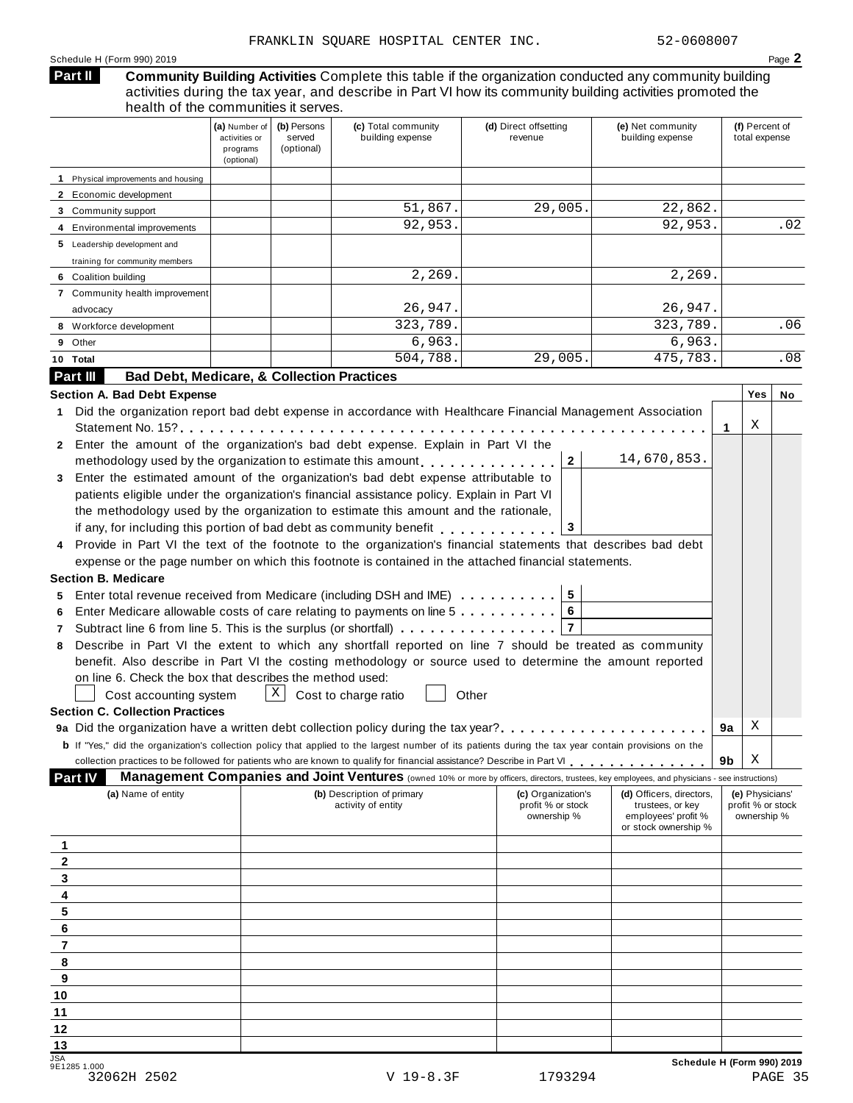#### Schedule H (Form 990) 2019 Page **2**

#### **Community Building Activities** Complete this table if the organization conducted any community building activities during the tax year, and describe in Part VI how its community building activities promoted the health of the communities it serves. **Part II**

|                                                                                                                                                                                                                                                                                                                                             | (a) Number of<br>activities or<br>programs<br>(optional) | (b) Persons<br>served<br>(optional) | (c) Total community<br>building expense                                                                                                                                                                                                                                                                                                                                                                                                                                                                                                                                                                                                                                                                                                                                                                                                                                                                                                                                                                                                                                                                                                                                                                                                                                                                                                                                                                                                                                                                                             | (d) Direct offsetting<br>revenue                       | (e) Net community<br>building expense                                                       | (f) Percent of<br>total expense                     |     |
|---------------------------------------------------------------------------------------------------------------------------------------------------------------------------------------------------------------------------------------------------------------------------------------------------------------------------------------------|----------------------------------------------------------|-------------------------------------|-------------------------------------------------------------------------------------------------------------------------------------------------------------------------------------------------------------------------------------------------------------------------------------------------------------------------------------------------------------------------------------------------------------------------------------------------------------------------------------------------------------------------------------------------------------------------------------------------------------------------------------------------------------------------------------------------------------------------------------------------------------------------------------------------------------------------------------------------------------------------------------------------------------------------------------------------------------------------------------------------------------------------------------------------------------------------------------------------------------------------------------------------------------------------------------------------------------------------------------------------------------------------------------------------------------------------------------------------------------------------------------------------------------------------------------------------------------------------------------------------------------------------------------|--------------------------------------------------------|---------------------------------------------------------------------------------------------|-----------------------------------------------------|-----|
| 1 Physical improvements and housing                                                                                                                                                                                                                                                                                                         |                                                          |                                     |                                                                                                                                                                                                                                                                                                                                                                                                                                                                                                                                                                                                                                                                                                                                                                                                                                                                                                                                                                                                                                                                                                                                                                                                                                                                                                                                                                                                                                                                                                                                     |                                                        |                                                                                             |                                                     |     |
| 2 Economic development                                                                                                                                                                                                                                                                                                                      |                                                          |                                     |                                                                                                                                                                                                                                                                                                                                                                                                                                                                                                                                                                                                                                                                                                                                                                                                                                                                                                                                                                                                                                                                                                                                                                                                                                                                                                                                                                                                                                                                                                                                     |                                                        |                                                                                             |                                                     |     |
| 3 Community support                                                                                                                                                                                                                                                                                                                         |                                                          |                                     | 51,867.                                                                                                                                                                                                                                                                                                                                                                                                                                                                                                                                                                                                                                                                                                                                                                                                                                                                                                                                                                                                                                                                                                                                                                                                                                                                                                                                                                                                                                                                                                                             | 29,005.                                                | 22,862.                                                                                     |                                                     |     |
| 4 Environmental improvements                                                                                                                                                                                                                                                                                                                |                                                          |                                     | 92,953.                                                                                                                                                                                                                                                                                                                                                                                                                                                                                                                                                                                                                                                                                                                                                                                                                                                                                                                                                                                                                                                                                                                                                                                                                                                                                                                                                                                                                                                                                                                             |                                                        | 92,953.                                                                                     |                                                     | .02 |
| 5 Leadership development and                                                                                                                                                                                                                                                                                                                |                                                          |                                     |                                                                                                                                                                                                                                                                                                                                                                                                                                                                                                                                                                                                                                                                                                                                                                                                                                                                                                                                                                                                                                                                                                                                                                                                                                                                                                                                                                                                                                                                                                                                     |                                                        |                                                                                             |                                                     |     |
| training for community members                                                                                                                                                                                                                                                                                                              |                                                          |                                     |                                                                                                                                                                                                                                                                                                                                                                                                                                                                                                                                                                                                                                                                                                                                                                                                                                                                                                                                                                                                                                                                                                                                                                                                                                                                                                                                                                                                                                                                                                                                     |                                                        |                                                                                             |                                                     |     |
| 6 Coalition building                                                                                                                                                                                                                                                                                                                        |                                                          |                                     | 2,269.                                                                                                                                                                                                                                                                                                                                                                                                                                                                                                                                                                                                                                                                                                                                                                                                                                                                                                                                                                                                                                                                                                                                                                                                                                                                                                                                                                                                                                                                                                                              |                                                        | 2,269.                                                                                      |                                                     |     |
| 7 Community health improvement                                                                                                                                                                                                                                                                                                              |                                                          |                                     |                                                                                                                                                                                                                                                                                                                                                                                                                                                                                                                                                                                                                                                                                                                                                                                                                                                                                                                                                                                                                                                                                                                                                                                                                                                                                                                                                                                                                                                                                                                                     |                                                        |                                                                                             |                                                     |     |
| advocacy                                                                                                                                                                                                                                                                                                                                    |                                                          |                                     | 26,947.                                                                                                                                                                                                                                                                                                                                                                                                                                                                                                                                                                                                                                                                                                                                                                                                                                                                                                                                                                                                                                                                                                                                                                                                                                                                                                                                                                                                                                                                                                                             |                                                        | 26,947.                                                                                     |                                                     |     |
| 8 Workforce development                                                                                                                                                                                                                                                                                                                     |                                                          |                                     | 323,789.                                                                                                                                                                                                                                                                                                                                                                                                                                                                                                                                                                                                                                                                                                                                                                                                                                                                                                                                                                                                                                                                                                                                                                                                                                                                                                                                                                                                                                                                                                                            |                                                        | 323,789.                                                                                    |                                                     | .06 |
| 9 Other                                                                                                                                                                                                                                                                                                                                     |                                                          |                                     | 6,963.                                                                                                                                                                                                                                                                                                                                                                                                                                                                                                                                                                                                                                                                                                                                                                                                                                                                                                                                                                                                                                                                                                                                                                                                                                                                                                                                                                                                                                                                                                                              |                                                        | 6,963.                                                                                      |                                                     |     |
| 10 Total                                                                                                                                                                                                                                                                                                                                    |                                                          |                                     | 504,788.                                                                                                                                                                                                                                                                                                                                                                                                                                                                                                                                                                                                                                                                                                                                                                                                                                                                                                                                                                                                                                                                                                                                                                                                                                                                                                                                                                                                                                                                                                                            | 29,005.                                                | 475,783.                                                                                    |                                                     | .08 |
| Part III<br><b>Bad Debt, Medicare, &amp; Collection Practices</b>                                                                                                                                                                                                                                                                           |                                                          |                                     |                                                                                                                                                                                                                                                                                                                                                                                                                                                                                                                                                                                                                                                                                                                                                                                                                                                                                                                                                                                                                                                                                                                                                                                                                                                                                                                                                                                                                                                                                                                                     |                                                        |                                                                                             |                                                     |     |
| Section A. Bad Debt Expense<br>1.<br>Statement No. $15$ ?<br>2<br>3<br><b>Section B. Medicare</b><br>5<br>6<br>7<br>8<br>on line 6. Check the box that describes the method used:<br>Cost accounting system<br><b>Section C. Collection Practices</b><br>9a Did the organization have a written debt collection policy during the tax year? |                                                          | Χ                                   | Did the organization report bad debt expense in accordance with Healthcare Financial Management Association<br>Enter the amount of the organization's bad debt expense. Explain in Part VI the<br>methodology used by the organization to estimate this amount q and providence in the case of methodology used by the organization to estimate the case of the control of the control of the control of the control of methodol<br>Enter the estimated amount of the organization's bad debt expense attributable to<br>patients eligible under the organization's financial assistance policy. Explain in Part VI<br>the methodology used by the organization to estimate this amount and the rationale,<br>if any, for including this portion of bad debt as community benefit entitled in the case of the set of the set<br>Provide in Part VI the text of the footnote to the organization's financial statements that describes bad debt<br>expense or the page number on which this footnote is contained in the attached financial statements.<br>Enter total revenue received from Medicare (including DSH and IME) 5<br>Enter Medicare allowable costs of care relating to payments on line 5<br>Subtract line 6 from line 5. This is the surplus (or shortfall)<br>Describe in Part VI the extent to which any shortfall reported on line 7 should be treated as community<br>benefit. Also describe in Part VI the costing methodology or source used to determine the amount reported<br>Cost to charge ratio<br>Other | $\mathbf{2}$<br>3<br>6<br>$\overline{7}$               | 14,670,853.                                                                                 | Yes<br>X<br>1.<br>Χ<br>9a                           | No  |
| <b>b</b> If "Yes," did the organization's collection policy that applied to the largest number of its patients during the tax year contain provisions on the                                                                                                                                                                                |                                                          |                                     |                                                                                                                                                                                                                                                                                                                                                                                                                                                                                                                                                                                                                                                                                                                                                                                                                                                                                                                                                                                                                                                                                                                                                                                                                                                                                                                                                                                                                                                                                                                                     |                                                        |                                                                                             |                                                     |     |
|                                                                                                                                                                                                                                                                                                                                             |                                                          |                                     | collection practices to be followed for patients who are known to qualify for financial assistance? Describe in Part VI                                                                                                                                                                                                                                                                                                                                                                                                                                                                                                                                                                                                                                                                                                                                                                                                                                                                                                                                                                                                                                                                                                                                                                                                                                                                                                                                                                                                             |                                                        |                                                                                             | Χ<br>9b                                             |     |
| <b>Part IV</b>                                                                                                                                                                                                                                                                                                                              |                                                          |                                     | <b>Management Companies and Joint Ventures</b> (owned 10% or more by officers, directors, trustees, key employees, and physicians - see instructions)                                                                                                                                                                                                                                                                                                                                                                                                                                                                                                                                                                                                                                                                                                                                                                                                                                                                                                                                                                                                                                                                                                                                                                                                                                                                                                                                                                               |                                                        |                                                                                             |                                                     |     |
| (a) Name of entity                                                                                                                                                                                                                                                                                                                          |                                                          |                                     | (b) Description of primary<br>activity of entity                                                                                                                                                                                                                                                                                                                                                                                                                                                                                                                                                                                                                                                                                                                                                                                                                                                                                                                                                                                                                                                                                                                                                                                                                                                                                                                                                                                                                                                                                    | (c) Organization's<br>profit % or stock<br>ownership % | (d) Officers, directors,<br>trustees, or key<br>employees' profit %<br>or stock ownership % | (e) Physicians'<br>profit % or stock<br>ownership % |     |
| 1                                                                                                                                                                                                                                                                                                                                           |                                                          |                                     |                                                                                                                                                                                                                                                                                                                                                                                                                                                                                                                                                                                                                                                                                                                                                                                                                                                                                                                                                                                                                                                                                                                                                                                                                                                                                                                                                                                                                                                                                                                                     |                                                        |                                                                                             |                                                     |     |
| 2                                                                                                                                                                                                                                                                                                                                           |                                                          |                                     |                                                                                                                                                                                                                                                                                                                                                                                                                                                                                                                                                                                                                                                                                                                                                                                                                                                                                                                                                                                                                                                                                                                                                                                                                                                                                                                                                                                                                                                                                                                                     |                                                        |                                                                                             |                                                     |     |
| 3                                                                                                                                                                                                                                                                                                                                           |                                                          |                                     |                                                                                                                                                                                                                                                                                                                                                                                                                                                                                                                                                                                                                                                                                                                                                                                                                                                                                                                                                                                                                                                                                                                                                                                                                                                                                                                                                                                                                                                                                                                                     |                                                        |                                                                                             |                                                     |     |
| 4                                                                                                                                                                                                                                                                                                                                           |                                                          |                                     |                                                                                                                                                                                                                                                                                                                                                                                                                                                                                                                                                                                                                                                                                                                                                                                                                                                                                                                                                                                                                                                                                                                                                                                                                                                                                                                                                                                                                                                                                                                                     |                                                        |                                                                                             |                                                     |     |
| 5                                                                                                                                                                                                                                                                                                                                           |                                                          |                                     |                                                                                                                                                                                                                                                                                                                                                                                                                                                                                                                                                                                                                                                                                                                                                                                                                                                                                                                                                                                                                                                                                                                                                                                                                                                                                                                                                                                                                                                                                                                                     |                                                        |                                                                                             |                                                     |     |
| 6                                                                                                                                                                                                                                                                                                                                           |                                                          |                                     |                                                                                                                                                                                                                                                                                                                                                                                                                                                                                                                                                                                                                                                                                                                                                                                                                                                                                                                                                                                                                                                                                                                                                                                                                                                                                                                                                                                                                                                                                                                                     |                                                        |                                                                                             |                                                     |     |
| $\overline{\mathbf{r}}$                                                                                                                                                                                                                                                                                                                     |                                                          |                                     |                                                                                                                                                                                                                                                                                                                                                                                                                                                                                                                                                                                                                                                                                                                                                                                                                                                                                                                                                                                                                                                                                                                                                                                                                                                                                                                                                                                                                                                                                                                                     |                                                        |                                                                                             |                                                     |     |
| 8                                                                                                                                                                                                                                                                                                                                           |                                                          |                                     |                                                                                                                                                                                                                                                                                                                                                                                                                                                                                                                                                                                                                                                                                                                                                                                                                                                                                                                                                                                                                                                                                                                                                                                                                                                                                                                                                                                                                                                                                                                                     |                                                        |                                                                                             |                                                     |     |
| 9                                                                                                                                                                                                                                                                                                                                           |                                                          |                                     |                                                                                                                                                                                                                                                                                                                                                                                                                                                                                                                                                                                                                                                                                                                                                                                                                                                                                                                                                                                                                                                                                                                                                                                                                                                                                                                                                                                                                                                                                                                                     |                                                        |                                                                                             |                                                     |     |
| 10                                                                                                                                                                                                                                                                                                                                          |                                                          |                                     |                                                                                                                                                                                                                                                                                                                                                                                                                                                                                                                                                                                                                                                                                                                                                                                                                                                                                                                                                                                                                                                                                                                                                                                                                                                                                                                                                                                                                                                                                                                                     |                                                        |                                                                                             |                                                     |     |
| 11                                                                                                                                                                                                                                                                                                                                          |                                                          |                                     |                                                                                                                                                                                                                                                                                                                                                                                                                                                                                                                                                                                                                                                                                                                                                                                                                                                                                                                                                                                                                                                                                                                                                                                                                                                                                                                                                                                                                                                                                                                                     |                                                        |                                                                                             |                                                     |     |
| 12                                                                                                                                                                                                                                                                                                                                          |                                                          |                                     |                                                                                                                                                                                                                                                                                                                                                                                                                                                                                                                                                                                                                                                                                                                                                                                                                                                                                                                                                                                                                                                                                                                                                                                                                                                                                                                                                                                                                                                                                                                                     |                                                        |                                                                                             |                                                     |     |
| 13                                                                                                                                                                                                                                                                                                                                          |                                                          |                                     |                                                                                                                                                                                                                                                                                                                                                                                                                                                                                                                                                                                                                                                                                                                                                                                                                                                                                                                                                                                                                                                                                                                                                                                                                                                                                                                                                                                                                                                                                                                                     |                                                        |                                                                                             |                                                     |     |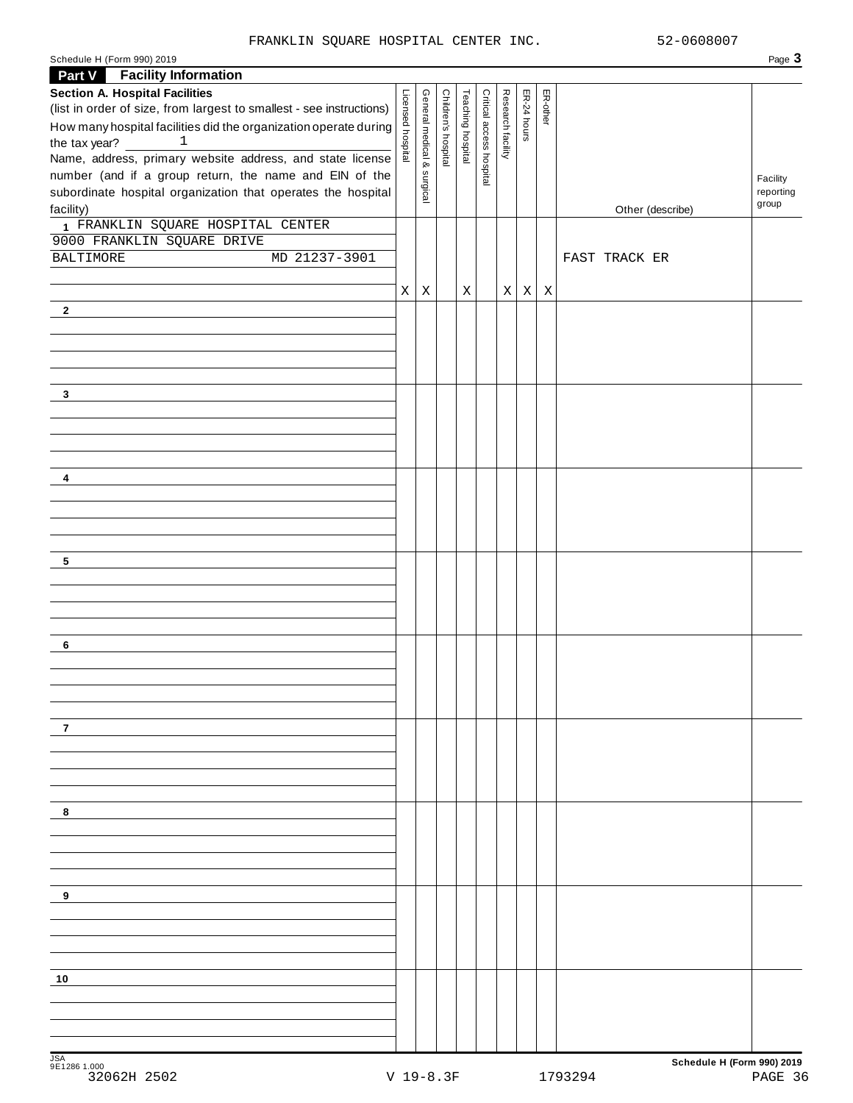# FRANKLIN SQUARE HOSPITAL CENTER INC. 52-0608007

| <b>Part V</b> Facility Information                                   |                   |                           |                     |                   |                          |                   |              |             |                  |                    |
|----------------------------------------------------------------------|-------------------|---------------------------|---------------------|-------------------|--------------------------|-------------------|--------------|-------------|------------------|--------------------|
| <b>Section A. Hospital Facilities</b>                                |                   |                           |                     |                   |                          |                   |              |             |                  |                    |
| (list in order of size, from largest to smallest - see instructions) |                   |                           |                     |                   |                          |                   |              | ER-other    |                  |                    |
| How many hospital facilities did the organization operate during     | Licensed hospital | General medical & surgica | Children's hospital | Teaching hospital | Critical access hospital | Research facility | ER-24 hours  |             |                  |                    |
| the tax year? $\overline{\phantom{a}}$<br><sup>1</sup>               |                   |                           |                     |                   |                          |                   |              |             |                  |                    |
| Name, address, primary website address, and state license            |                   |                           |                     |                   |                          |                   |              |             |                  |                    |
| number (and if a group return, the name and EIN of the               |                   |                           |                     |                   |                          |                   |              |             |                  | Facility           |
| subordinate hospital organization that operates the hospital         |                   |                           |                     |                   |                          |                   |              |             |                  | reporting<br>group |
| facility)                                                            |                   |                           |                     |                   |                          |                   |              |             | Other (describe) |                    |
| 1 FRANKLIN SQUARE HOSPITAL CENTER                                    |                   |                           |                     |                   |                          |                   |              |             |                  |                    |
| 9000 FRANKLIN SQUARE DRIVE<br>BALTIMORE<br>MD 21237-3901             |                   |                           |                     |                   |                          |                   |              |             | FAST TRACK ER    |                    |
|                                                                      |                   |                           |                     |                   |                          |                   |              |             |                  |                    |
|                                                                      | X                 | $\mathbf X$               |                     | X                 |                          | $X \vert$         | $\mathbf{X}$ | $\mathbf X$ |                  |                    |
| $\mathbf{2}$                                                         |                   |                           |                     |                   |                          |                   |              |             |                  |                    |
|                                                                      |                   |                           |                     |                   |                          |                   |              |             |                  |                    |
|                                                                      |                   |                           |                     |                   |                          |                   |              |             |                  |                    |
|                                                                      |                   |                           |                     |                   |                          |                   |              |             |                  |                    |
|                                                                      |                   |                           |                     |                   |                          |                   |              |             |                  |                    |
| 3                                                                    |                   |                           |                     |                   |                          |                   |              |             |                  |                    |
|                                                                      |                   |                           |                     |                   |                          |                   |              |             |                  |                    |
|                                                                      |                   |                           |                     |                   |                          |                   |              |             |                  |                    |
|                                                                      |                   |                           |                     |                   |                          |                   |              |             |                  |                    |
|                                                                      |                   |                           |                     |                   |                          |                   |              |             |                  |                    |
| 4                                                                    |                   |                           |                     |                   |                          |                   |              |             |                  |                    |
|                                                                      |                   |                           |                     |                   |                          |                   |              |             |                  |                    |
|                                                                      |                   |                           |                     |                   |                          |                   |              |             |                  |                    |
|                                                                      |                   |                           |                     |                   |                          |                   |              |             |                  |                    |
|                                                                      |                   |                           |                     |                   |                          |                   |              |             |                  |                    |
| 5                                                                    |                   |                           |                     |                   |                          |                   |              |             |                  |                    |
|                                                                      |                   |                           |                     |                   |                          |                   |              |             |                  |                    |
|                                                                      |                   |                           |                     |                   |                          |                   |              |             |                  |                    |
|                                                                      |                   |                           |                     |                   |                          |                   |              |             |                  |                    |
|                                                                      |                   |                           |                     |                   |                          |                   |              |             |                  |                    |
| 6                                                                    |                   |                           |                     |                   |                          |                   |              |             |                  |                    |
|                                                                      |                   |                           |                     |                   |                          |                   |              |             |                  |                    |
|                                                                      |                   |                           |                     |                   |                          |                   |              |             |                  |                    |
|                                                                      |                   |                           |                     |                   |                          |                   |              |             |                  |                    |
|                                                                      |                   |                           |                     |                   |                          |                   |              |             |                  |                    |
| 7                                                                    |                   |                           |                     |                   |                          |                   |              |             |                  |                    |
|                                                                      |                   |                           |                     |                   |                          |                   |              |             |                  |                    |
|                                                                      |                   |                           |                     |                   |                          |                   |              |             |                  |                    |
|                                                                      |                   |                           |                     |                   |                          |                   |              |             |                  |                    |
|                                                                      |                   |                           |                     |                   |                          |                   |              |             |                  |                    |
| 8                                                                    |                   |                           |                     |                   |                          |                   |              |             |                  |                    |
|                                                                      |                   |                           |                     |                   |                          |                   |              |             |                  |                    |
|                                                                      |                   |                           |                     |                   |                          |                   |              |             |                  |                    |
|                                                                      |                   |                           |                     |                   |                          |                   |              |             |                  |                    |
| 9                                                                    |                   |                           |                     |                   |                          |                   |              |             |                  |                    |
|                                                                      |                   |                           |                     |                   |                          |                   |              |             |                  |                    |
|                                                                      |                   |                           |                     |                   |                          |                   |              |             |                  |                    |
|                                                                      |                   |                           |                     |                   |                          |                   |              |             |                  |                    |
|                                                                      |                   |                           |                     |                   |                          |                   |              |             |                  |                    |
| 10                                                                   |                   |                           |                     |                   |                          |                   |              |             |                  |                    |
|                                                                      |                   |                           |                     |                   |                          |                   |              |             |                  |                    |
|                                                                      |                   |                           |                     |                   |                          |                   |              |             |                  |                    |
|                                                                      |                   |                           |                     |                   |                          |                   |              |             |                  |                    |
|                                                                      |                   |                           |                     |                   |                          |                   |              |             |                  |                    |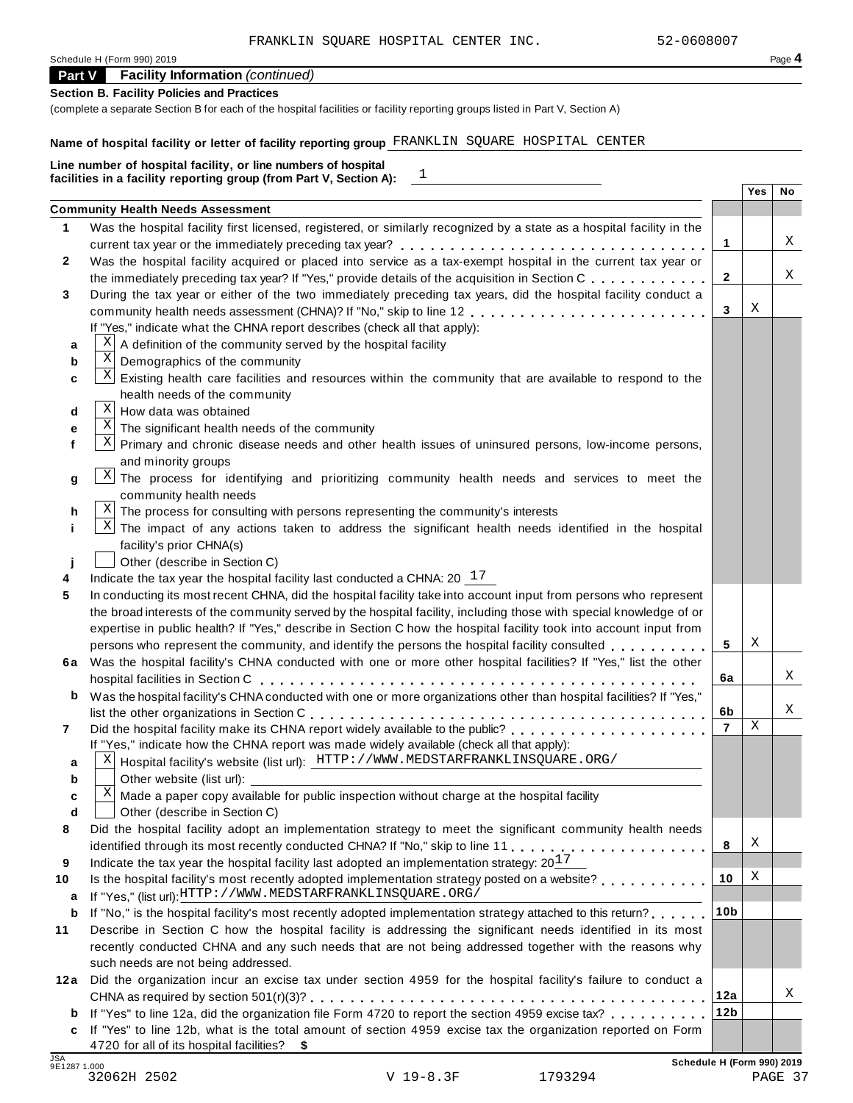| Schedule H (Form 990) 2019 | Page 4 |
|----------------------------|--------|
|----------------------------|--------|

# **Part V Facility Information** *(continued)*

# **Section B. Facility Policies and Practices**

(complete a separate Section B for each of the hospital facilities or facility reporting groups listed in Part V, Section A)

# **Name of hospital facility or letter of facility reporting group** FRANKLIN SQUARE HOSPITAL CENTER

|    | $\boxed{1}$<br>facilities in a facility reporting group (from Part V, Section A):                                      |                 |     |    |
|----|------------------------------------------------------------------------------------------------------------------------|-----------------|-----|----|
|    |                                                                                                                        |                 | Yes | No |
| 1. | <b>Community Health Needs Assessment</b>                                                                               |                 |     |    |
|    | Was the hospital facility first licensed, registered, or similarly recognized by a state as a hospital facility in the |                 |     | Χ  |
|    |                                                                                                                        | 1               |     |    |
|    | Was the hospital facility acquired or placed into service as a tax-exempt hospital in the current tax year or          |                 |     | Χ  |
|    | the immediately preceding tax year? If "Yes," provide details of the acquisition in Section C.                         | $\mathbf{2}$    |     |    |
|    | During the tax year or either of the two immediately preceding tax years, did the hospital facility conduct a          |                 | X   |    |
|    | community health needs assessment (CHNA)? If "No," skip to line 12                                                     | 3               |     |    |
|    | If "Yes," indicate what the CHNA report describes (check all that apply):                                              |                 |     |    |
| a  | A definition of the community served by the hospital facility                                                          |                 |     |    |
| b  | $\mathbf X$<br>Demographics of the community                                                                           |                 |     |    |
| C  | X <br>Existing health care facilities and resources within the community that are available to respond to the          |                 |     |    |
|    | health needs of the community                                                                                          |                 |     |    |
| d  | Χ<br>How data was obtained                                                                                             |                 |     |    |
| е  | $\mathbf X$<br>The significant health needs of the community                                                           |                 |     |    |
|    | $\mathbf{x}$<br>Primary and chronic disease needs and other health issues of uninsured persons, low-income persons,    |                 |     |    |
|    | and minority groups                                                                                                    |                 |     |    |
| g  | Χļ<br>The process for identifying and prioritizing community health needs and services to meet the                     |                 |     |    |
|    | community health needs                                                                                                 |                 |     |    |
| h  | $\mathbf{X}$<br>The process for consulting with persons representing the community's interests                         |                 |     |    |
|    | $\vert X \vert$<br>The impact of any actions taken to address the significant health needs identified in the hospital  |                 |     |    |
|    | facility's prior CHNA(s)                                                                                               |                 |     |    |
|    | Other (describe in Section C)                                                                                          |                 |     |    |
|    | Indicate the tax year the hospital facility last conducted a CHNA: $20^{-17}$                                          |                 |     |    |
|    | In conducting its most recent CHNA, did the hospital facility take into account input from persons who represent       |                 |     |    |
|    | the broad interests of the community served by the hospital facility, including those with special knowledge of or     |                 |     |    |
|    | expertise in public health? If "Yes," describe in Section C how the hospital facility took into account input from     |                 |     |    |
|    | persons who represent the community, and identify the persons the hospital facility consulted                          | 5               | X   |    |
|    | 6a Was the hospital facility's CHNA conducted with one or more other hospital facilities? If "Yes," list the other     |                 |     |    |
|    |                                                                                                                        | 6a              |     | Χ  |
| b  | Was the hospital facility's CHNA conducted with one or more organizations other than hospital facilities? If "Yes,"    |                 |     |    |
|    |                                                                                                                        | 6b              |     | Χ  |
|    | Did the hospital facility make its CHNA report widely available to the public?                                         | $\overline{7}$  | Χ   |    |
|    | If "Yes," indicate how the CHNA report was made widely available (check all that apply):                               |                 |     |    |
| а  | Hospital facility's website (list url): HTTP://WWW.MEDSTARFRANKLINSQUARE.ORG/<br>Χ                                     |                 |     |    |
| b  | Other website (list url):                                                                                              |                 |     |    |
| C  | Χ<br>Made a paper copy available for public inspection without charge at the hospital facility                         |                 |     |    |
| d  | Other (describe in Section C)                                                                                          |                 |     |    |
|    | Did the hospital facility adopt an implementation strategy to meet the significant community health needs              |                 |     |    |
|    |                                                                                                                        | 8               | Χ   |    |
|    | Indicate the tax year the hospital facility last adopted an implementation strategy: $20^{17}$                         |                 |     |    |
|    | Is the hospital facility's most recently adopted implementation strategy posted on a website?                          | 10              | Χ   |    |
| a  | If "Yes," (list url): HTTP://WWW.MEDSTARFRANKLINSQUARE.ORG/                                                            |                 |     |    |
| b  | If "No," is the hospital facility's most recently adopted implementation strategy attached to this return?             | 10 <sub>b</sub> |     |    |
|    | Describe in Section C how the hospital facility is addressing the significant needs identified in its most             |                 |     |    |
|    | recently conducted CHNA and any such needs that are not being addressed together with the reasons why                  |                 |     |    |
|    | such needs are not being addressed.                                                                                    |                 |     |    |
|    | 12a Did the organization incur an excise tax under section 4959 for the hospital facility's failure to conduct a       |                 |     |    |
|    |                                                                                                                        | 12a             |     | Χ  |
|    | <b>b</b> If "Yes" to line 12a, did the organization file Form 4720 to report the section 4959 excise tax?              | 12 <sub>b</sub> |     |    |
|    | c If "Yes" to line 12b, what is the total amount of section 4959 excise tax the organization reported on Form          |                 |     |    |
|    | 4720 for all of its hospital facilities? \$                                                                            |                 |     |    |

32062H 2502 V 19-8.3F 1793294 PAGE 37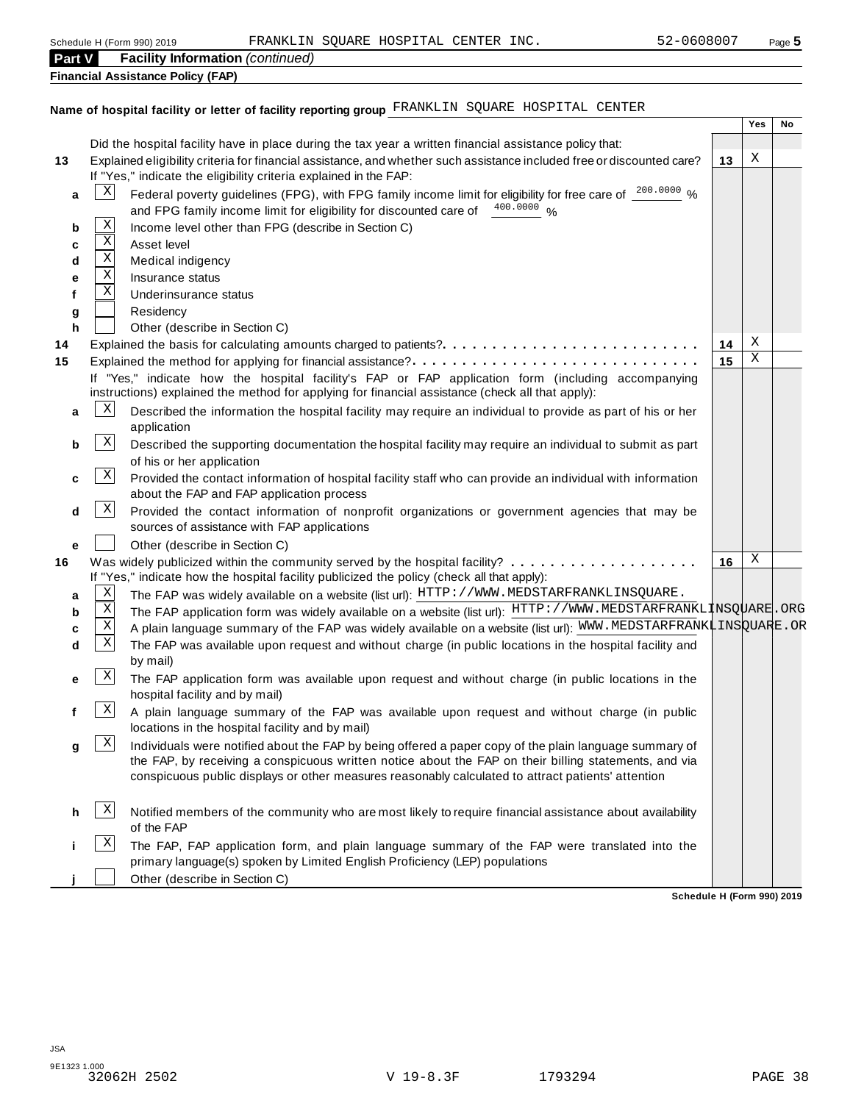| <b>Part V</b> |                 | <b>Facility Information (continued)</b>                                                                                                                                                                     |    |     |    |
|---------------|-----------------|-------------------------------------------------------------------------------------------------------------------------------------------------------------------------------------------------------------|----|-----|----|
|               |                 | <b>Financial Assistance Policy (FAP)</b>                                                                                                                                                                    |    |     |    |
|               |                 |                                                                                                                                                                                                             |    |     |    |
|               |                 | Name of hospital facility or letter of facility reporting group FRANKLIN SQUARE HOSPITAL CENTER                                                                                                             |    |     |    |
|               |                 |                                                                                                                                                                                                             |    | Yes | No |
|               |                 | Did the hospital facility have in place during the tax year a written financial assistance policy that:                                                                                                     |    |     |    |
| 13            |                 | Explained eligibility criteria for financial assistance, and whether such assistance included free or discounted care?                                                                                      | 13 | Χ   |    |
|               |                 | If "Yes," indicate the eligibility criteria explained in the FAP:                                                                                                                                           |    |     |    |
| a             | $\vert X \vert$ | Federal poverty guidelines (FPG), with FPG family income limit for eligibility for free care of 200.0000 %                                                                                                  |    |     |    |
|               |                 | and FPG family income limit for eligibility for discounted care of 400.0000 %                                                                                                                               |    |     |    |
| b             | Χ               | Income level other than FPG (describe in Section C)                                                                                                                                                         |    |     |    |
| c             | X               | Asset level                                                                                                                                                                                                 |    |     |    |
| d             | Χ               | Medical indigency                                                                                                                                                                                           |    |     |    |
| е             | X               | Insurance status                                                                                                                                                                                            |    |     |    |
| f             | Χ               | Underinsurance status                                                                                                                                                                                       |    |     |    |
| g             |                 | Residency                                                                                                                                                                                                   |    |     |    |
| h             |                 | Other (describe in Section C)                                                                                                                                                                               |    |     |    |
| 14            |                 |                                                                                                                                                                                                             | 14 | Χ   |    |
| 15            |                 | Explained the method for applying for financial assistance?                                                                                                                                                 | 15 | Χ   |    |
|               |                 | If "Yes," indicate how the hospital facility's FAP or FAP application form (including accompanying<br>instructions) explained the method for applying for financial assistance (check all that apply):      |    |     |    |
| a             | $\mathbf{x}$    | Described the information the hospital facility may require an individual to provide as part of his or her                                                                                                  |    |     |    |
|               |                 | application                                                                                                                                                                                                 |    |     |    |
| b             | $\mathbf{x}$    | Described the supporting documentation the hospital facility may require an individual to submit as part                                                                                                    |    |     |    |
|               |                 | of his or her application                                                                                                                                                                                   |    |     |    |
| c             | $\mathbf{x}$    | Provided the contact information of hospital facility staff who can provide an individual with information<br>about the FAP and FAP application process                                                     |    |     |    |
| d             | $\mathbf{x}$    | Provided the contact information of nonprofit organizations or government agencies that may be<br>sources of assistance with FAP applications                                                               |    |     |    |
| e             |                 | Other (describe in Section C)                                                                                                                                                                               |    |     |    |
| 16            |                 |                                                                                                                                                                                                             | 16 | Χ   |    |
|               |                 | If "Yes," indicate how the hospital facility publicized the policy (check all that apply):                                                                                                                  |    |     |    |
| а             | Χ               | The FAP was widely available on a website (list url): HTTP: //WWW.MEDSTARFRANKLINSQUARE.                                                                                                                    |    |     |    |
| b             | Χ               | The FAP application form was widely available on a website (list url): HTTP://WWW.MEDSTARFRANKL1NSQUARE.ORG                                                                                                 |    |     |    |
|               | X               | A plain language summary of the FAP was widely available on a website (list url): WWW.MEDSTARFRANKLINSQUARE.OR                                                                                              |    |     |    |
| d             | Χ               | The FAP was available upon request and without charge (in public locations in the hospital facility and                                                                                                     |    |     |    |
|               |                 | by mail)                                                                                                                                                                                                    |    |     |    |
| е             | $\mathbf{X}$    | The FAP application form was available upon request and without charge (in public locations in the                                                                                                          |    |     |    |
|               |                 | hospital facility and by mail)                                                                                                                                                                              |    |     |    |
| f             | $\mathbf{X}$    | A plain language summary of the FAP was available upon request and without charge (in public                                                                                                                |    |     |    |
|               |                 | locations in the hospital facility and by mail)                                                                                                                                                             |    |     |    |
| g             | $\mathbf{x}$    | Individuals were notified about the FAP by being offered a paper copy of the plain language summary of                                                                                                      |    |     |    |
|               |                 | the FAP, by receiving a conspicuous written notice about the FAP on their billing statements, and via<br>conspicuous public displays or other measures reasonably calculated to attract patients' attention |    |     |    |
| h             | $\vert X \vert$ | Notified members of the community who are most likely to require financial assistance about availability<br>of the FAP                                                                                      |    |     |    |
|               | Χ               | The FAP, FAP application form, and plain language summary of the FAP were translated into the                                                                                                               |    |     |    |

**Schedule H (Form 990) 2019**

primary language(s) spoken by Limited English Proficiency (LEP) populations

**Other (describe in Section C)**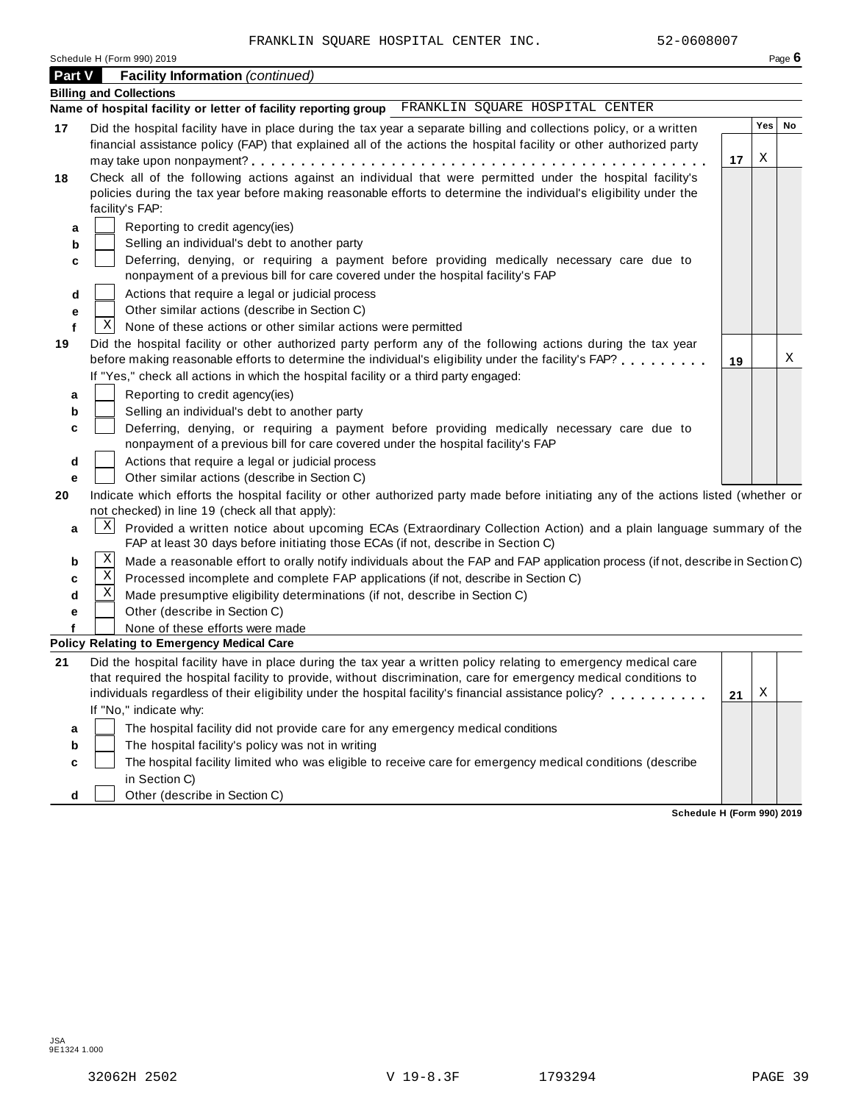| Schedule H (Form 990) 2019 |  |  |
|----------------------------|--|--|
|                            |  |  |

|         | Schedule H (Form 990) 2019                                                                                                           |    |     | Page 6 |
|---------|--------------------------------------------------------------------------------------------------------------------------------------|----|-----|--------|
| Part V  | <b>Facility Information (continued)</b>                                                                                              |    |     |        |
|         | <b>Billing and Collections</b>                                                                                                       |    |     |        |
|         | Name of hospital facility or letter of facility reporting group FRANKLIN SQUARE HOSPITAL CENTER                                      |    |     |        |
| 17      | Did the hospital facility have in place during the tax year a separate billing and collections policy, or a written                  |    | Yes | No     |
|         | financial assistance policy (FAP) that explained all of the actions the hospital facility or other authorized party                  |    |     |        |
|         |                                                                                                                                      | 17 | X   |        |
| 18      | Check all of the following actions against an individual that were permitted under the hospital facility's                           |    |     |        |
|         | policies during the tax year before making reasonable efforts to determine the individual's eligibility under the                    |    |     |        |
|         | facility's FAP:                                                                                                                      |    |     |        |
| а       | Reporting to credit agency(ies)                                                                                                      |    |     |        |
| b       | Selling an individual's debt to another party                                                                                        |    |     |        |
| с       | Deferring, denying, or requiring a payment before providing medically necessary care due to                                          |    |     |        |
|         | nonpayment of a previous bill for care covered under the hospital facility's FAP                                                     |    |     |        |
| d       | Actions that require a legal or judicial process                                                                                     |    |     |        |
| е       | Other similar actions (describe in Section C)<br>$\mathbf{X}$<br>None of these actions or other similar actions were permitted       |    |     |        |
| f<br>19 | Did the hospital facility or other authorized party perform any of the following actions during the tax year                         |    |     |        |
|         | before making reasonable efforts to determine the individual's eligibility under the facility's FAP?                                 | 19 |     | Χ      |
|         | If "Yes," check all actions in which the hospital facility or a third party engaged:                                                 |    |     |        |
| а       | Reporting to credit agency(ies)                                                                                                      |    |     |        |
| b       | Selling an individual's debt to another party                                                                                        |    |     |        |
| c       | Deferring, denying, or requiring a payment before providing medically necessary care due to                                          |    |     |        |
|         | nonpayment of a previous bill for care covered under the hospital facility's FAP                                                     |    |     |        |
| d       | Actions that require a legal or judicial process                                                                                     |    |     |        |
| е       | Other similar actions (describe in Section C)                                                                                        |    |     |        |
| 20      | Indicate which efforts the hospital facility or other authorized party made before initiating any of the actions listed (whether or  |    |     |        |
|         | not checked) in line 19 (check all that apply):                                                                                      |    |     |        |
| a       | X <br>Provided a written notice about upcoming ECAs (Extraordinary Collection Action) and a plain language summary of the            |    |     |        |
|         | FAP at least 30 days before initiating those ECAs (if not, describe in Section C)                                                    |    |     |        |
| b       | Χ<br>Made a reasonable effort to orally notify individuals about the FAP and FAP application process (if not, describe in Section C) |    |     |        |
| c       | Χ<br>Processed incomplete and complete FAP applications (if not, describe in Section C)                                              |    |     |        |
| d       | Χ<br>Made presumptive eligibility determinations (if not, describe in Section C)                                                     |    |     |        |
| е       | Other (describe in Section C)                                                                                                        |    |     |        |
|         | None of these efforts were made<br><b>Policy Relating to Emergency Medical Care</b>                                                  |    |     |        |
| 21      | Did the hospital facility have in place during the tax year a written policy relating to emergency medical care                      |    |     |        |
|         | that required the hospital facility to provide, without discrimination, care for emergency medical conditions to                     |    |     |        |
|         | individuals regardless of their eligibility under the hospital facility's financial assistance policy?                               | 21 | Х   |        |
|         | If "No," indicate why:                                                                                                               |    |     |        |
| а       | The hospital facility did not provide care for any emergency medical conditions                                                      |    |     |        |
| b       | The hospital facility's policy was not in writing                                                                                    |    |     |        |
| c       | The hospital facility limited who was eligible to receive care for emergency medical conditions (describe                            |    |     |        |
|         | in Section C)                                                                                                                        |    |     |        |
| d       | Other (describe in Section C)                                                                                                        |    |     |        |

**Schedule H (Form 990) 2019**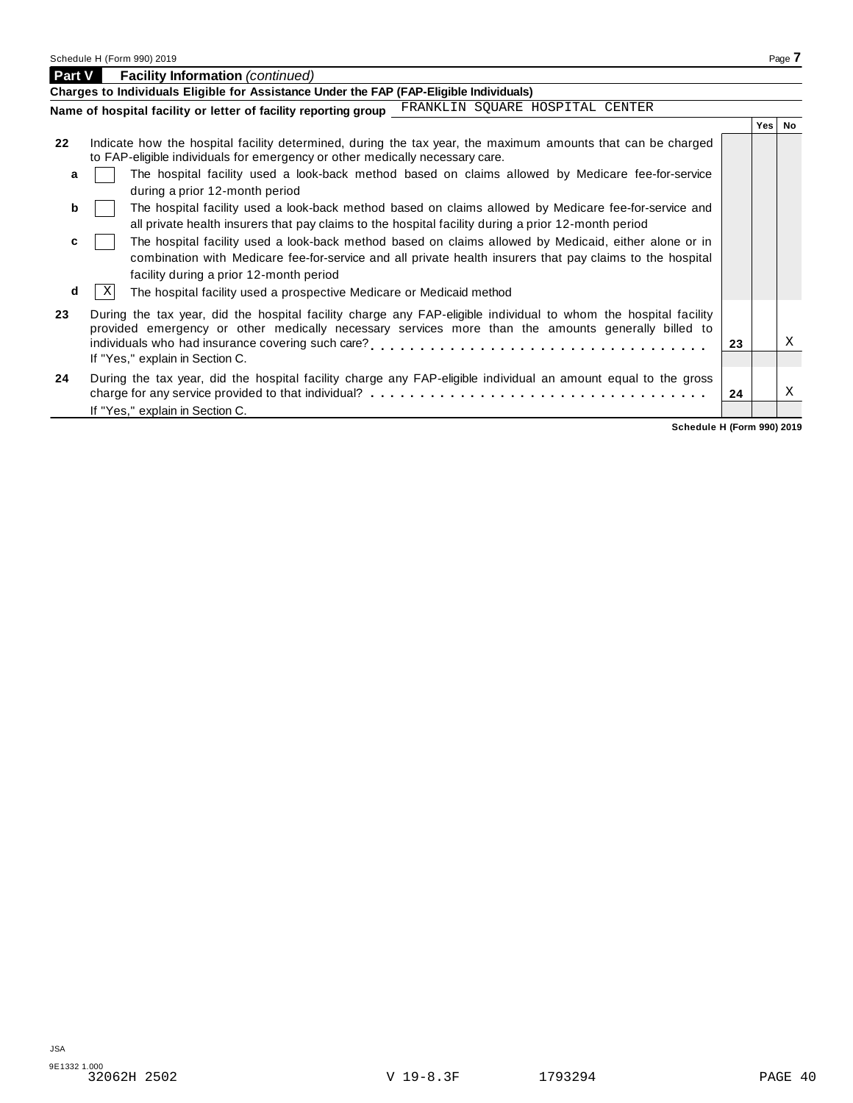**Part V Facility Information** *(continued)* 

|    | Charges to Individuals Eligible for Assistance Under the FAP (FAP-Eligible Individuals)                                                                                                                                                                       |    |       |           |  |  |  |  |
|----|---------------------------------------------------------------------------------------------------------------------------------------------------------------------------------------------------------------------------------------------------------------|----|-------|-----------|--|--|--|--|
|    | Name of hospital facility or letter of facility reporting group FRANKLIN SQUARE HOSPITAL CENTER                                                                                                                                                               |    |       |           |  |  |  |  |
|    |                                                                                                                                                                                                                                                               |    | Yes I | <b>No</b> |  |  |  |  |
| 22 | Indicate how the hospital facility determined, during the tax year, the maximum amounts that can be charged<br>to FAP-eligible individuals for emergency or other medically necessary care.                                                                   |    |       |           |  |  |  |  |
| a  | The hospital facility used a look-back method based on claims allowed by Medicare fee-for-service<br>during a prior 12-month period                                                                                                                           |    |       |           |  |  |  |  |
| b  | The hospital facility used a look-back method based on claims allowed by Medicare fee-for-service and<br>all private health insurers that pay claims to the hospital facility during a prior 12-month period                                                  |    |       |           |  |  |  |  |
| c  | The hospital facility used a look-back method based on claims allowed by Medicaid, either alone or in<br>combination with Medicare fee-for-service and all private health insurers that pay claims to the hospital<br>facility during a prior 12-month period |    |       |           |  |  |  |  |
| d  | X<br>The hospital facility used a prospective Medicare or Medicaid method                                                                                                                                                                                     |    |       |           |  |  |  |  |
| 23 | During the tax year, did the hospital facility charge any FAP-eligible individual to whom the hospital facility<br>provided emergency or other medically necessary services more than the amounts generally billed to                                         |    |       |           |  |  |  |  |
|    | If "Yes," explain in Section C.                                                                                                                                                                                                                               | 23 |       | X         |  |  |  |  |
|    | ■ ……とことは、 インテンショット ポオ はっこよう こうかいしもく 理解 こうしつぶん マンテ ■ A ■ つれがはい とこば どまいま こうこう こうこうしょう こうこうしょうはっこう                                                                                                                                                               |    |       |           |  |  |  |  |

|    | $\mathbf{u}$   $\mathbf{v}$  <br>The hospital facility used a prospective inequicate of ineqical filetified                                                                                                                                              |     |                           |
|----|----------------------------------------------------------------------------------------------------------------------------------------------------------------------------------------------------------------------------------------------------------|-----|---------------------------|
| 23 | During the tax year, did the hospital facility charge any FAP-eligible individual to whom the hospital facility<br>provided emergency or other medically necessary services more than the amounts generally billed to<br>If "Yes," explain in Section C. | 23  | X                         |
| 24 | During the tax year, did the hospital facility charge any FAP-eligible individual an amount equal to the gross<br>If "Yes," explain in Section C.                                                                                                        | -24 | $\boldsymbol{\mathrm{X}}$ |
|    |                                                                                                                                                                                                                                                          |     |                           |

**Schedule H (Form 990) 2019**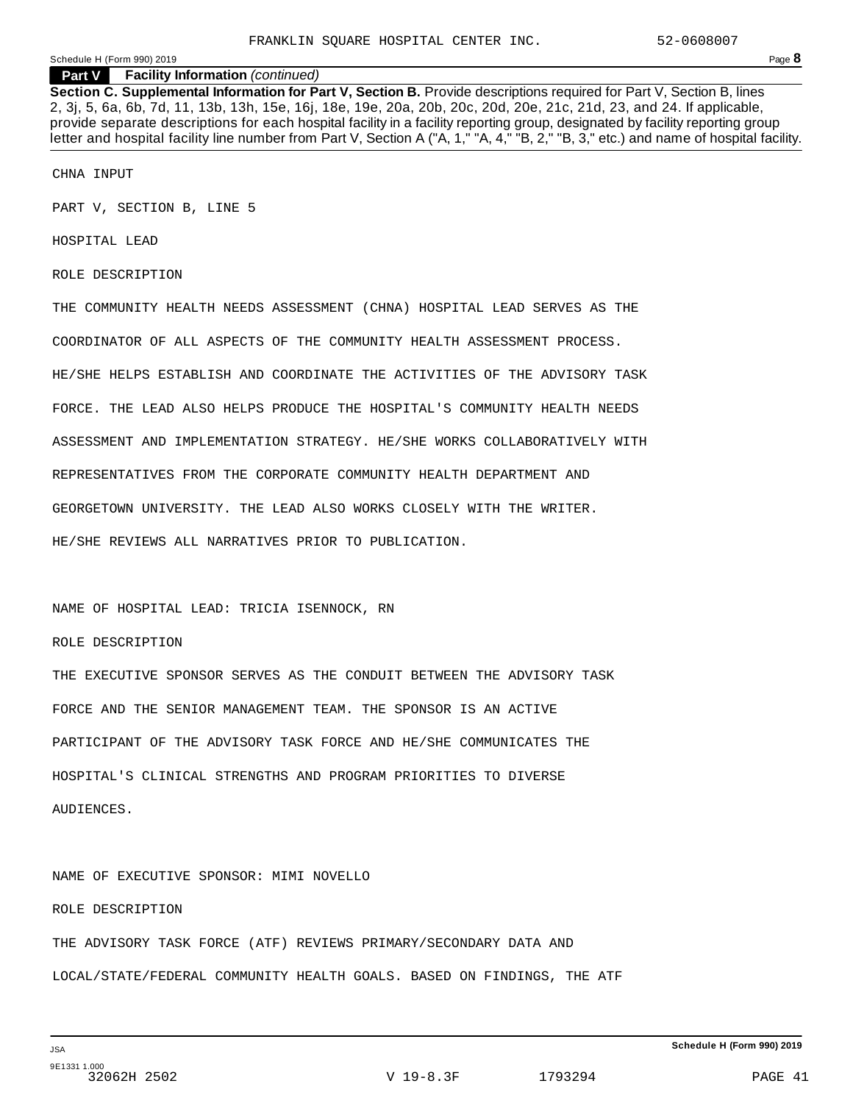**Part V Facility Information** *(continued)*

**Section C. Supplemental Information for Part V, Section B.** Provide descriptions required for Part V, Section B, lines 2, 3j, 5, 6a, 6b, 7d, 11, 13b, 13h, 15e, 16j, 18e, 19e, 20a, 20b, 20c, 20d, 20e, 21c, 21d, 23, and 24. If applicable, provide separate descriptions for each hospital facility in a facility reporting group, designated by facility reporting group letter and hospital facility line number from Part V, Section A ("A, 1," "A, 4," "B, 2," "B, 3," etc.) and name of hospital facility.

CHNA INPUT

PART V, SECTION B, LINE 5

HOSPITAL LEAD

ROLE DESCRIPTION

THE COMMUNITY HEALTH NEEDS ASSESSMENT (CHNA) HOSPITAL LEAD SERVES AS THE COORDINATOR OF ALL ASPECTS OF THE COMMUNITY HEALTH ASSESSMENT PROCESS. HE/SHE HELPS ESTABLISH AND COORDINATE THE ACTIVITIES OF THE ADVISORY TASK FORCE. THE LEAD ALSO HELPS PRODUCE THE HOSPITAL'S COMMUNITY HEALTH NEEDS ASSESSMENT AND IMPLEMENTATION STRATEGY. HE/SHE WORKS COLLABORATIVELY WITH REPRESENTATIVES FROM THE CORPORATE COMMUNITY HEALTH DEPARTMENT AND GEORGETOWN UNIVERSITY. THE LEAD ALSO WORKS CLOSELY WITH THE WRITER. HE/SHE REVIEWS ALL NARRATIVES PRIOR TO PUBLICATION.

NAME OF HOSPITAL LEAD: TRICIA ISENNOCK, RN

#### ROLE DESCRIPTION

THE EXECUTIVE SPONSOR SERVES AS THE CONDUIT BETWEEN THE ADVISORY TASK FORCE AND THE SENIOR MANAGEMENT TEAM. THE SPONSOR IS AN ACTIVE PARTICIPANT OF THE ADVISORY TASK FORCE AND HE/SHE COMMUNICATES THE HOSPITAL'S CLINICAL STRENGTHS AND PROGRAM PRIORITIES TO DIVERSE AUDIENCES.

NAME OF EXECUTIVE SPONSOR: MIMI NOVELLO

ROLE DESCRIPTION

THE ADVISORY TASK FORCE (ATF) REVIEWS PRIMARY/SECONDARY DATA AND LOCAL/STATE/FEDERAL COMMUNITY HEALTH GOALS. BASED ON FINDINGS, THE ATF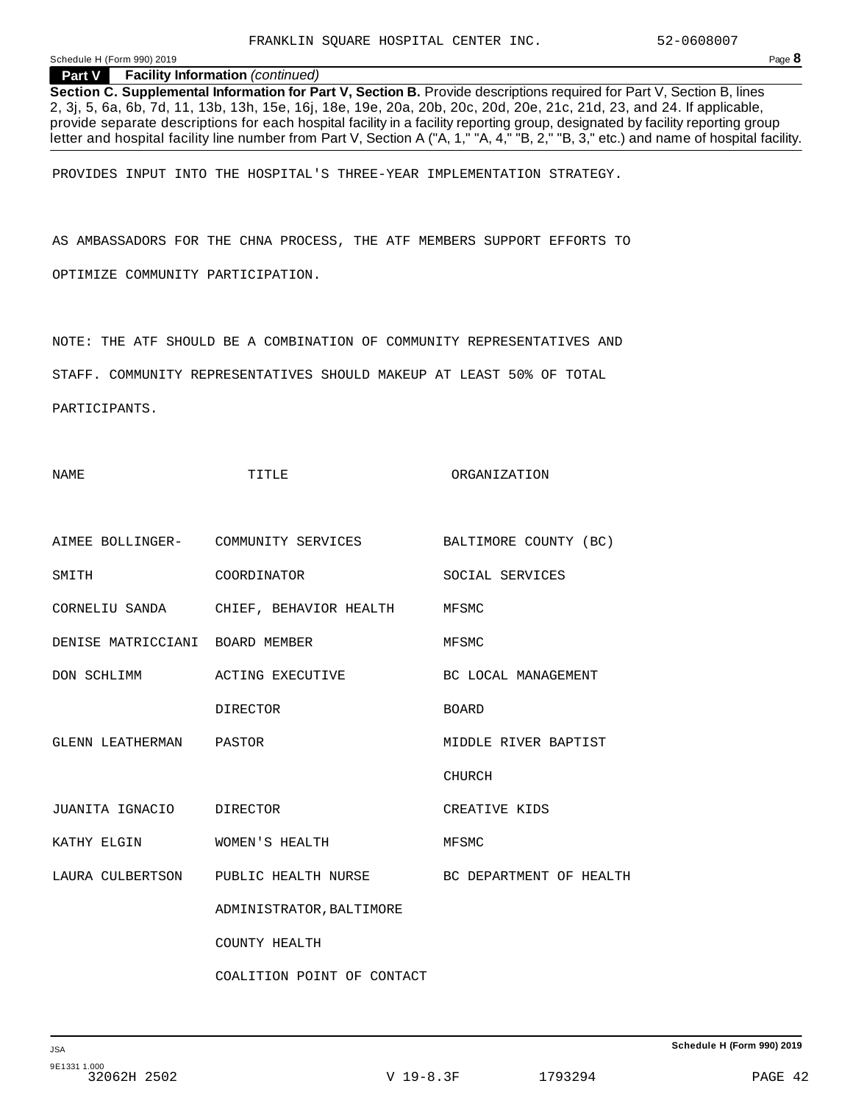#### **Part V Facility Information** *(continued)*

**Section C. Supplemental Information for Part V, Section B.** Provide descriptions required for Part V, Section B, lines 2, 3j, 5, 6a, 6b, 7d, 11, 13b, 13h, 15e, 16j, 18e, 19e, 20a, 20b, 20c, 20d, 20e, 21c, 21d, 23, and 24. If applicable, provide separate descriptions for each hospital facility in a facility reporting group, designated by facility reporting group letter and hospital facility line number from Part V, Section A ("A, 1," "A, 4," "B, 2," "B, 3," etc.) and name of hospital facility.

PROVIDES INPUT INTO THE HOSPITAL'S THREE-YEAR IMPLEMENTATION STRATEGY.

AS AMBASSADORS FOR THE CHNA PROCESS, THE ATF MEMBERS SUPPORT EFFORTS TO

OPTIMIZE COMMUNITY PARTICIPATION.

NOTE: THE ATF SHOULD BE A COMBINATION OF COMMUNITY REPRESENTATIVES AND

STAFF. COMMUNITY REPRESENTATIVES SHOULD MAKEUP AT LEAST 50% OF TOTAL

NAME TITLE ORGANIZATION

PARTICIPANTS.

AIMEE BOLLINGER- COMMUNITY SERVICES BALTIMORE COUNTY (BC) SMITH COORDINATOR SOCIAL SERVICES CORNELIU SANDA CHIEF, BEHAVIOR HEALTH MFSMC DENISE MATRICCIANI BOARD MEMBER MFSMC DON SCHLIMM ACTING EXECUTIVE BC LOCAL MANAGEMENT DIRECTOR BOARD GLENN LEATHERMAN PASTOR **MIDDLE RIVER BAPTIST**  CHURCH JUANITA IGNACIO DIRECTOR CREATIVE KIDS KATHY ELGIN WOMEN'S HEALTH MFSMC LAURA CULBERTSON PUBLIC HEALTH NURSE BC DEPARTMENT OF HEALTH ADMINISTRATOR, BALTIMORE COUNTY HEALTH COALITION POINT OF CONTACT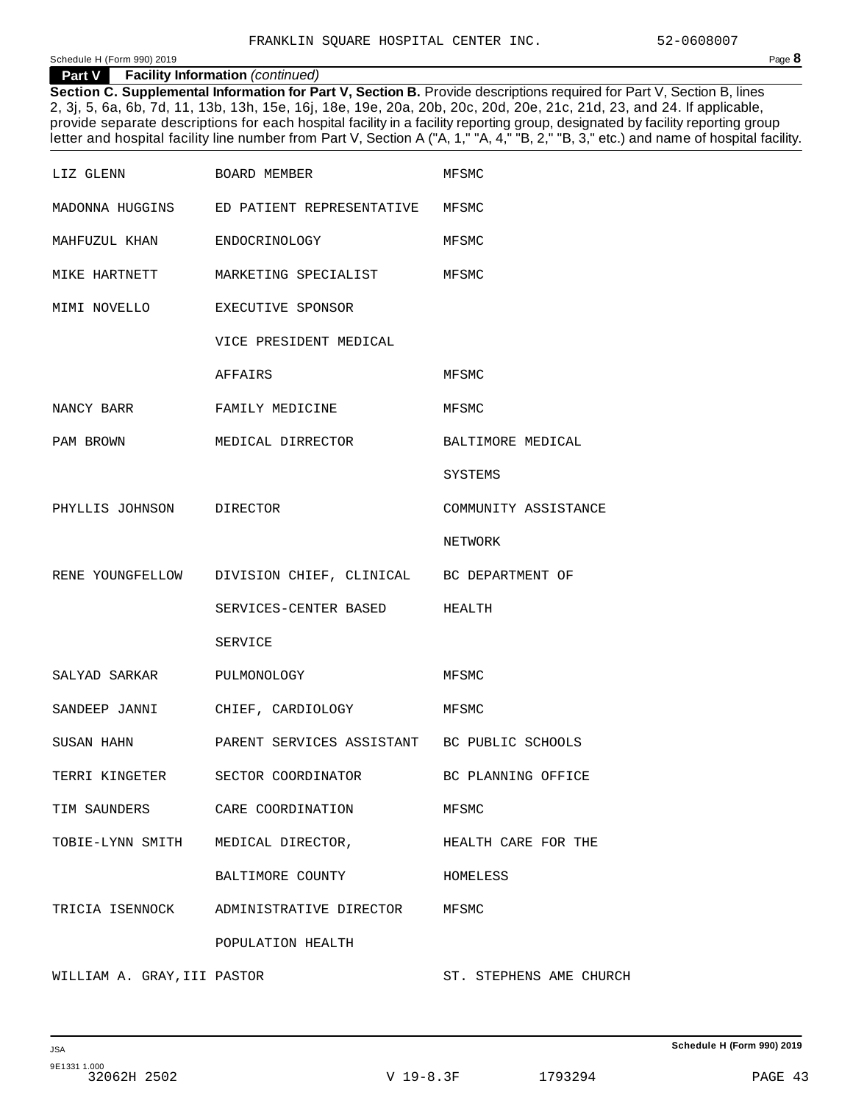**Part V Facility Information** *(continued)*

**Section C. Supplemental Information for Part V, Section B.** Provide descriptions required for Part V, Section B, lines 2, 3j, 5, 6a, 6b, 7d, 11, 13b, 13h, 15e, 16j, 18e, 19e, 20a, 20b, 20c, 20d, 20e, 21c, 21d, 23, and 24. If applicable, provide separate descriptions for each hospital facility in a facility reporting group, designated by facility reporting group letter and hospital facility line number from Part V, Section A ("A, 1," "A, 4," "B, 2," "B, 3," etc.) and name of hospital facility.

| LIZ GLENN                          | BOARD MEMBER                                               | MFSMC                   |
|------------------------------------|------------------------------------------------------------|-------------------------|
|                                    | MADONNA HUGGINS ED PATIENT REPRESENTATIVE MFSMC            |                         |
| MAHFUZUL KHAN ENDOCRINOLOGY        |                                                            | MFSMC                   |
|                                    | MIKE HARTNETT MARKETING SPECIALIST MFSMC                   |                         |
| MIMI NOVELLO                       | EXECUTIVE SPONSOR                                          |                         |
|                                    | VICE PRESIDENT MEDICAL                                     |                         |
|                                    | AFFAIRS                                                    | MFSMC                   |
| NANCY BARR                         | FAMILY MEDICINE                                            | MFSMC                   |
| PAM BROWN                          | MEDICAL DIRRECTOR                                          | BALTIMORE MEDICAL       |
|                                    |                                                            | SYSTEMS                 |
| PHYLLIS JOHNSON DIRECTOR           |                                                            | COMMUNITY ASSISTANCE    |
|                                    |                                                            | NETWORK                 |
|                                    | RENE YOUNGFELLOW DIVISION CHIEF, CLINICAL BC DEPARTMENT OF |                         |
|                                    | SERVICES-CENTER BASED HEALTH                               |                         |
|                                    | SERVICE                                                    |                         |
| SALYAD SARKAR PULMONOLOGY          |                                                            | MFSMC                   |
|                                    | SANDEEP JANNI CHIEF, CARDIOLOGY                            | MFSMC                   |
| SUSAN HAHN                         | PARENT SERVICES ASSISTANT BC PUBLIC SCHOOLS                |                         |
|                                    | TERRI KINGETER SECTOR COORDINATOR                          | BC PLANNING OFFICE      |
|                                    | TIM SAUNDERS CARE COORDINATION                             | MFSMC                   |
| TOBIE-LYNN SMITH MEDICAL DIRECTOR, |                                                            | HEALTH CARE FOR THE     |
|                                    | BALTIMORE COUNTY                                           | HOMELESS                |
|                                    | TRICIA ISENNOCK ADMINISTRATIVE DIRECTOR MFSMC              |                         |
|                                    | POPULATION HEALTH                                          |                         |
| WILLIAM A. GRAY, III PASTOR        |                                                            | ST. STEPHENS AME CHURCH |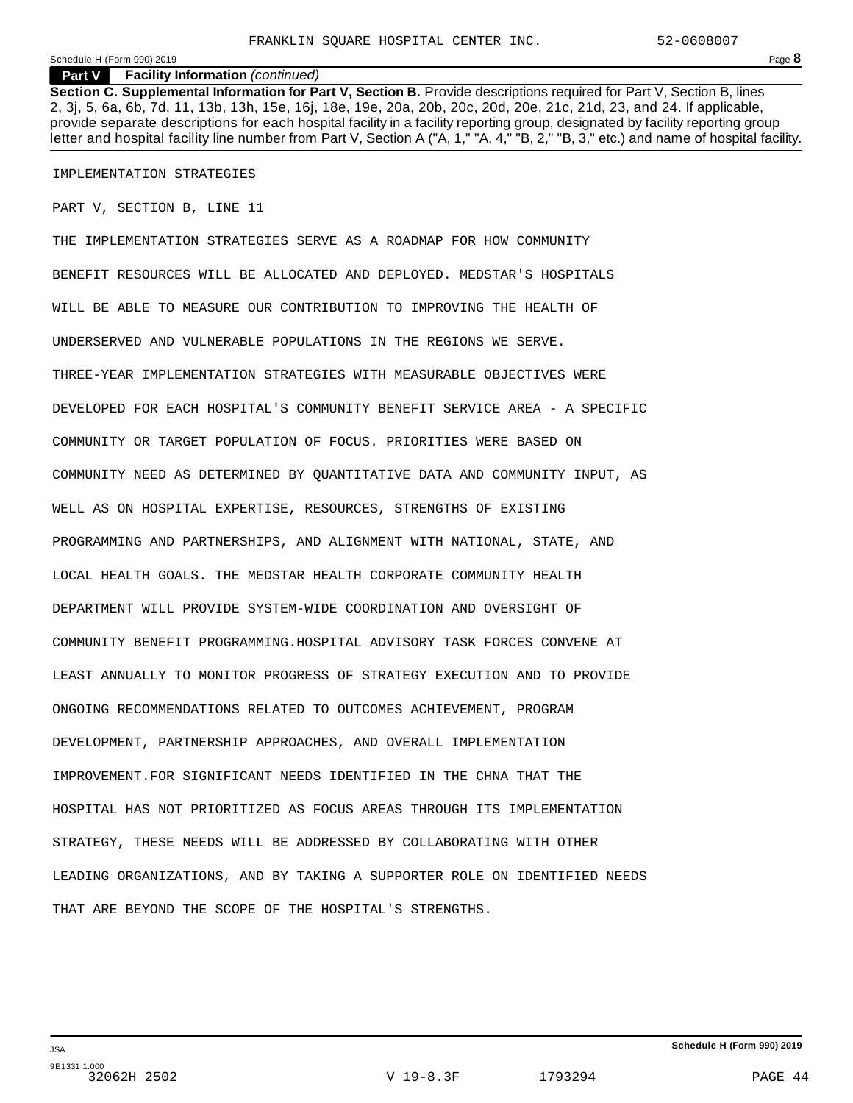#### **Part V Facility Information** *(continued)*

**Section C. Supplemental Information for Part V, Section B.** Provide descriptions required for Part V, Section B, lines 2, 3j, 5, 6a, 6b, 7d, 11, 13b, 13h, 15e, 16j, 18e, 19e, 20a, 20b, 20c, 20d, 20e, 21c, 21d, 23, and 24. If applicable, provide separate descriptions for each hospital facility in a facility reporting group, designated by facility reporting group letter and hospital facility line number from Part V, Section A ("A, 1," "A, 4," "B, 2," "B, 3," etc.) and name of hospital facility.

#### IMPLEMENTATION STRATEGIES

PART V, SECTION B, LINE 11

THE IMPLEMENTATION STRATEGIES SERVE AS A ROADMAP FOR HOW COMMUNITY BENEFIT RESOURCES WILL BE ALLOCATED AND DEPLOYED. MEDSTAR'S HOSPITALS WILL BE ABLE TO MEASURE OUR CONTRIBUTION TO IMPROVING THE HEALTH OF UNDERSERVED AND VULNERABLE POPULATIONS IN THE REGIONS WE SERVE. THREE-YEAR IMPLEMENTATION STRATEGIES WITH MEASURABLE OBJECTIVES WERE DEVELOPED FOR EACH HOSPITAL'S COMMUNITY BENEFIT SERVICE AREA - A SPECIFIC COMMUNITY OR TARGET POPULATION OF FOCUS. PRIORITIES WERE BASED ON COMMUNITY NEED AS DETERMINED BY QUANTITATIVE DATA AND COMMUNITY INPUT, AS WELL AS ON HOSPITAL EXPERTISE, RESOURCES, STRENGTHS OF EXISTING PROGRAMMING AND PARTNERSHIPS, AND ALIGNMENT WITH NATIONAL, STATE, AND LOCAL HEALTH GOALS. THE MEDSTAR HEALTH CORPORATE COMMUNITY HEALTH DEPARTMENT WILL PROVIDE SYSTEM-WIDE COORDINATION AND OVERSIGHT OF COMMUNITY BENEFIT PROGRAMMING.HOSPITAL ADVISORY TASK FORCES CONVENE AT LEAST ANNUALLY TO MONITOR PROGRESS OF STRATEGY EXECUTION AND TO PROVIDE ONGOING RECOMMENDATIONS RELATED TO OUTCOMES ACHIEVEMENT, PROGRAM DEVELOPMENT, PARTNERSHIP APPROACHES, AND OVERALL IMPLEMENTATION IMPROVEMENT.FOR SIGNIFICANT NEEDS IDENTIFIED IN THE CHNA THAT THE HOSPITAL HAS NOT PRIORITIZED AS FOCUS AREAS THROUGH ITS IMPLEMENTATION STRATEGY, THESE NEEDS WILL BE ADDRESSED BY COLLABORATING WITH OTHER LEADING ORGANIZATIONS, AND BY TAKING A SUPPORTER ROLE ON IDENTIFIED NEEDS THAT ARE BEYOND THE SCOPE OF THE HOSPITAL'S STRENGTHS.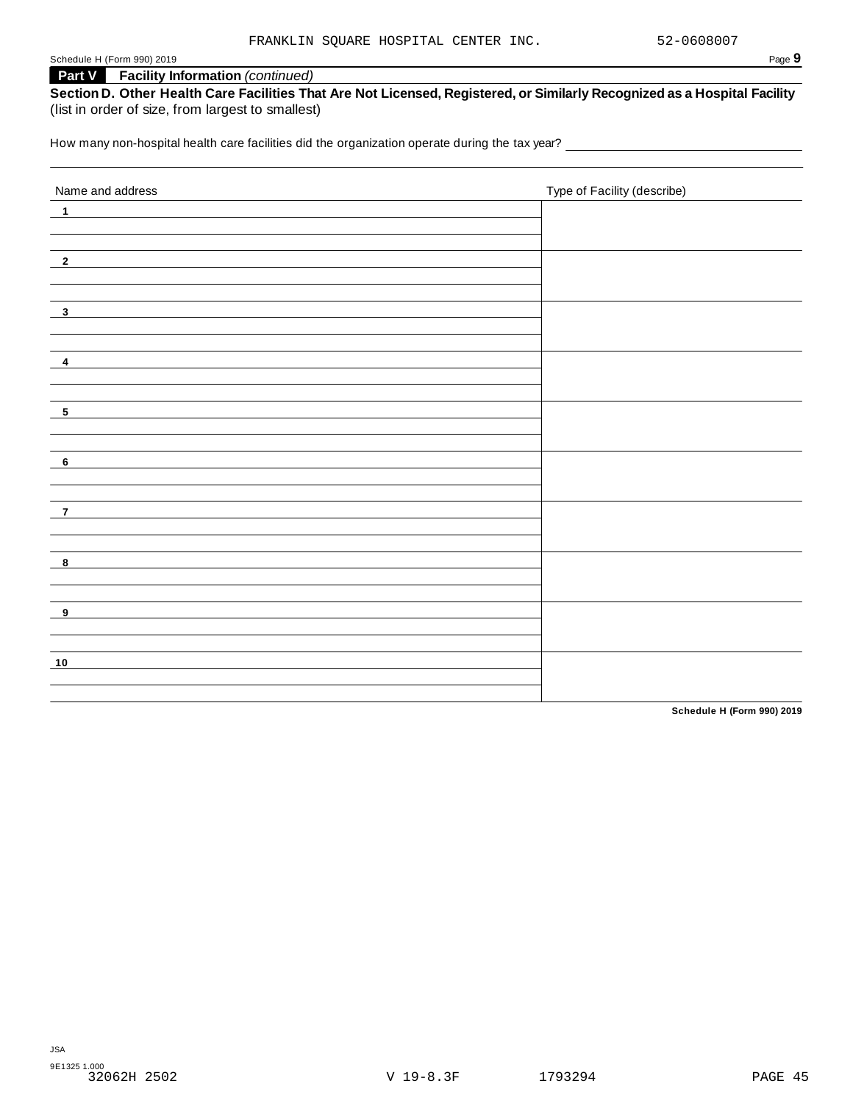# **Part V Facility Information** *(continued)*

**Section D. Other Health Care Facilities That Are Not Licensed, Registered, or Similarly Recognized as a Hospital Facility** (list in order of size, from largest to smallest)

How many non-hospital health care facilities did the organization operate during the tax year? \_\_\_\_\_\_\_\_\_\_\_\_\_\_\_

| Name and address          | Type of Facility (describe) |
|---------------------------|-----------------------------|
| $\overline{\phantom{0}1}$ |                             |
|                           |                             |
|                           |                             |
| $\overline{\phantom{2}}$  |                             |
|                           |                             |
| $\overline{\mathbf{3}}$   |                             |
|                           |                             |
|                           |                             |
| $\overline{\mathbf{4}}$   |                             |
|                           |                             |
| $-5$                      |                             |
|                           |                             |
|                           |                             |
| $-6$                      |                             |
|                           |                             |
| $\overline{\phantom{a}}$  |                             |
|                           |                             |
|                           |                             |
| $\overline{\mathbf{8}}$   |                             |
|                           |                             |
| $\overline{\mathbf{9}}$   |                             |
|                           |                             |
|                           |                             |
| 10                        |                             |
|                           |                             |
|                           |                             |

**Schedule H (Form 990) 2019**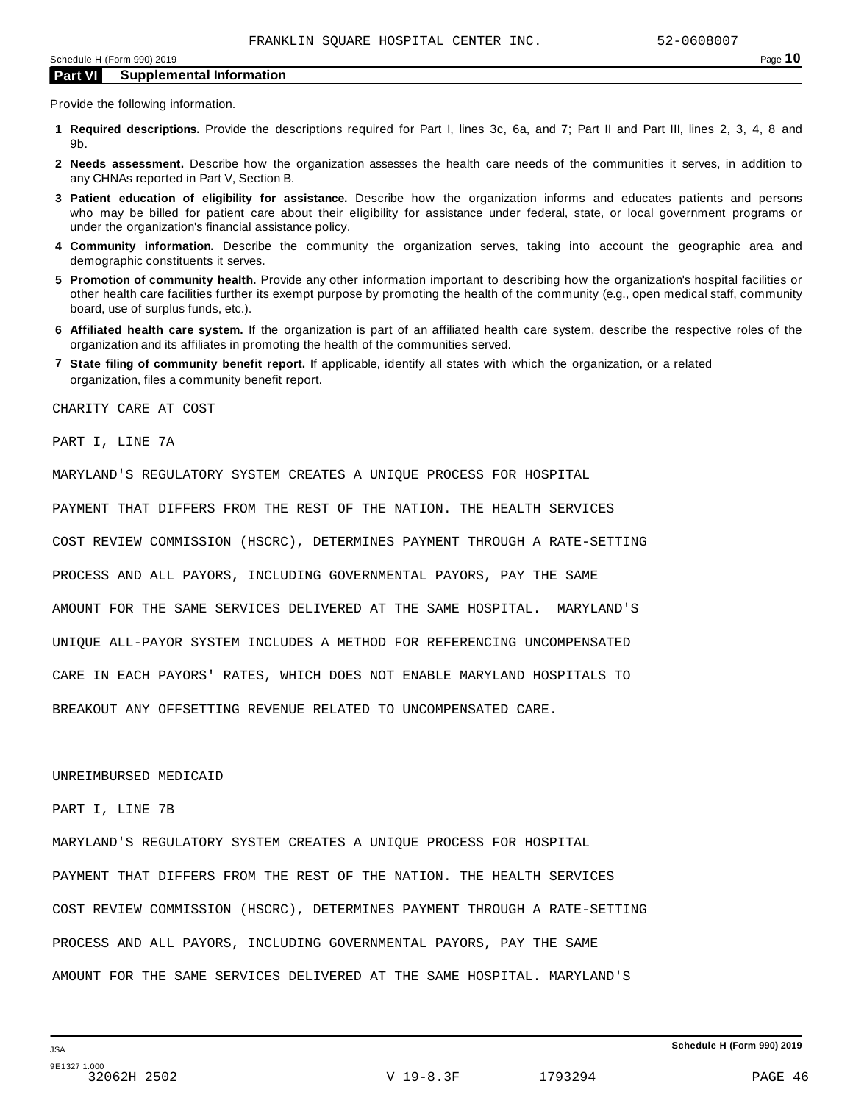Provide the following information.

- **1 Required descriptions.** Provide the descriptions required for Part I, lines 3c, 6a, and 7; Part II and Part III, lines 2, 3, 4, 8 and 9b.
- **2 Needs assessment.** Describe how the organization assesses the health care needs of the communities it serves, in addition to any CHNAs reported in Part V, Section B.
- **3 Patient education of eligibility for assistance.** Describe how the organization informs and educates patients and persons who may be billed for patient care about their eligibility for assistance under federal, state, or local government programs or under the organization's financial assistance policy.
- **4 Community information.** Describe the community the organization serves, taking into account the geographic area and demographic constituents it serves.
- **5 Promotion of community health.** Provide any other information important to describing how the organization's hospital facilities or other health care facilities further its exempt purpose by promoting the health of the community (e.g., open medical staff, community board, use of surplus funds, etc.).
- **6 Affiliated health care system.** If the organization is part of an affiliated health care system, describe the respective roles of the organization and its affiliates in promoting the health of the communities served.
- **7 State filing of community benefit report.** If applicable, identify all states with which the organization, or a related organization, files a community benefit report.

CHARITY CARE AT COST

PART I, LINE 7A

MARYLAND'S REGULATORY SYSTEM CREATES A UNIQUE PROCESS FOR HOSPITAL

PAYMENT THAT DIFFERS FROM THE REST OF THE NATION. THE HEALTH SERVICES

COST REVIEW COMMISSION (HSCRC), DETERMINES PAYMENT THROUGH A RATE-SETTING

PROCESS AND ALL PAYORS, INCLUDING GOVERNMENTAL PAYORS, PAY THE SAME

AMOUNT FOR THE SAME SERVICES DELIVERED AT THE SAME HOSPITAL. MARYLAND'S

UNIQUE ALL-PAYOR SYSTEM INCLUDES A METHOD FOR REFERENCING UNCOMPENSATED

CARE IN EACH PAYORS' RATES, WHICH DOES NOT ENABLE MARYLAND HOSPITALS TO

BREAKOUT ANY OFFSETTING REVENUE RELATED TO UNCOMPENSATED CARE.

UNREIMBURSED MEDICAID

#### PART I, LINE 7B

MARYLAND'S REGULATORY SYSTEM CREATES A UNIQUE PROCESS FOR HOSPITAL PAYMENT THAT DIFFERS FROM THE REST OF THE NATION. THE HEALTH SERVICES COST REVIEW COMMISSION (HSCRC), DETERMINES PAYMENT THROUGH A RATE-SETTING PROCESS AND ALL PAYORS, INCLUDING GOVERNMENTAL PAYORS, PAY THE SAME AMOUNT FOR THE SAME SERVICES DELIVERED AT THE SAME HOSPITAL. MARYLAND'S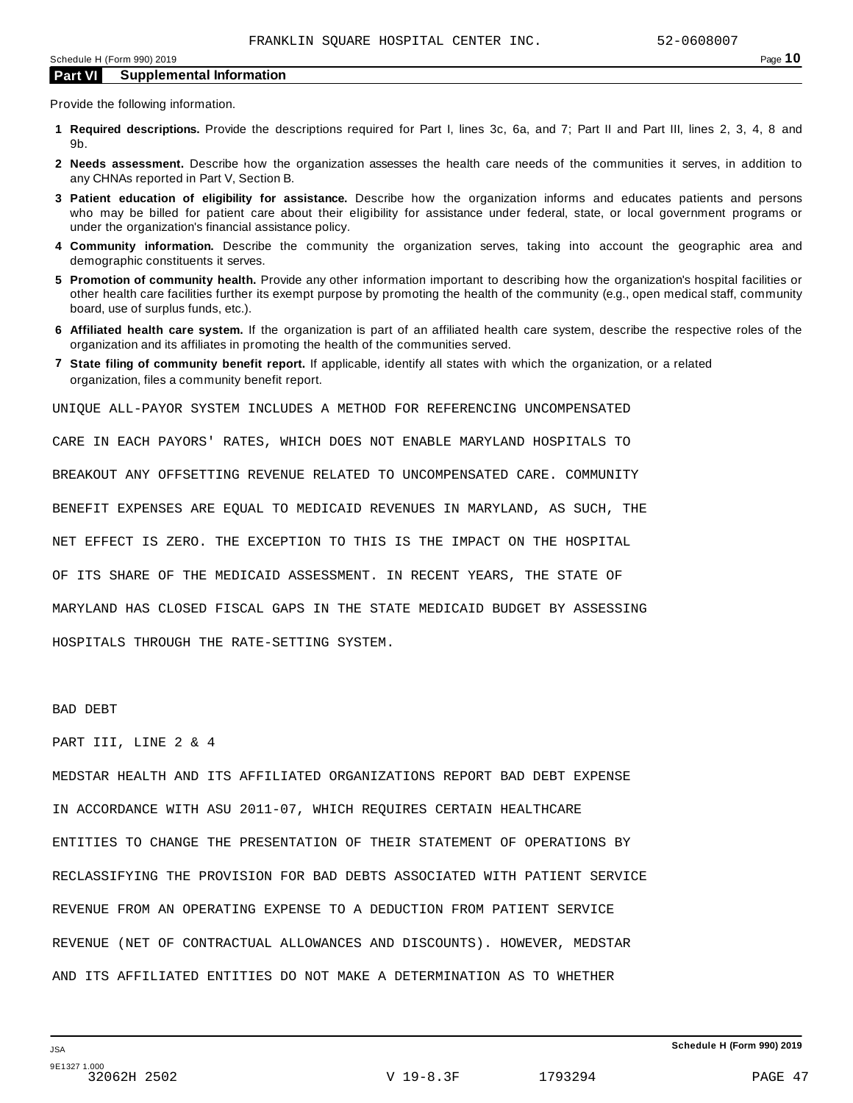Provide the following information.

- **1 Required descriptions.** Provide the descriptions required for Part I, lines 3c, 6a, and 7; Part II and Part III, lines 2, 3, 4, 8 and 9b.
- **2 Needs assessment.** Describe how the organization assesses the health care needs of the communities it serves, in addition to any CHNAs reported in Part V, Section B.
- **3 Patient education of eligibility for assistance.** Describe how the organization informs and educates patients and persons who may be billed for patient care about their eligibility for assistance under federal, state, or local government programs or under the organization's financial assistance policy.
- **4 Community information.** Describe the community the organization serves, taking into account the geographic area and demographic constituents it serves.
- **5 Promotion of community health.** Provide any other information important to describing how the organization's hospital facilities or other health care facilities further its exempt purpose by promoting the health of the community (e.g., open medical staff, community board, use of surplus funds, etc.).
- **6 Affiliated health care system.** If the organization is part of an affiliated health care system, describe the respective roles of the organization and its affiliates in promoting the health of the communities served.
- **7 State filing of community benefit report.** If applicable, identify all states with which the organization, or a related organization, files a community benefit report.

UNIQUE ALL-PAYOR SYSTEM INCLUDES A METHOD FOR REFERENCING UNCOMPENSATED

CARE IN EACH PAYORS' RATES, WHICH DOES NOT ENABLE MARYLAND HOSPITALS TO

BREAKOUT ANY OFFSETTING REVENUE RELATED TO UNCOMPENSATED CARE. COMMUNITY

BENEFIT EXPENSES ARE EQUAL TO MEDICAID REVENUES IN MARYLAND, AS SUCH, THE

NET EFFECT IS ZERO. THE EXCEPTION TO THIS IS THE IMPACT ON THE HOSPITAL

OF ITS SHARE OF THE MEDICAID ASSESSMENT. IN RECENT YEARS, THE STATE OF

MARYLAND HAS CLOSED FISCAL GAPS IN THE STATE MEDICAID BUDGET BY ASSESSING

HOSPITALS THROUGH THE RATE-SETTING SYSTEM.

BAD DEBT

PART III, LINE 2 & 4

MEDSTAR HEALTH AND ITS AFFILIATED ORGANIZATIONS REPORT BAD DEBT EXPENSE IN ACCORDANCE WITH ASU 2011-07, WHICH REQUIRES CERTAIN HEALTHCARE ENTITIES TO CHANGE THE PRESENTATION OF THEIR STATEMENT OF OPERATIONS BY RECLASSIFYING THE PROVISION FOR BAD DEBTS ASSOCIATED WITH PATIENT SERVICE REVENUE FROM AN OPERATING EXPENSE TO A DEDUCTION FROM PATIENT SERVICE REVENUE (NET OF CONTRACTUAL ALLOWANCES AND DISCOUNTS). HOWEVER, MEDSTAR AND ITS AFFILIATED ENTITIES DO NOT MAKE A DETERMINATION AS TO WHETHER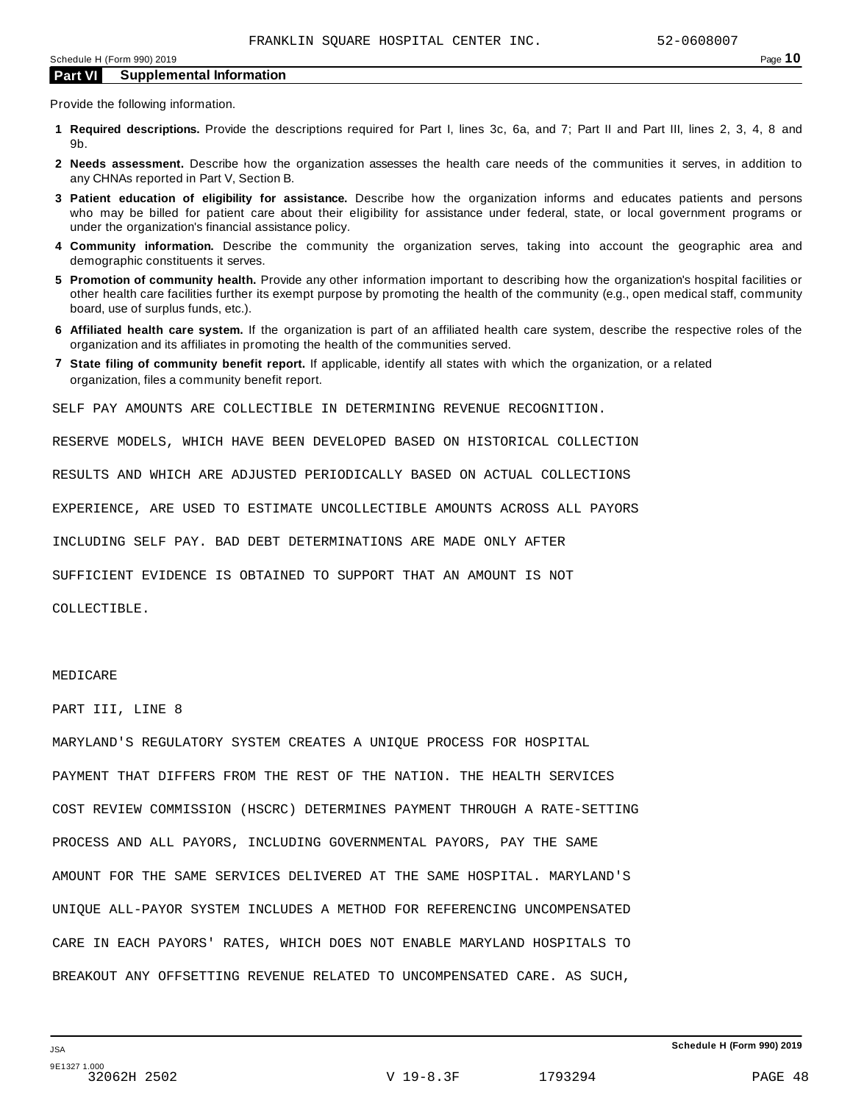Provide the following information.

- **1 Required descriptions.** Provide the descriptions required for Part I, lines 3c, 6a, and 7; Part II and Part III, lines 2, 3, 4, 8 and 9b.
- **2 Needs assessment.** Describe how the organization assesses the health care needs of the communities it serves, in addition to any CHNAs reported in Part V, Section B.
- **3 Patient education of eligibility for assistance.** Describe how the organization informs and educates patients and persons who may be billed for patient care about their eligibility for assistance under federal, state, or local government programs or under the organization's financial assistance policy.
- **4 Community information.** Describe the community the organization serves, taking into account the geographic area and demographic constituents it serves.
- **5 Promotion of community health.** Provide any other information important to describing how the organization's hospital facilities or other health care facilities further its exempt purpose by promoting the health of the community (e.g., open medical staff, community board, use of surplus funds, etc.).
- **6 Affiliated health care system.** If the organization is part of an affiliated health care system, describe the respective roles of the organization and its affiliates in promoting the health of the communities served.
- **7 State filing of community benefit report.** If applicable, identify all states with which the organization, or a related organization, files a community benefit report.

SELF PAY AMOUNTS ARE COLLECTIBLE IN DETERMINING REVENUE RECOGNITION.

RESERVE MODELS, WHICH HAVE BEEN DEVELOPED BASED ON HISTORICAL COLLECTION

RESULTS AND WHICH ARE ADJUSTED PERIODICALLY BASED ON ACTUAL COLLECTIONS

EXPERIENCE, ARE USED TO ESTIMATE UNCOLLECTIBLE AMOUNTS ACROSS ALL PAYORS

INCLUDING SELF PAY. BAD DEBT DETERMINATIONS ARE MADE ONLY AFTER

SUFFICIENT EVIDENCE IS OBTAINED TO SUPPORT THAT AN AMOUNT IS NOT

COLLECTIBLE.

#### MEDICARE

PART III, LINE 8

MARYLAND'S REGULATORY SYSTEM CREATES A UNIQUE PROCESS FOR HOSPITAL PAYMENT THAT DIFFERS FROM THE REST OF THE NATION. THE HEALTH SERVICES COST REVIEW COMMISSION (HSCRC) DETERMINES PAYMENT THROUGH A RATE-SETTING PROCESS AND ALL PAYORS, INCLUDING GOVERNMENTAL PAYORS, PAY THE SAME AMOUNT FOR THE SAME SERVICES DELIVERED AT THE SAME HOSPITAL. MARYLAND'S UNIQUE ALL-PAYOR SYSTEM INCLUDES A METHOD FOR REFERENCING UNCOMPENSATED CARE IN EACH PAYORS' RATES, WHICH DOES NOT ENABLE MARYLAND HOSPITALS TO BREAKOUT ANY OFFSETTING REVENUE RELATED TO UNCOMPENSATED CARE. AS SUCH,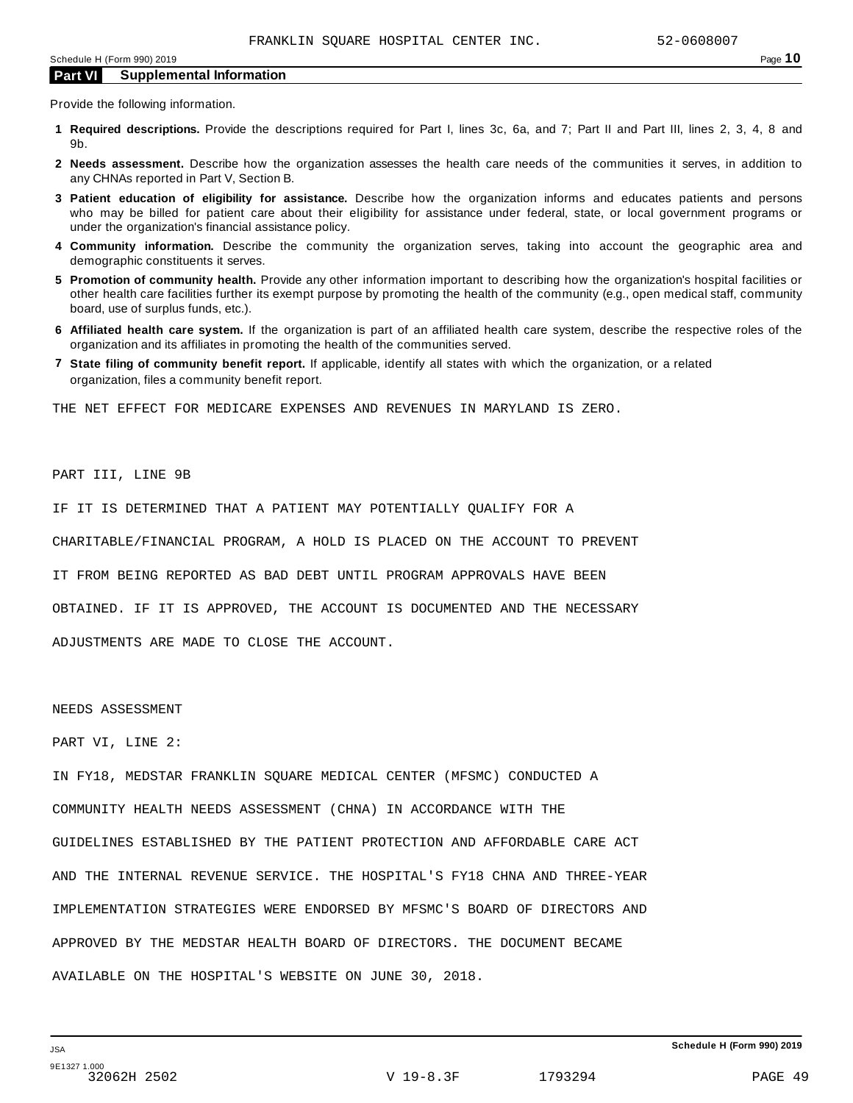Provide the following information.

- **1 Required descriptions.** Provide the descriptions required for Part I, lines 3c, 6a, and 7; Part II and Part III, lines 2, 3, 4, 8 and 9b.
- **2 Needs assessment.** Describe how the organization assesses the health care needs of the communities it serves, in addition to any CHNAs reported in Part V, Section B.
- **3 Patient education of eligibility for assistance.** Describe how the organization informs and educates patients and persons who may be billed for patient care about their eligibility for assistance under federal, state, or local government programs or under the organization's financial assistance policy.
- **4 Community information.** Describe the community the organization serves, taking into account the geographic area and demographic constituents it serves.
- **5 Promotion of community health.** Provide any other information important to describing how the organization's hospital facilities or other health care facilities further its exempt purpose by promoting the health of the community (e.g., open medical staff, community board, use of surplus funds, etc.).
- **6 Affiliated health care system.** If the organization is part of an affiliated health care system, describe the respective roles of the organization and its affiliates in promoting the health of the communities served.
- **7 State filing of community benefit report.** If applicable, identify all states with which the organization, or a related organization, files a community benefit report.

THE NET EFFECT FOR MEDICARE EXPENSES AND REVENUES IN MARYLAND IS ZERO.

## PART III, LINE 9B

IF IT IS DETERMINED THAT A PATIENT MAY POTENTIALLY QUALIFY FOR A

CHARITABLE/FINANCIAL PROGRAM, A HOLD IS PLACED ON THE ACCOUNT TO PREVENT

IT FROM BEING REPORTED AS BAD DEBT UNTIL PROGRAM APPROVALS HAVE BEEN

OBTAINED. IF IT IS APPROVED, THE ACCOUNT IS DOCUMENTED AND THE NECESSARY

ADJUSTMENTS ARE MADE TO CLOSE THE ACCOUNT.

#### NEEDS ASSESSMENT

PART VI, LINE 2:

IN FY18, MEDSTAR FRANKLIN SQUARE MEDICAL CENTER (MFSMC) CONDUCTED A COMMUNITY HEALTH NEEDS ASSESSMENT (CHNA) IN ACCORDANCE WITH THE GUIDELINES ESTABLISHED BY THE PATIENT PROTECTION AND AFFORDABLE CARE ACT AND THE INTERNAL REVENUE SERVICE. THE HOSPITAL'S FY18 CHNA AND THREE-YEAR IMPLEMENTATION STRATEGIES WERE ENDORSED BY MFSMC'S BOARD OF DIRECTORS AND APPROVED BY THE MEDSTAR HEALTH BOARD OF DIRECTORS. THE DOCUMENT BECAME AVAILABLE ON THE HOSPITAL'S WEBSITE ON JUNE 30, 2018.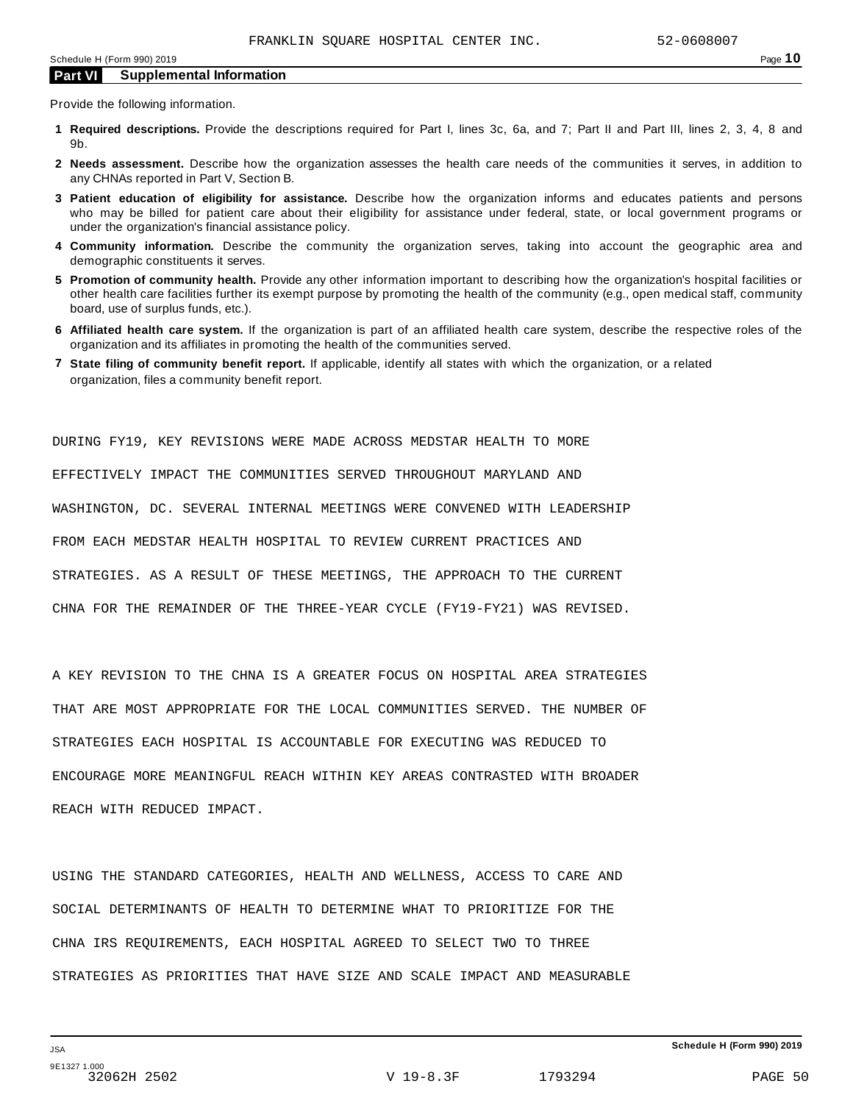Provide the following information.

- **1 Required descriptions.** Provide the descriptions required for Part I, lines 3c, 6a, and 7; Part II and Part III, lines 2, 3, 4, 8 and 9b.
- **2 Needs assessment.** Describe how the organization assesses the health care needs of the communities it serves, in addition to any CHNAs reported in Part V, Section B.
- **3 Patient education of eligibility for assistance.** Describe how the organization informs and educates patients and persons who may be billed for patient care about their eligibility for assistance under federal, state, or local government programs or under the organization's financial assistance policy.
- **4 Community information.** Describe the community the organization serves, taking into account the geographic area and demographic constituents it serves.
- **5 Promotion of community health.** Provide any other information important to describing how the organization's hospital facilities or other health care facilities further its exempt purpose by promoting the health of the community (e.g., open medical staff, community board, use of surplus funds, etc.).
- **6 Affiliated health care system.** If the organization is part of an affiliated health care system, describe the respective roles of the organization and its affiliates in promoting the health of the communities served.
- **7 State filing of community benefit report.** If applicable, identify all states with which the organization, or a related organization, files a community benefit report.

DURING FY19, KEY REVISIONS WERE MADE ACROSS MEDSTAR HEALTH TO MORE EFFECTIVELY IMPACT THE COMMUNITIES SERVED THROUGHOUT MARYLAND AND WASHINGTON, DC. SEVERAL INTERNAL MEETINGS WERE CONVENED WITH LEADERSHIP FROM EACH MEDSTAR HEALTH HOSPITAL TO REVIEW CURRENT PRACTICES AND STRATEGIES. AS A RESULT OF THESE MEETINGS, THE APPROACH TO THE CURRENT CHNA FOR THE REMAINDER OF THE THREE-YEAR CYCLE (FY19-FY21) WAS REVISED.

A KEY REVISION TO THE CHNA IS A GREATER FOCUS ON HOSPITAL AREA STRATEGIES THAT ARE MOST APPROPRIATE FOR THE LOCAL COMMUNITIES SERVED. THE NUMBER OF STRATEGIES EACH HOSPITAL IS ACCOUNTABLE FOR EXECUTING WAS REDUCED TO ENCOURAGE MORE MEANINGFUL REACH WITHIN KEY AREAS CONTRASTED WITH BROADER REACH WITH REDUCED IMPACT.

USING THE STANDARD CATEGORIES, HEALTH AND WELLNESS, ACCESS TO CARE AND SOCIAL DETERMINANTS OF HEALTH TO DETERMINE WHAT TO PRIORITIZE FOR THE CHNA IRS REQUIREMENTS, EACH HOSPITAL AGREED TO SELECT TWO TO THREE STRATEGIES AS PRIORITIES THAT HAVE SIZE AND SCALE IMPACT AND MEASURABLE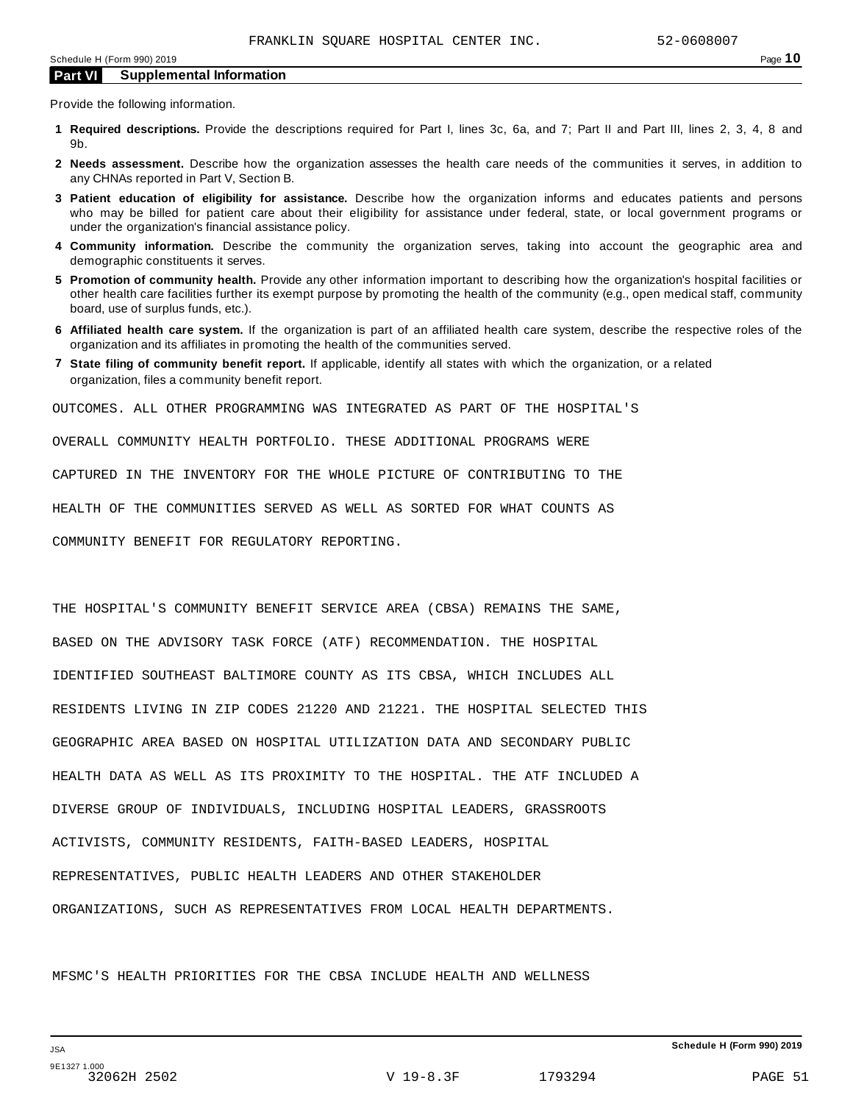Provide the following information.

- **1 Required descriptions.** Provide the descriptions required for Part I, lines 3c, 6a, and 7; Part II and Part III, lines 2, 3, 4, 8 and 9b.
- **2 Needs assessment.** Describe how the organization assesses the health care needs of the communities it serves, in addition to any CHNAs reported in Part V, Section B.
- **3 Patient education of eligibility for assistance.** Describe how the organization informs and educates patients and persons who may be billed for patient care about their eligibility for assistance under federal, state, or local government programs or under the organization's financial assistance policy.
- **4 Community information.** Describe the community the organization serves, taking into account the geographic area and demographic constituents it serves.
- **5 Promotion of community health.** Provide any other information important to describing how the organization's hospital facilities or other health care facilities further its exempt purpose by promoting the health of the community (e.g., open medical staff, community board, use of surplus funds, etc.).
- **6 Affiliated health care system.** If the organization is part of an affiliated health care system, describe the respective roles of the organization and its affiliates in promoting the health of the communities served.
- **7 State filing of community benefit report.** If applicable, identify all states with which the organization, or a related organization, files a community benefit report.

OUTCOMES. ALL OTHER PROGRAMMING WAS INTEGRATED AS PART OF THE HOSPITAL'S

OVERALL COMMUNITY HEALTH PORTFOLIO. THESE ADDITIONAL PROGRAMS WERE

CAPTURED IN THE INVENTORY FOR THE WHOLE PICTURE OF CONTRIBUTING TO THE

HEALTH OF THE COMMUNITIES SERVED AS WELL AS SORTED FOR WHAT COUNTS AS

COMMUNITY BENEFIT FOR REGULATORY REPORTING.

THE HOSPITAL'S COMMUNITY BENEFIT SERVICE AREA (CBSA) REMAINS THE SAME, BASED ON THE ADVISORY TASK FORCE (ATF) RECOMMENDATION. THE HOSPITAL IDENTIFIED SOUTHEAST BALTIMORE COUNTY AS ITS CBSA, WHICH INCLUDES ALL RESIDENTS LIVING IN ZIP CODES 21220 AND 21221. THE HOSPITAL SELECTED THIS GEOGRAPHIC AREA BASED ON HOSPITAL UTILIZATION DATA AND SECONDARY PUBLIC HEALTH DATA AS WELL AS ITS PROXIMITY TO THE HOSPITAL. THE ATF INCLUDED A DIVERSE GROUP OF INDIVIDUALS, INCLUDING HOSPITAL LEADERS, GRASSROOTS ACTIVISTS, COMMUNITY RESIDENTS, FAITH-BASED LEADERS, HOSPITAL REPRESENTATIVES, PUBLIC HEALTH LEADERS AND OTHER STAKEHOLDER ORGANIZATIONS, SUCH AS REPRESENTATIVES FROM LOCAL HEALTH DEPARTMENTS.

MFSMC'S HEALTH PRIORITIES FOR THE CBSA INCLUDE HEALTH AND WELLNESS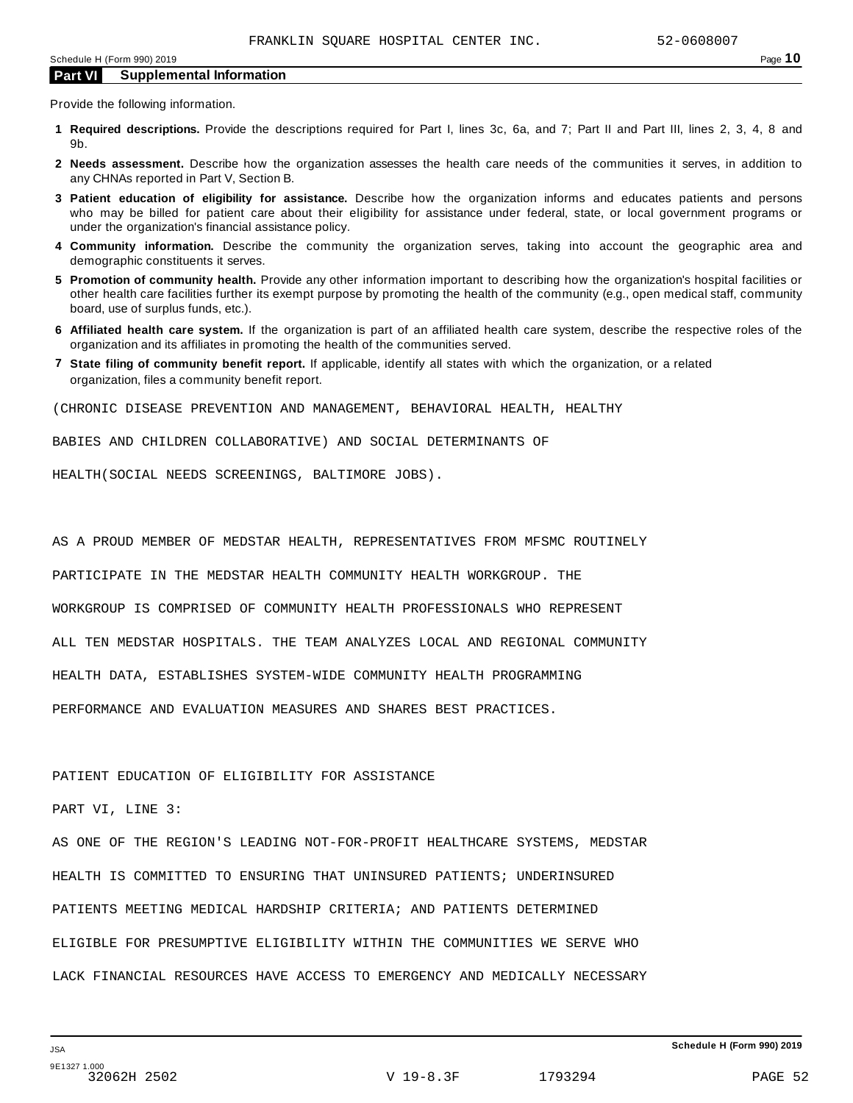Provide the following information.

- **1 Required descriptions.** Provide the descriptions required for Part I, lines 3c, 6a, and 7; Part II and Part III, lines 2, 3, 4, 8 and 9b.
- **2 Needs assessment.** Describe how the organization assesses the health care needs of the communities it serves, in addition to any CHNAs reported in Part V, Section B.
- **3 Patient education of eligibility for assistance.** Describe how the organization informs and educates patients and persons who may be billed for patient care about their eligibility for assistance under federal, state, or local government programs or under the organization's financial assistance policy.
- **4 Community information.** Describe the community the organization serves, taking into account the geographic area and demographic constituents it serves.
- **5 Promotion of community health.** Provide any other information important to describing how the organization's hospital facilities or other health care facilities further its exempt purpose by promoting the health of the community (e.g., open medical staff, community board, use of surplus funds, etc.).
- **6 Affiliated health care system.** If the organization is part of an affiliated health care system, describe the respective roles of the organization and its affiliates in promoting the health of the communities served.
- **7 State filing of community benefit report.** If applicable, identify all states with which the organization, or a related organization, files a community benefit report.

(CHRONIC DISEASE PREVENTION AND MANAGEMENT, BEHAVIORAL HEALTH, HEALTHY

BABIES AND CHILDREN COLLABORATIVE) AND SOCIAL DETERMINANTS OF

HEALTH(SOCIAL NEEDS SCREENINGS, BALTIMORE JOBS).

AS A PROUD MEMBER OF MEDSTAR HEALTH, REPRESENTATIVES FROM MFSMC ROUTINELY

PARTICIPATE IN THE MEDSTAR HEALTH COMMUNITY HEALTH WORKGROUP. THE

WORKGROUP IS COMPRISED OF COMMUNITY HEALTH PROFESSIONALS WHO REPRESENT

ALL TEN MEDSTAR HOSPITALS. THE TEAM ANALYZES LOCAL AND REGIONAL COMMUNITY

HEALTH DATA, ESTABLISHES SYSTEM-WIDE COMMUNITY HEALTH PROGRAMMING

PERFORMANCE AND EVALUATION MEASURES AND SHARES BEST PRACTICES.

## PATIENT EDUCATION OF ELIGIBILITY FOR ASSISTANCE

PART VI, LINE 3:

AS ONE OF THE REGION'S LEADING NOT-FOR-PROFIT HEALTHCARE SYSTEMS, MEDSTAR HEALTH IS COMMITTED TO ENSURING THAT UNINSURED PATIENTS; UNDERINSURED PATIENTS MEETING MEDICAL HARDSHIP CRITERIA; AND PATIENTS DETERMINED ELIGIBLE FOR PRESUMPTIVE ELIGIBILITY WITHIN THE COMMUNITIES WE SERVE WHO LACK FINANCIAL RESOURCES HAVE ACCESS TO EMERGENCY AND MEDICALLY NECESSARY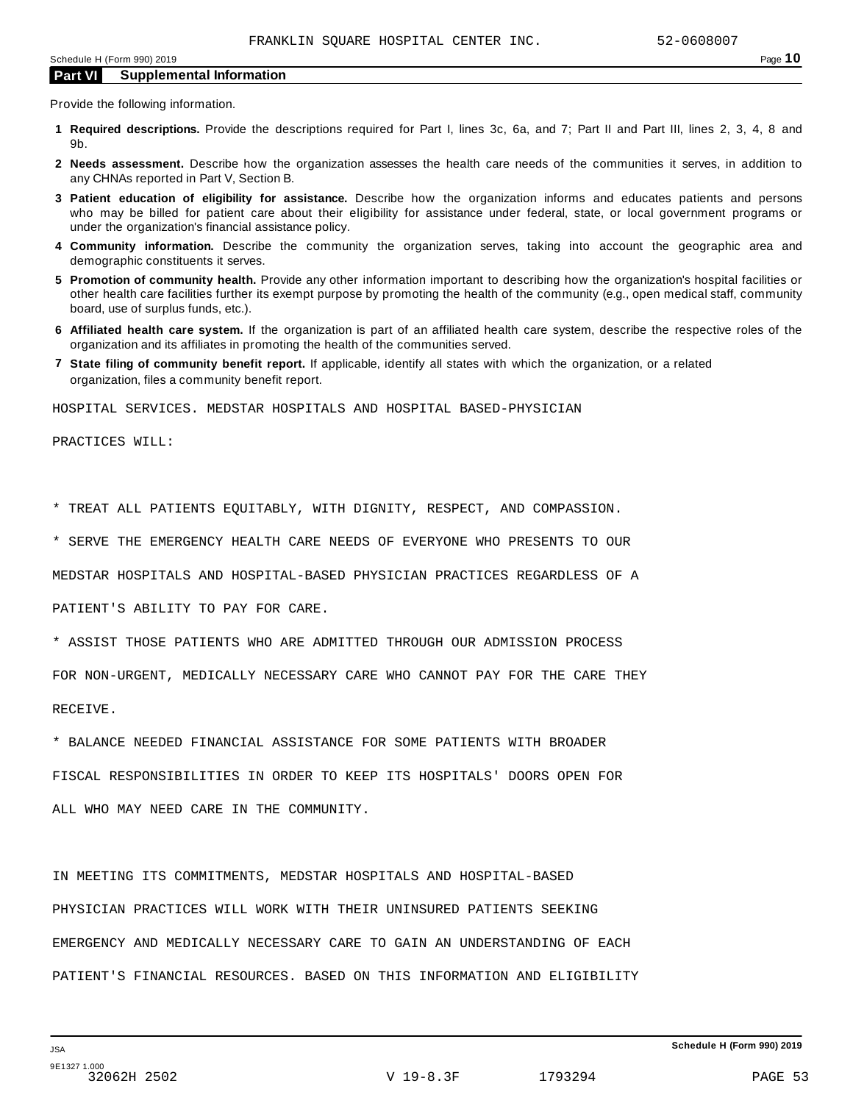Provide the following information.

- **1 Required descriptions.** Provide the descriptions required for Part I, lines 3c, 6a, and 7; Part II and Part III, lines 2, 3, 4, 8 and 9b.
- **2 Needs assessment.** Describe how the organization assesses the health care needs of the communities it serves, in addition to any CHNAs reported in Part V, Section B.
- **3 Patient education of eligibility for assistance.** Describe how the organization informs and educates patients and persons who may be billed for patient care about their eligibility for assistance under federal, state, or local government programs or under the organization's financial assistance policy.
- **4 Community information.** Describe the community the organization serves, taking into account the geographic area and demographic constituents it serves.
- **5 Promotion of community health.** Provide any other information important to describing how the organization's hospital facilities or other health care facilities further its exempt purpose by promoting the health of the community (e.g., open medical staff, community board, use of surplus funds, etc.).
- **6 Affiliated health care system.** If the organization is part of an affiliated health care system, describe the respective roles of the organization and its affiliates in promoting the health of the communities served.
- **7 State filing of community benefit report.** If applicable, identify all states with which the organization, or a related organization, files a community benefit report.

HOSPITAL SERVICES. MEDSTAR HOSPITALS AND HOSPITAL BASED-PHYSICIAN

PRACTICES WILL:

\* TREAT ALL PATIENTS EQUITABLY, WITH DIGNITY, RESPECT, AND COMPASSION.

\* SERVE THE EMERGENCY HEALTH CARE NEEDS OF EVERYONE WHO PRESENTS TO OUR

MEDSTAR HOSPITALS AND HOSPITAL-BASED PHYSICIAN PRACTICES REGARDLESS OF A

PATIENT'S ABILITY TO PAY FOR CARE.

\* ASSIST THOSE PATIENTS WHO ARE ADMITTED THROUGH OUR ADMISSION PROCESS

FOR NON-URGENT, MEDICALLY NECESSARY CARE WHO CANNOT PAY FOR THE CARE THEY

RECEIVE.

\* BALANCE NEEDED FINANCIAL ASSISTANCE FOR SOME PATIENTS WITH BROADER

FISCAL RESPONSIBILITIES IN ORDER TO KEEP ITS HOSPITALS' DOORS OPEN FOR ALL WHO MAY NEED CARE IN THE COMMUNITY.

IN MEETING ITS COMMITMENTS, MEDSTAR HOSPITALS AND HOSPITAL-BASED PHYSICIAN PRACTICES WILL WORK WITH THEIR UNINSURED PATIENTS SEEKING EMERGENCY AND MEDICALLY NECESSARY CARE TO GAIN AN UNDERSTANDING OF EACH PATIENT'S FINANCIAL RESOURCES. BASED ON THIS INFORMATION AND ELIGIBILITY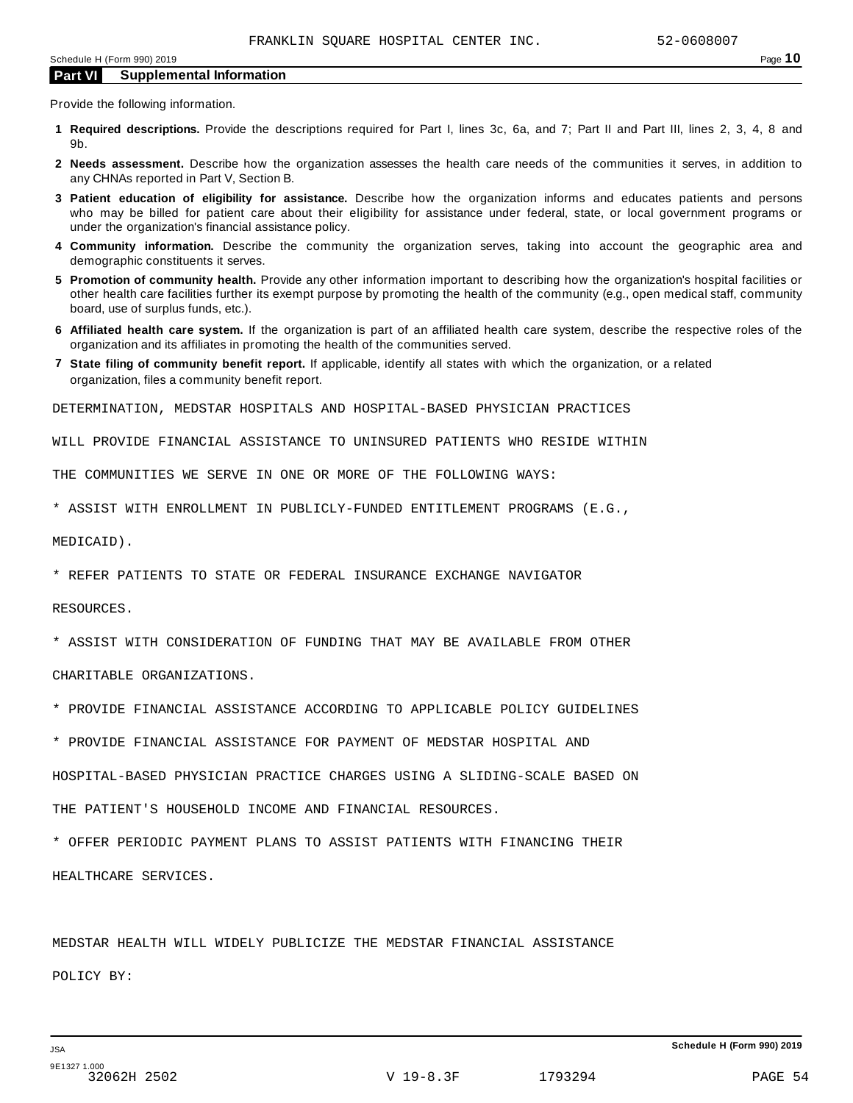Provide the following information.

- **1 Required descriptions.** Provide the descriptions required for Part I, lines 3c, 6a, and 7; Part II and Part III, lines 2, 3, 4, 8 and 9b.
- **2 Needs assessment.** Describe how the organization assesses the health care needs of the communities it serves, in addition to any CHNAs reported in Part V, Section B.
- **3 Patient education of eligibility for assistance.** Describe how the organization informs and educates patients and persons who may be billed for patient care about their eligibility for assistance under federal, state, or local government programs or under the organization's financial assistance policy.
- **4 Community information.** Describe the community the organization serves, taking into account the geographic area and demographic constituents it serves.
- **5 Promotion of community health.** Provide any other information important to describing how the organization's hospital facilities or other health care facilities further its exempt purpose by promoting the health of the community (e.g., open medical staff, community board, use of surplus funds, etc.).
- **6 Affiliated health care system.** If the organization is part of an affiliated health care system, describe the respective roles of the organization and its affiliates in promoting the health of the communities served.
- **7 State filing of community benefit report.** If applicable, identify all states with which the organization, or a related organization, files a community benefit report.

DETERMINATION, MEDSTAR HOSPITALS AND HOSPITAL-BASED PHYSICIAN PRACTICES

WILL PROVIDE FINANCIAL ASSISTANCE TO UNINSURED PATIENTS WHO RESIDE WITHIN

THE COMMUNITIES WE SERVE IN ONE OR MORE OF THE FOLLOWING WAYS:

\* ASSIST WITH ENROLLMENT IN PUBLICLY-FUNDED ENTITLEMENT PROGRAMS (E.G.,

MEDICAID).

\* REFER PATIENTS TO STATE OR FEDERAL INSURANCE EXCHANGE NAVIGATOR

RESOURCES.

\* ASSIST WITH CONSIDERATION OF FUNDING THAT MAY BE AVAILABLE FROM OTHER

CHARITABLE ORGANIZATIONS.

- \* PROVIDE FINANCIAL ASSISTANCE ACCORDING TO APPLICABLE POLICY GUIDELINES
- \* PROVIDE FINANCIAL ASSISTANCE FOR PAYMENT OF MEDSTAR HOSPITAL AND

HOSPITAL-BASED PHYSICIAN PRACTICE CHARGES USING A SLIDING-SCALE BASED ON

THE PATIENT'S HOUSEHOLD INCOME AND FINANCIAL RESOURCES.

\* OFFER PERIODIC PAYMENT PLANS TO ASSIST PATIENTS WITH FINANCING THEIR HEALTHCARE SERVICES.

MEDSTAR HEALTH WILL WIDELY PUBLICIZE THE MEDSTAR FINANCIAL ASSISTANCE POLICY BY: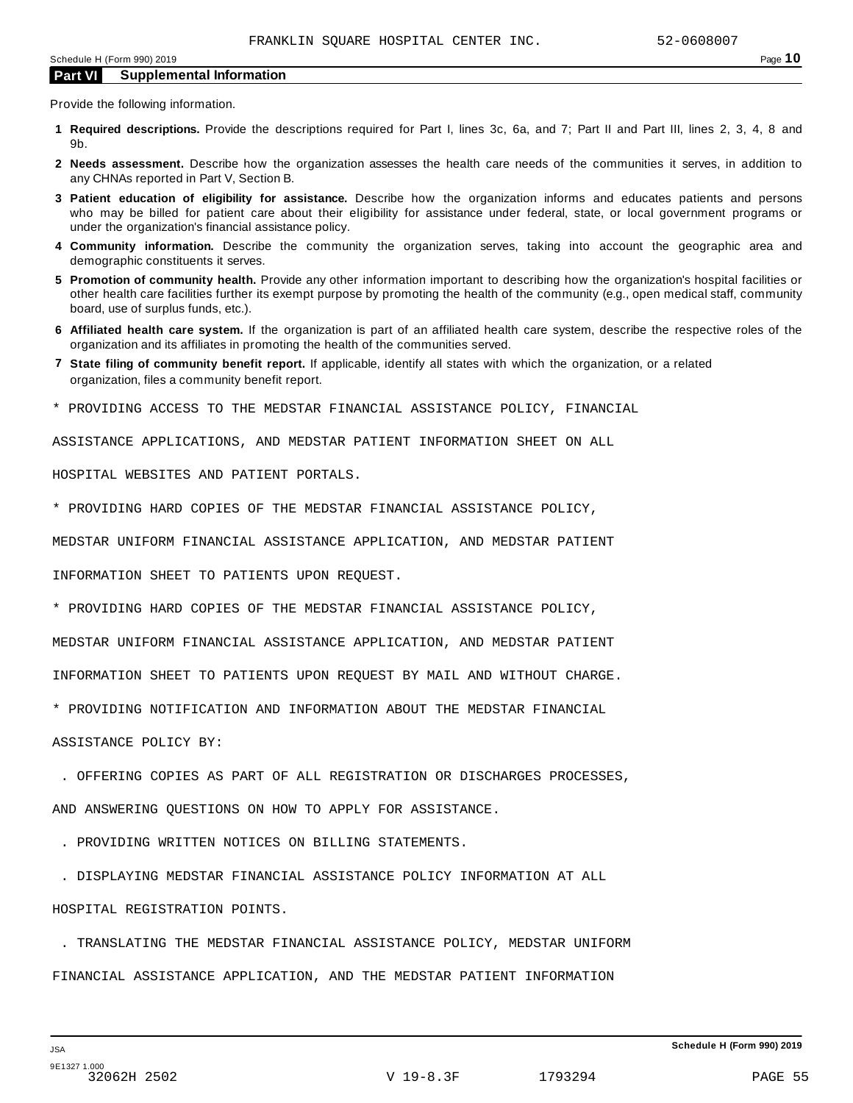Provide the following information.

- **1 Required descriptions.** Provide the descriptions required for Part I, lines 3c, 6a, and 7; Part II and Part III, lines 2, 3, 4, 8 and 9b.
- **2 Needs assessment.** Describe how the organization assesses the health care needs of the communities it serves, in addition to any CHNAs reported in Part V, Section B.
- **3 Patient education of eligibility for assistance.** Describe how the organization informs and educates patients and persons who may be billed for patient care about their eligibility for assistance under federal, state, or local government programs or under the organization's financial assistance policy.
- **4 Community information.** Describe the community the organization serves, taking into account the geographic area and demographic constituents it serves.
- **5 Promotion of community health.** Provide any other information important to describing how the organization's hospital facilities or other health care facilities further its exempt purpose by promoting the health of the community (e.g., open medical staff, community board, use of surplus funds, etc.).
- **6 Affiliated health care system.** If the organization is part of an affiliated health care system, describe the respective roles of the organization and its affiliates in promoting the health of the communities served.
- **7 State filing of community benefit report.** If applicable, identify all states with which the organization, or a related organization, files a community benefit report.
- \* PROVIDING ACCESS TO THE MEDSTAR FINANCIAL ASSISTANCE POLICY, FINANCIAL

ASSISTANCE APPLICATIONS, AND MEDSTAR PATIENT INFORMATION SHEET ON ALL

HOSPITAL WEBSITES AND PATIENT PORTALS.

\* PROVIDING HARD COPIES OF THE MEDSTAR FINANCIAL ASSISTANCE POLICY,

MEDSTAR UNIFORM FINANCIAL ASSISTANCE APPLICATION, AND MEDSTAR PATIENT

INFORMATION SHEET TO PATIENTS UPON REQUEST.

\* PROVIDING HARD COPIES OF THE MEDSTAR FINANCIAL ASSISTANCE POLICY,

MEDSTAR UNIFORM FINANCIAL ASSISTANCE APPLICATION, AND MEDSTAR PATIENT

INFORMATION SHEET TO PATIENTS UPON REQUEST BY MAIL AND WITHOUT CHARGE.

\* PROVIDING NOTIFICATION AND INFORMATION ABOUT THE MEDSTAR FINANCIAL

ASSISTANCE POLICY BY:

. OFFERING COPIES AS PART OF ALL REGISTRATION OR DISCHARGES PROCESSES,

AND ANSWERING QUESTIONS ON HOW TO APPLY FOR ASSISTANCE.

. PROVIDING WRITTEN NOTICES ON BILLING STATEMENTS.

. DISPLAYING MEDSTAR FINANCIAL ASSISTANCE POLICY INFORMATION AT ALL

HOSPITAL REGISTRATION POINTS.

 . TRANSLATING THE MEDSTAR FINANCIAL ASSISTANCE POLICY, MEDSTAR UNIFORM FINANCIAL ASSISTANCE APPLICATION, AND THE MEDSTAR PATIENT INFORMATION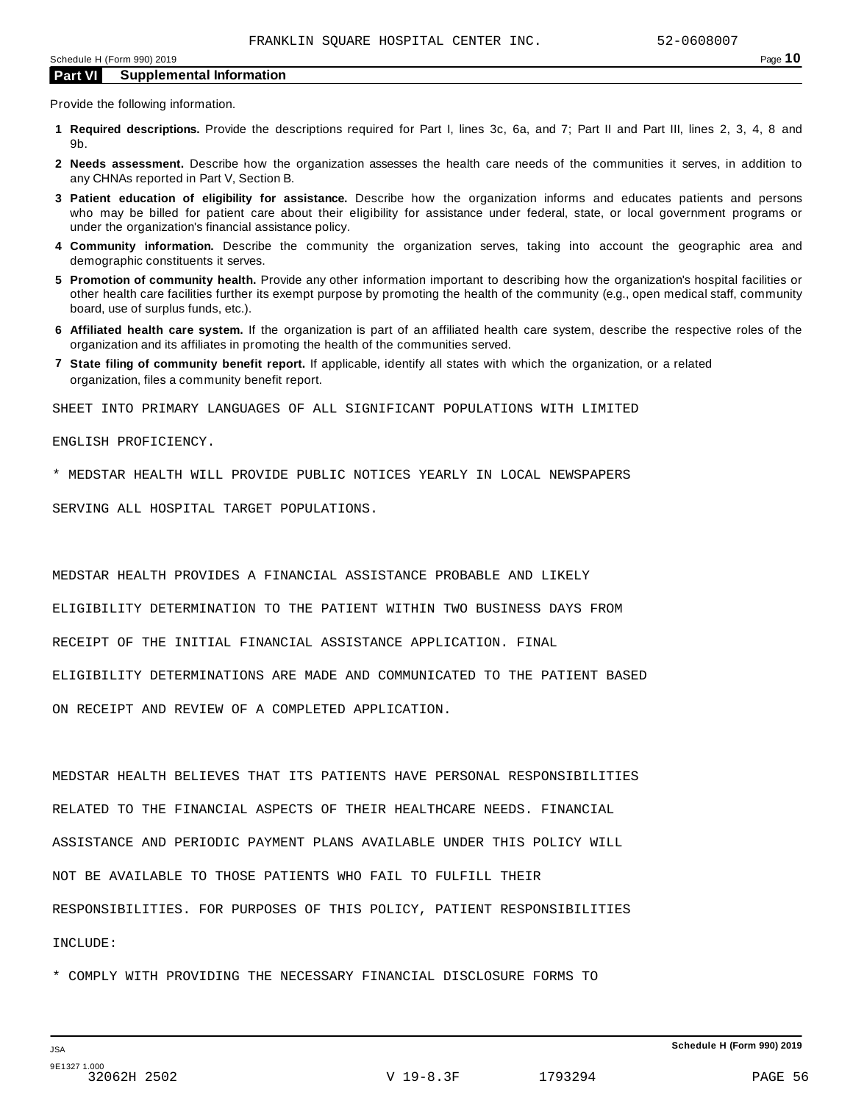Provide the following information.

- **1 Required descriptions.** Provide the descriptions required for Part I, lines 3c, 6a, and 7; Part II and Part III, lines 2, 3, 4, 8 and 9b.
- **2 Needs assessment.** Describe how the organization assesses the health care needs of the communities it serves, in addition to any CHNAs reported in Part V, Section B.
- **3 Patient education of eligibility for assistance.** Describe how the organization informs and educates patients and persons who may be billed for patient care about their eligibility for assistance under federal, state, or local government programs or under the organization's financial assistance policy.
- **4 Community information.** Describe the community the organization serves, taking into account the geographic area and demographic constituents it serves.
- **5 Promotion of community health.** Provide any other information important to describing how the organization's hospital facilities or other health care facilities further its exempt purpose by promoting the health of the community (e.g., open medical staff, community board, use of surplus funds, etc.).
- **6 Affiliated health care system.** If the organization is part of an affiliated health care system, describe the respective roles of the organization and its affiliates in promoting the health of the communities served.
- **7 State filing of community benefit report.** If applicable, identify all states with which the organization, or a related organization, files a community benefit report.

SHEET INTO PRIMARY LANGUAGES OF ALL SIGNIFICANT POPULATIONS WITH LIMITED

ENGLISH PROFICIENCY.

\* MEDSTAR HEALTH WILL PROVIDE PUBLIC NOTICES YEARLY IN LOCAL NEWSPAPERS

SERVING ALL HOSPITAL TARGET POPULATIONS.

MEDSTAR HEALTH PROVIDES A FINANCIAL ASSISTANCE PROBABLE AND LIKELY

ELIGIBILITY DETERMINATION TO THE PATIENT WITHIN TWO BUSINESS DAYS FROM

RECEIPT OF THE INITIAL FINANCIAL ASSISTANCE APPLICATION. FINAL

ELIGIBILITY DETERMINATIONS ARE MADE AND COMMUNICATED TO THE PATIENT BASED

ON RECEIPT AND REVIEW OF A COMPLETED APPLICATION.

MEDSTAR HEALTH BELIEVES THAT ITS PATIENTS HAVE PERSONAL RESPONSIBILITIES RELATED TO THE FINANCIAL ASPECTS OF THEIR HEALTHCARE NEEDS. FINANCIAL ASSISTANCE AND PERIODIC PAYMENT PLANS AVAILABLE UNDER THIS POLICY WILL NOT BE AVAILABLE TO THOSE PATIENTS WHO FAIL TO FULFILL THEIR RESPONSIBILITIES. FOR PURPOSES OF THIS POLICY, PATIENT RESPONSIBILITIES INCLUDE:

\* COMPLY WITH PROVIDING THE NECESSARY FINANCIAL DISCLOSURE FORMS TO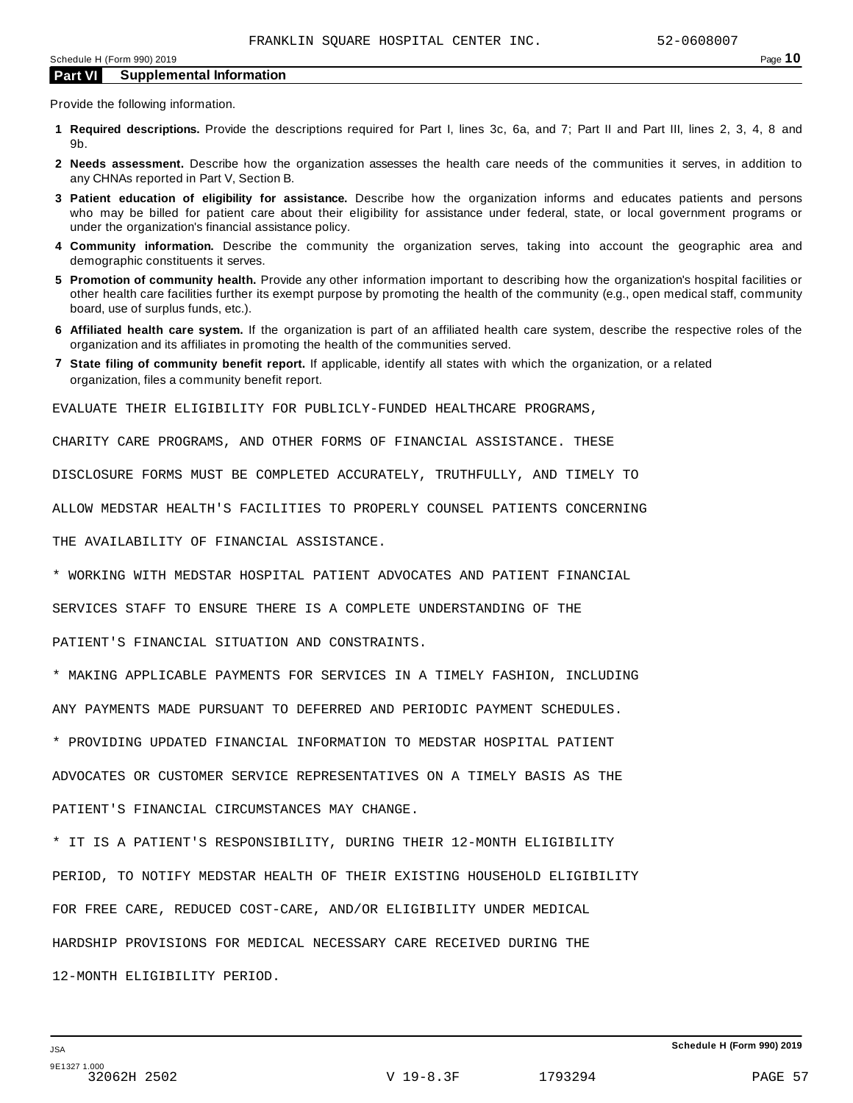Provide the following information.

- **1 Required descriptions.** Provide the descriptions required for Part I, lines 3c, 6a, and 7; Part II and Part III, lines 2, 3, 4, 8 and 9b.
- **2 Needs assessment.** Describe how the organization assesses the health care needs of the communities it serves, in addition to any CHNAs reported in Part V, Section B.
- **3 Patient education of eligibility for assistance.** Describe how the organization informs and educates patients and persons who may be billed for patient care about their eligibility for assistance under federal, state, or local government programs or under the organization's financial assistance policy.
- **4 Community information.** Describe the community the organization serves, taking into account the geographic area and demographic constituents it serves.
- **5 Promotion of community health.** Provide any other information important to describing how the organization's hospital facilities or other health care facilities further its exempt purpose by promoting the health of the community (e.g., open medical staff, community board, use of surplus funds, etc.).
- **6 Affiliated health care system.** If the organization is part of an affiliated health care system, describe the respective roles of the organization and its affiliates in promoting the health of the communities served.
- **7 State filing of community benefit report.** If applicable, identify all states with which the organization, or a related organization, files a community benefit report.

EVALUATE THEIR ELIGIBILITY FOR PUBLICLY-FUNDED HEALTHCARE PROGRAMS,

CHARITY CARE PROGRAMS, AND OTHER FORMS OF FINANCIAL ASSISTANCE. THESE

DISCLOSURE FORMS MUST BE COMPLETED ACCURATELY, TRUTHFULLY, AND TIMELY TO

ALLOW MEDSTAR HEALTH'S FACILITIES TO PROPERLY COUNSEL PATIENTS CONCERNING

THE AVAILABILITY OF FINANCIAL ASSISTANCE.

\* WORKING WITH MEDSTAR HOSPITAL PATIENT ADVOCATES AND PATIENT FINANCIAL

SERVICES STAFF TO ENSURE THERE IS A COMPLETE UNDERSTANDING OF THE

PATIENT'S FINANCIAL SITUATION AND CONSTRAINTS.

\* MAKING APPLICABLE PAYMENTS FOR SERVICES IN A TIMELY FASHION, INCLUDING

ANY PAYMENTS MADE PURSUANT TO DEFERRED AND PERIODIC PAYMENT SCHEDULES.

\* PROVIDING UPDATED FINANCIAL INFORMATION TO MEDSTAR HOSPITAL PATIENT

ADVOCATES OR CUSTOMER SERVICE REPRESENTATIVES ON A TIMELY BASIS AS THE

PATIENT'S FINANCIAL CIRCUMSTANCES MAY CHANGE.

\* IT IS A PATIENT'S RESPONSIBILITY, DURING THEIR 12-MONTH ELIGIBILITY PERIOD, TO NOTIFY MEDSTAR HEALTH OF THEIR EXISTING HOUSEHOLD ELIGIBILITY FOR FREE CARE, REDUCED COST-CARE, AND/OR ELIGIBILITY UNDER MEDICAL HARDSHIP PROVISIONS FOR MEDICAL NECESSARY CARE RECEIVED DURING THE 12-MONTH ELIGIBILITY PERIOD.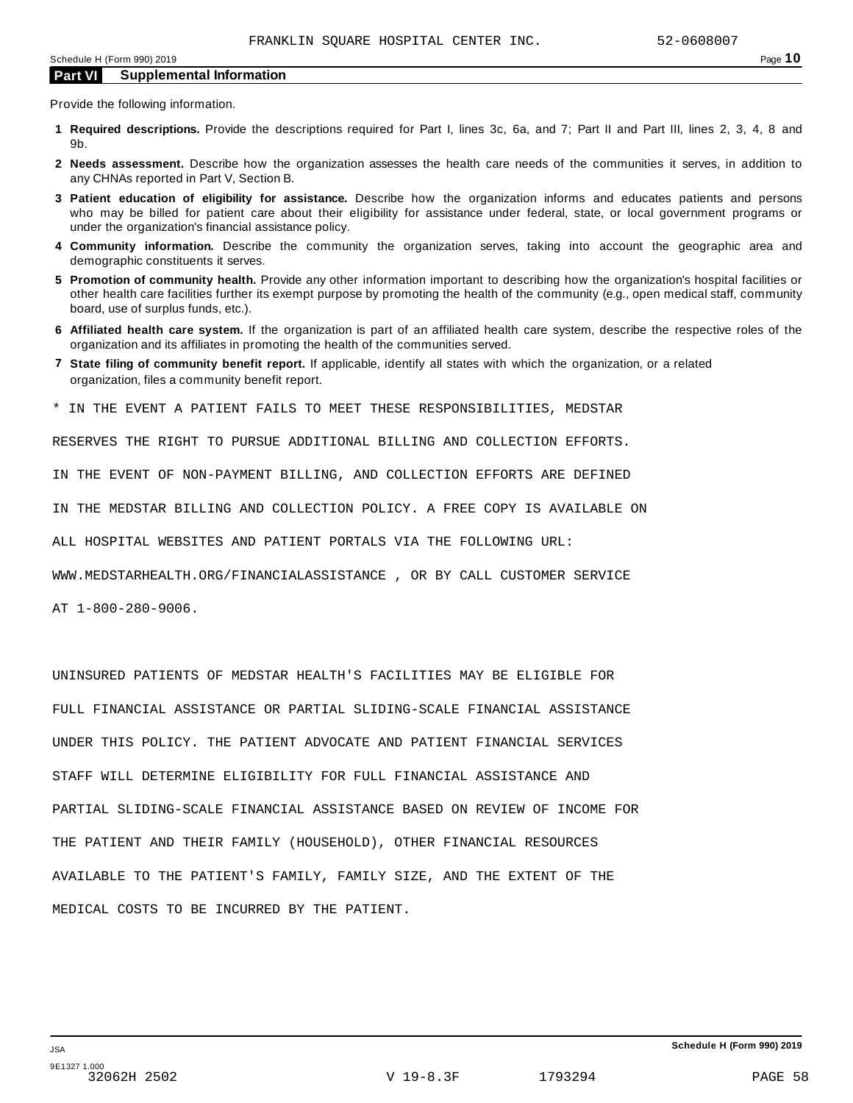Provide the following information.

- **1 Required descriptions.** Provide the descriptions required for Part I, lines 3c, 6a, and 7; Part II and Part III, lines 2, 3, 4, 8 and 9b.
- **2 Needs assessment.** Describe how the organization assesses the health care needs of the communities it serves, in addition to any CHNAs reported in Part V, Section B.
- **3 Patient education of eligibility for assistance.** Describe how the organization informs and educates patients and persons who may be billed for patient care about their eligibility for assistance under federal, state, or local government programs or under the organization's financial assistance policy.
- **4 Community information.** Describe the community the organization serves, taking into account the geographic area and demographic constituents it serves.
- **5 Promotion of community health.** Provide any other information important to describing how the organization's hospital facilities or other health care facilities further its exempt purpose by promoting the health of the community (e.g., open medical staff, community board, use of surplus funds, etc.).
- **6 Affiliated health care system.** If the organization is part of an affiliated health care system, describe the respective roles of the organization and its affiliates in promoting the health of the communities served.
- **7 State filing of community benefit report.** If applicable, identify all states with which the organization, or a related organization, files a community benefit report.
- \* IN THE EVENT A PATIENT FAILS TO MEET THESE RESPONSIBILITIES, MEDSTAR

RESERVES THE RIGHT TO PURSUE ADDITIONAL BILLING AND COLLECTION EFFORTS.

IN THE EVENT OF NON-PAYMENT BILLING, AND COLLECTION EFFORTS ARE DEFINED

IN THE MEDSTAR BILLING AND COLLECTION POLICY. A FREE COPY IS AVAILABLE ON

ALL HOSPITAL WEBSITES AND PATIENT PORTALS VIA THE FOLLOWING URL:

WWW.MEDSTARHEALTH.ORG/FINANCIALASSISTANCE , OR BY CALL CUSTOMER SERVICE

AT 1-800-280-9006.

UNINSURED PATIENTS OF MEDSTAR HEALTH'S FACILITIES MAY BE ELIGIBLE FOR FULL FINANCIAL ASSISTANCE OR PARTIAL SLIDING-SCALE FINANCIAL ASSISTANCE UNDER THIS POLICY. THE PATIENT ADVOCATE AND PATIENT FINANCIAL SERVICES STAFF WILL DETERMINE ELIGIBILITY FOR FULL FINANCIAL ASSISTANCE AND PARTIAL SLIDING-SCALE FINANCIAL ASSISTANCE BASED ON REVIEW OF INCOME FOR THE PATIENT AND THEIR FAMILY (HOUSEHOLD), OTHER FINANCIAL RESOURCES AVAILABLE TO THE PATIENT'S FAMILY, FAMILY SIZE, AND THE EXTENT OF THE MEDICAL COSTS TO BE INCURRED BY THE PATIENT.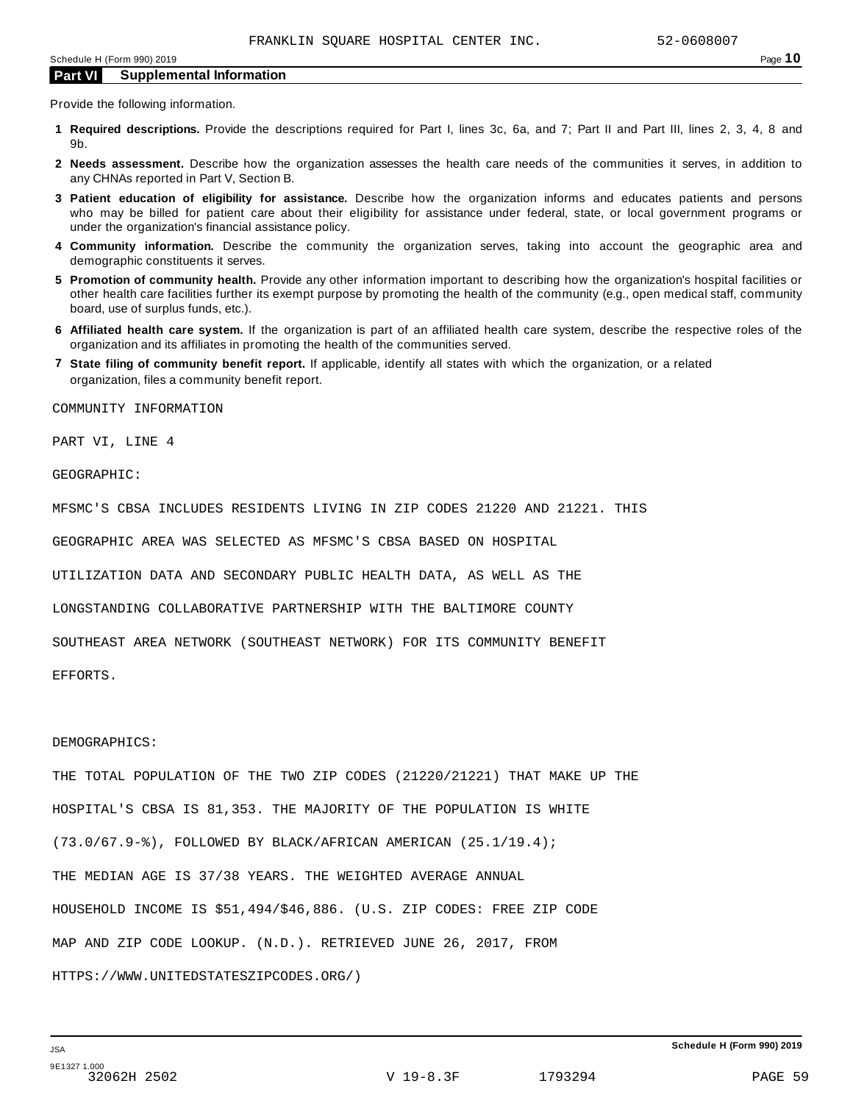Provide the following information.

- **1 Required descriptions.** Provide the descriptions required for Part I, lines 3c, 6a, and 7; Part II and Part III, lines 2, 3, 4, 8 and 9b.
- **2 Needs assessment.** Describe how the organization assesses the health care needs of the communities it serves, in addition to any CHNAs reported in Part V, Section B.
- **3 Patient education of eligibility for assistance.** Describe how the organization informs and educates patients and persons who may be billed for patient care about their eligibility for assistance under federal, state, or local government programs or under the organization's financial assistance policy.
- **4 Community information.** Describe the community the organization serves, taking into account the geographic area and demographic constituents it serves.
- **5 Promotion of community health.** Provide any other information important to describing how the organization's hospital facilities or other health care facilities further its exempt purpose by promoting the health of the community (e.g., open medical staff, community board, use of surplus funds, etc.).
- **6 Affiliated health care system.** If the organization is part of an affiliated health care system, describe the respective roles of the organization and its affiliates in promoting the health of the communities served.
- **7 State filing of community benefit report.** If applicable, identify all states with which the organization, or a related organization, files a community benefit report.

COMMUNITY INFORMATION

PART VI, LINE 4

GEOGRAPHIC:

MFSMC'S CBSA INCLUDES RESIDENTS LIVING IN ZIP CODES 21220 AND 21221. THIS

GEOGRAPHIC AREA WAS SELECTED AS MFSMC'S CBSA BASED ON HOSPITAL

UTILIZATION DATA AND SECONDARY PUBLIC HEALTH DATA, AS WELL AS THE

LONGSTANDING COLLABORATIVE PARTNERSHIP WITH THE BALTIMORE COUNTY

SOUTHEAST AREA NETWORK (SOUTHEAST NETWORK) FOR ITS COMMUNITY BENEFIT

EFFORTS.

#### DEMOGRAPHICS:

THE TOTAL POPULATION OF THE TWO ZIP CODES (21220/21221) THAT MAKE UP THE HOSPITAL'S CBSA IS 81,353. THE MAJORITY OF THE POPULATION IS WHITE (73.0/67.9-%), FOLLOWED BY BLACK/AFRICAN AMERICAN (25.1/19.4); THE MEDIAN AGE IS 37/38 YEARS. THE WEIGHTED AVERAGE ANNUAL HOUSEHOLD INCOME IS \$51,494/\$46,886. (U.S. ZIP CODES: FREE ZIP CODE MAP AND ZIP CODE LOOKUP. (N.D.). RETRIEVED JUNE 26, 2017, FROM HTTPS://WWW.UNITEDSTATESZIPCODES.ORG/)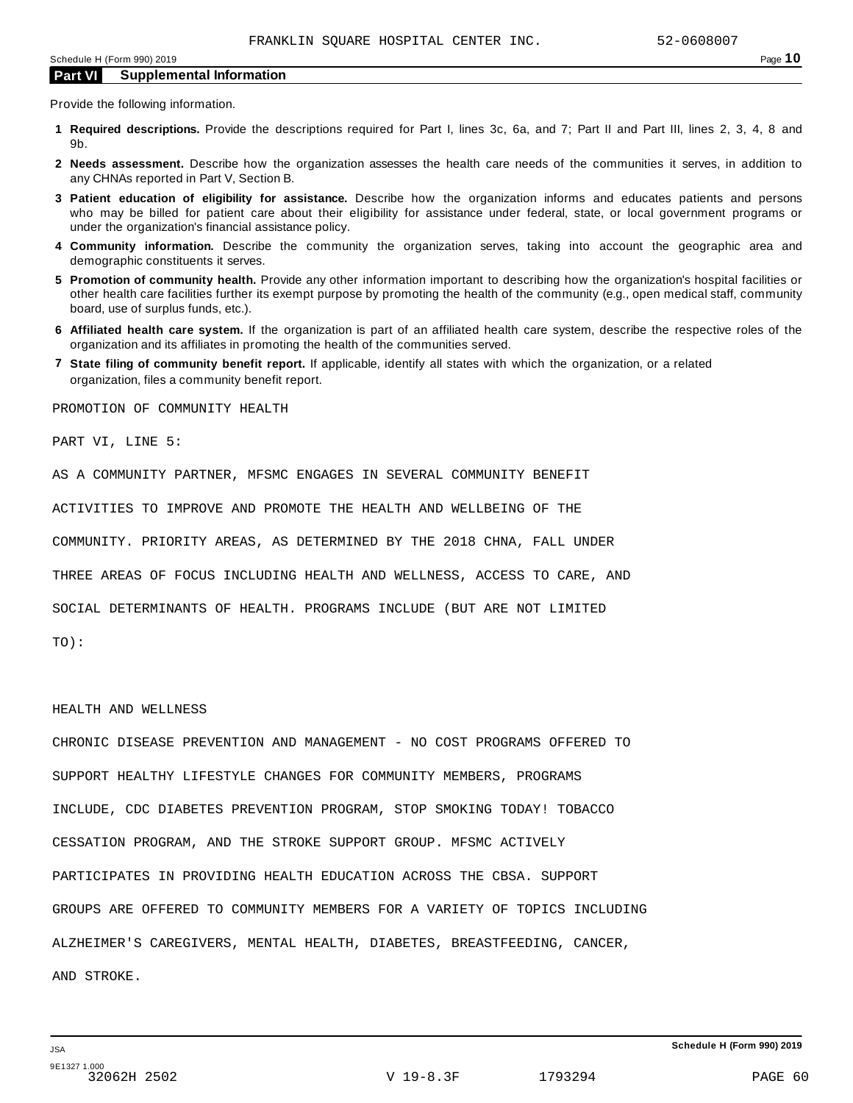Provide the following information.

- **1 Required descriptions.** Provide the descriptions required for Part I, lines 3c, 6a, and 7; Part II and Part III, lines 2, 3, 4, 8 and 9b.
- **2 Needs assessment.** Describe how the organization assesses the health care needs of the communities it serves, in addition to any CHNAs reported in Part V, Section B.
- **3 Patient education of eligibility for assistance.** Describe how the organization informs and educates patients and persons who may be billed for patient care about their eligibility for assistance under federal, state, or local government programs or under the organization's financial assistance policy.
- **4 Community information.** Describe the community the organization serves, taking into account the geographic area and demographic constituents it serves.
- **5 Promotion of community health.** Provide any other information important to describing how the organization's hospital facilities or other health care facilities further its exempt purpose by promoting the health of the community (e.g., open medical staff, community board, use of surplus funds, etc.).
- **6 Affiliated health care system.** If the organization is part of an affiliated health care system, describe the respective roles of the organization and its affiliates in promoting the health of the communities served.
- **7 State filing of community benefit report.** If applicable, identify all states with which the organization, or a related organization, files a community benefit report.

PROMOTION OF COMMUNITY HEALTH

PART VI, LINE 5:

AS A COMMUNITY PARTNER, MFSMC ENGAGES IN SEVERAL COMMUNITY BENEFIT

ACTIVITIES TO IMPROVE AND PROMOTE THE HEALTH AND WELLBEING OF THE

COMMUNITY. PRIORITY AREAS, AS DETERMINED BY THE 2018 CHNA, FALL UNDER

THREE AREAS OF FOCUS INCLUDING HEALTH AND WELLNESS, ACCESS TO CARE, AND

SOCIAL DETERMINANTS OF HEALTH. PROGRAMS INCLUDE (BUT ARE NOT LIMITED

TO):

#### HEALTH AND WELLNESS

CHRONIC DISEASE PREVENTION AND MANAGEMENT - NO COST PROGRAMS OFFERED TO SUPPORT HEALTHY LIFESTYLE CHANGES FOR COMMUNITY MEMBERS, PROGRAMS INCLUDE, CDC DIABETES PREVENTION PROGRAM, STOP SMOKING TODAY! TOBACCO CESSATION PROGRAM, AND THE STROKE SUPPORT GROUP. MFSMC ACTIVELY PARTICIPATES IN PROVIDING HEALTH EDUCATION ACROSS THE CBSA. SUPPORT GROUPS ARE OFFERED TO COMMUNITY MEMBERS FOR A VARIETY OF TOPICS INCLUDING ALZHEIMER'S CAREGIVERS, MENTAL HEALTH, DIABETES, BREASTFEEDING, CANCER, AND STROKE.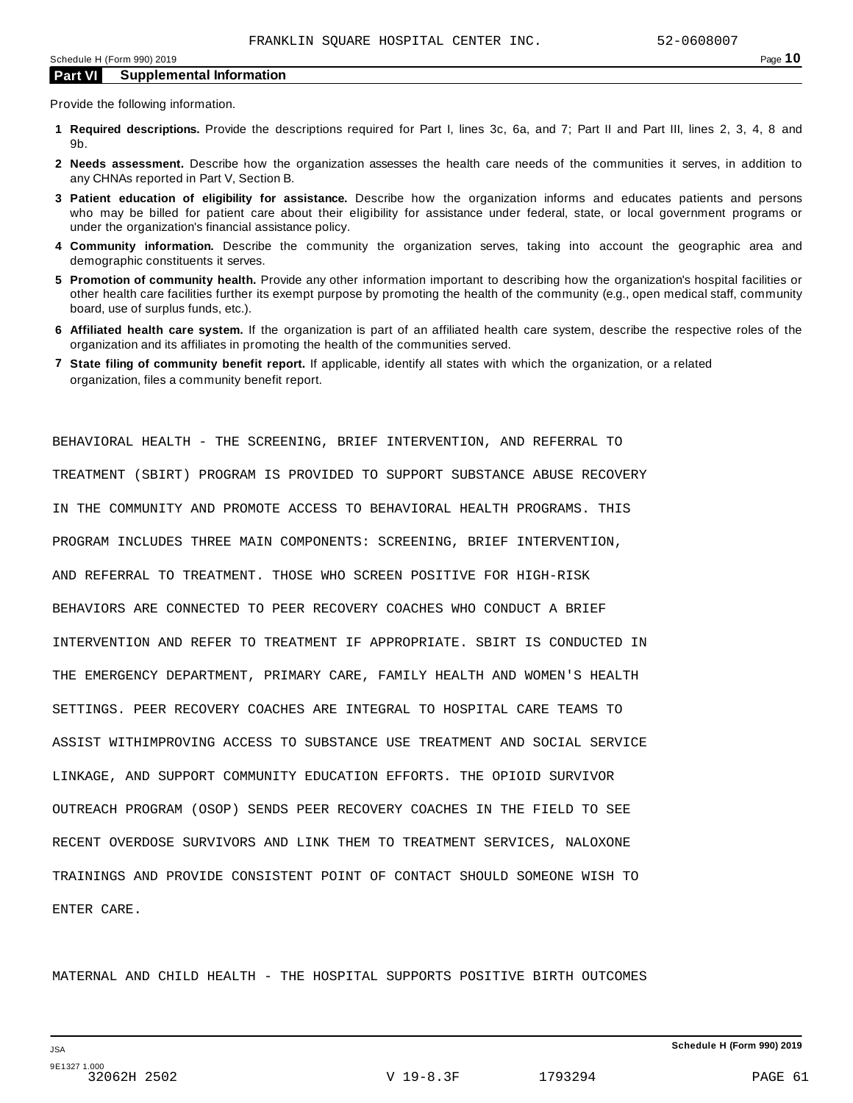Provide the following information.

- **1 Required descriptions.** Provide the descriptions required for Part I, lines 3c, 6a, and 7; Part II and Part III, lines 2, 3, 4, 8 and 9b.
- **2 Needs assessment.** Describe how the organization assesses the health care needs of the communities it serves, in addition to any CHNAs reported in Part V, Section B.
- **3 Patient education of eligibility for assistance.** Describe how the organization informs and educates patients and persons who may be billed for patient care about their eligibility for assistance under federal, state, or local government programs or under the organization's financial assistance policy.
- **4 Community information.** Describe the community the organization serves, taking into account the geographic area and demographic constituents it serves.
- **5 Promotion of community health.** Provide any other information important to describing how the organization's hospital facilities or other health care facilities further its exempt purpose by promoting the health of the community (e.g., open medical staff, community board, use of surplus funds, etc.).
- **6 Affiliated health care system.** If the organization is part of an affiliated health care system, describe the respective roles of the organization and its affiliates in promoting the health of the communities served.
- **7 State filing of community benefit report.** If applicable, identify all states with which the organization, or a related organization, files a community benefit report.

TREATMENT (SBIRT) PROGRAM IS PROVIDED TO SUPPORT SUBSTANCE ABUSE RECOVERY IN THE COMMUNITY AND PROMOTE ACCESS TO BEHAVIORAL HEALTH PROGRAMS. THIS PROGRAM INCLUDES THREE MAIN COMPONENTS: SCREENING, BRIEF INTERVENTION, AND REFERRAL TO TREATMENT. THOSE WHO SCREEN POSITIVE FOR HIGH-RISK BEHAVIORS ARE CONNECTED TO PEER RECOVERY COACHES WHO CONDUCT A BRIEF INTERVENTION AND REFER TO TREATMENT IF APPROPRIATE. SBIRT IS CONDUCTED IN THE EMERGENCY DEPARTMENT, PRIMARY CARE, FAMILY HEALTH AND WOMEN'S HEALTH SETTINGS. PEER RECOVERY COACHES ARE INTEGRAL TO HOSPITAL CARE TEAMS TO ASSIST WITHIMPROVING ACCESS TO SUBSTANCE USE TREATMENT AND SOCIAL SERVICE LINKAGE, AND SUPPORT COMMUNITY EDUCATION EFFORTS. THE OPIOID SURVIVOR OUTREACH PROGRAM (OSOP) SENDS PEER RECOVERY COACHES IN THE FIELD TO SEE RECENT OVERDOSE SURVIVORS AND LINK THEM TO TREATMENT SERVICES, NALOXONE TRAININGS AND PROVIDE CONSISTENT POINT OF CONTACT SHOULD SOMEONE WISH TO ENTER CARE.

BEHAVIORAL HEALTH - THE SCREENING, BRIEF INTERVENTION, AND REFERRAL TO

MATERNAL AND CHILD HEALTH - THE HOSPITAL SUPPORTS POSITIVE BIRTH OUTCOMES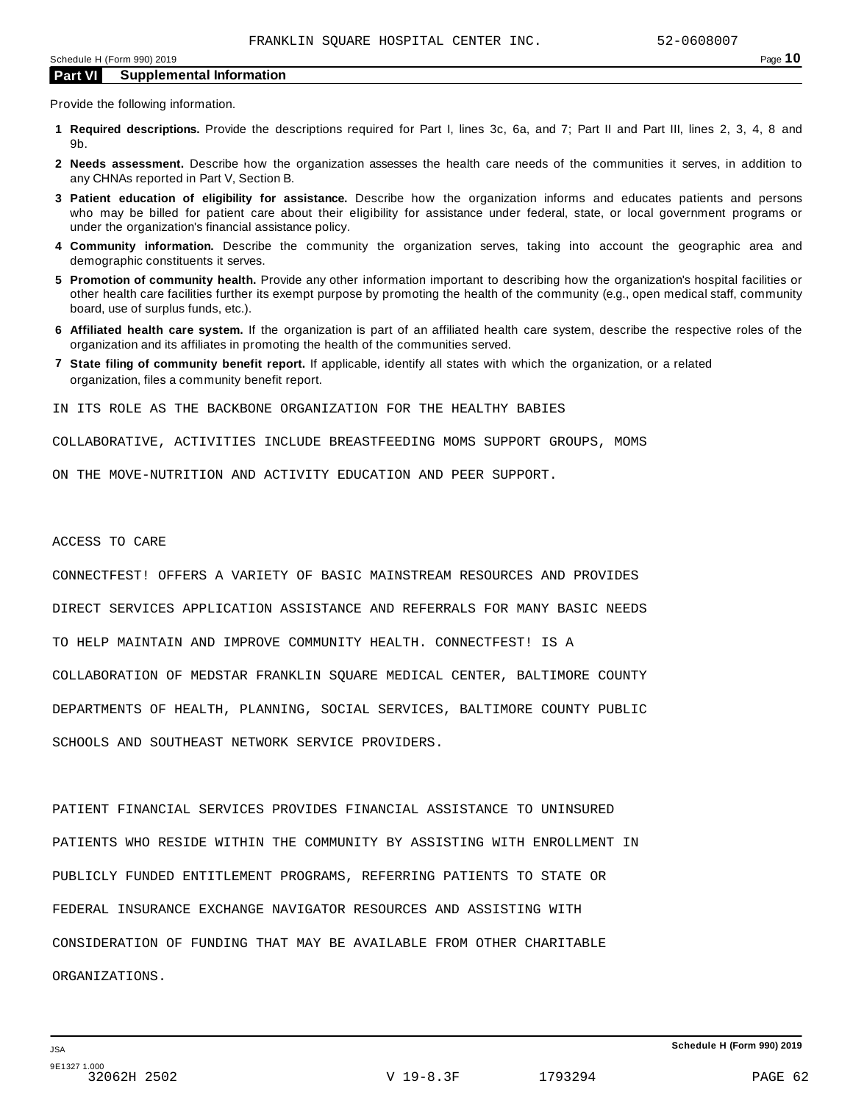Provide the following information.

- **1 Required descriptions.** Provide the descriptions required for Part I, lines 3c, 6a, and 7; Part II and Part III, lines 2, 3, 4, 8 and 9b.
- **2 Needs assessment.** Describe how the organization assesses the health care needs of the communities it serves, in addition to any CHNAs reported in Part V, Section B.
- **3 Patient education of eligibility for assistance.** Describe how the organization informs and educates patients and persons who may be billed for patient care about their eligibility for assistance under federal, state, or local government programs or under the organization's financial assistance policy.
- **4 Community information.** Describe the community the organization serves, taking into account the geographic area and demographic constituents it serves.
- **5 Promotion of community health.** Provide any other information important to describing how the organization's hospital facilities or other health care facilities further its exempt purpose by promoting the health of the community (e.g., open medical staff, community board, use of surplus funds, etc.).
- **6 Affiliated health care system.** If the organization is part of an affiliated health care system, describe the respective roles of the organization and its affiliates in promoting the health of the communities served.
- **7 State filing of community benefit report.** If applicable, identify all states with which the organization, or a related organization, files a community benefit report.

IN ITS ROLE AS THE BACKBONE ORGANIZATION FOR THE HEALTHY BABIES

COLLABORATIVE, ACTIVITIES INCLUDE BREASTFEEDING MOMS SUPPORT GROUPS, MOMS

ON THE MOVE-NUTRITION AND ACTIVITY EDUCATION AND PEER SUPPORT.

#### ACCESS TO CARE

CONNECTFEST! OFFERS A VARIETY OF BASIC MAINSTREAM RESOURCES AND PROVIDES DIRECT SERVICES APPLICATION ASSISTANCE AND REFERRALS FOR MANY BASIC NEEDS TO HELP MAINTAIN AND IMPROVE COMMUNITY HEALTH. CONNECTFEST! IS A COLLABORATION OF MEDSTAR FRANKLIN SQUARE MEDICAL CENTER, BALTIMORE COUNTY DEPARTMENTS OF HEALTH, PLANNING, SOCIAL SERVICES, BALTIMORE COUNTY PUBLIC SCHOOLS AND SOUTHEAST NETWORK SERVICE PROVIDERS.

PATIENT FINANCIAL SERVICES PROVIDES FINANCIAL ASSISTANCE TO UNINSURED PATIENTS WHO RESIDE WITHIN THE COMMUNITY BY ASSISTING WITH ENROLLMENT IN PUBLICLY FUNDED ENTITLEMENT PROGRAMS, REFERRING PATIENTS TO STATE OR FEDERAL INSURANCE EXCHANGE NAVIGATOR RESOURCES AND ASSISTING WITH CONSIDERATION OF FUNDING THAT MAY BE AVAILABLE FROM OTHER CHARITABLE ORGANIZATIONS.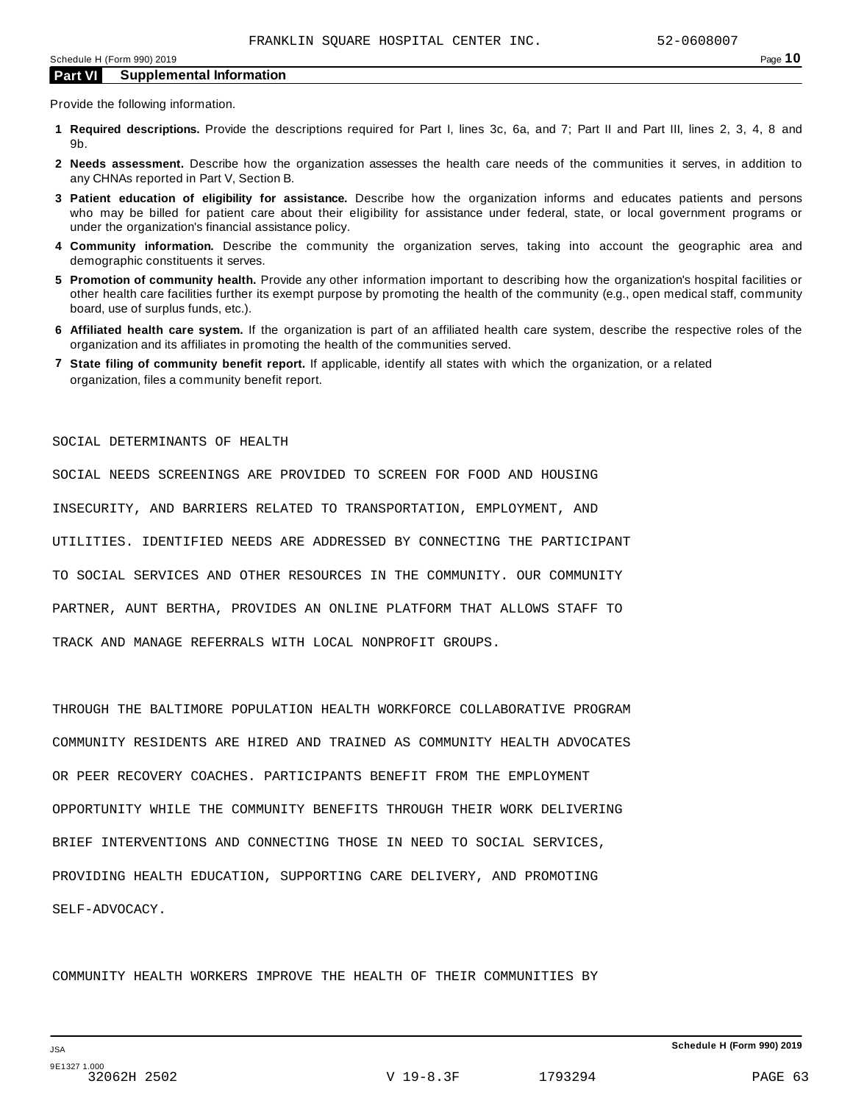Provide the following information.

- **1 Required descriptions.** Provide the descriptions required for Part I, lines 3c, 6a, and 7; Part II and Part III, lines 2, 3, 4, 8 and 9b.
- **2 Needs assessment.** Describe how the organization assesses the health care needs of the communities it serves, in addition to any CHNAs reported in Part V, Section B.
- **3 Patient education of eligibility for assistance.** Describe how the organization informs and educates patients and persons who may be billed for patient care about their eligibility for assistance under federal, state, or local government programs or under the organization's financial assistance policy.
- **4 Community information.** Describe the community the organization serves, taking into account the geographic area and demographic constituents it serves.
- **5 Promotion of community health.** Provide any other information important to describing how the organization's hospital facilities or other health care facilities further its exempt purpose by promoting the health of the community (e.g., open medical staff, community board, use of surplus funds, etc.).
- **6 Affiliated health care system.** If the organization is part of an affiliated health care system, describe the respective roles of the organization and its affiliates in promoting the health of the communities served.
- **7 State filing of community benefit report.** If applicable, identify all states with which the organization, or a related organization, files a community benefit report.

SOCIAL DETERMINANTS OF HEALTH

SOCIAL NEEDS SCREENINGS ARE PROVIDED TO SCREEN FOR FOOD AND HOUSING INSECURITY, AND BARRIERS RELATED TO TRANSPORTATION, EMPLOYMENT, AND UTILITIES. IDENTIFIED NEEDS ARE ADDRESSED BY CONNECTING THE PARTICIPANT TO SOCIAL SERVICES AND OTHER RESOURCES IN THE COMMUNITY. OUR COMMUNITY PARTNER, AUNT BERTHA, PROVIDES AN ONLINE PLATFORM THAT ALLOWS STAFF TO TRACK AND MANAGE REFERRALS WITH LOCAL NONPROFIT GROUPS.

THROUGH THE BALTIMORE POPULATION HEALTH WORKFORCE COLLABORATIVE PROGRAM COMMUNITY RESIDENTS ARE HIRED AND TRAINED AS COMMUNITY HEALTH ADVOCATES OR PEER RECOVERY COACHES. PARTICIPANTS BENEFIT FROM THE EMPLOYMENT OPPORTUNITY WHILE THE COMMUNITY BENEFITS THROUGH THEIR WORK DELIVERING BRIEF INTERVENTIONS AND CONNECTING THOSE IN NEED TO SOCIAL SERVICES, PROVIDING HEALTH EDUCATION, SUPPORTING CARE DELIVERY, AND PROMOTING SELF-ADVOCACY.

COMMUNITY HEALTH WORKERS IMPROVE THE HEALTH OF THEIR COMMUNITIES BY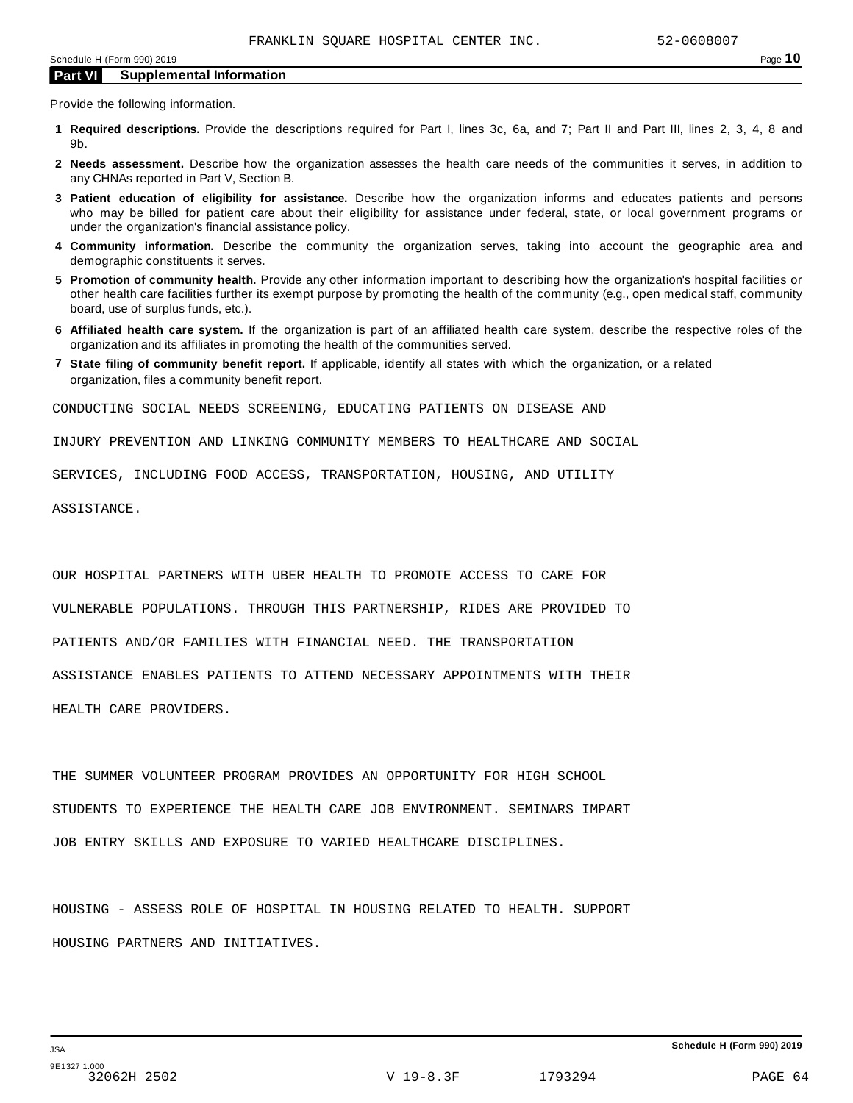Provide the following information.

- **1 Required descriptions.** Provide the descriptions required for Part I, lines 3c, 6a, and 7; Part II and Part III, lines 2, 3, 4, 8 and 9b.
- **2 Needs assessment.** Describe how the organization assesses the health care needs of the communities it serves, in addition to any CHNAs reported in Part V, Section B.
- **3 Patient education of eligibility for assistance.** Describe how the organization informs and educates patients and persons who may be billed for patient care about their eligibility for assistance under federal, state, or local government programs or under the organization's financial assistance policy.
- **4 Community information.** Describe the community the organization serves, taking into account the geographic area and demographic constituents it serves.
- **5 Promotion of community health.** Provide any other information important to describing how the organization's hospital facilities or other health care facilities further its exempt purpose by promoting the health of the community (e.g., open medical staff, community board, use of surplus funds, etc.).
- **6 Affiliated health care system.** If the organization is part of an affiliated health care system, describe the respective roles of the organization and its affiliates in promoting the health of the communities served.
- **7 State filing of community benefit report.** If applicable, identify all states with which the organization, or a related organization, files a community benefit report.

CONDUCTING SOCIAL NEEDS SCREENING, EDUCATING PATIENTS ON DISEASE AND

INJURY PREVENTION AND LINKING COMMUNITY MEMBERS TO HEALTHCARE AND SOCIAL

SERVICES, INCLUDING FOOD ACCESS, TRANSPORTATION, HOUSING, AND UTILITY

ASSISTANCE.

OUR HOSPITAL PARTNERS WITH UBER HEALTH TO PROMOTE ACCESS TO CARE FOR VULNERABLE POPULATIONS. THROUGH THIS PARTNERSHIP, RIDES ARE PROVIDED TO PATIENTS AND/OR FAMILIES WITH FINANCIAL NEED. THE TRANSPORTATION ASSISTANCE ENABLES PATIENTS TO ATTEND NECESSARY APPOINTMENTS WITH THEIR HEALTH CARE PROVIDERS.

THE SUMMER VOLUNTEER PROGRAM PROVIDES AN OPPORTUNITY FOR HIGH SCHOOL STUDENTS TO EXPERIENCE THE HEALTH CARE JOB ENVIRONMENT. SEMINARS IMPART JOB ENTRY SKILLS AND EXPOSURE TO VARIED HEALTHCARE DISCIPLINES.

HOUSING - ASSESS ROLE OF HOSPITAL IN HOUSING RELATED TO HEALTH. SUPPORT HOUSING PARTNERS AND INITIATIVES.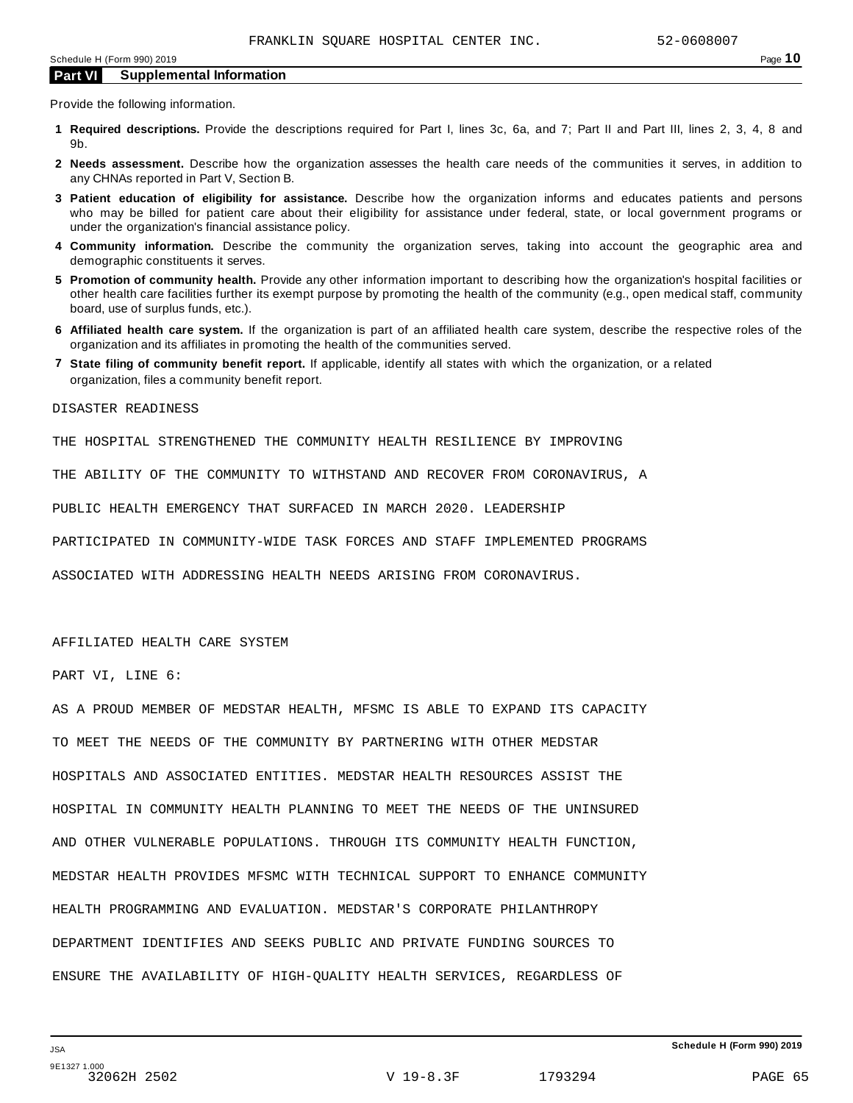Provide the following information.

- **1 Required descriptions.** Provide the descriptions required for Part I, lines 3c, 6a, and 7; Part II and Part III, lines 2, 3, 4, 8 and 9b.
- **2 Needs assessment.** Describe how the organization assesses the health care needs of the communities it serves, in addition to any CHNAs reported in Part V, Section B.
- **3 Patient education of eligibility for assistance.** Describe how the organization informs and educates patients and persons who may be billed for patient care about their eligibility for assistance under federal, state, or local government programs or under the organization's financial assistance policy.
- **4 Community information.** Describe the community the organization serves, taking into account the geographic area and demographic constituents it serves.
- **5 Promotion of community health.** Provide any other information important to describing how the organization's hospital facilities or other health care facilities further its exempt purpose by promoting the health of the community (e.g., open medical staff, community board, use of surplus funds, etc.).
- **6 Affiliated health care system.** If the organization is part of an affiliated health care system, describe the respective roles of the organization and its affiliates in promoting the health of the communities served.
- **7 State filing of community benefit report.** If applicable, identify all states with which the organization, or a related organization, files a community benefit report.

DISASTER READINESS

THE HOSPITAL STRENGTHENED THE COMMUNITY HEALTH RESILIENCE BY IMPROVING

THE ABILITY OF THE COMMUNITY TO WITHSTAND AND RECOVER FROM CORONAVIRUS, A

PUBLIC HEALTH EMERGENCY THAT SURFACED IN MARCH 2020. LEADERSHIP

PARTICIPATED IN COMMUNITY-WIDE TASK FORCES AND STAFF IMPLEMENTED PROGRAMS

ASSOCIATED WITH ADDRESSING HEALTH NEEDS ARISING FROM CORONAVIRUS.

#### AFFILIATED HEALTH CARE SYSTEM

PART VI, LINE 6:

AS A PROUD MEMBER OF MEDSTAR HEALTH, MFSMC IS ABLE TO EXPAND ITS CAPACITY TO MEET THE NEEDS OF THE COMMUNITY BY PARTNERING WITH OTHER MEDSTAR HOSPITALS AND ASSOCIATED ENTITIES. MEDSTAR HEALTH RESOURCES ASSIST THE HOSPITAL IN COMMUNITY HEALTH PLANNING TO MEET THE NEEDS OF THE UNINSURED AND OTHER VULNERABLE POPULATIONS. THROUGH ITS COMMUNITY HEALTH FUNCTION, MEDSTAR HEALTH PROVIDES MFSMC WITH TECHNICAL SUPPORT TO ENHANCE COMMUNITY HEALTH PROGRAMMING AND EVALUATION. MEDSTAR'S CORPORATE PHILANTHROPY DEPARTMENT IDENTIFIES AND SEEKS PUBLIC AND PRIVATE FUNDING SOURCES TO ENSURE THE AVAILABILITY OF HIGH-QUALITY HEALTH SERVICES, REGARDLESS OF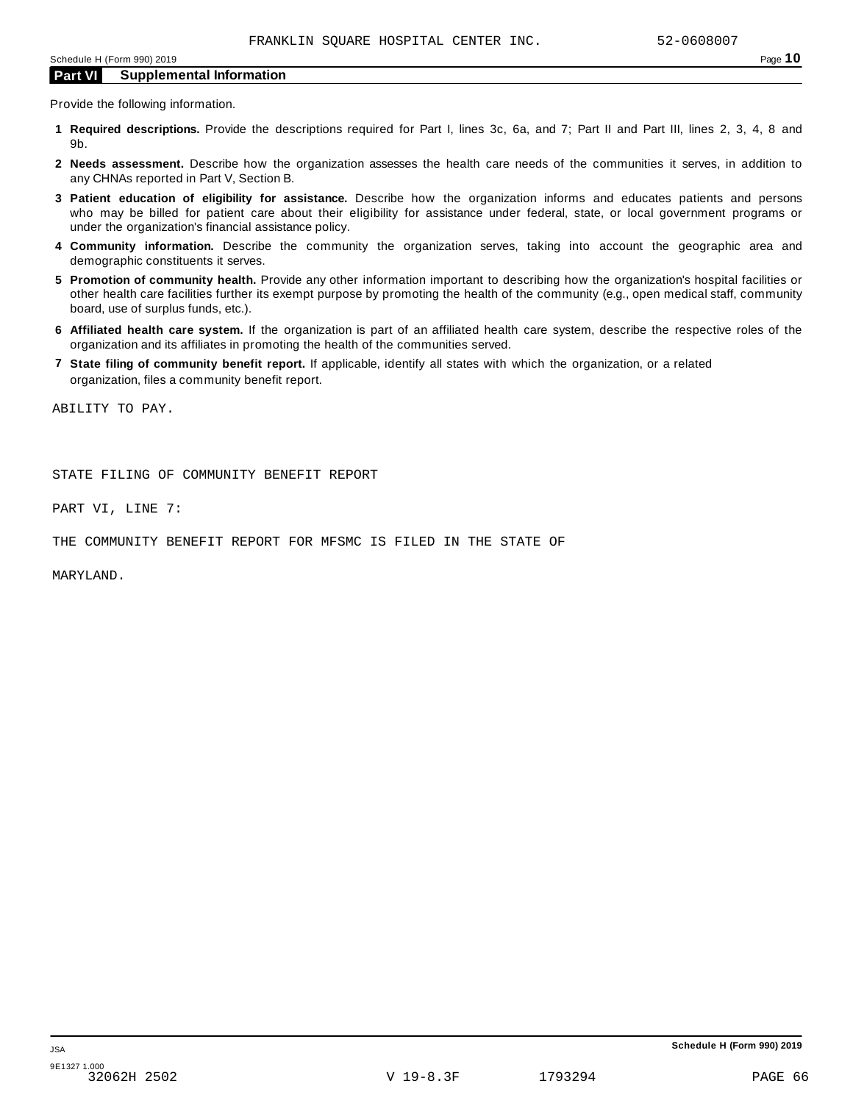Provide the following information.

- **1 Required descriptions.** Provide the descriptions required for Part I, lines 3c, 6a, and 7; Part II and Part III, lines 2, 3, 4, 8 and 9b.
- **2 Needs assessment.** Describe how the organization assesses the health care needs of the communities it serves, in addition to any CHNAs reported in Part V, Section B.
- **3 Patient education of eligibility for assistance.** Describe how the organization informs and educates patients and persons who may be billed for patient care about their eligibility for assistance under federal, state, or local government programs or under the organization's financial assistance policy.
- **4 Community information.** Describe the community the organization serves, taking into account the geographic area and demographic constituents it serves.
- **5 Promotion of community health.** Provide any other information important to describing how the organization's hospital facilities or other health care facilities further its exempt purpose by promoting the health of the community (e.g., open medical staff, community board, use of surplus funds, etc.).
- **6 Affiliated health care system.** If the organization is part of an affiliated health care system, describe the respective roles of the organization and its affiliates in promoting the health of the communities served.
- **7 State filing of community benefit report.** If applicable, identify all states with which the organization, or a related organization, files a community benefit report.

ABILITY TO PAY.

STATE FILING OF COMMUNITY BENEFIT REPORT

PART VI, LINE 7:

THE COMMUNITY BENEFIT REPORT FOR MFSMC IS FILED IN THE STATE OF

MARYLAND.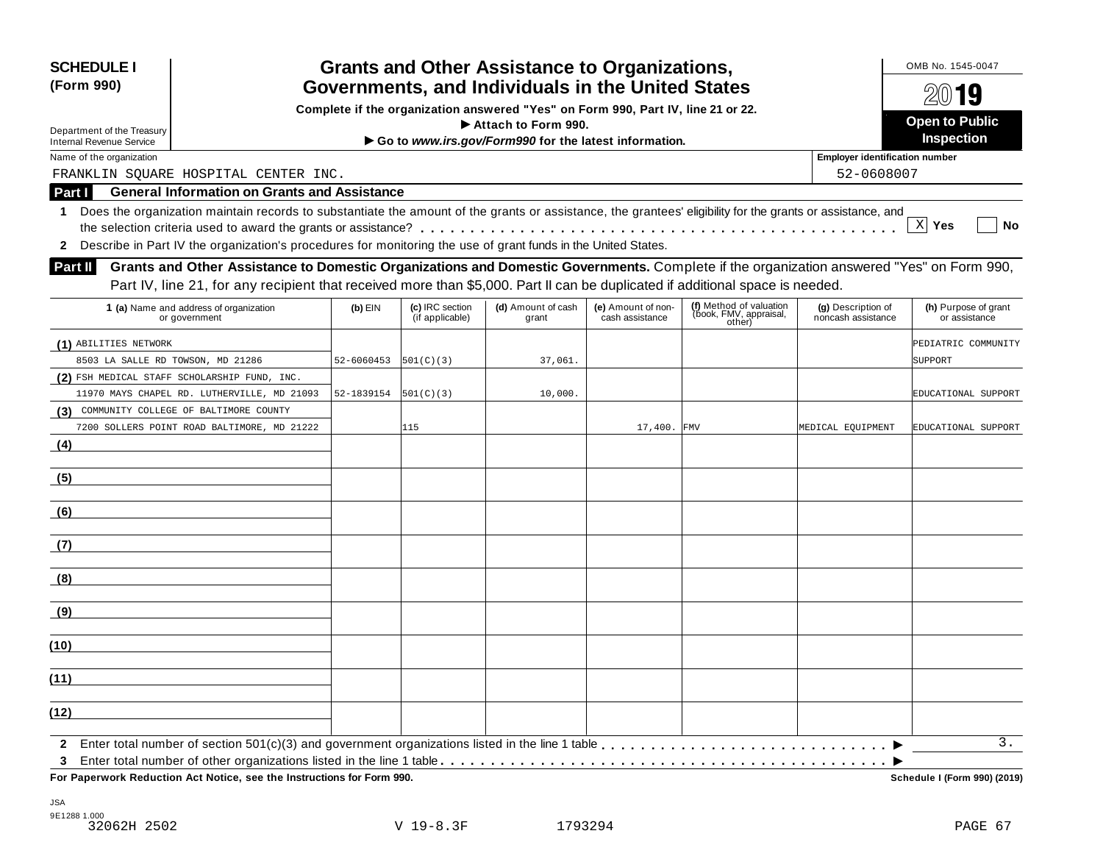| <b>SCHEDULE I</b><br>(Form 990)           |                                                                                                                                                                                                                                                                             |            |                                    | <b>Grants and Other Assistance to Organizations,</b><br>Governments, and Individuals in the United States |                                       |                                                             |                                          | OMB No. 1545-0047                     |  |  |
|-------------------------------------------|-----------------------------------------------------------------------------------------------------------------------------------------------------------------------------------------------------------------------------------------------------------------------------|------------|------------------------------------|-----------------------------------------------------------------------------------------------------------|---------------------------------------|-------------------------------------------------------------|------------------------------------------|---------------------------------------|--|--|
| Department of the Treasury                |                                                                                                                                                                                                                                                                             |            |                                    | Complete if the organization answered "Yes" on Form 990, Part IV, line 21 or 22.<br>Attach to Form 990.   |                                       |                                                             |                                          | $20$ 19<br><b>Open to Public</b>      |  |  |
| <b>Internal Revenue Service</b>           |                                                                                                                                                                                                                                                                             |            |                                    | Go to www.irs.gov/Form990 for the latest information.                                                     |                                       |                                                             |                                          | Inspection                            |  |  |
| Name of the organization                  |                                                                                                                                                                                                                                                                             |            |                                    |                                                                                                           |                                       |                                                             | <b>Employer identification number</b>    |                                       |  |  |
|                                           | FRANKLIN SQUARE HOSPITAL CENTER INC.                                                                                                                                                                                                                                        |            |                                    |                                                                                                           |                                       |                                                             | 52-0608007                               |                                       |  |  |
| Part I                                    | <b>General Information on Grants and Assistance</b>                                                                                                                                                                                                                         |            |                                    |                                                                                                           |                                       |                                                             |                                          |                                       |  |  |
| 1<br>$\mathbf{2}$                         | Does the organization maintain records to substantiate the amount of the grants or assistance, the grantees' eligibility for the grants or assistance, and<br>Describe in Part IV the organization's procedures for monitoring the use of grant funds in the United States. |            |                                    |                                                                                                           |                                       |                                                             |                                          | $X$ Yes<br>No                         |  |  |
| Part II                                   | Grants and Other Assistance to Domestic Organizations and Domestic Governments. Complete if the organization answered "Yes" on Form 990,<br>Part IV, line 21, for any recipient that received more than \$5,000. Part II can be duplicated if additional space is needed.   |            |                                    |                                                                                                           |                                       |                                                             |                                          |                                       |  |  |
|                                           | 1 (a) Name and address of organization<br>or government                                                                                                                                                                                                                     | $(b)$ EIN  | (c) IRC section<br>(if applicable) | (d) Amount of cash<br>grant                                                                               | (e) Amount of non-<br>cash assistance | (f) Method of valuation<br>(book, FMV, appraisal,<br>other) | (g) Description of<br>noncash assistance | (h) Purpose of grant<br>or assistance |  |  |
| (1) ABILITIES NETWORK                     |                                                                                                                                                                                                                                                                             |            |                                    |                                                                                                           |                                       |                                                             |                                          | PEDIATRIC COMMUNITY                   |  |  |
| 8503 LA SALLE RD TOWSON, MD 21286         |                                                                                                                                                                                                                                                                             | 52-6060453 | 501(C)(3)                          | 37,061.                                                                                                   |                                       |                                                             |                                          | SUPPORT                               |  |  |
|                                           | (2) FSH MEDICAL STAFF SCHOLARSHIP FUND, INC.                                                                                                                                                                                                                                |            |                                    |                                                                                                           |                                       |                                                             |                                          |                                       |  |  |
|                                           | 11970 MAYS CHAPEL RD. LUTHERVILLE, MD 21093                                                                                                                                                                                                                                 | 52-1839154 | 501(C)(3)                          | 10,000.                                                                                                   |                                       |                                                             |                                          | EDUCATIONAL SUPPORT                   |  |  |
| (3) COMMUNITY COLLEGE OF BALTIMORE COUNTY |                                                                                                                                                                                                                                                                             |            |                                    |                                                                                                           |                                       |                                                             |                                          |                                       |  |  |
|                                           | 7200 SOLLERS POINT ROAD BALTIMORE, MD 21222                                                                                                                                                                                                                                 |            | 115                                |                                                                                                           | 17,400. FMV                           |                                                             | MEDICAL EQUIPMENT                        | EDUCATIONAL SUPPORT                   |  |  |
| (4)                                       |                                                                                                                                                                                                                                                                             |            |                                    |                                                                                                           |                                       |                                                             |                                          |                                       |  |  |
| (5)                                       |                                                                                                                                                                                                                                                                             |            |                                    |                                                                                                           |                                       |                                                             |                                          |                                       |  |  |
| (6)                                       |                                                                                                                                                                                                                                                                             |            |                                    |                                                                                                           |                                       |                                                             |                                          |                                       |  |  |
| (7)                                       |                                                                                                                                                                                                                                                                             |            |                                    |                                                                                                           |                                       |                                                             |                                          |                                       |  |  |
| (8)                                       |                                                                                                                                                                                                                                                                             |            |                                    |                                                                                                           |                                       |                                                             |                                          |                                       |  |  |
| (9)                                       |                                                                                                                                                                                                                                                                             |            |                                    |                                                                                                           |                                       |                                                             |                                          |                                       |  |  |
| (10)                                      |                                                                                                                                                                                                                                                                             |            |                                    |                                                                                                           |                                       |                                                             |                                          |                                       |  |  |
| (11)                                      |                                                                                                                                                                                                                                                                             |            |                                    |                                                                                                           |                                       |                                                             |                                          |                                       |  |  |
| (12)                                      |                                                                                                                                                                                                                                                                             |            |                                    |                                                                                                           |                                       |                                                             |                                          |                                       |  |  |
| $\mathbf{2}$                              |                                                                                                                                                                                                                                                                             |            |                                    |                                                                                                           |                                       |                                                             |                                          | 3.                                    |  |  |
| 3                                         | For Paperwork Reduction Act Notice, see the Instructions for Form 990.                                                                                                                                                                                                      |            |                                    |                                                                                                           |                                       |                                                             |                                          | Schedule I (Form 990) (2019)          |  |  |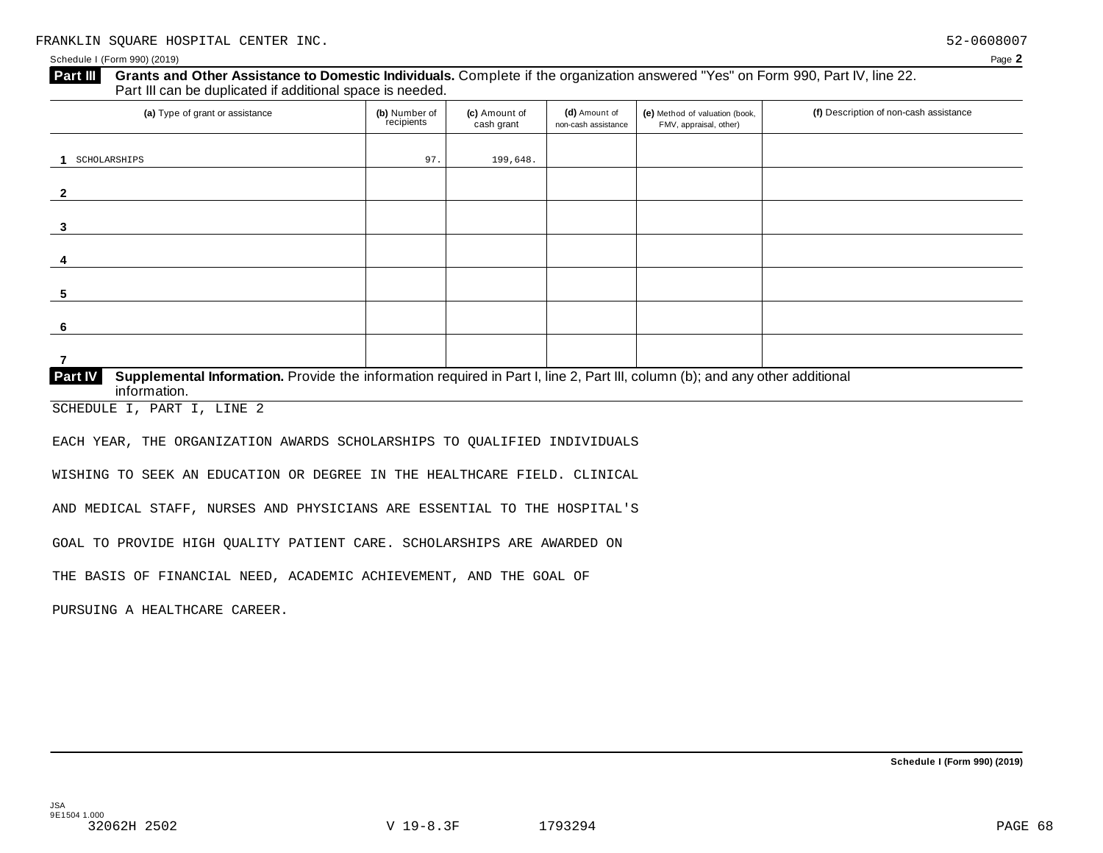#### **Grants and Other Assistance to Domestic Individuals.** Complete if the organization answered "Yes" on Form 990, Part IV, line 22. Part III can be duplicated if additional space is needed. **Part III**

| (a) Type of grant or assistance                                                                                                                                | (b) Number of<br>recipients | (c) Amount of<br>cash grant | (d) Amount of<br>non-cash assistance | (e) Method of valuation (book,<br>FMV, appraisal, other) | (f) Description of non-cash assistance |
|----------------------------------------------------------------------------------------------------------------------------------------------------------------|-----------------------------|-----------------------------|--------------------------------------|----------------------------------------------------------|----------------------------------------|
| SCHOLARSHIPS                                                                                                                                                   | 97.                         | 199,648.                    |                                      |                                                          |                                        |
| 2                                                                                                                                                              |                             |                             |                                      |                                                          |                                        |
| 3                                                                                                                                                              |                             |                             |                                      |                                                          |                                        |
|                                                                                                                                                                |                             |                             |                                      |                                                          |                                        |
|                                                                                                                                                                |                             |                             |                                      |                                                          |                                        |
| -5                                                                                                                                                             |                             |                             |                                      |                                                          |                                        |
| -6                                                                                                                                                             |                             |                             |                                      |                                                          |                                        |
| Supplemental Information. Provide the information required in Part I, line 2, Part III, column (b); and any other additional<br><b>Part IV</b><br>information. |                             |                             |                                      |                                                          |                                        |

SCHEDULE I, PART I, LINE 2

EACH YEAR, THE ORGANIZATION AWARDS SCHOLARSHIPS TO QUALIFIED INDIVIDUALS

WISHING TO SEEK AN EDUCATION OR DEGREE IN THE HEALTHCARE FIELD. CLINICAL

AND MEDICAL STAFF, NURSES AND PHYSICIANS ARE ESSENTIAL TO THE HOSPITAL'S

GOAL TO PROVIDE HIGH QUALITY PATIENT CARE. SCHOLARSHIPS ARE AWARDED ON

THE BASIS OF FINANCIAL NEED, ACADEMIC ACHIEVEMENT, AND THE GOAL OF

PURSUING A HEALTHCARE CAREER.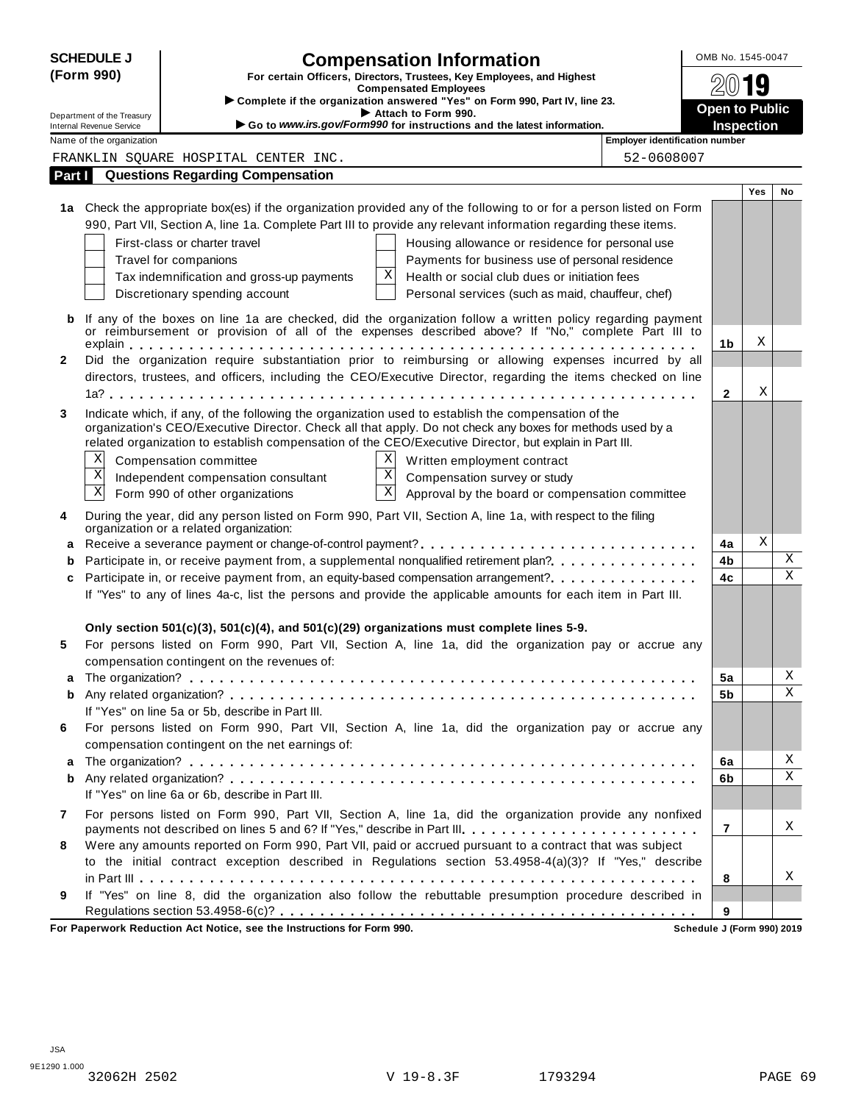| <b>SCHEDULE J</b><br>(Form 990) |                                                                                                                                                                                                                   |                                                                                                          | <b>Compensation Information</b>                                                                                                                                                                                  |                                | OMB No. 1545-0047                          |     |             |  |  |  |
|---------------------------------|-------------------------------------------------------------------------------------------------------------------------------------------------------------------------------------------------------------------|----------------------------------------------------------------------------------------------------------|------------------------------------------------------------------------------------------------------------------------------------------------------------------------------------------------------------------|--------------------------------|--------------------------------------------|-----|-------------|--|--|--|
|                                 |                                                                                                                                                                                                                   | For certain Officers, Directors, Trustees, Key Employees, and Highest<br><b>Compensated Employees</b>    |                                                                                                                                                                                                                  | 19                             |                                            |     |             |  |  |  |
|                                 |                                                                                                                                                                                                                   | Complete if the organization answered "Yes" on Form 990, Part IV, line 23.                               |                                                                                                                                                                                                                  |                                |                                            |     |             |  |  |  |
|                                 | Department of the Treasury<br><b>Internal Revenue Service</b>                                                                                                                                                     |                                                                                                          | Attach to Form 990.<br>Go to www.irs.gov/Form990 for instructions and the latest information.                                                                                                                    |                                | <b>Open to Public</b><br><b>Inspection</b> |     |             |  |  |  |
|                                 | Name of the organization                                                                                                                                                                                          |                                                                                                          |                                                                                                                                                                                                                  | Employer identification number |                                            |     |             |  |  |  |
|                                 |                                                                                                                                                                                                                   | FRANKLIN SQUARE HOSPITAL CENTER INC.                                                                     |                                                                                                                                                                                                                  | 52-0608007                     |                                            |     |             |  |  |  |
| Part I                          |                                                                                                                                                                                                                   | <b>Questions Regarding Compensation</b>                                                                  |                                                                                                                                                                                                                  |                                |                                            |     |             |  |  |  |
|                                 |                                                                                                                                                                                                                   |                                                                                                          |                                                                                                                                                                                                                  |                                |                                            | Yes | No          |  |  |  |
|                                 |                                                                                                                                                                                                                   |                                                                                                          | 1a Check the appropriate box(es) if the organization provided any of the following to or for a person listed on Form                                                                                             |                                |                                            |     |             |  |  |  |
|                                 |                                                                                                                                                                                                                   |                                                                                                          | 990, Part VII, Section A, line 1a. Complete Part III to provide any relevant information regarding these items.                                                                                                  |                                |                                            |     |             |  |  |  |
|                                 |                                                                                                                                                                                                                   | First-class or charter travel                                                                            | Housing allowance or residence for personal use                                                                                                                                                                  |                                |                                            |     |             |  |  |  |
|                                 |                                                                                                                                                                                                                   | Travel for companions                                                                                    | Payments for business use of personal residence                                                                                                                                                                  |                                |                                            |     |             |  |  |  |
|                                 |                                                                                                                                                                                                                   | Tax indemnification and gross-up payments                                                                | Х<br>Health or social club dues or initiation fees                                                                                                                                                               |                                |                                            |     |             |  |  |  |
|                                 |                                                                                                                                                                                                                   | Discretionary spending account                                                                           | Personal services (such as maid, chauffeur, chef)                                                                                                                                                                |                                |                                            |     |             |  |  |  |
| b                               | If any of the boxes on line 1a are checked, did the organization follow a written policy regarding payment<br>or reimbursement or provision of all of the expenses described above? If "No," complete Part III to |                                                                                                          |                                                                                                                                                                                                                  |                                |                                            |     |             |  |  |  |
|                                 |                                                                                                                                                                                                                   |                                                                                                          |                                                                                                                                                                                                                  |                                | 1 <sub>b</sub>                             | Χ   |             |  |  |  |
| $\mathbf{2}$                    |                                                                                                                                                                                                                   |                                                                                                          | Did the organization require substantiation prior to reimbursing or allowing expenses incurred by all                                                                                                            |                                |                                            |     |             |  |  |  |
|                                 |                                                                                                                                                                                                                   |                                                                                                          | directors, trustees, and officers, including the CEO/Executive Director, regarding the items checked on line                                                                                                     |                                |                                            | Χ   |             |  |  |  |
|                                 |                                                                                                                                                                                                                   |                                                                                                          |                                                                                                                                                                                                                  |                                | $\mathbf{2}$                               |     |             |  |  |  |
| 3                               |                                                                                                                                                                                                                   |                                                                                                          | Indicate which, if any, of the following the organization used to establish the compensation of the<br>organization's CEO/Executive Director. Check all that apply. Do not check any boxes for methods used by a |                                |                                            |     |             |  |  |  |
|                                 |                                                                                                                                                                                                                   |                                                                                                          | related organization to establish compensation of the CEO/Executive Director, but explain in Part III.                                                                                                           |                                |                                            |     |             |  |  |  |
|                                 | Χ                                                                                                                                                                                                                 | Compensation committee                                                                                   | ΧI<br>Written employment contract                                                                                                                                                                                |                                |                                            |     |             |  |  |  |
|                                 | $\mathbf X$                                                                                                                                                                                                       | Independent compensation consultant                                                                      | $\mathbf X$<br>Compensation survey or study                                                                                                                                                                      |                                |                                            |     |             |  |  |  |
|                                 | $\overline{\text{X}}$                                                                                                                                                                                             | Form 990 of other organizations                                                                          | $\overline{\textbf{X}}$<br>Approval by the board or compensation committee                                                                                                                                       |                                |                                            |     |             |  |  |  |
|                                 |                                                                                                                                                                                                                   |                                                                                                          |                                                                                                                                                                                                                  |                                |                                            |     |             |  |  |  |
| 4                               |                                                                                                                                                                                                                   | organization or a related organization:                                                                  | During the year, did any person listed on Form 990, Part VII, Section A, line 1a, with respect to the filing                                                                                                     |                                |                                            |     |             |  |  |  |
| a                               |                                                                                                                                                                                                                   |                                                                                                          |                                                                                                                                                                                                                  |                                | 4a                                         | Χ   |             |  |  |  |
| b                               |                                                                                                                                                                                                                   | Participate in, or receive payment from, a supplemental nonqualified retirement plan?                    | 4b                                                                                                                                                                                                               |                                | Χ                                          |     |             |  |  |  |
| c                               | Participate in, or receive payment from, an equity-based compensation arrangement?                                                                                                                                |                                                                                                          |                                                                                                                                                                                                                  |                                |                                            |     | $\mathbf X$ |  |  |  |
|                                 |                                                                                                                                                                                                                   |                                                                                                          | If "Yes" to any of lines 4a-c, list the persons and provide the applicable amounts for each item in Part III.                                                                                                    |                                |                                            |     |             |  |  |  |
|                                 |                                                                                                                                                                                                                   | Only section 501(c)(3), 501(c)(4), and 501(c)(29) organizations must complete lines 5-9.                 |                                                                                                                                                                                                                  |                                |                                            |     |             |  |  |  |
| 5                               |                                                                                                                                                                                                                   |                                                                                                          | For persons listed on Form 990, Part VII, Section A, line 1a, did the organization pay or accrue any                                                                                                             |                                |                                            |     |             |  |  |  |
|                                 |                                                                                                                                                                                                                   | compensation contingent on the revenues of:                                                              |                                                                                                                                                                                                                  |                                |                                            |     |             |  |  |  |
|                                 |                                                                                                                                                                                                                   |                                                                                                          |                                                                                                                                                                                                                  | 5a                             |                                            | Χ   |             |  |  |  |
| b                               |                                                                                                                                                                                                                   |                                                                                                          |                                                                                                                                                                                                                  |                                |                                            |     | Χ           |  |  |  |
|                                 |                                                                                                                                                                                                                   | If "Yes" on line 5a or 5b, describe in Part III.                                                         |                                                                                                                                                                                                                  |                                |                                            |     |             |  |  |  |
| 6                               |                                                                                                                                                                                                                   | compensation contingent on the net earnings of:                                                          | For persons listed on Form 990, Part VII, Section A, line 1a, did the organization pay or accrue any                                                                                                             |                                |                                            |     |             |  |  |  |
| a                               |                                                                                                                                                                                                                   |                                                                                                          |                                                                                                                                                                                                                  |                                | 6a                                         |     | Χ           |  |  |  |
| b                               |                                                                                                                                                                                                                   |                                                                                                          |                                                                                                                                                                                                                  |                                | 6b                                         |     | Χ           |  |  |  |
|                                 |                                                                                                                                                                                                                   | If "Yes" on line 6a or 6b, describe in Part III.                                                         |                                                                                                                                                                                                                  |                                |                                            |     |             |  |  |  |
| 7                               |                                                                                                                                                                                                                   |                                                                                                          | For persons listed on Form 990, Part VII, Section A, line 1a, did the organization provide any nonfixed                                                                                                          |                                | 7                                          |     |             |  |  |  |
|                                 |                                                                                                                                                                                                                   | payments not described on lines 5 and 6? If "Yes," describe in Part III.                                 |                                                                                                                                                                                                                  |                                |                                            |     | X           |  |  |  |
| 8                               |                                                                                                                                                                                                                   | Were any amounts reported on Form 990, Part VII, paid or accrued pursuant to a contract that was subject |                                                                                                                                                                                                                  |                                |                                            |     |             |  |  |  |
|                                 |                                                                                                                                                                                                                   |                                                                                                          | to the initial contract exception described in Regulations section 53.4958-4(a)(3)? If "Yes," describe                                                                                                           |                                |                                            |     |             |  |  |  |
|                                 |                                                                                                                                                                                                                   |                                                                                                          |                                                                                                                                                                                                                  |                                | 8                                          |     | х           |  |  |  |
| 9                               |                                                                                                                                                                                                                   |                                                                                                          | If "Yes" on line 8, did the organization also follow the rebuttable presumption procedure described in                                                                                                           |                                |                                            |     |             |  |  |  |
|                                 |                                                                                                                                                                                                                   |                                                                                                          |                                                                                                                                                                                                                  |                                | 9                                          |     |             |  |  |  |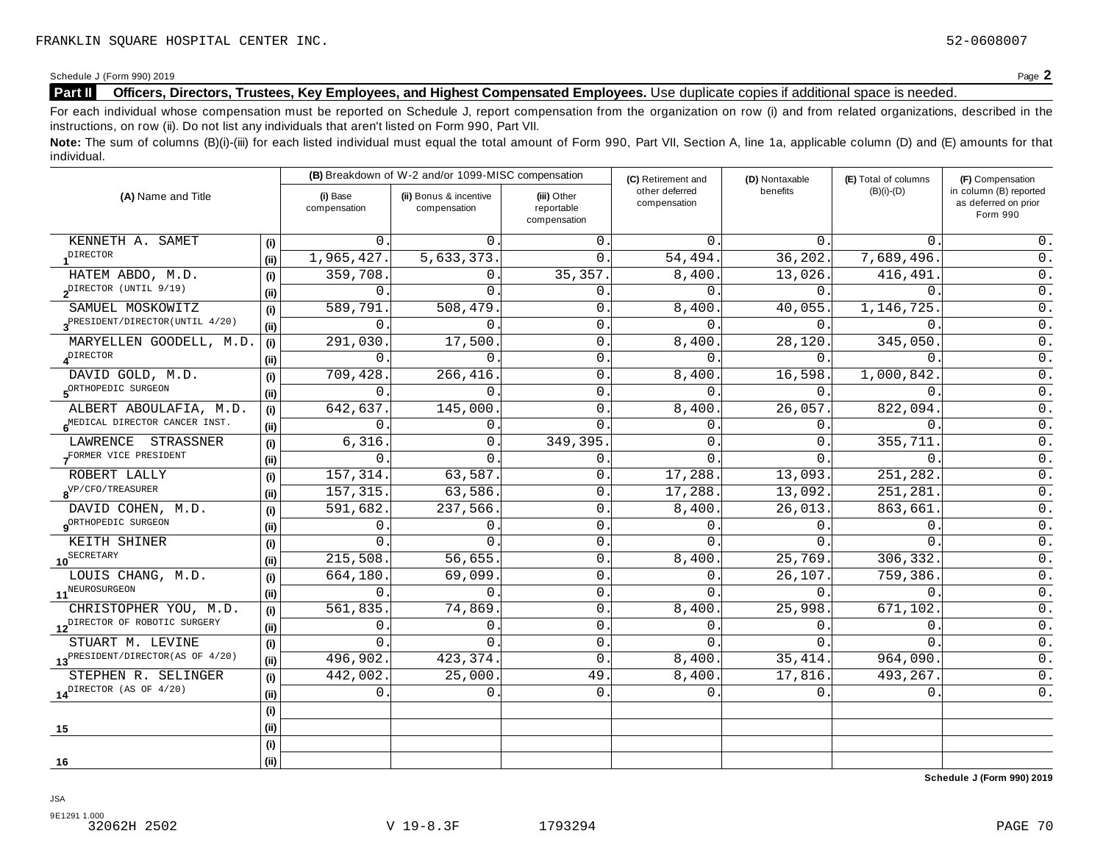# **Part II** Officers, Directors, Trustees, Key Employees, and Highest Compensated Employees. Use duplicate copies if additional space is needed.

For each individual whose compensation must be reported on Schedule J, report compensation from the organization on row (i) and from related organizations, described in the instructions, on row (ii). Do not list any individuals that aren't listed on Form 990, Part VII.

Note: The sum of columns (B)(i)-(iii) for each listed individual must equal the total amount of Form 990, Part VII, Section A, line 1a, applicable column (D) and (E) amounts for that individual.

| (A) Name and Title                           |       | (B) Breakdown of W-2 and/or 1099-MISC compensation |                                        |                                           | (C) Retirement and             | (D) Nontaxable | (E) Total of columns | (F) Compensation                                           |  |
|----------------------------------------------|-------|----------------------------------------------------|----------------------------------------|-------------------------------------------|--------------------------------|----------------|----------------------|------------------------------------------------------------|--|
|                                              |       | (i) Base<br>compensation                           | (ii) Bonus & incentive<br>compensation | (iii) Other<br>reportable<br>compensation | other deferred<br>compensation | benefits       | $(B)(i)-(D)$         | in column (B) reported<br>as deferred on prior<br>Form 990 |  |
| KENNETH A. SAMET                             | (i)   | $\Omega$                                           | $\Omega$ .                             | 0.                                        | $\Omega$                       | $0$ .          | $\Omega$ .           | 0.                                                         |  |
| <b>DIRECTOR</b>                              | (i)   | 1,965,427.                                         | 5,633,373.                             | $\Omega$ .                                | 54,494.                        | 36, 202.       | 7,689,496.           | $0$ .                                                      |  |
| HATEM ABDO, M.D.                             | (i)   | 359,708.                                           | $\Omega$ .                             | 35, 357.                                  | 8,400.                         | 13,026.        | 416,491              | 0.                                                         |  |
| pIRECTOR (UNTIL 9/19)                        | (i)   | $\Omega$                                           | $\Omega$                               | $\mathbf 0$ .                             | $\Omega$                       | 0.             | $\Omega$             | $0$ .                                                      |  |
| SAMUEL MOSKOWITZ                             | (i)   | 589,791                                            | 508,479                                | $\mathbf 0$ .                             | 8,400.                         | 40,055.        | 1,146,725            | 0.                                                         |  |
| 3 <sup>PRESIDENT/DIRECTOR(UNTIL 4/20)</sup>  | (i)   | $\Omega$                                           | $\Omega$                               | $\mathbf{0}$ .                            | $\Omega$                       | 0.             | $\Omega$             | 0.                                                         |  |
| MARYELLEN GOODELL, M.D.                      | (i)   | 291,030                                            | 17,500                                 | $\mathbf{0}$ .                            | 8,400                          | 28,120.        | 345,050              | $0$ .                                                      |  |
| $\boldsymbol{A}^{\text{DIFFOR}}$             | (i)   | $\Omega$                                           | $\Omega$ .                             | $\Omega$ .                                | $\Omega$ .                     | 0.             | $\Omega$ .           | 0.                                                         |  |
| DAVID GOLD, M.D.                             | (i)   | 709,428                                            | 266,416.                               | $\mathbf 0$ .                             | 8,400.                         | 16,598.        | 1,000,842            | $0$ .                                                      |  |
| SORTHOPEDIC SURGEON                          | (i)   | $\Omega$                                           | $\Omega$                               | $\mathbf{0}$ .                            | $\Omega$ .                     | 0.             | $\Omega$ .           | 0.                                                         |  |
| ALBERT ABOULAFIA, M.D.                       | (i)   | 642,637.                                           | 145,000                                | 0                                         | 8,400.                         | 26,057.        | 822,094.             | $0$ .                                                      |  |
| MEDICAL DIRECTOR CANCER INST.                | (i)   | 0                                                  | 0                                      | $\mathbf{0}$                              | 0                              | Ο.             | $\mathsf{O}$ .       | $0$ .                                                      |  |
| LAWRENCE STRASSNER                           | (i)   | 6,316.                                             | $\mathbf{0}$ .                         | 349,395.                                  | 0                              | 0.             | 355,711.             | $0$ .                                                      |  |
| FORMER VICE PRESIDENT                        | (i)   | $\Omega$                                           | $\Omega$                               | $\mathsf{O}$ .                            | $\Omega$                       | 0              | $\Omega$ .           | 0.                                                         |  |
| ROBERT LALLY                                 | (i)   | 157, 314.                                          | 63,587.                                | $\Omega$ .                                | 17,288.                        | 13,093.        | 251,282.             | 0.                                                         |  |
| $8^{\mathrm{VP/CFO/TER}}$                    | (i)   | 157,315.                                           | 63,586.                                | 0.                                        | 17,288.                        | 13,092.        | 251,281.             | 0.                                                         |  |
| DAVID COHEN, M.D.                            | (i)   | 591,682.                                           | 237,566.                               | $\mathsf{O}$ .                            | 8,400.                         | 26,013.        | 863,661              | $\overline{0}$ .                                           |  |
| 9 <sup>ORTHOPEDIC</sup> SURGEON              | (i)   | $\mathbf 0$ .                                      | $\Omega$                               | $\mathsf{O}$ .                            | 0                              | Ο.             | $0$ .                | $0$ .                                                      |  |
| KEITH SHINER                                 | (i)   | $\Omega$                                           | $\Omega$                               | $\mathsf{O}$ .                            | $\Omega$                       | $\Omega$ .     | $\Omega$             | $0$ .                                                      |  |
| 10 <sup>SECRETARY</sup>                      | (iii) | 215,508.                                           | 56,655.                                | $\mathbf{0}$ .                            | 8,400                          | 25,769.        | 306,332.             | 0.                                                         |  |
| LOUIS CHANG, M.D.                            | (i)   | 664,180                                            | 69,099                                 | $\mathbf{0}$ .                            | $\Omega$                       | 26,107.        | 759,386.             | $0$ .                                                      |  |
| 11 <sup>NEUROSURGEON</sup>                   | (i)   | $\Omega$                                           | $\Omega$                               | $\mathbf{0}$ .                            | $\Omega$                       | 0.             | $\Omega$ .           | 0.                                                         |  |
| CHRISTOPHER YOU, M.D.                        | (i)   | 561,835.                                           | 74,869                                 | $\mathsf{O}$ .                            | 8,400.                         | 25,998.        | 671,102.             | $0$ .                                                      |  |
| 12 <sup>DIRECTOR</sup> OF ROBOTIC SURGERY    | (i)   | $\Omega$                                           | $\Omega$                               | $\mathbf{0}$ .                            | $\Omega$                       | $\Omega$ .     | $\Omega$ .           | $\overline{0}$ .                                           |  |
| STUART M. LEVINE                             | (i)   | $\mathbf 0$ .                                      | $\Omega$                               | $\mathbf 0$ .                             | 0.                             | 0.             | $\mathbf 0$ .        | 0.                                                         |  |
| 13 <sup>PRESIDENT/DIRECTOR(AS OF 4/20)</sup> | (ii)  | 496,902.                                           | 423, 374.                              | $\Omega$                                  | 8,400.                         | 35, 414.       | 964,090.             | $0$ .                                                      |  |
| STEPHEN R. SELINGER                          | (i)   | 442,002.                                           | 25,000.                                | 49                                        | 8,400                          | 17,816.        | 493,267.             | $0$ .                                                      |  |
| $14^{\text{DIFFOR}}$ (AS OF $4/20$ )         | (ii)  | $\mathbf 0$                                        | $\mathbf{0}$ .                         | $\mathbf{0}$ .                            | 0.                             | 0.             | $\mathbf{0}$ .       | $0$ .                                                      |  |
|                                              | (i)   |                                                    |                                        |                                           |                                |                |                      |                                                            |  |
| 15                                           | (ii)  |                                                    |                                        |                                           |                                |                |                      |                                                            |  |
|                                              | (i)   |                                                    |                                        |                                           |                                |                |                      |                                                            |  |
| 16                                           | (i)   |                                                    |                                        |                                           |                                |                |                      |                                                            |  |

**Schedule J (Form 990) 2019**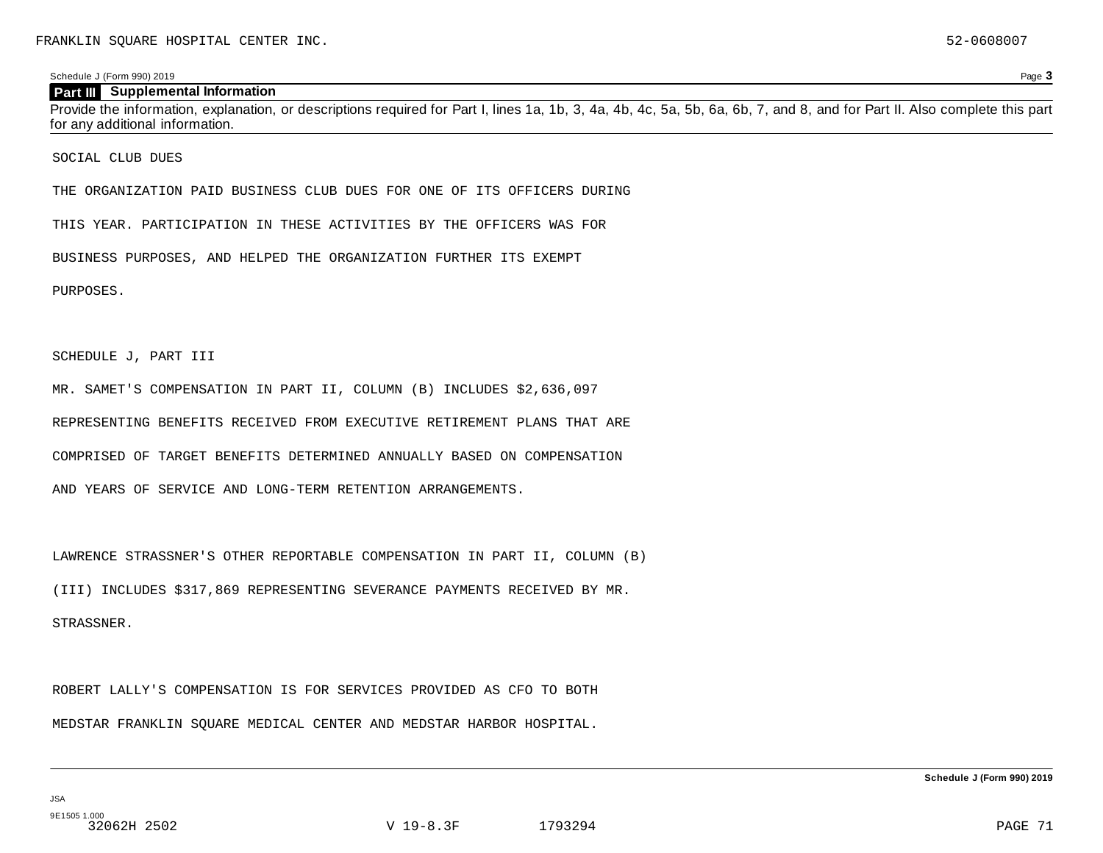#### **Part III** Supplemental Information

Provide the information, explanation, or descriptions required for Part I, lines 1a, 1b, 3, 4a, 4b, 4c, 5a, 5b, 6a, 6b, 7, and 8, and for Part II. Also complete this part for any additional information.

SOCIAL CLUB DUES

THE ORGANIZATION PAID BUSINESS CLUB DUES FOR ONE OF ITS OFFICERS DURING

THIS YEAR. PARTICIPATION IN THESE ACTIVITIES BY THE OFFICERS WAS FOR

BUSINESS PURPOSES, AND HELPED THE ORGANIZATION FURTHER ITS EXEMPT

PURPOSES.

SCHEDULE J, PART III

MR. SAMET'S COMPENSATION IN PART II, COLUMN (B) INCLUDES \$2,636,097

REPRESENTING BENEFITS RECEIVED FROM EXECUTIVE RETIREMENT PLANS THAT ARE

COMPRISED OF TARGET BENEFITS DETERMINED ANNUALLY BASED ON COMPENSATION

AND YEARS OF SERVICE AND LONG-TERM RETENTION ARRANGEMENTS.

LAWRENCE STRASSNER'S OTHER REPORTABLE COMPENSATION IN PART II, COLUMN (B)

(III) INCLUDES \$317,869 REPRESENTING SEVERANCE PAYMENTS RECEIVED BY MR.

STRASSNER.

ROBERT LALLY'S COMPENSATION IS FOR SERVICES PROVIDED AS CFO TO BOTH

MEDSTAR FRANKLIN SQUARE MEDICAL CENTER AND MEDSTAR HARBOR HOSPITAL.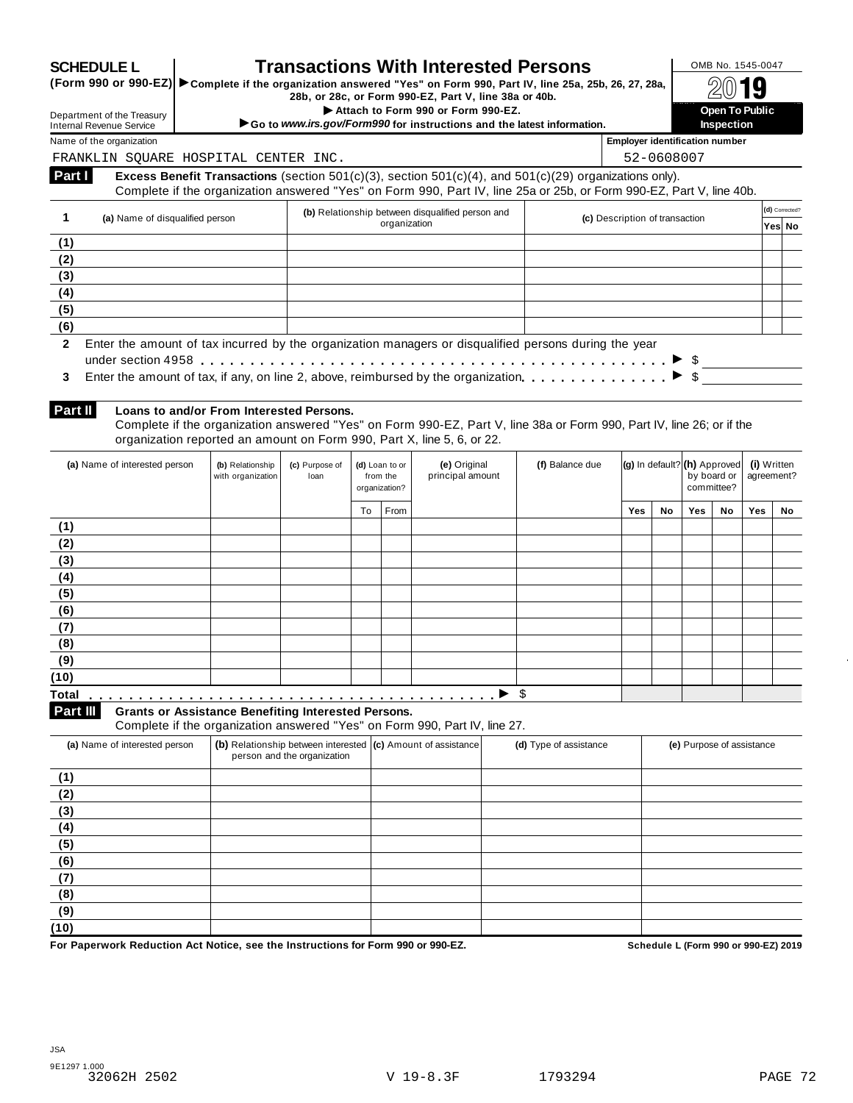| <b>SCHEDULE L</b> |  |
|-------------------|--|
|                   |  |

# **SCHEDULE L Transactions With Interested Persons OMB No. 1545-0047**<br>(Form 990 or 990-EZ) Complete if the organization answered "Yes" on Form 990. Part IV, line 25a. 25b, 26, 27, 28a.

**SCHEDULE L**<br>
(Form 990 or 990-EZ) Complete if the organization answered "Yes" on Form 990, Part IV, line 25a, 25b, 26, 27, 28a, △<br>
28b, or 28c, or Form 990-EZ, Part V, line 38a or 40b.

I 2Bc, or Form 990-EZ, Part V, line 38a or 40b.<br>
Attach to Form 990 or Form 990-EZ.<br> **Open To Public and the Price information** 

**1 Inspection 390 Section 1990 1 Inspection Inspection 1990 instructions and the latest information. Inspection inspection** 

Department of the Treasury Internal Revenue Service Name of the organization **Employer identification number Employer identification number** 

FRANKLIN SQUARE HOSPITAL CENTER INC. 52-0608007

**Excess Benefit Transactions** (section 501(c)(3), section 501(c)(4), and 501(c)(29) organizations only). Complete if the organization answered "Yes" on Form 990, Part IV, line 25a or 25b, or Form 990-EZ, Part V, line 40b. **Part I** 

|              |                                 | (b) Relationship between disqualified person and                                                                  |                                | (d) Corrected? |
|--------------|---------------------------------|-------------------------------------------------------------------------------------------------------------------|--------------------------------|----------------|
|              | (a) Name of disqualified person | organization                                                                                                      | (c) Description of transaction | Yes No         |
| (1)          |                                 |                                                                                                                   |                                |                |
| (2)          |                                 |                                                                                                                   |                                |                |
| (3)          |                                 |                                                                                                                   |                                |                |
| (4)          |                                 |                                                                                                                   |                                |                |
| (5)          |                                 |                                                                                                                   |                                |                |
| (6)          |                                 |                                                                                                                   |                                |                |
| $\mathbf{2}$ |                                 | Enter the amount of tax incurred by the organization managers or disqualified persons during the year             |                                |                |
|              |                                 |                                                                                                                   |                                |                |
| 3            |                                 | Enter the amount of tax, if any, on line 2, above, reimbursed by the organization. $\ldots$ , $\ldots$ , $\ldots$ |                                |                |
|              |                                 |                                                                                                                   |                                |                |
|              |                                 |                                                                                                                   |                                |                |

**Part II** 

#### **Loans to and/or From Interested Persons.**

Complete if the organization answered "Yes" on Form 990-EZ, Part V, line 38a or Form 990, Part IV, line 26; or if the organization reported an amount on Form 990, Part X, line 5, 6, or 22.

| (a) Name of interested person                                          | (b) Relationship<br>with organization | (c) Purpose of<br>loan |    | (d) Loan to or<br>from the<br>organization? | (e) Original<br>principal amount                                          | (f) Balance due | $ {\bf (g)}\rangle$ In default? $ {\bf (h)}\rangle$ Approved |    | by board or<br>committee? |    | (i) Written<br>agreement? |    |
|------------------------------------------------------------------------|---------------------------------------|------------------------|----|---------------------------------------------|---------------------------------------------------------------------------|-----------------|--------------------------------------------------------------|----|---------------------------|----|---------------------------|----|
|                                                                        |                                       |                        | To | From                                        |                                                                           |                 | Yes                                                          | No | Yes                       | No | Yes                       | No |
| (1)                                                                    |                                       |                        |    |                                             |                                                                           |                 |                                                              |    |                           |    |                           |    |
| (2)                                                                    |                                       |                        |    |                                             |                                                                           |                 |                                                              |    |                           |    |                           |    |
| (3)                                                                    |                                       |                        |    |                                             |                                                                           |                 |                                                              |    |                           |    |                           |    |
| (4)                                                                    |                                       |                        |    |                                             |                                                                           |                 |                                                              |    |                           |    |                           |    |
| (5)                                                                    |                                       |                        |    |                                             |                                                                           |                 |                                                              |    |                           |    |                           |    |
| (6)                                                                    |                                       |                        |    |                                             |                                                                           |                 |                                                              |    |                           |    |                           |    |
| (7)                                                                    |                                       |                        |    |                                             |                                                                           |                 |                                                              |    |                           |    |                           |    |
| (8)                                                                    |                                       |                        |    |                                             |                                                                           |                 |                                                              |    |                           |    |                           |    |
| (9)                                                                    |                                       |                        |    |                                             |                                                                           |                 |                                                              |    |                           |    |                           |    |
| (10)                                                                   |                                       |                        |    |                                             |                                                                           |                 |                                                              |    |                           |    |                           |    |
| <b>Total</b>                                                           |                                       |                        |    |                                             |                                                                           | \$              |                                                              |    |                           |    |                           |    |
| Part III<br><b>Grants or Assistance Benefiting Interested Persons.</b> |                                       |                        |    |                                             | Complete if the examination enouvered "Vee" on Form 000, Dert IV, line 27 |                 |                                                              |    |                           |    |                           |    |

Complete if the organization answered "Yes" on Form 990, Part IV, line 27.

| (a) Name of interested person | (b) Relationship between interested (c) Amount of assistance<br>person and the organization | (d) Type of assistance | (e) Purpose of assistance |
|-------------------------------|---------------------------------------------------------------------------------------------|------------------------|---------------------------|
| (1)                           |                                                                                             |                        |                           |
| (2)                           |                                                                                             |                        |                           |
| (3)                           |                                                                                             |                        |                           |
| (4)                           |                                                                                             |                        |                           |
| (5)                           |                                                                                             |                        |                           |
| (6)                           |                                                                                             |                        |                           |
| (7)                           |                                                                                             |                        |                           |
| (8)                           |                                                                                             |                        |                           |
| (9)                           |                                                                                             |                        |                           |
| (10)                          |                                                                                             |                        |                           |

**For Paperwork Reduction Act Notice, see the Instructions for Form 990 or 990-EZ. Schedule L (Form 990 or 990-EZ) 2019**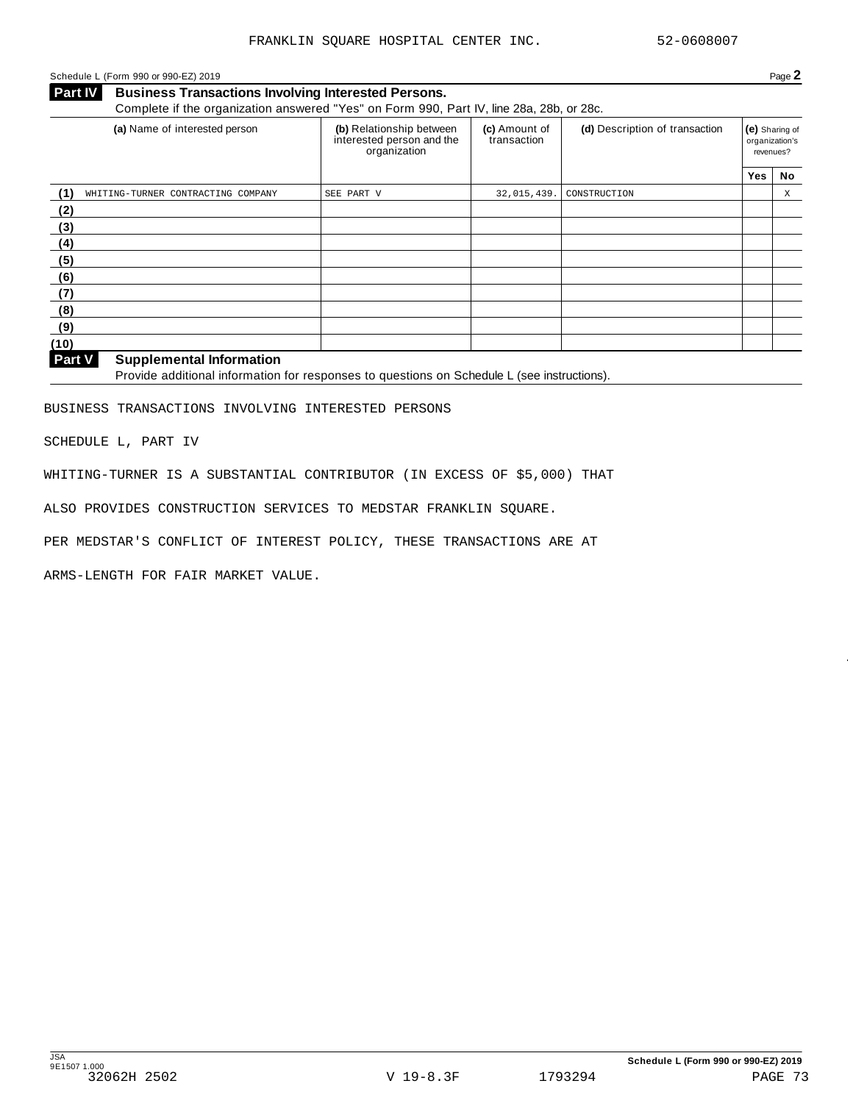#### Schedule L (Form 990 or 990-EZ) 2019 Page **2**

**Business Transactions Involving Interested Persons.** Complete if the organization answered "Yes" on Form 990, Part IV, line 28a, 28b, or 28c. **Part IV** 

| (a) Name of interested person             | (b) Relationship between<br>interested person and the<br>organization | (c) Amount of<br>transaction | (d) Description of transaction |            | (e) Sharing of<br>organization's<br>revenues? |  |
|-------------------------------------------|-----------------------------------------------------------------------|------------------------------|--------------------------------|------------|-----------------------------------------------|--|
|                                           |                                                                       |                              |                                | <b>Yes</b> | No                                            |  |
| (1)<br>WHITING-TURNER CONTRACTING COMPANY | SEE PART V                                                            | 32,015,439.                  | CONSTRUCTION                   |            | Χ                                             |  |
| (2)                                       |                                                                       |                              |                                |            |                                               |  |
| (3)                                       |                                                                       |                              |                                |            |                                               |  |
| (4)                                       |                                                                       |                              |                                |            |                                               |  |
| (5)                                       |                                                                       |                              |                                |            |                                               |  |
| (6)                                       |                                                                       |                              |                                |            |                                               |  |
| (7)                                       |                                                                       |                              |                                |            |                                               |  |
| (8)                                       |                                                                       |                              |                                |            |                                               |  |
| (9)                                       |                                                                       |                              |                                |            |                                               |  |
| (10)                                      |                                                                       |                              |                                |            |                                               |  |

#### **Supplemental Information Part V**

Provide additional information for responses to questions on Schedule L (see instructions).

BUSINESS TRANSACTIONS INVOLVING INTERESTED PERSONS

SCHEDULE L, PART IV

WHITING-TURNER IS A SUBSTANTIAL CONTRIBUTOR (IN EXCESS OF \$5,000) THAT

ALSO PROVIDES CONSTRUCTION SERVICES TO MEDSTAR FRANKLIN SQUARE.

PER MEDSTAR'S CONFLICT OF INTEREST POLICY, THESE TRANSACTIONS ARE AT

ARMS-LENGTH FOR FAIR MARKET VALUE.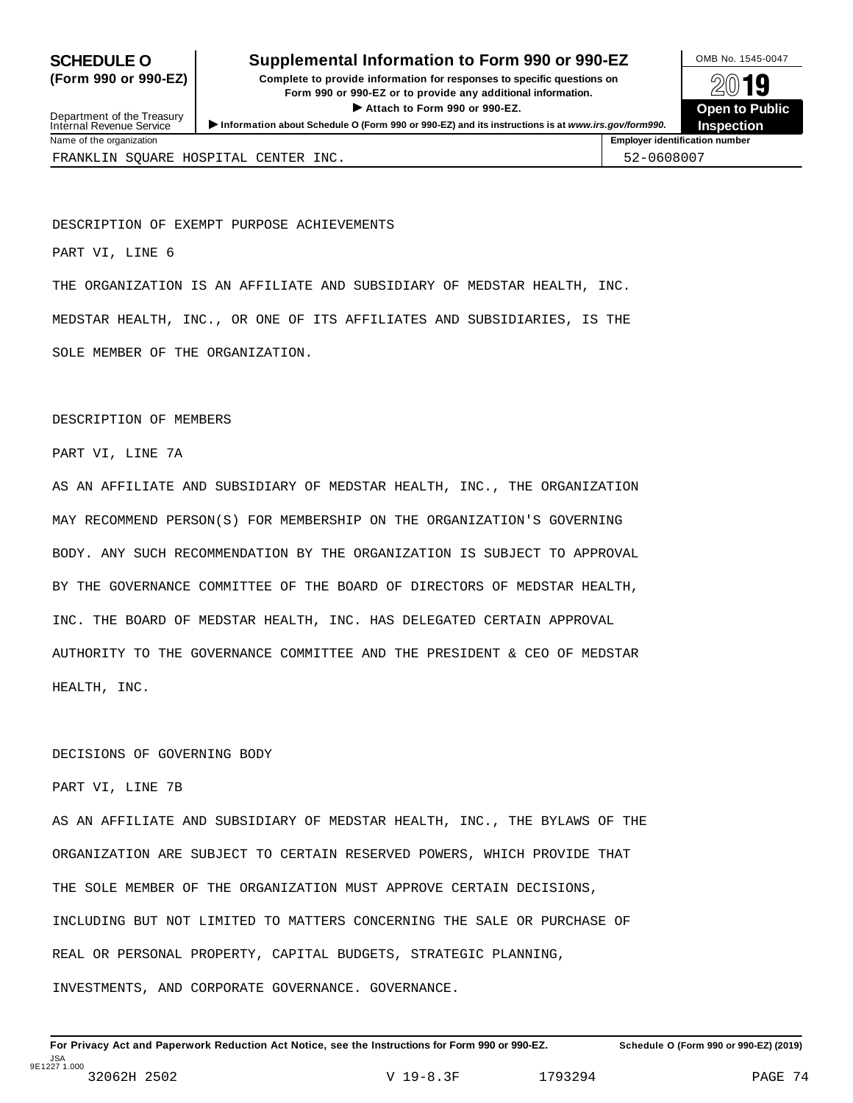## **SCHEDULE O** Supplemental Information to Form 990 or 990-EZ MB No. 1545-0047

**(Form 990 or 990-EZ)** Complete to provide information for responses to specific questions on  $\sqrt{2019}$ Form 990 or 990-EZ or to provide any additional information.<br>■ ● Attach to Form 990 or 990-EZ. **Open to Public** 

| Department of the Treasury<br>Internal Revenue Service | Attach to Form 990 or 990-EZ.<br>Information about Schedule O (Form 990 or 990-EZ) and its instructions is at www.irs.gov/form990. | <b>O</b> pen to Pu<br><b>Inspection</b> |
|--------------------------------------------------------|------------------------------------------------------------------------------------------------------------------------------------|-----------------------------------------|
| Name of the organization                               |                                                                                                                                    | <b>Employer identification number</b>   |
|                                                        | FRANKLIN SOUARE HOSPITAL CENTER INC.                                                                                               | 52-0608007                              |

DESCRIPTION OF EXEMPT PURPOSE ACHIEVEMENTS

PART VI, LINE 6

THE ORGANIZATION IS AN AFFILIATE AND SUBSIDIARY OF MEDSTAR HEALTH, INC. MEDSTAR HEALTH, INC., OR ONE OF ITS AFFILIATES AND SUBSIDIARIES, IS THE SOLE MEMBER OF THE ORGANIZATION.

#### DESCRIPTION OF MEMBERS

PART VI, LINE 7A

AS AN AFFILIATE AND SUBSIDIARY OF MEDSTAR HEALTH, INC., THE ORGANIZATION MAY RECOMMEND PERSON(S) FOR MEMBERSHIP ON THE ORGANIZATION'S GOVERNING BODY. ANY SUCH RECOMMENDATION BY THE ORGANIZATION IS SUBJECT TO APPROVAL BY THE GOVERNANCE COMMITTEE OF THE BOARD OF DIRECTORS OF MEDSTAR HEALTH, INC. THE BOARD OF MEDSTAR HEALTH, INC. HAS DELEGATED CERTAIN APPROVAL AUTHORITY TO THE GOVERNANCE COMMITTEE AND THE PRESIDENT & CEO OF MEDSTAR HEALTH, INC.

#### DECISIONS OF GOVERNING BODY

PART VI, LINE 7B

AS AN AFFILIATE AND SUBSIDIARY OF MEDSTAR HEALTH, INC., THE BYLAWS OF THE ORGANIZATION ARE SUBJECT TO CERTAIN RESERVED POWERS, WHICH PROVIDE THAT THE SOLE MEMBER OF THE ORGANIZATION MUST APPROVE CERTAIN DECISIONS, INCLUDING BUT NOT LIMITED TO MATTERS CONCERNING THE SALE OR PURCHASE OF REAL OR PERSONAL PROPERTY, CAPITAL BUDGETS, STRATEGIC PLANNING, INVESTMENTS, AND CORPORATE GOVERNANCE. GOVERNANCE.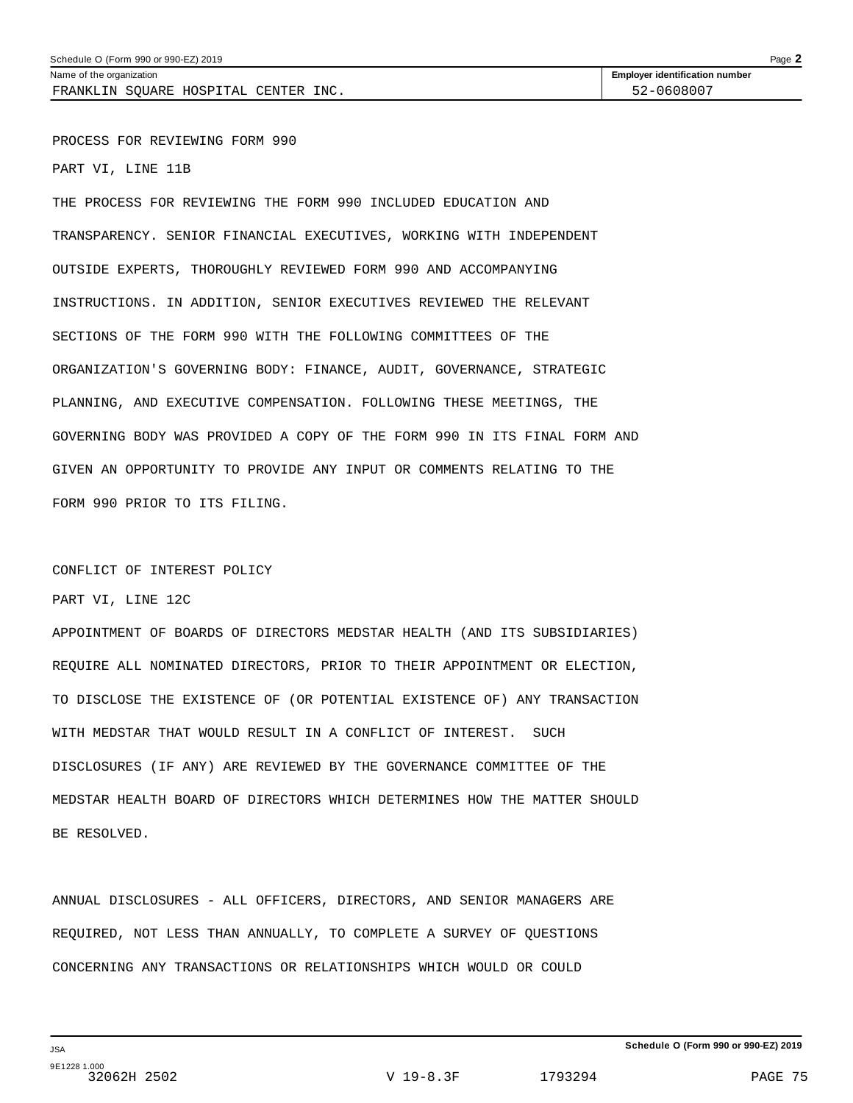Name of the organization **Employer identification number Employer identification number** 

PROCESS FOR REVIEWING FORM 990

PART VI, LINE 11B

THE PROCESS FOR REVIEWING THE FORM 990 INCLUDED EDUCATION AND TRANSPARENCY. SENIOR FINANCIAL EXECUTIVES, WORKING WITH INDEPENDENT OUTSIDE EXPERTS, THOROUGHLY REVIEWED FORM 990 AND ACCOMPANYING INSTRUCTIONS. IN ADDITION, SENIOR EXECUTIVES REVIEWED THE RELEVANT SECTIONS OF THE FORM 990 WITH THE FOLLOWING COMMITTEES OF THE ORGANIZATION'S GOVERNING BODY: FINANCE, AUDIT, GOVERNANCE, STRATEGIC PLANNING, AND EXECUTIVE COMPENSATION. FOLLOWING THESE MEETINGS, THE GOVERNING BODY WAS PROVIDED A COPY OF THE FORM 990 IN ITS FINAL FORM AND GIVEN AN OPPORTUNITY TO PROVIDE ANY INPUT OR COMMENTS RELATING TO THE FORM 990 PRIOR TO ITS FILING.

#### CONFLICT OF INTEREST POLICY

PART VI, LINE 12C

APPOINTMENT OF BOARDS OF DIRECTORS MEDSTAR HEALTH (AND ITS SUBSIDIARIES) REQUIRE ALL NOMINATED DIRECTORS, PRIOR TO THEIR APPOINTMENT OR ELECTION, TO DISCLOSE THE EXISTENCE OF (OR POTENTIAL EXISTENCE OF) ANY TRANSACTION WITH MEDSTAR THAT WOULD RESULT IN A CONFLICT OF INTEREST. SUCH DISCLOSURES (IF ANY) ARE REVIEWED BY THE GOVERNANCE COMMITTEE OF THE MEDSTAR HEALTH BOARD OF DIRECTORS WHICH DETERMINES HOW THE MATTER SHOULD BE RESOLVED.

ANNUAL DISCLOSURES - ALL OFFICERS, DIRECTORS, AND SENIOR MANAGERS ARE REQUIRED, NOT LESS THAN ANNUALLY, TO COMPLETE A SURVEY OF QUESTIONS CONCERNING ANY TRANSACTIONS OR RELATIONSHIPS WHICH WOULD OR COULD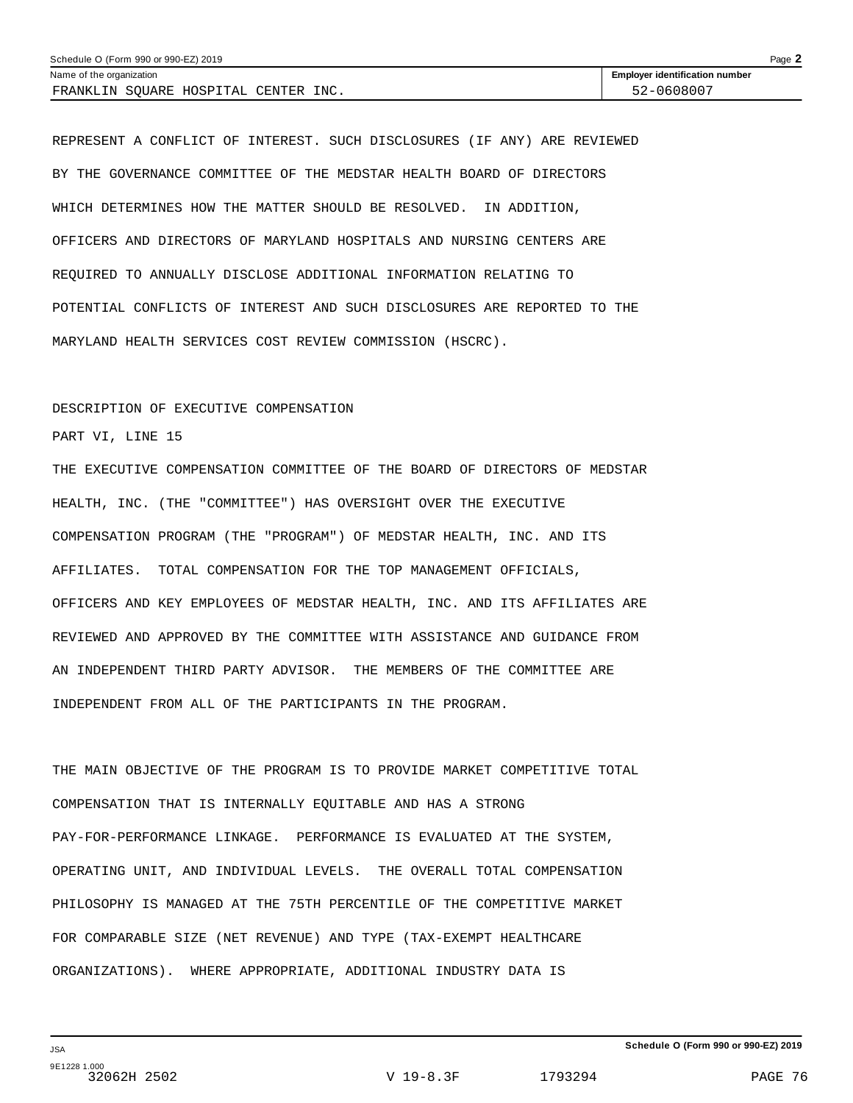| Schedule O (Form 990 or 990-EZ) 2019 |                                       | Page $\blacktriangle$ |
|--------------------------------------|---------------------------------------|-----------------------|
| Name of the organization             | <b>Employer identification number</b> |                       |
| FRANKLIN SOUARE HOSPITAL CENTER INC. | 52-0608007                            |                       |

REPRESENT A CONFLICT OF INTEREST. SUCH DISCLOSURES (IF ANY) ARE REVIEWED BY THE GOVERNANCE COMMITTEE OF THE MEDSTAR HEALTH BOARD OF DIRECTORS WHICH DETERMINES HOW THE MATTER SHOULD BE RESOLVED. IN ADDITION, OFFICERS AND DIRECTORS OF MARYLAND HOSPITALS AND NURSING CENTERS ARE REQUIRED TO ANNUALLY DISCLOSE ADDITIONAL INFORMATION RELATING TO POTENTIAL CONFLICTS OF INTEREST AND SUCH DISCLOSURES ARE REPORTED TO THE MARYLAND HEALTH SERVICES COST REVIEW COMMISSION (HSCRC).

#### DESCRIPTION OF EXECUTIVE COMPENSATION

PART VI, LINE 15

THE EXECUTIVE COMPENSATION COMMITTEE OF THE BOARD OF DIRECTORS OF MEDSTAR HEALTH, INC. (THE "COMMITTEE") HAS OVERSIGHT OVER THE EXECUTIVE COMPENSATION PROGRAM (THE "PROGRAM") OF MEDSTAR HEALTH, INC. AND ITS AFFILIATES. TOTAL COMPENSATION FOR THE TOP MANAGEMENT OFFICIALS, OFFICERS AND KEY EMPLOYEES OF MEDSTAR HEALTH, INC. AND ITS AFFILIATES ARE REVIEWED AND APPROVED BY THE COMMITTEE WITH ASSISTANCE AND GUIDANCE FROM AN INDEPENDENT THIRD PARTY ADVISOR. THE MEMBERS OF THE COMMITTEE ARE INDEPENDENT FROM ALL OF THE PARTICIPANTS IN THE PROGRAM.

THE MAIN OBJECTIVE OF THE PROGRAM IS TO PROVIDE MARKET COMPETITIVE TOTAL COMPENSATION THAT IS INTERNALLY EQUITABLE AND HAS A STRONG PAY-FOR-PERFORMANCE LINKAGE. PERFORMANCE IS EVALUATED AT THE SYSTEM, OPERATING UNIT, AND INDIVIDUAL LEVELS. THE OVERALL TOTAL COMPENSATION PHILOSOPHY IS MANAGED AT THE 75TH PERCENTILE OF THE COMPETITIVE MARKET FOR COMPARABLE SIZE (NET REVENUE) AND TYPE (TAX-EXEMPT HEALTHCARE ORGANIZATIONS). WHERE APPROPRIATE, ADDITIONAL INDUSTRY DATA IS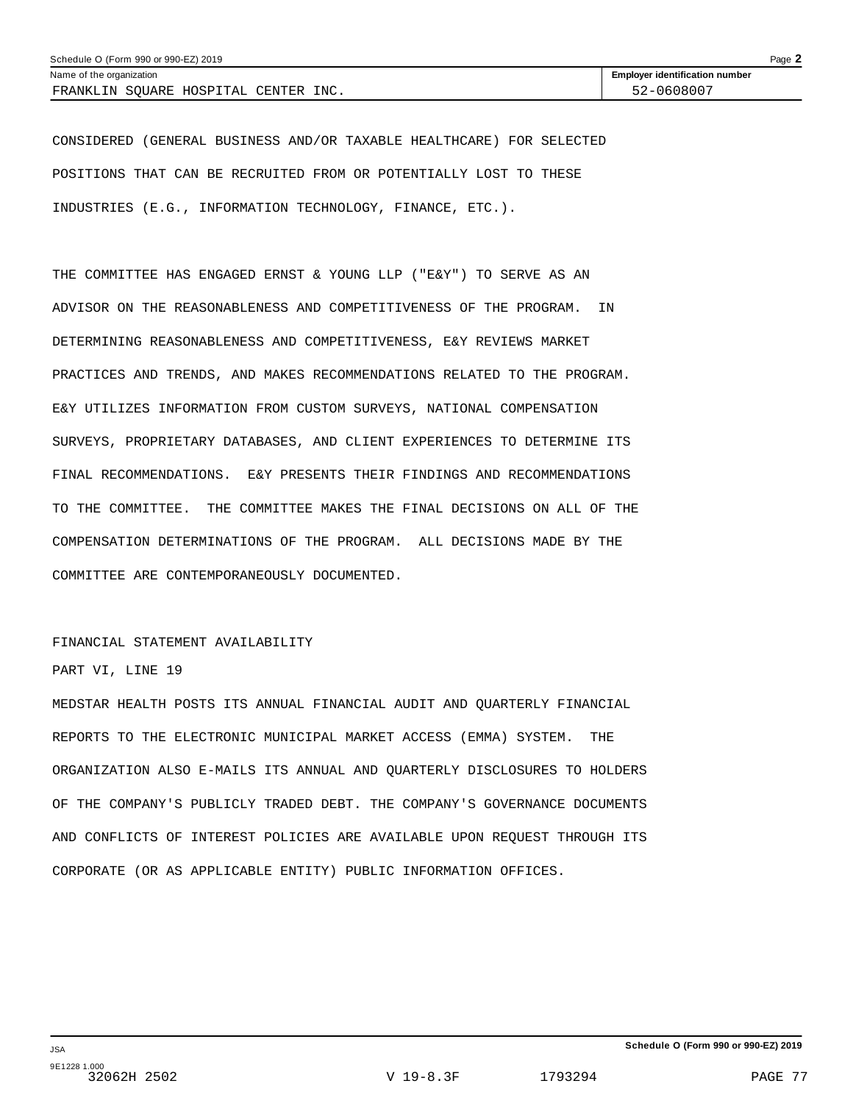CONSIDERED (GENERAL BUSINESS AND/OR TAXABLE HEALTHCARE) FOR SELECTED POSITIONS THAT CAN BE RECRUITED FROM OR POTENTIALLY LOST TO THESE INDUSTRIES (E.G., INFORMATION TECHNOLOGY, FINANCE, ETC.).

THE COMMITTEE HAS ENGAGED ERNST & YOUNG LLP ("E&Y") TO SERVE AS AN ADVISOR ON THE REASONABLENESS AND COMPETITIVENESS OF THE PROGRAM. IN DETERMINING REASONABLENESS AND COMPETITIVENESS, E&Y REVIEWS MARKET PRACTICES AND TRENDS, AND MAKES RECOMMENDATIONS RELATED TO THE PROGRAM. E&Y UTILIZES INFORMATION FROM CUSTOM SURVEYS, NATIONAL COMPENSATION SURVEYS, PROPRIETARY DATABASES, AND CLIENT EXPERIENCES TO DETERMINE ITS FINAL RECOMMENDATIONS. E&Y PRESENTS THEIR FINDINGS AND RECOMMENDATIONS TO THE COMMITTEE. THE COMMITTEE MAKES THE FINAL DECISIONS ON ALL OF THE COMPENSATION DETERMINATIONS OF THE PROGRAM. ALL DECISIONS MADE BY THE COMMITTEE ARE CONTEMPORANEOUSLY DOCUMENTED.

#### FINANCIAL STATEMENT AVAILABILITY

#### PART VI, LINE 19

MEDSTAR HEALTH POSTS ITS ANNUAL FINANCIAL AUDIT AND QUARTERLY FINANCIAL REPORTS TO THE ELECTRONIC MUNICIPAL MARKET ACCESS (EMMA) SYSTEM. THE ORGANIZATION ALSO E-MAILS ITS ANNUAL AND QUARTERLY DISCLOSURES TO HOLDERS OF THE COMPANY'S PUBLICLY TRADED DEBT. THE COMPANY'S GOVERNANCE DOCUMENTS AND CONFLICTS OF INTEREST POLICIES ARE AVAILABLE UPON REQUEST THROUGH ITS CORPORATE (OR AS APPLICABLE ENTITY) PUBLIC INFORMATION OFFICES.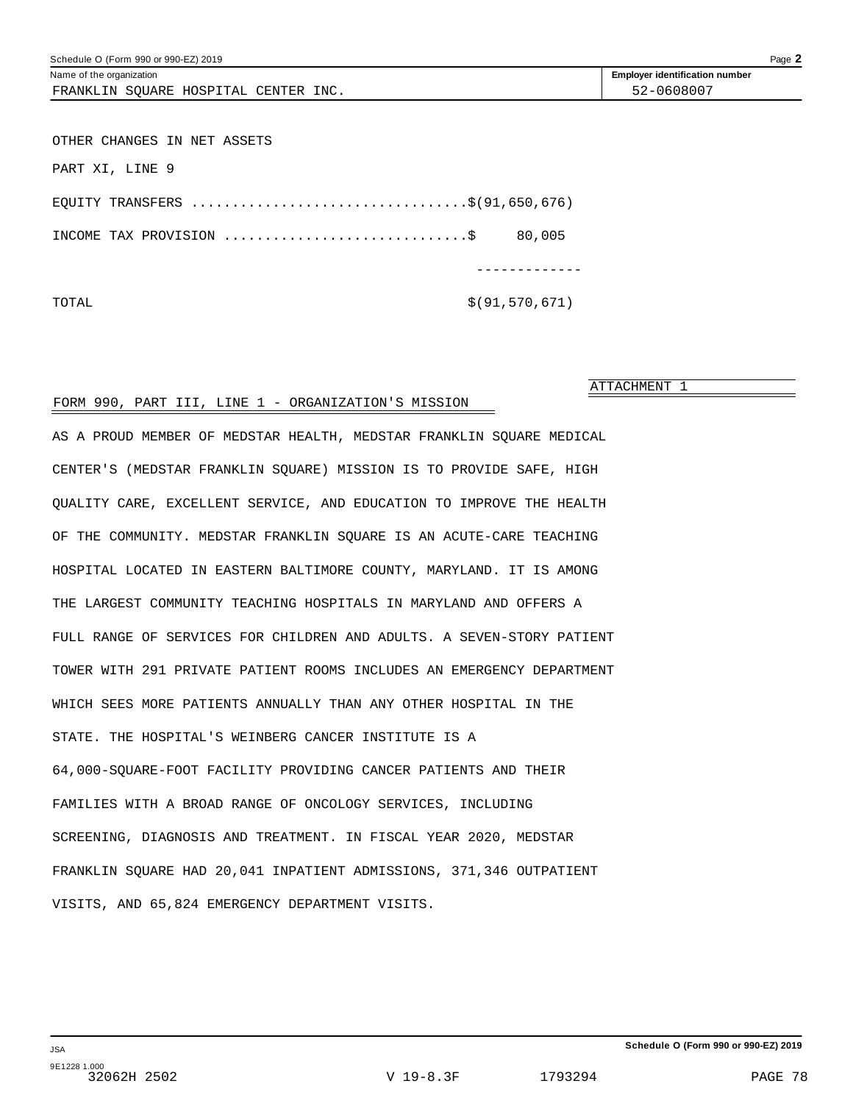| Schedule O (Form 990 or 990-EZ) 2019 | Page 2                                |
|--------------------------------------|---------------------------------------|
| Name of the organization             | <b>Employer identification number</b> |
| FRANKLIN SQUARE HOSPITAL CENTER INC. | 52-0608007                            |
|                                      |                                       |
| OTHER CHANGES IN NET ASSETS          |                                       |
| PART XI, LINE 9                      |                                       |
| EQUITY TRANSFERS \$(91,650,676)      |                                       |
|                                      | 80,005                                |
|                                      |                                       |
| TOTAL                                | \$ (91, 570, 671)                     |

#### FORM 990, PART III, LINE 1 - ORGANIZATION'S MISSION

AS A PROUD MEMBER OF MEDSTAR HEALTH, MEDSTAR FRANKLIN SQUARE MEDICAL CENTER'S (MEDSTAR FRANKLIN SQUARE) MISSION IS TO PROVIDE SAFE, HIGH QUALITY CARE, EXCELLENT SERVICE, AND EDUCATION TO IMPROVE THE HEALTH OF THE COMMUNITY. MEDSTAR FRANKLIN SQUARE IS AN ACUTE-CARE TEACHING HOSPITAL LOCATED IN EASTERN BALTIMORE COUNTY, MARYLAND. IT IS AMONG THE LARGEST COMMUNITY TEACHING HOSPITALS IN MARYLAND AND OFFERS A FULL RANGE OF SERVICES FOR CHILDREN AND ADULTS. A SEVEN-STORY PATIENT TOWER WITH 291 PRIVATE PATIENT ROOMS INCLUDES AN EMERGENCY DEPARTMENT WHICH SEES MORE PATIENTS ANNUALLY THAN ANY OTHER HOSPITAL IN THE STATE. THE HOSPITAL'S WEINBERG CANCER INSTITUTE IS A 64,000-SQUARE-FOOT FACILITY PROVIDING CANCER PATIENTS AND THEIR FAMILIES WITH A BROAD RANGE OF ONCOLOGY SERVICES, INCLUDING SCREENING, DIAGNOSIS AND TREATMENT. IN FISCAL YEAR 2020, MEDSTAR FRANKLIN SQUARE HAD 20,041 INPATIENT ADMISSIONS, 371,346 OUTPATIENT VISITS, AND 65,824 EMERGENCY DEPARTMENT VISITS.

ATTACHMENT 1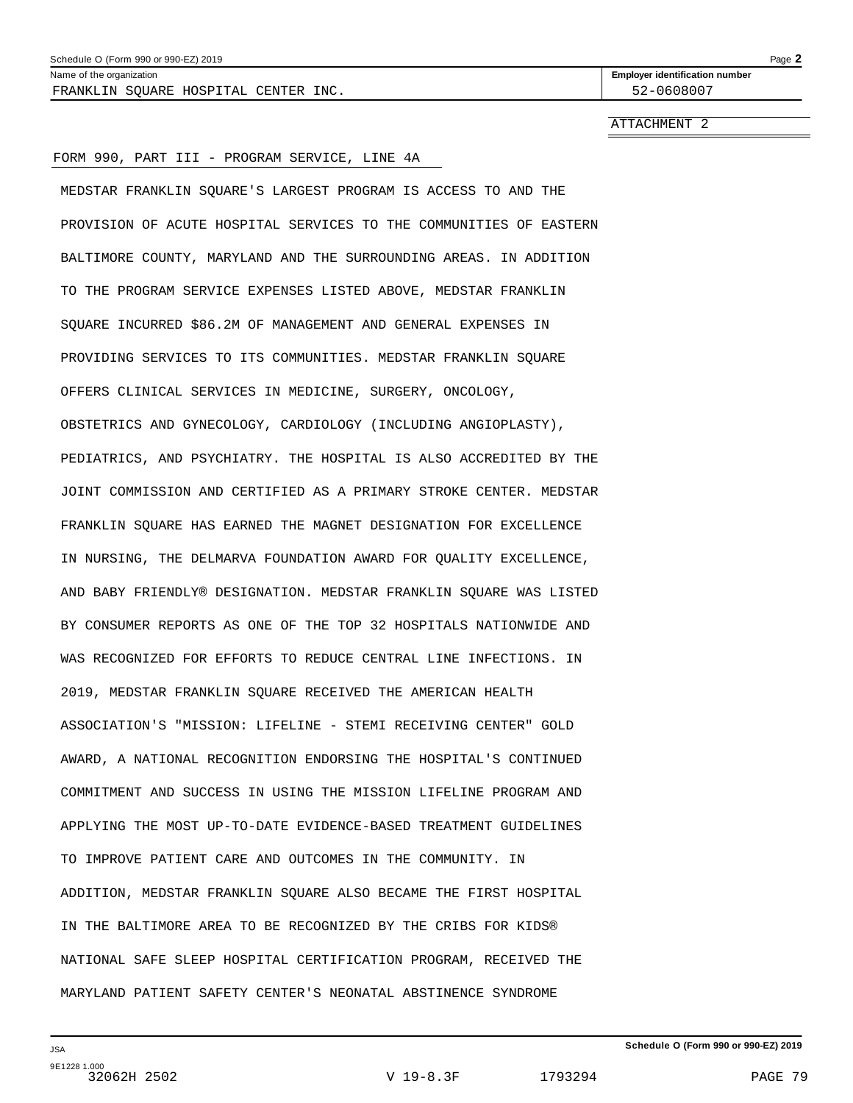| Schedule<br>2019<br>990<br>990<br>'Form<br>$-$ |                                                 | <b>Done</b><br>auc |
|------------------------------------------------|-------------------------------------------------|--------------------|
| Name<br>nizatior.<br>organ<br>the              | -mnlover<br>fication number<br><b>IGANTITIC</b> |                    |

FRANKLIN SQUARE HOSPITAL CENTER INC. 52-0608007

**Employer identification number** 

ATTACHMENT 2

#### FORM 990, PART III - PROGRAM SERVICE, LINE 4A

MEDSTAR FRANKLIN SQUARE'S LARGEST PROGRAM IS ACCESS TO AND THE PROVISION OF ACUTE HOSPITAL SERVICES TO THE COMMUNITIES OF EASTERN BALTIMORE COUNTY, MARYLAND AND THE SURROUNDING AREAS. IN ADDITION TO THE PROGRAM SERVICE EXPENSES LISTED ABOVE, MEDSTAR FRANKLIN SQUARE INCURRED \$86.2M OF MANAGEMENT AND GENERAL EXPENSES IN PROVIDING SERVICES TO ITS COMMUNITIES. MEDSTAR FRANKLIN SQUARE OFFERS CLINICAL SERVICES IN MEDICINE, SURGERY, ONCOLOGY, OBSTETRICS AND GYNECOLOGY, CARDIOLOGY (INCLUDING ANGIOPLASTY), PEDIATRICS, AND PSYCHIATRY. THE HOSPITAL IS ALSO ACCREDITED BY THE JOINT COMMISSION AND CERTIFIED AS A PRIMARY STROKE CENTER. MEDSTAR FRANKLIN SQUARE HAS EARNED THE MAGNET DESIGNATION FOR EXCELLENCE IN NURSING, THE DELMARVA FOUNDATION AWARD FOR QUALITY EXCELLENCE, AND BABY FRIENDLY® DESIGNATION. MEDSTAR FRANKLIN SQUARE WAS LISTED BY CONSUMER REPORTS AS ONE OF THE TOP 32 HOSPITALS NATIONWIDE AND WAS RECOGNIZED FOR EFFORTS TO REDUCE CENTRAL LINE INFECTIONS. IN 2019, MEDSTAR FRANKLIN SQUARE RECEIVED THE AMERICAN HEALTH ASSOCIATION'S "MISSION: LIFELINE - STEMI RECEIVING CENTER" GOLD AWARD, A NATIONAL RECOGNITION ENDORSING THE HOSPITAL'S CONTINUED COMMITMENT AND SUCCESS IN USING THE MISSION LIFELINE PROGRAM AND APPLYING THE MOST UP-TO-DATE EVIDENCE-BASED TREATMENT GUIDELINES TO IMPROVE PATIENT CARE AND OUTCOMES IN THE COMMUNITY. IN ADDITION, MEDSTAR FRANKLIN SQUARE ALSO BECAME THE FIRST HOSPITAL IN THE BALTIMORE AREA TO BE RECOGNIZED BY THE CRIBS FOR KIDS® NATIONAL SAFE SLEEP HOSPITAL CERTIFICATION PROGRAM, RECEIVED THE MARYLAND PATIENT SAFETY CENTER'S NEONATAL ABSTINENCE SYNDROME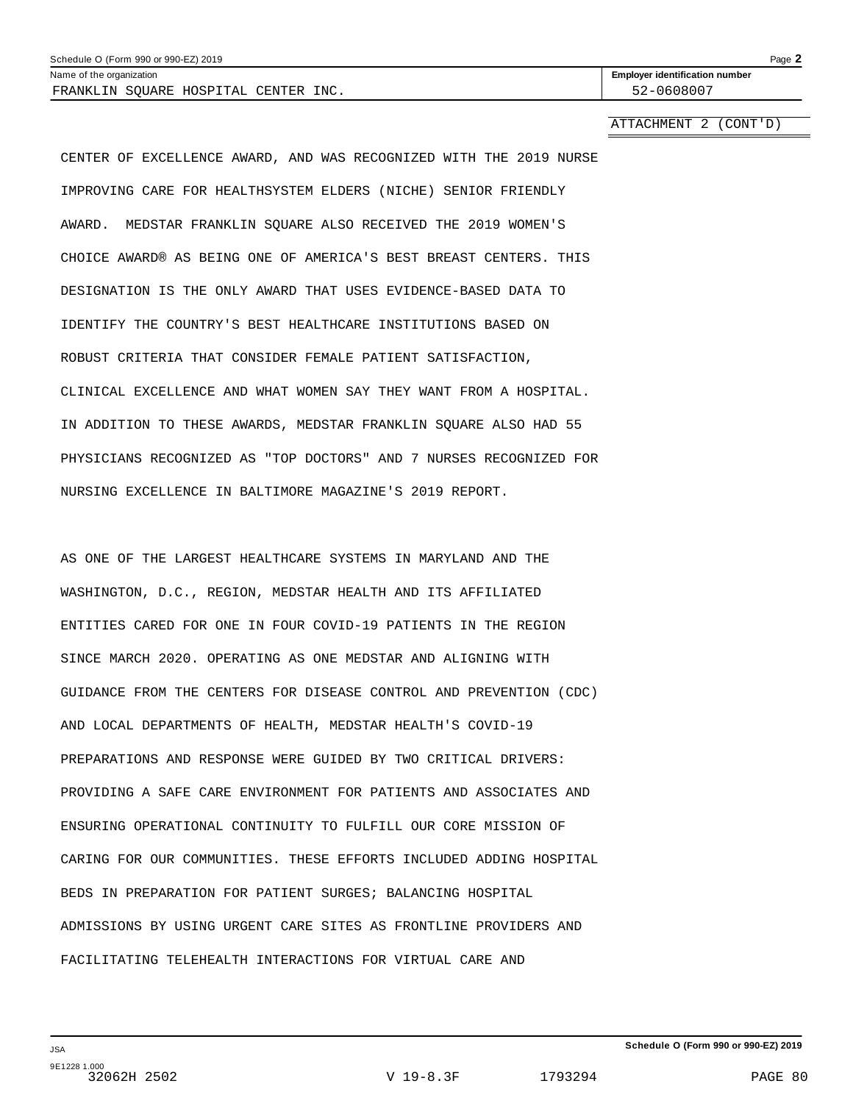| Schedule O (Form 990 or 990-EZ) 2019 | Page |
|--------------------------------------|------|
|--------------------------------------|------|

FRANKLIN SQUARE HOSPITAL CENTER INC. 52-0608007

Name of the organization **Employer identification number Employer identification number** 

ATTACHMENT 2 (CONT'D)

CENTER OF EXCELLENCE AWARD, AND WAS RECOGNIZED WITH THE 2019 NURSE IMPROVING CARE FOR HEALTHSYSTEM ELDERS (NICHE) SENIOR FRIENDLY AWARD. MEDSTAR FRANKLIN SQUARE ALSO RECEIVED THE 2019 WOMEN'S CHOICE AWARD® AS BEING ONE OF AMERICA'S BEST BREAST CENTERS. THIS DESIGNATION IS THE ONLY AWARD THAT USES EVIDENCE-BASED DATA TO IDENTIFY THE COUNTRY'S BEST HEALTHCARE INSTITUTIONS BASED ON ROBUST CRITERIA THAT CONSIDER FEMALE PATIENT SATISFACTION, CLINICAL EXCELLENCE AND WHAT WOMEN SAY THEY WANT FROM A HOSPITAL. IN ADDITION TO THESE AWARDS, MEDSTAR FRANKLIN SQUARE ALSO HAD 55 PHYSICIANS RECOGNIZED AS "TOP DOCTORS" AND 7 NURSES RECOGNIZED FOR NURSING EXCELLENCE IN BALTIMORE MAGAZINE'S 2019 REPORT.

AS ONE OF THE LARGEST HEALTHCARE SYSTEMS IN MARYLAND AND THE WASHINGTON, D.C., REGION, MEDSTAR HEALTH AND ITS AFFILIATED ENTITIES CARED FOR ONE IN FOUR COVID-19 PATIENTS IN THE REGION SINCE MARCH 2020. OPERATING AS ONE MEDSTAR AND ALIGNING WITH GUIDANCE FROM THE CENTERS FOR DISEASE CONTROL AND PREVENTION (CDC) AND LOCAL DEPARTMENTS OF HEALTH, MEDSTAR HEALTH'S COVID-19 PREPARATIONS AND RESPONSE WERE GUIDED BY TWO CRITICAL DRIVERS: PROVIDING A SAFE CARE ENVIRONMENT FOR PATIENTS AND ASSOCIATES AND ENSURING OPERATIONAL CONTINUITY TO FULFILL OUR CORE MISSION OF CARING FOR OUR COMMUNITIES. THESE EFFORTS INCLUDED ADDING HOSPITAL BEDS IN PREPARATION FOR PATIENT SURGES; BALANCING HOSPITAL ADMISSIONS BY USING URGENT CARE SITES AS FRONTLINE PROVIDERS AND FACILITATING TELEHEALTH INTERACTIONS FOR VIRTUAL CARE AND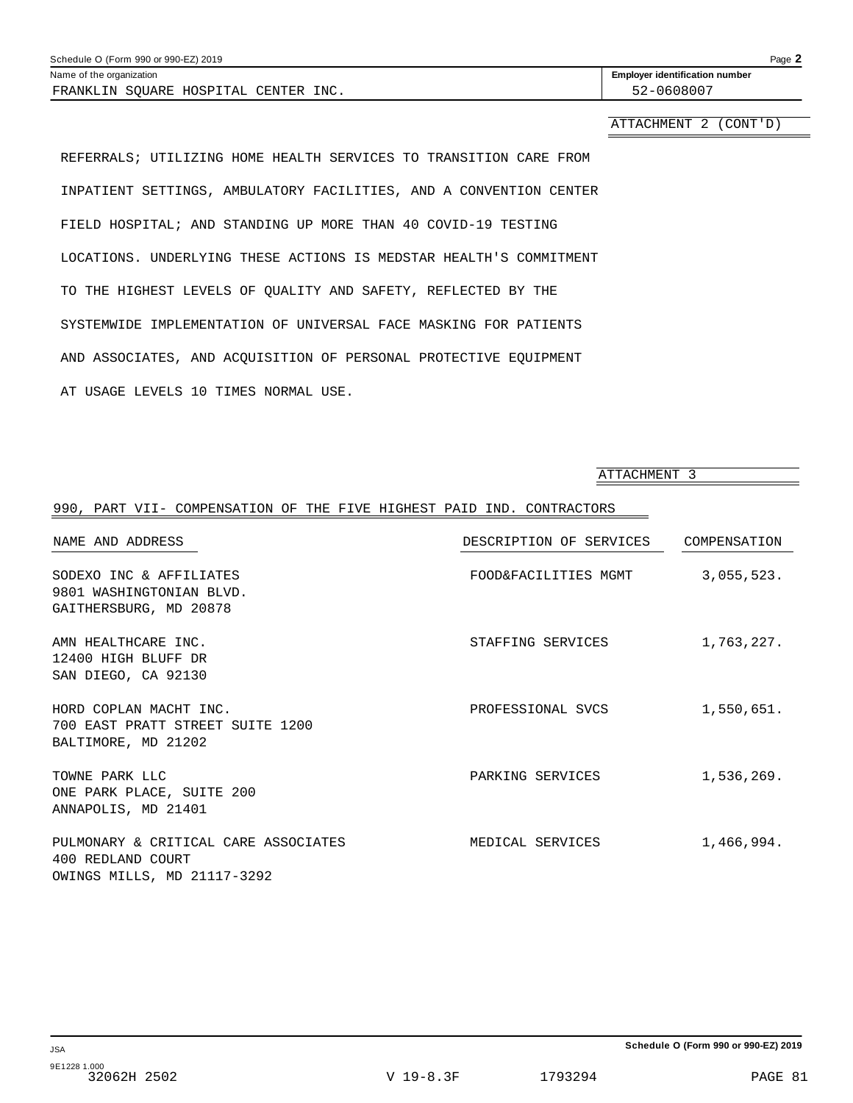| Schedule O (Form 990 or 990-EZ) 2019 | Page 2                                |
|--------------------------------------|---------------------------------------|
| Name of the organization             | <b>Employer identification number</b> |
| FRANKLIN SOUARE HOSPITAL CENTER INC. | 52-0608007                            |
|                                      |                                       |

## ATTACHMENT 2 (CONT'D)

REFERRALS; UTILIZING HOME HEALTH SERVICES TO TRANSITION CARE FROM INPATIENT SETTINGS, AMBULATORY FACILITIES, AND A CONVENTION CENTER FIELD HOSPITAL; AND STANDING UP MORE THAN 40 COVID-19 TESTING LOCATIONS. UNDERLYING THESE ACTIONS IS MEDSTAR HEALTH'S COMMITMENT TO THE HIGHEST LEVELS OF QUALITY AND SAFETY, REFLECTED BY THE SYSTEMWIDE IMPLEMENTATION OF UNIVERSAL FACE MASKING FOR PATIENTS AND ASSOCIATES, AND ACQUISITION OF PERSONAL PROTECTIVE EQUIPMENT AT USAGE LEVELS 10 TIMES NORMAL USE.

ATTACHMENT 3

## 990, PART VII- COMPENSATION OF THE FIVE HIGHEST PAID IND. CONTRACTORS NAME AND ADDRESS DESCRIPTION OF SERVICES COMPENSATION SODEXO INC & AFFILIATES FOOD&FACILITIES MGMT 3,055,523. 9801 WASHINGTONIAN BLVD. GAITHERSBURG, MD 20878 AMN HEALTHCARE INC. THE STAFFING SERVICES AND HEALTHCARE INC. 12400 HIGH BLUFF DR SAN DIEGO, CA 92130 HORD COPLAN MACHT INC. PROFESSIONAL SVCS 1,550,651. 700 EAST PRATT STREET SUITE 1200 BALTIMORE, MD 21202 TOWNE PARK LLC **TOWNE PARK LLC PARKING SERVICES** 1,536,269. ONE PARK PLACE, SUITE 200 ANNAPOLIS, MD 21401 PULMONARY & CRITICAL CARE ASSOCIATES MEDICAL SERVICES 1,466,994. 400 REDLAND COURT OWINGS MILLS, MD 21117-3292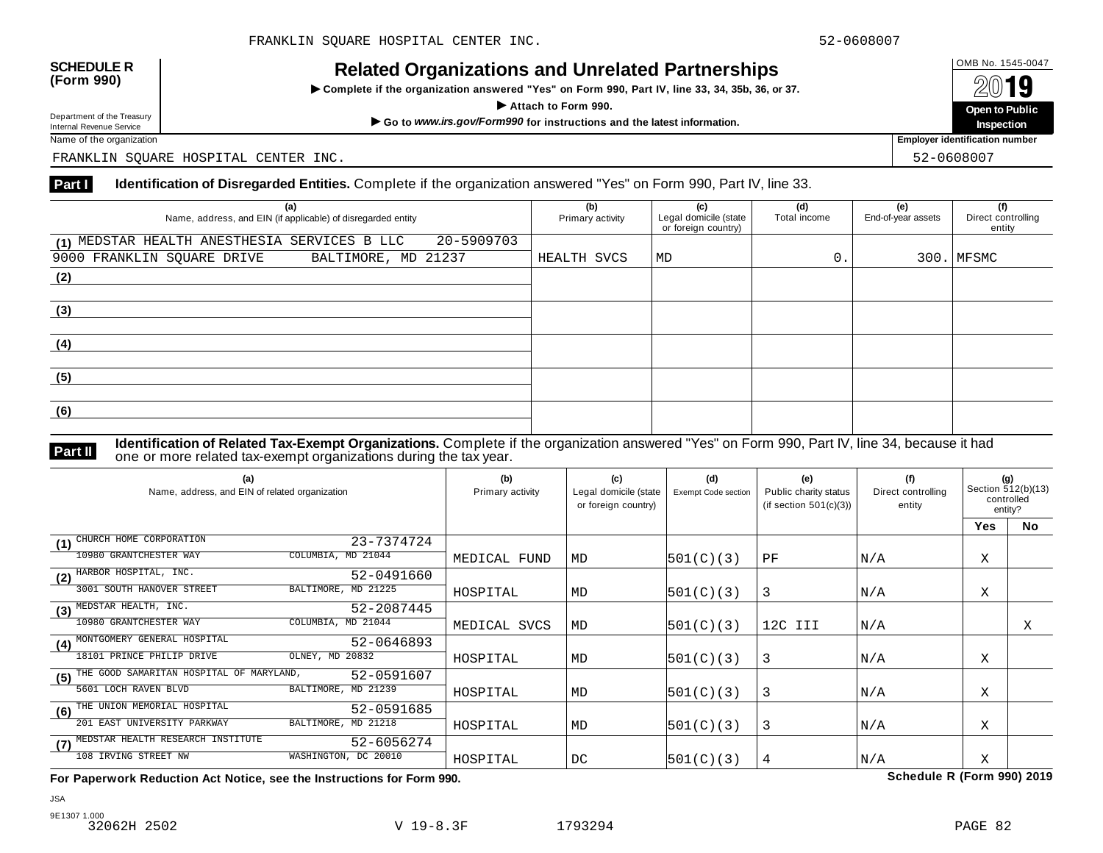INCIALCU OF GATIZATIONS AND ON CIALCUT AFTIC STIPS<br>► Complete if the organization answered "Yes" on Form 990, Part IV, line 33, 34, 35b, 36, or 37. △ △ △ △ △



Name of the organization **Employer identification number Employer identification number** 

FRANKLIN SQUARE HOSPITAL CENTER INC. 52-0608007

#### **Part I** Identification of Disregarded Entities. Complete if the organization answered "Yes" on Form 990, Part IV, line 33.

| (a)<br>Name, address, and EIN (if applicable) of disregarded entity | (b)<br>Primary activity | (c)<br>Legal domicile (state<br>or foreign country) | (d)<br>Total income | (e)<br>End-of-year assets | (f)<br>Direct controlling<br>entity |
|---------------------------------------------------------------------|-------------------------|-----------------------------------------------------|---------------------|---------------------------|-------------------------------------|
| 20-5909703<br>(1) MEDSTAR HEALTH ANESTHESIA SERVICES B LLC          |                         |                                                     |                     |                           |                                     |
| BALTIMORE, MD 21237<br>9000 FRANKLIN SQUARE DRIVE                   | HEALTH SVCS             | $\vert$ MD                                          | 0.                  |                           | $300.$ MFSMC                        |
| (2)                                                                 |                         |                                                     |                     |                           |                                     |
|                                                                     |                         |                                                     |                     |                           |                                     |
| (3)                                                                 |                         |                                                     |                     |                           |                                     |
|                                                                     |                         |                                                     |                     |                           |                                     |
| (4)                                                                 |                         |                                                     |                     |                           |                                     |
|                                                                     |                         |                                                     |                     |                           |                                     |
| (5)                                                                 |                         |                                                     |                     |                           |                                     |
|                                                                     |                         |                                                     |                     |                           |                                     |
| (6)                                                                 |                         |                                                     |                     |                           |                                     |
|                                                                     |                         |                                                     |                     |                           |                                     |

**Identification of Related Tax-Exempt Organizations.** Complete if the organization answered "Yes" on Form 990, Part IV, line 34, because it had **Part II one or more related tax-exempt organizations during the tax year. Part II one or more related tax-exempt organizations during the tax year.** 

| (a)<br>Name, address, and EIN of related organization |                      | (b)<br>Primary activity | (c)<br>Legal domicile (state<br>or foreign country) | (d)<br><b>Exempt Code section</b> | (e)<br>Public charity status<br>(if section $501(c)(3)$ ) | (f)<br>Direct controlling<br>entity | (g)<br>Section 512(b)(13)<br>controlled<br>entity? |           |
|-------------------------------------------------------|----------------------|-------------------------|-----------------------------------------------------|-----------------------------------|-----------------------------------------------------------|-------------------------------------|----------------------------------------------------|-----------|
|                                                       |                      |                         |                                                     |                                   |                                                           |                                     | <b>Yes</b>                                         | <b>No</b> |
| CHURCH HOME CORPORATION<br>(1)                        | 23-7374724           |                         |                                                     |                                   |                                                           |                                     |                                                    |           |
| 10980 GRANTCHESTER WAY                                | COLUMBIA, MD 21044   | MEDICAL FUND            | MD                                                  | 501(C)(3)                         | PF                                                        | N/A                                 | Χ                                                  |           |
| HARBOR HOSPITAL, INC.<br>(2)                          | 52-0491660           |                         |                                                     |                                   |                                                           |                                     |                                                    |           |
| 3001 SOUTH HANOVER STREET                             | BALTIMORE, MD 21225  | HOSPITAL                | MD                                                  | 501(C)(3)                         | 3                                                         | N/A                                 | X                                                  |           |
| MEDSTAR HEALTH, INC.<br>(3)                           | 52-2087445           |                         |                                                     |                                   |                                                           |                                     |                                                    |           |
| 10980 GRANTCHESTER WAY                                | COLUMBIA, MD 21044   | MEDICAL SVCS            | MD                                                  | 501(C)(3)                         | 12C III                                                   | N/A                                 |                                                    | Χ         |
| MONTGOMERY GENERAL HOSPITAL<br>(4)                    | 52-0646893           |                         |                                                     |                                   |                                                           |                                     |                                                    |           |
| 18101 PRINCE PHILIP DRIVE                             | OLNEY, MD 20832      | HOSPITAL                | MD                                                  | 501(C)(3)                         | 3                                                         | N/A                                 | Χ                                                  |           |
| THE GOOD SAMARITAN HOSPITAL OF MARYLAND,<br>(5)       | 52-0591607           |                         |                                                     |                                   |                                                           |                                     |                                                    |           |
| 5601 LOCH RAVEN BLVD                                  | BALTIMORE, MD 21239  | HOSPITAL                | MD                                                  | 501(C)(3)                         | 3                                                         | N/A                                 | Χ                                                  |           |
| THE UNION MEMORIAL HOSPITAL<br>(6)                    | 52-0591685           |                         |                                                     |                                   |                                                           |                                     |                                                    |           |
| 201 EAST UNIVERSITY PARKWAY                           | BALTIMORE, MD 21218  | HOSPITAL                | MD                                                  | 501(C)(3)                         | 3                                                         | N/A                                 | Χ                                                  |           |
| MEDSTAR HEALTH RESEARCH INSTITUTE<br>(7)              | 52-6056274           |                         |                                                     |                                   |                                                           |                                     |                                                    |           |
| 108 IRVING STREET NW                                  | WASHINGTON, DC 20010 | HOSPITAL                | DC                                                  | 501(C)(3)                         | 4                                                         | N/A                                 | X                                                  |           |

**For Paperwork Reduction Act Notice, see the Instructions for Form 990. Schedule R (Form 990) 2019**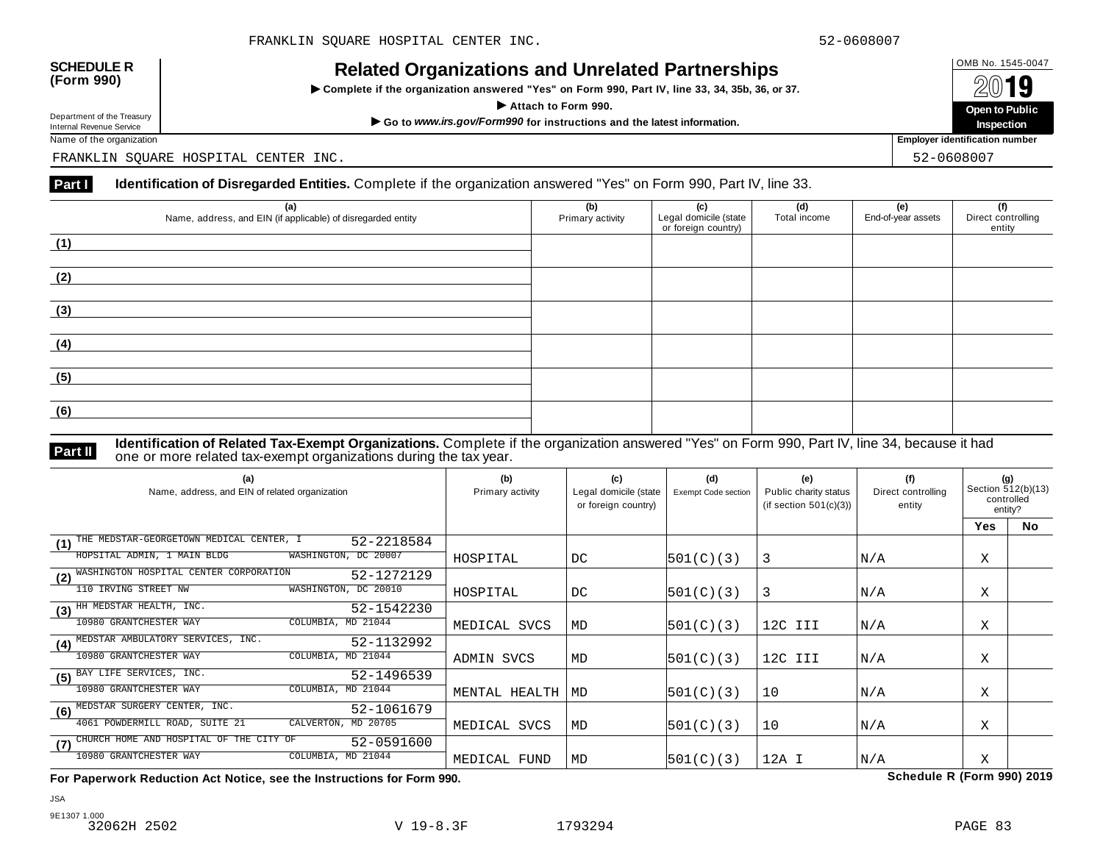INCIALCU OF GATIZATIONS AND ON CIALCUT AFTIC STIPS<br>► Complete if the organization answered "Yes" on Form 990, Part IV, line 33, 34, 35b, 36, or 37. △ △ △ △ △



Name of the organization **Employer identification number Employer identification number** 

FRANKLIN SQUARE HOSPITAL CENTER INC. 52-0608007

### **Part I** Identification of Disregarded Entities. Complete if the organization answered "Yes" on Form 990, Part IV, line 33.

| (a)<br>Name, address, and EIN (if applicable) of disregarded entity | (b)<br>Primary activity | (c)<br>Legal domicile (state<br>or foreign country) | (d)<br>Total income | (e)<br>End-of-year assets | (f)<br>Direct controlling<br>entity |
|---------------------------------------------------------------------|-------------------------|-----------------------------------------------------|---------------------|---------------------------|-------------------------------------|
| (1)                                                                 |                         |                                                     |                     |                           |                                     |
| (2)                                                                 |                         |                                                     |                     |                           |                                     |
| (3)                                                                 |                         |                                                     |                     |                           |                                     |
| (4)                                                                 |                         |                                                     |                     |                           |                                     |
| (5)                                                                 |                         |                                                     |                     |                           |                                     |
| (6)                                                                 |                         |                                                     |                     |                           |                                     |

**Identification of Related Tax-Exempt Organizations.** Complete if the organization answered "Yes" on Form 990, Part IV, line 34, because it had **Part II one or more related tax-exempt organizations during the tax year. Part II one or more related tax-exempt organizations during the tax year.** 

| (a)<br>Name, address, and EIN of related organization         | (b)<br>Primary activity | (c)<br>Legal domicile (state<br>or foreign country) | (d)<br>Exempt Code section | (e)<br>Public charity status<br>(if section $501(c)(3)$ ) | (f)<br>Direct controlling<br>entity | (g)<br>Section 512(b)(13)<br>controlled<br>entity? |           |
|---------------------------------------------------------------|-------------------------|-----------------------------------------------------|----------------------------|-----------------------------------------------------------|-------------------------------------|----------------------------------------------------|-----------|
|                                                               |                         |                                                     |                            |                                                           |                                     | Yes                                                | <b>No</b> |
| THE MEDSTAR-GEORGETOWN MEDICAL CENTER, I<br>52-2218584<br>(1) |                         |                                                     |                            |                                                           |                                     |                                                    |           |
| WASHINGTON, DC 20007<br>HOPSITAL ADMIN, 1 MAIN BLDG           | HOSPITAL                | DC                                                  | 501(C)(3)                  | 3                                                         | N/A                                 | Χ                                                  |           |
| (2) WASHINGTON HOSPITAL CENTER CORPORATION<br>52-1272129      |                         |                                                     |                            |                                                           |                                     |                                                    |           |
| WASHINGTON, DC 20010<br>110 IRVING STREET NW                  | HOSPITAL                | DC                                                  | 501(C)(3)                  | 3                                                         | N/A                                 | Χ                                                  |           |
| HH MEDSTAR HEALTH, INC.<br>52-1542230<br>(3)                  |                         |                                                     |                            |                                                           |                                     |                                                    |           |
| 10980 GRANTCHESTER WAY<br>COLUMBIA, MD 21044                  | MEDICAL SVCS            | MD                                                  | 501(C)(3)                  | 12C III                                                   | N/A                                 | Χ                                                  |           |
| MEDSTAR AMBULATORY SERVICES, INC.<br>52-1132992<br>(4)        |                         |                                                     |                            |                                                           |                                     |                                                    |           |
| 10980 GRANTCHESTER WAY<br>COLUMBIA, MD 21044                  | ADMIN SVCS              | MD                                                  | 501(C)(3)                  | 12C III                                                   | N/A                                 | Χ                                                  |           |
| (5) BAY LIFE SERVICES, INC.<br>52-1496539                     |                         |                                                     |                            |                                                           |                                     |                                                    |           |
| 10980 GRANTCHESTER WAY<br>COLUMBIA, MD 21044                  | MENTAL HEALTH           | MD                                                  | 501(C)(3)                  | 10                                                        | N/A                                 | Χ                                                  |           |
| MEDSTAR SURGERY CENTER, INC.<br>52-1061679<br>(6)             |                         |                                                     |                            |                                                           |                                     |                                                    |           |
| 4061 POWDERMILL ROAD, SUITE 21<br>CALVERTON, MD 20705         | MEDICAL SVCS            | MD                                                  | 501(C)(3)                  | 10                                                        | N/A                                 | Χ                                                  |           |
| CHURCH HOME AND HOSPITAL OF THE CITY OF<br>52-0591600<br>(7)  |                         |                                                     |                            |                                                           |                                     |                                                    |           |
| 10980 GRANTCHESTER WAY<br>COLUMBIA, MD 21044                  | MEDICAL FUND            | MD                                                  | 501(C)(3)                  | 12A I                                                     | N/A                                 | Χ                                                  |           |

**For Paperwork Reduction Act Notice, see the Instructions for Form 990. Schedule R (Form 990) 2019**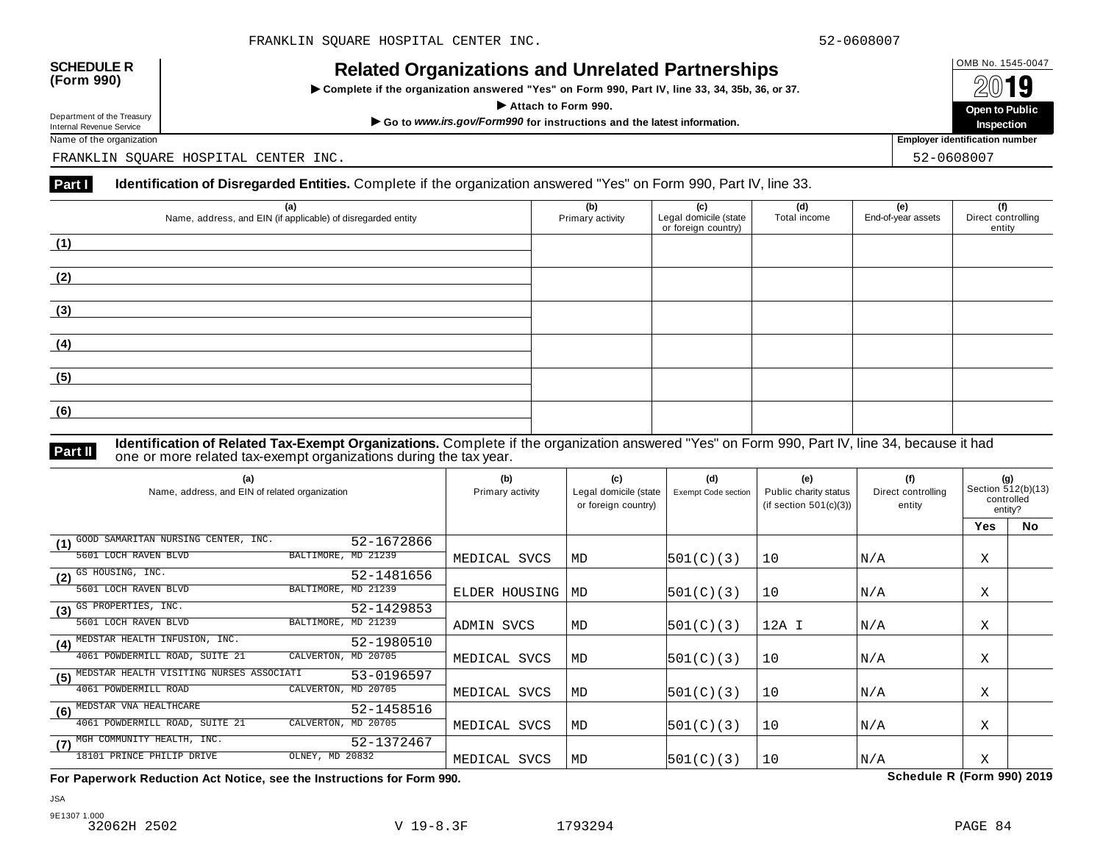INCIALCU OF GATIZATIONS AND ON CIALCUT AFTIC STIPS<br>► Complete if the organization answered "Yes" on Form 990, Part IV, line 33, 34, 35b, 36, or 37. △ △ △ △ △



Name of the organization **Employer identification number Employer identification number** 

FRANKLIN SQUARE HOSPITAL CENTER INC. 52-0608007

### **Part I** Identification of Disregarded Entities. Complete if the organization answered "Yes" on Form 990, Part IV, line 33.

| (a)<br>Name, address, and EIN (if applicable) of disregarded entity | (b)<br>Primary activity | (c)<br>Legal domicile (state<br>or foreign country) | (d)<br>Total income | (e)<br>End-of-year assets | (f)<br>Direct controlling<br>entity |
|---------------------------------------------------------------------|-------------------------|-----------------------------------------------------|---------------------|---------------------------|-------------------------------------|
| (1)                                                                 |                         |                                                     |                     |                           |                                     |
| (2)                                                                 |                         |                                                     |                     |                           |                                     |
| (3)                                                                 |                         |                                                     |                     |                           |                                     |
| (4)                                                                 |                         |                                                     |                     |                           |                                     |
| (5)                                                                 |                         |                                                     |                     |                           |                                     |
| (6)                                                                 |                         |                                                     |                     |                           |                                     |

**Identification of Related Tax-Exempt Organizations.** Complete if the organization answered "Yes" on Form 990, Part IV, line 34, because it had **Part II one or more related tax-exempt organizations during the tax year. Part II one or more related tax-exempt organizations during the tax year.** 

| (a)<br>Name, address, and EIN of related organization         | (b)<br>Primary activity | (c)<br>Legal domicile (state<br>or foreign country) | (d)<br>Exempt Code section | (e)<br>Public charity status<br>(if section $501(c)(3)$ ) | (f)<br>Direct controlling<br>entity | (g)<br>Section 512(b)(13)<br>controlled<br>entity? |           |
|---------------------------------------------------------------|-------------------------|-----------------------------------------------------|----------------------------|-----------------------------------------------------------|-------------------------------------|----------------------------------------------------|-----------|
|                                                               |                         |                                                     |                            |                                                           |                                     | <b>Yes</b>                                         | <b>No</b> |
| GOOD SAMARITAN NURSING CENTER, INC.<br>52-1672866<br>(1)      |                         |                                                     |                            |                                                           |                                     |                                                    |           |
| BALTIMORE, MD 21239<br>5601 LOCH RAVEN BLVD                   | MEDICAL SVCS            | MD                                                  | 501(C)(3)                  | 10                                                        | N/A                                 | Χ                                                  |           |
| $(2)$ $\overline{\text{GS HOUSING, INC.}}$<br>52-1481656      |                         |                                                     |                            |                                                           |                                     |                                                    |           |
| BALTIMORE, MD 21239<br>5601 LOCH RAVEN BLVD                   | ELDER HOUSING           | MD                                                  | 501(C)(3)                  | 10                                                        | N/A                                 | Χ                                                  |           |
| (3) GS PROPERTIES, INC.<br>52-1429853                         |                         |                                                     |                            |                                                           |                                     |                                                    |           |
| BALTIMORE, MD 21239<br>5601 LOCH RAVEN BLVD                   | ADMIN SVCS              | MD                                                  | 501(C)(3)                  | 12A I                                                     | N/A                                 | Χ                                                  |           |
| MEDSTAR HEALTH INFUSION, INC.<br>52-1980510<br>(4)            |                         |                                                     |                            |                                                           |                                     |                                                    |           |
| 4061 POWDERMILL ROAD, SUITE 21<br>CALVERTON,<br>MD 20705      | MEDICAL SVCS            | MD                                                  | 501(C)(3)                  | 10                                                        | N/A                                 | Χ                                                  |           |
| MEDSTAR HEALTH VISITING NURSES ASSOCIATI<br>53-0196597<br>(5) |                         |                                                     |                            |                                                           |                                     |                                                    |           |
| 4061 POWDERMILL ROAD<br>CALVERTON, MD 20705                   | MEDICAL SVCS            | MD                                                  | 501(C)(3)                  | 10                                                        | N/A                                 | Χ                                                  |           |
| MEDSTAR VNA HEALTHCARE<br>52-1458516<br>(6)                   |                         |                                                     |                            |                                                           |                                     |                                                    |           |
| 4061 POWDERMILL ROAD, SUITE 21<br>CALVERTON, MD 20705         | MEDICAL SVCS            | MD                                                  | 501(C)(3)                  | 10                                                        | N/A                                 | Χ                                                  |           |
| (7) MGH COMMUNITY HEALTH, INC.<br>52-1372467                  |                         |                                                     |                            |                                                           |                                     |                                                    |           |
| OLNEY, MD 20832<br>18101 PRINCE PHILIP DRIVE                  | MEDICAL SVCS            | MD                                                  | 501(C)(3)                  | 10                                                        | N/A                                 | X                                                  |           |

**For Paperwork Reduction Act Notice, see the Instructions for Form 990. Schedule R (Form 990) 2019**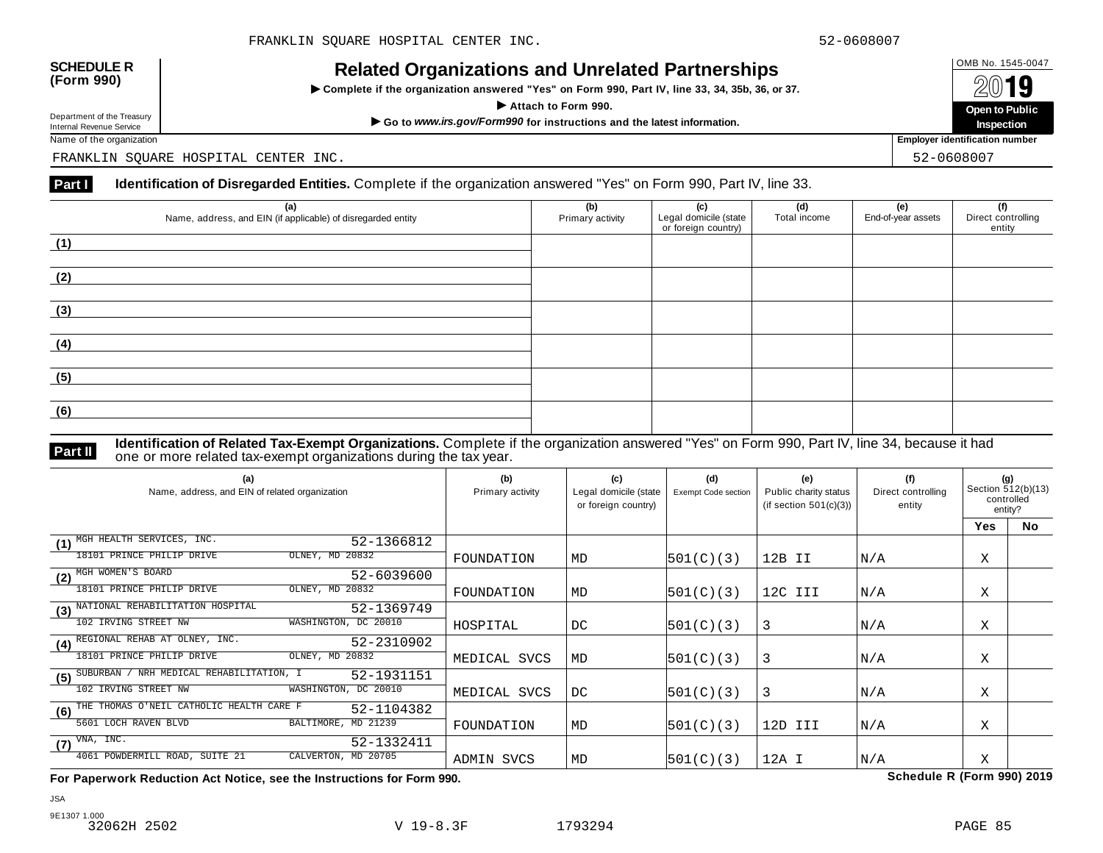INCIALCU OF GATIZATIONS AND ON CIALCUT AFTIC STIPS<br>► Complete if the organization answered "Yes" on Form 990, Part IV, line 33, 34, 35b, 36, or 37. △ △ △ △ △



Name of the organization **Employer identification number Employer identification number** 

FRANKLIN SQUARE HOSPITAL CENTER INC. 52-0608007

### **Part I** Identification of Disregarded Entities. Complete if the organization answered "Yes" on Form 990, Part IV, line 33.

| (a)<br>Name, address, and EIN (if applicable) of disregarded entity | (b)<br>Primary activity | (c)<br>Legal domicile (state<br>or foreign country) | (d)<br>Total income | (e)<br>End-of-year assets | (f)<br>Direct controlling<br>entity |
|---------------------------------------------------------------------|-------------------------|-----------------------------------------------------|---------------------|---------------------------|-------------------------------------|
| (1)                                                                 |                         |                                                     |                     |                           |                                     |
| (2)                                                                 |                         |                                                     |                     |                           |                                     |
| (3)                                                                 |                         |                                                     |                     |                           |                                     |
| (4)                                                                 |                         |                                                     |                     |                           |                                     |
| (5)                                                                 |                         |                                                     |                     |                           |                                     |
| (6)                                                                 |                         |                                                     |                     |                           |                                     |

**Identification of Related Tax-Exempt Organizations.** Complete if the organization answered "Yes" on Form 990, Part IV, line 34, because it had **Part II one or more related tax-exempt organizations during the tax year. Part II one or more related tax-exempt organizations during the tax year.** 

| (a)<br>Name, address, and EIN of related organization          | (b)<br>Primary activity | (c)<br>Legal domicile (state<br>or foreign country) | (d)<br><b>Exempt Code section</b> | (e)<br>Public charity status<br>(if section $501(c)(3)$ ) | (f)<br>Direct controlling<br>entity | (g)<br>Section 512(b)(13)<br>controlled<br>entity? |    |
|----------------------------------------------------------------|-------------------------|-----------------------------------------------------|-----------------------------------|-----------------------------------------------------------|-------------------------------------|----------------------------------------------------|----|
|                                                                |                         |                                                     |                                   |                                                           |                                     | Yes                                                | No |
| MGH HEALTH SERVICES, INC.<br>52-1366812<br>(1)                 |                         |                                                     |                                   |                                                           |                                     |                                                    |    |
| OLNEY, MD 20832<br>18101 PRINCE PHILIP DRIVE                   | FOUNDATION              | MD                                                  | 501(C)(3)                         | 12B II                                                    | N/A                                 | X                                                  |    |
| MGH WOMEN'S BOARD<br>52-6039600<br>(2)                         |                         |                                                     |                                   |                                                           |                                     |                                                    |    |
| OLNEY, MD 20832<br>18101 PRINCE PHILIP DRIVE                   | FOUNDATION              | MD                                                  | 501(C)(3)                         | 12C III                                                   | N/A                                 | Χ                                                  |    |
| NATIONAL REHABILITATION HOSPITAL<br>52-1369749<br>(3)          |                         |                                                     |                                   |                                                           |                                     |                                                    |    |
| 102 IRVING STREET NW<br>WASHINGTON, DC 20010                   | HOSPITAL                | DC                                                  | 501(C)(3)                         | 3                                                         | N/A                                 | Χ                                                  |    |
| REGIONAL REHAB AT OLNEY, INC.<br>52-2310902<br>(4)             |                         |                                                     |                                   |                                                           |                                     |                                                    |    |
| 18101 PRINCE PHILIP DRIVE<br>OLNEY, MD 20832                   | MEDICAL SVCS            | MD                                                  | 501(C)(3)                         | 3                                                         | N/A                                 | Χ                                                  |    |
| NRH MEDICAL REHABILITATION, I<br>SUBURBAN<br>52-1931151<br>(5) |                         |                                                     |                                   |                                                           |                                     |                                                    |    |
| 102 IRVING STREET NW<br>WASHINGTON, DC 20010                   | MEDICAL SVCS            | DC.                                                 | 501(C)(3)                         | 3                                                         | N/A                                 | Χ                                                  |    |
| THE THOMAS O'NEIL CATHOLIC HEALTH CARE F<br>52-1104382<br>(6)  |                         |                                                     |                                   |                                                           |                                     |                                                    |    |
| BALTIMORE, MD 21239<br>5601 LOCH RAVEN BLVD                    | FOUNDATION              | MD                                                  | 501(C)(3)                         | 12D III                                                   | N/A                                 | X                                                  |    |
| VNA, INC.<br>52-1332411<br>(7)                                 |                         |                                                     |                                   |                                                           |                                     |                                                    |    |
| 4061 POWDERMILL ROAD, SUITE 21<br>CALVERTON, MD 20705          | ADMIN SVCS              | MD                                                  | 501(C)(3)                         | 12A I                                                     | N/A                                 | X                                                  |    |

**For Paperwork Reduction Act Notice, see the Instructions for Form 990. Schedule R (Form 990) 2019**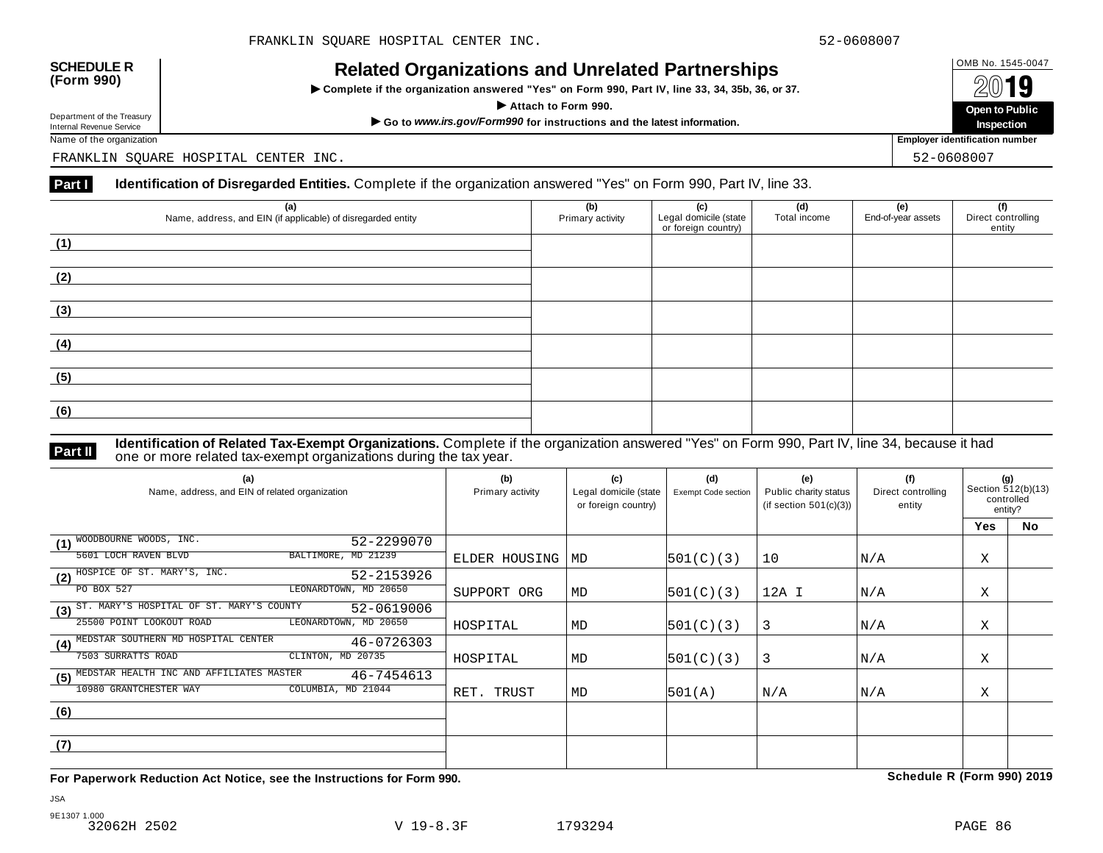INCIALCU OF GATIZATIONS AND ON CIALCUT AFTIC STIPS<br>► Complete if the organization answered "Yes" on Form 990, Part IV, line 33, 34, 35b, 36, or 37. △ △ △ △ △



Name of the organization **Employer identification number Employer identification number** 

FRANKLIN SQUARE HOSPITAL CENTER INC. 52-0608007

### **Part I** Identification of Disregarded Entities. Complete if the organization answered "Yes" on Form 990, Part IV, line 33.

| (a)<br>Name, address, and EIN (if applicable) of disregarded entity | (b)<br>Primary activity | (c)<br>Legal domicile (state<br>or foreign country) | (d)<br>Total income | (e)<br>End-of-year assets | (f)<br>Direct controlling<br>entity |
|---------------------------------------------------------------------|-------------------------|-----------------------------------------------------|---------------------|---------------------------|-------------------------------------|
| (1)                                                                 |                         |                                                     |                     |                           |                                     |
| (2)                                                                 |                         |                                                     |                     |                           |                                     |
| (3)                                                                 |                         |                                                     |                     |                           |                                     |
| (4)                                                                 |                         |                                                     |                     |                           |                                     |
| (5)                                                                 |                         |                                                     |                     |                           |                                     |
| (6)                                                                 |                         |                                                     |                     |                           |                                     |

**Identification of Related Tax-Exempt Organizations.** Complete if the organization answered "Yes" on Form 990, Part IV, line 34, because it had **Part II one or more related tax-exempt organizations during the tax year. Part II one or more related tax-exempt organizations during the tax year.** 

| (a)<br>Name, address, and EIN of related organization         | (b)<br>Primary activity | (c)<br>Legal domicile (state<br>or foreign country) | (d)<br>Exempt Code section | (e)<br>Public charity status<br>(if section $501(c)(3)$ ) | (f)<br>Direct controlling<br>entity | (g)<br>Section 512(b)(13)<br>controlled<br>entity? |    |
|---------------------------------------------------------------|-------------------------|-----------------------------------------------------|----------------------------|-----------------------------------------------------------|-------------------------------------|----------------------------------------------------|----|
|                                                               |                         |                                                     |                            |                                                           |                                     | <b>Yes</b>                                         | No |
| WOODBOURNE WOODS, INC.<br>52-2299070<br>(1)                   |                         |                                                     |                            |                                                           |                                     |                                                    |    |
| BALTIMORE, MD 21239<br>5601 LOCH RAVEN BLVD                   | ELDER HOUSING           | MD                                                  | 501(C)(3)                  | 10                                                        | N/A                                 | Χ                                                  |    |
| HOSPICE OF ST. MARY'S, INC.<br>52-2153926<br>(2)              |                         |                                                     |                            |                                                           |                                     |                                                    |    |
| PO BOX 527<br>LEONARDTOWN, MD 20650                           | SUPPORT ORG             | MD                                                  | 501(C)(3)                  | 12A I                                                     | N/A                                 | Χ                                                  |    |
| ST. MARY'S HOSPITAL OF ST. MARY'S COUNTY<br>52-0619006<br>(3) |                         |                                                     |                            |                                                           |                                     |                                                    |    |
| LEONARDTOWN, MD 20650<br>25500 POINT LOOKOUT ROAD             | HOSPITAL                | MD                                                  | 501(C)(3)                  | 3                                                         | N/A                                 | Χ                                                  |    |
| MEDSTAR SOUTHERN MD HOSPITAL CENTER<br>46-0726303<br>(4)      |                         |                                                     |                            |                                                           |                                     |                                                    |    |
| 7503 SURRATTS ROAD<br>CLINTON, MD 20735                       | HOSPITAL                | MD                                                  | 501(C)(3)                  | 3                                                         | N/A                                 | Χ                                                  |    |
| MEDSTAR HEALTH INC AND AFFILIATES MASTER<br>46-7454613<br>(5) |                         |                                                     |                            |                                                           |                                     |                                                    |    |
| 10980 GRANTCHESTER WAY<br>COLUMBIA, MD 21044                  | RET. TRUST              | MD                                                  | 501(A)                     | N/A                                                       | N/A                                 | Χ                                                  |    |
| (6)                                                           |                         |                                                     |                            |                                                           |                                     |                                                    |    |
|                                                               |                         |                                                     |                            |                                                           |                                     |                                                    |    |
| (7)                                                           |                         |                                                     |                            |                                                           |                                     |                                                    |    |
|                                                               |                         |                                                     |                            |                                                           |                                     |                                                    |    |

**For Paperwork Reduction Act Notice, see the Instructions for Form 990. Schedule R (Form 990) 2019**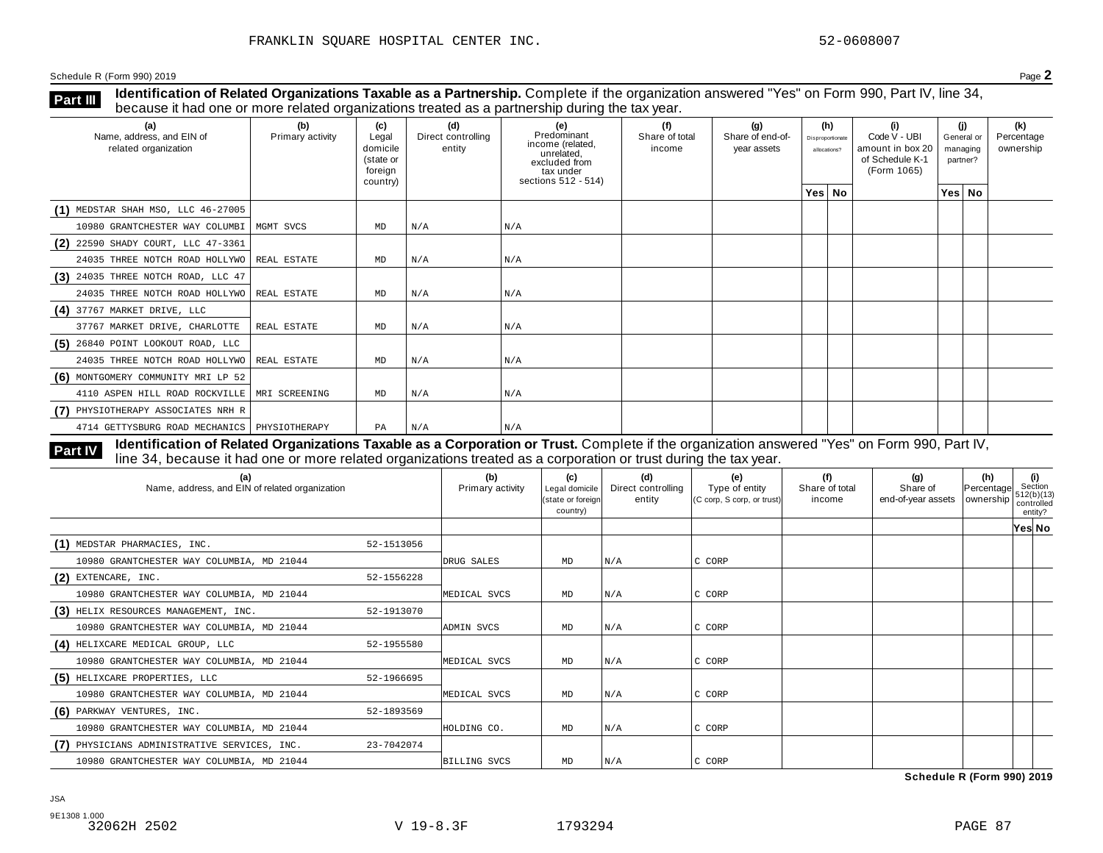**Identification of Related Organizations Taxable as a Partnership.** Complete if the organization answered "Yes" on Form 990, Part IV, line 34, **because it had one or more related organizations Taxable as a Partnership.** Complete if the organization of Related organizations treated as a partnership during the tax year.

| (a)<br>Name, address, and EIN of<br>related organization | (b)<br>Primary activity | (c)<br>Legal<br>domicile<br>(state or<br>foreign<br>country) | (d)<br>Direct controlling<br>entity | (e)<br>Predominant<br>income (related,<br>unrelated,<br>excluded from<br>tax under<br>sections 512 - 514) | (f)<br>Share of total<br>income | (q)<br>Share of end-of-<br>year assets | (h)<br>Disproportionate<br>allocations? | (i)<br>Code V - UBI<br>amount in box 20<br>of Schedule K-1<br>(Form 1065) | (i)<br>General or<br>managing<br>partner? | (k)<br>Percentage<br>ownership |
|----------------------------------------------------------|-------------------------|--------------------------------------------------------------|-------------------------------------|-----------------------------------------------------------------------------------------------------------|---------------------------------|----------------------------------------|-----------------------------------------|---------------------------------------------------------------------------|-------------------------------------------|--------------------------------|
|                                                          |                         |                                                              |                                     |                                                                                                           |                                 |                                        | Yes   No                                |                                                                           | Yes   No                                  |                                |
| $(1)$ MEDSTAR SHAH MSO, LLC 46-27005                     |                         |                                                              |                                     |                                                                                                           |                                 |                                        |                                         |                                                                           |                                           |                                |
| 10980 GRANTCHESTER WAY COLUMBI                           | MGMT SVCS               | MD                                                           | N/A                                 | N/A                                                                                                       |                                 |                                        |                                         |                                                                           |                                           |                                |
| (2) 22590 SHADY COURT, LLC 47-3361                       |                         |                                                              |                                     |                                                                                                           |                                 |                                        |                                         |                                                                           |                                           |                                |
| 24035 THREE NOTCH ROAD HOLLYWO                           | REAL ESTATE             | MD                                                           | N/A                                 | N/A                                                                                                       |                                 |                                        |                                         |                                                                           |                                           |                                |
| $(3)$ 24035 THREE NOTCH ROAD, LLC 47                     |                         |                                                              |                                     |                                                                                                           |                                 |                                        |                                         |                                                                           |                                           |                                |
| 24035 THREE NOTCH ROAD HOLLYWO   REAL ESTATE             |                         | MD                                                           | N/A                                 | N/A                                                                                                       |                                 |                                        |                                         |                                                                           |                                           |                                |
| $(4)$ 37767 MARKET DRIVE, LLC                            |                         |                                                              |                                     |                                                                                                           |                                 |                                        |                                         |                                                                           |                                           |                                |
| 37767 MARKET DRIVE, CHARLOTTE                            | REAL ESTATE             | MD                                                           | N/A                                 | N/A                                                                                                       |                                 |                                        |                                         |                                                                           |                                           |                                |
| $(5)$ 26840 POINT LOOKOUT ROAD, LLC                      |                         |                                                              |                                     |                                                                                                           |                                 |                                        |                                         |                                                                           |                                           |                                |
| 24035 THREE NOTCH ROAD HOLLYWO REAL ESTATE               |                         | MD                                                           | N/A                                 | N/A                                                                                                       |                                 |                                        |                                         |                                                                           |                                           |                                |
| (6) MONTGOMERY COMMUNITY MRI LP 52                       |                         |                                                              |                                     |                                                                                                           |                                 |                                        |                                         |                                                                           |                                           |                                |
| 4110 ASPEN HILL ROAD ROCKVILLE   MRI SCREENING           |                         | MD                                                           | N/A                                 | N/A                                                                                                       |                                 |                                        |                                         |                                                                           |                                           |                                |
| (7) PHYSIOTHERAPY ASSOCIATES NRH R                       |                         |                                                              |                                     |                                                                                                           |                                 |                                        |                                         |                                                                           |                                           |                                |
| 4714 GETTYSBURG ROAD MECHANICS   PHYSIOTHERAPY           |                         | PA                                                           | N/A                                 | N/A                                                                                                       |                                 |                                        |                                         |                                                                           |                                           |                                |

Identification of Related Organizations Taxable as a Corporation or Trust. Complete if the organization answered "Yes" on Form 990, Part IV, **Part IV** dentification of Related Organizations Taxable as a Corporation or Trust. Complete if the organization answer line 34, because it had one or more related organizations treated as a corporation or trust during the

| (a)<br>Name, address, and EIN of related organization |            | (b)<br>Primary activity | (c)<br>Legal domicile<br>(state or foreign<br>country) | (d)<br>Direct controlling<br>entity | (e)<br>Type of entity<br>(C corp, S corp, or trust) | (f)<br>Share of total<br>income | (g)<br>Share of<br>end-of-year assets | (h)<br>Percentage<br>  ownership | (i)<br>Section<br>512(b)(13)<br>controlled<br>entity? |  |
|-------------------------------------------------------|------------|-------------------------|--------------------------------------------------------|-------------------------------------|-----------------------------------------------------|---------------------------------|---------------------------------------|----------------------------------|-------------------------------------------------------|--|
|                                                       |            |                         |                                                        |                                     |                                                     |                                 |                                       |                                  | Yes∣ No                                               |  |
| (1) MEDSTAR PHARMACIES, INC.                          | 52-1513056 |                         |                                                        |                                     |                                                     |                                 |                                       |                                  |                                                       |  |
| 10980 GRANTCHESTER WAY COLUMBIA, MD 21044             |            | DRUG SALES              | MD                                                     | N/A                                 | C CORP                                              |                                 |                                       |                                  |                                                       |  |
| $(2)$ EXTENCARE, INC.                                 | 52-1556228 |                         |                                                        |                                     |                                                     |                                 |                                       |                                  |                                                       |  |
| 10980 GRANTCHESTER WAY COLUMBIA, MD 21044             |            | MEDICAL SVCS            | MD                                                     | N/A                                 | C CORP                                              |                                 |                                       |                                  |                                                       |  |
| (3) HELIX RESOURCES MANAGEMENT, INC.                  | 52-1913070 |                         |                                                        |                                     |                                                     |                                 |                                       |                                  |                                                       |  |
| 10980 GRANTCHESTER WAY COLUMBIA, MD 21044             |            | ADMIN SVCS              | MD                                                     | N/A                                 | C CORP                                              |                                 |                                       |                                  |                                                       |  |
| (4) HELIXCARE MEDICAL GROUP, LLC                      | 52-1955580 |                         |                                                        |                                     |                                                     |                                 |                                       |                                  |                                                       |  |
| 10980 GRANTCHESTER WAY COLUMBIA, MD 21044             |            | MEDICAL SVCS            | MD                                                     | N/A                                 | C CORP                                              |                                 |                                       |                                  |                                                       |  |
| (5) HELIXCARE PROPERTIES, LLC                         | 52-1966695 |                         |                                                        |                                     |                                                     |                                 |                                       |                                  |                                                       |  |
| 10980 GRANTCHESTER WAY COLUMBIA, MD 21044             |            | MEDICAL SVCS            | MD                                                     | N/A                                 | C CORP                                              |                                 |                                       |                                  |                                                       |  |
| (6)<br>PARKWAY VENTURES, INC.                         | 52-1893569 |                         |                                                        |                                     |                                                     |                                 |                                       |                                  |                                                       |  |
| 10980 GRANTCHESTER WAY COLUMBIA, MD 21044             |            | HOLDING CO.             | MD                                                     | N/A                                 | C CORP                                              |                                 |                                       |                                  |                                                       |  |
| PHYSICIANS ADMINISTRATIVE SERVICES, INC.              | 23-7042074 |                         |                                                        |                                     |                                                     |                                 |                                       |                                  |                                                       |  |
| 10980 GRANTCHESTER WAY COLUMBIA, MD 21044             |            | <b>BILLING SVCS</b>     | MD                                                     | N/A                                 | C CORP                                              |                                 |                                       |                                  |                                                       |  |

**Schedule R (Form 990) 2019**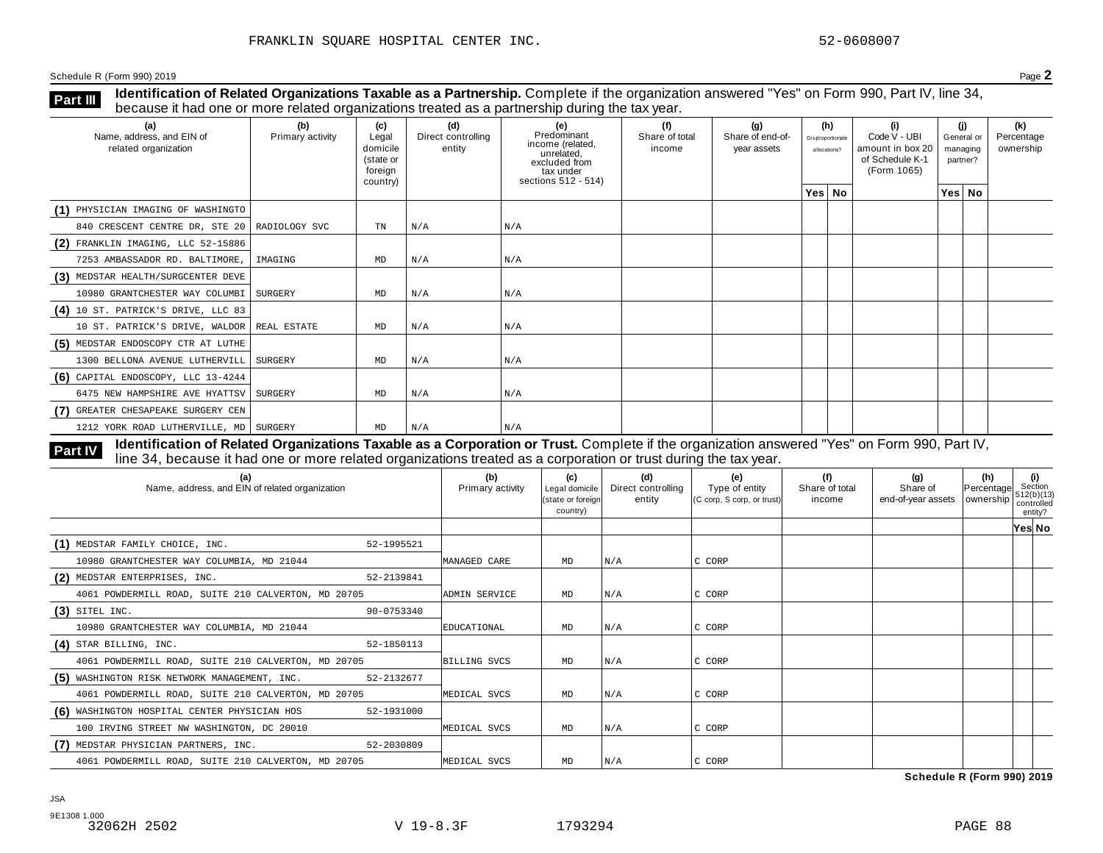**Identification of Related Organizations Taxable as a Partnership.** Complete if the organization answered "Yes" on Form 990, Part IV, line 34, **because it had one or more related organizations Taxable as a Partnership.** Complete if the organization of Related organizations treated as a partnership during the tax year.

| (a)<br>Name, address, and EIN of<br>related organization | (b)<br>Primary activity | (c)<br>Legal<br>domicile<br>(state or<br>foreign<br>country) | (d)<br>Direct controlling<br>entity | (e)<br>Predominant<br>income (related,<br>unrelated,<br>excluded from<br>tax under<br>sections 512 - 514) | (f)<br>Share of total<br>income | (q)<br>Share of end-of-<br>year assets | (h)<br>Disproportionate<br>allocations? | (i)<br>Code V - UBI<br>amount in box 20<br>of Schedule K-1<br>(Form 1065) | partner? | (i)<br>General or<br>managing | (k)<br>Percentage<br>ownership |
|----------------------------------------------------------|-------------------------|--------------------------------------------------------------|-------------------------------------|-----------------------------------------------------------------------------------------------------------|---------------------------------|----------------------------------------|-----------------------------------------|---------------------------------------------------------------------------|----------|-------------------------------|--------------------------------|
|                                                          |                         |                                                              |                                     |                                                                                                           |                                 |                                        | Yes   No                                |                                                                           |          | Yes   No                      |                                |
| (1) PHYSICIAN IMAGING OF WASHINGTO                       |                         |                                                              |                                     |                                                                                                           |                                 |                                        |                                         |                                                                           |          |                               |                                |
| 840 CRESCENT CENTRE DR, STE 20 RADIOLOGY SVC             |                         | TN                                                           | N/A                                 | N/A                                                                                                       |                                 |                                        |                                         |                                                                           |          |                               |                                |
| (2) FRANKLIN IMAGING, LLC 52-15886                       |                         |                                                              |                                     |                                                                                                           |                                 |                                        |                                         |                                                                           |          |                               |                                |
| 7253 AMBASSADOR RD. BALTIMORE,                           | IMAGING                 | MD                                                           | N/A                                 | N/A                                                                                                       |                                 |                                        |                                         |                                                                           |          |                               |                                |
| (3) MEDSTAR HEALTH/SURGCENTER DEVE                       |                         |                                                              |                                     |                                                                                                           |                                 |                                        |                                         |                                                                           |          |                               |                                |
| 10980 GRANTCHESTER WAY COLUMBI                           | SURGERY                 | MD                                                           | N/A                                 | N/A                                                                                                       |                                 |                                        |                                         |                                                                           |          |                               |                                |
| $(4)$ 10 ST. PATRICK'S DRIVE, LLC 83                     |                         |                                                              |                                     |                                                                                                           |                                 |                                        |                                         |                                                                           |          |                               |                                |
| 10 ST. PATRICK'S DRIVE, WALDOR REAL ESTATE               |                         | MD                                                           | N/A                                 | N/A                                                                                                       |                                 |                                        |                                         |                                                                           |          |                               |                                |
| (5) MEDSTAR ENDOSCOPY CTR AT LUTHE                       |                         |                                                              |                                     |                                                                                                           |                                 |                                        |                                         |                                                                           |          |                               |                                |
| 1300 BELLONA AVENUE LUTHERVILL                           | SURGERY                 | MD                                                           | N/A                                 | N/A                                                                                                       |                                 |                                        |                                         |                                                                           |          |                               |                                |
| $(6)$ CAPITAL ENDOSCOPY, LLC 13-4244                     |                         |                                                              |                                     |                                                                                                           |                                 |                                        |                                         |                                                                           |          |                               |                                |
| 6475 NEW HAMPSHIRE AVE HYATTSV SURGERY                   |                         | MD                                                           | N/A                                 | N/A                                                                                                       |                                 |                                        |                                         |                                                                           |          |                               |                                |
| (7) GREATER CHESAPEAKE SURGERY CEN                       |                         |                                                              |                                     |                                                                                                           |                                 |                                        |                                         |                                                                           |          |                               |                                |
| 1212 YORK ROAD LUTHERVILLE, MD   SURGERY                 |                         | MD                                                           | N/A                                 | N/A                                                                                                       |                                 |                                        |                                         |                                                                           |          |                               |                                |

**Identification of Related Organizations Taxable as a Corporation or Trust.** Complete if the organization answered "Yes" on Form 990, Part IV, **Part IV** dentification or Related Organizations Taxable as a Corporation or Trust. Complete if the organization answ<br>line 34, because it had one or more related organizations treated as a corporation or trust during the t

| (a)<br>Name, address, and EIN of related organization      | (b)<br>Primary activity | (c)<br>Legal domicile<br>(state or foreign<br>country) | (d)<br>Direct controlling<br>entity | (e)<br>Type of entity<br>(C corp, S corp, or trust) | (f)<br>Share of total<br>income | (g)<br>Share of<br>end-of-year assets   ownership | (h)<br>Percentage | (i)<br>Section<br>1512(b)(13)<br>controlled<br>entity? |  |
|------------------------------------------------------------|-------------------------|--------------------------------------------------------|-------------------------------------|-----------------------------------------------------|---------------------------------|---------------------------------------------------|-------------------|--------------------------------------------------------|--|
|                                                            |                         |                                                        |                                     |                                                     |                                 |                                                   |                   | Yes∣ No                                                |  |
| (1) MEDSTAR FAMILY CHOICE, INC.<br>52-1995521              |                         |                                                        |                                     |                                                     |                                 |                                                   |                   |                                                        |  |
| 10980 GRANTCHESTER WAY COLUMBIA, MD 21044                  | MANAGED CARE            | MD                                                     | N/A                                 | C CORP                                              |                                 |                                                   |                   |                                                        |  |
| (2) MEDSTAR ENTERPRISES, INC.<br>52-2139841                |                         |                                                        |                                     |                                                     |                                 |                                                   |                   |                                                        |  |
| 4061 POWDERMILL ROAD, SUITE 210 CALVERTON, MD 20705        | ADMIN SERVICE           | MD                                                     | N/A                                 | C CORP                                              |                                 |                                                   |                   |                                                        |  |
| $(3)$ SITEL INC.<br>90-0753340                             |                         |                                                        |                                     |                                                     |                                 |                                                   |                   |                                                        |  |
| 10980 GRANTCHESTER WAY COLUMBIA, MD 21044                  | EDUCATIONAL             | MD                                                     | N/A                                 | C CORP                                              |                                 |                                                   |                   |                                                        |  |
| $(4)$ STAR BILLING, INC.<br>52-1850113                     |                         |                                                        |                                     |                                                     |                                 |                                                   |                   |                                                        |  |
| 4061 POWDERMILL ROAD, SUITE 210 CALVERTON, MD 20705        | <b>BILLING SVCS</b>     | MD                                                     | N/A                                 | C CORP                                              |                                 |                                                   |                   |                                                        |  |
| (5) WASHINGTON RISK NETWORK MANAGEMENT, INC.<br>52-2132677 |                         |                                                        |                                     |                                                     |                                 |                                                   |                   |                                                        |  |
| 4061 POWDERMILL ROAD, SUITE 210 CALVERTON, MD 20705        | MEDICAL SVCS            | MD                                                     | N/A                                 | C CORP                                              |                                 |                                                   |                   |                                                        |  |
| (6) WASHINGTON HOSPITAL CENTER PHYSICIAN HOS<br>52-1931000 |                         |                                                        |                                     |                                                     |                                 |                                                   |                   |                                                        |  |
| 100 IRVING STREET NW WASHINGTON, DC 20010                  | MEDICAL SVCS            | MD                                                     | N/A                                 | C CORP                                              |                                 |                                                   |                   |                                                        |  |
| (7) MEDSTAR PHYSICIAN PARTNERS, INC.<br>52-2030809         |                         |                                                        |                                     |                                                     |                                 |                                                   |                   |                                                        |  |
| 4061 POWDERMILL ROAD, SUITE 210 CALVERTON, MD 20705        | MEDICAL SVCS            | MD                                                     | N/A                                 | C CORP                                              |                                 |                                                   |                   |                                                        |  |

**Schedule R (Form 990) 2019**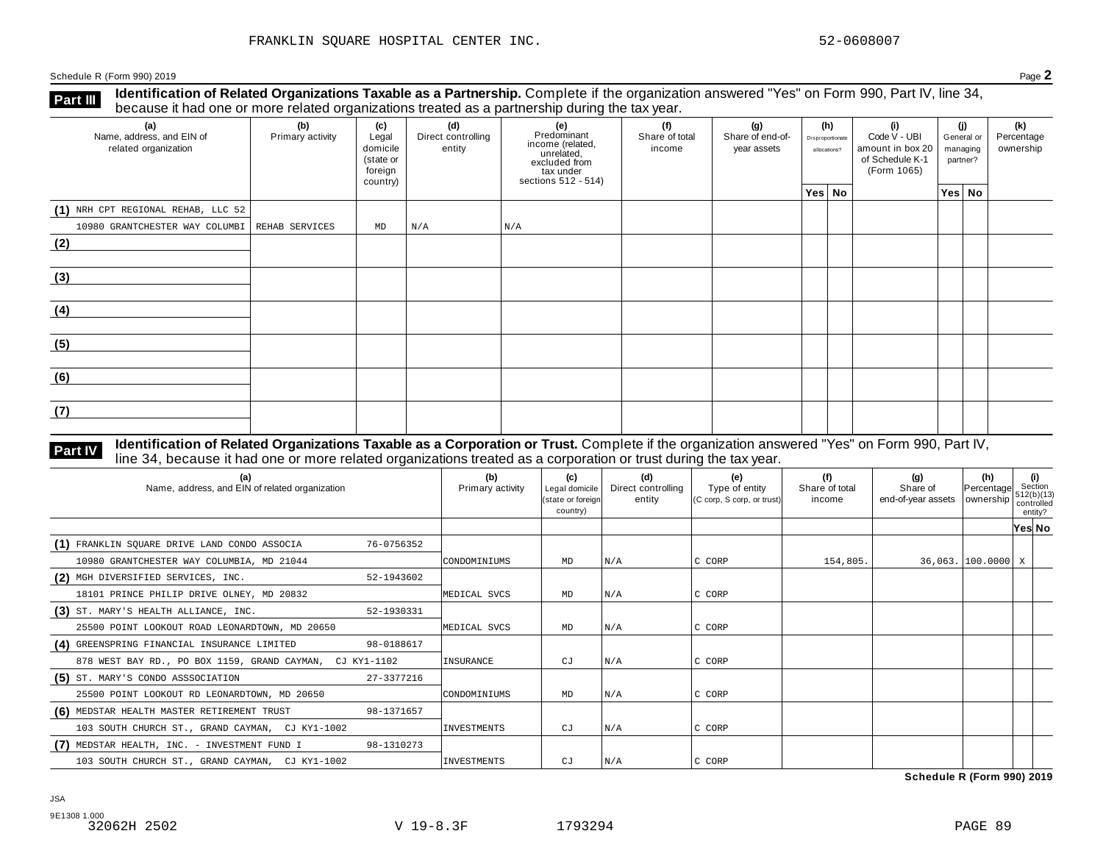**Identification of Related Organizations Taxable as a Partnership.** Complete if the organization answered "Yes" on Form 990, Part IV, line 34, **because it had one or more related organizations Taxable as a Partnership.** Complete if the organization of Related organizations treated as a partnership during the tax year.

| (a)<br>Name, address, and EIN of<br>related organization | ◡<br>(b)<br>Primary activity | (c)<br>Legal<br>domicile<br>(state or<br>foreign<br>country) | (d)<br>Direct controlling<br>entity | ັ<br>(e)<br>Predominant<br>income (related,<br>unrelated,<br>excluded from<br>$\frac{3}{10}$ tax under<br>sections 512 - 514) | (f)<br>Share of total<br>income | (g)<br>Share of end-of-<br>year assets | (h)<br>Disproportionate<br>allocations? |  | (i)<br>Code V - UBI<br>amount in box 20<br>of Schedule K-1<br>(Form 1065) | (i)<br>General or<br>managing<br>partner? | (k)<br>Percentage<br>ownership |
|----------------------------------------------------------|------------------------------|--------------------------------------------------------------|-------------------------------------|-------------------------------------------------------------------------------------------------------------------------------|---------------------------------|----------------------------------------|-----------------------------------------|--|---------------------------------------------------------------------------|-------------------------------------------|--------------------------------|
|                                                          |                              |                                                              |                                     |                                                                                                                               |                                 |                                        | Yes No                                  |  |                                                                           | Yes No                                    |                                |
| (1) NRH CPT REGIONAL REHAB, LLC 52                       |                              |                                                              |                                     |                                                                                                                               |                                 |                                        |                                         |  |                                                                           |                                           |                                |
| 10980 GRANTCHESTER WAY COLUMBI REHAB SERVICES            |                              | $\mathop{\rm MD}\nolimits$                                   | N/A                                 | N/A                                                                                                                           |                                 |                                        |                                         |  |                                                                           |                                           |                                |
| (2)                                                      |                              |                                                              |                                     |                                                                                                                               |                                 |                                        |                                         |  |                                                                           |                                           |                                |
| (3)                                                      |                              |                                                              |                                     |                                                                                                                               |                                 |                                        |                                         |  |                                                                           |                                           |                                |
| (4)                                                      |                              |                                                              |                                     |                                                                                                                               |                                 |                                        |                                         |  |                                                                           |                                           |                                |
| (5)                                                      |                              |                                                              |                                     |                                                                                                                               |                                 |                                        |                                         |  |                                                                           |                                           |                                |
| (6)                                                      |                              |                                                              |                                     |                                                                                                                               |                                 |                                        |                                         |  |                                                                           |                                           |                                |
| (7)                                                      |                              |                                                              |                                     |                                                                                                                               |                                 |                                        |                                         |  |                                                                           |                                           |                                |

### Identification of Related Organizations Taxable as a Corporation or Trust. Complete if the organization answered "Yes" on Form 990, Part IV, **Part IV** Identification of Related Organizations Taxable as a Corporation or Trust. Complete if the organization ansignation control during the tax year.

| (a)<br>Name, address, and EIN of related organization      | (b)<br>Primary activity | (c)<br>Legal domicile<br>(state or foreign<br>country) | (d)<br>Direct controlling<br>entity | (e)<br>Type of entity<br>(C corp, S corp, or trust) | (f)<br>Share of total<br>income | (g)<br>Share of<br>end-of-year assets   ownership | (h)<br>Percentage    | (i)<br>Section<br>512(b)(13)<br>controlled<br>entity? |  |
|------------------------------------------------------------|-------------------------|--------------------------------------------------------|-------------------------------------|-----------------------------------------------------|---------------------------------|---------------------------------------------------|----------------------|-------------------------------------------------------|--|
|                                                            |                         |                                                        |                                     |                                                     |                                 |                                                   |                      | Yes∣ No                                               |  |
| (1) FRANKLIN SQUARE DRIVE LAND CONDO ASSOCIA<br>76-0756352 |                         |                                                        |                                     |                                                     |                                 |                                                   |                      |                                                       |  |
| 10980 GRANTCHESTER WAY COLUMBIA, MD 21044                  | CONDOMINIUMS            | MD                                                     | N/A                                 | C CORP                                              | 154,805.                        |                                                   | 36,063. 100.0000   X |                                                       |  |
| (2) MGH DIVERSIFIED SERVICES, INC.<br>52-1943602           |                         |                                                        |                                     |                                                     |                                 |                                                   |                      |                                                       |  |
| 18101 PRINCE PHILIP DRIVE OLNEY, MD 20832                  | MEDICAL SVCS            | MD                                                     | N/A                                 | C CORP                                              |                                 |                                                   |                      |                                                       |  |
| (3) ST. MARY'S HEALTH ALLIANCE, INC.<br>52-1930331         |                         |                                                        |                                     |                                                     |                                 |                                                   |                      |                                                       |  |
| 25500 POINT LOOKOUT ROAD LEONARDTOWN, MD 20650             | MEDICAL SVCS            | MD                                                     | N/A                                 | C CORP                                              |                                 |                                                   |                      |                                                       |  |
| (4) GREENSPRING FINANCIAL INSURANCE LIMITED<br>98-0188617  |                         |                                                        |                                     |                                                     |                                 |                                                   |                      |                                                       |  |
| 878 WEST BAY RD., PO BOX 1159, GRAND CAYMAN, CJ KY1-1102   | INSURANCE               | СJ                                                     | N/A                                 | C CORP                                              |                                 |                                                   |                      |                                                       |  |
| (5) ST. MARY'S CONDO ASSSOCIATION<br>27-3377216            |                         |                                                        |                                     |                                                     |                                 |                                                   |                      |                                                       |  |
| 25500 POINT LOOKOUT RD LEONARDTOWN, MD 20650               | CONDOMINIUMS            | MD                                                     | N/A                                 | C CORP                                              |                                 |                                                   |                      |                                                       |  |
| (6) MEDSTAR HEALTH MASTER RETIREMENT TRUST<br>98-1371657   |                         |                                                        |                                     |                                                     |                                 |                                                   |                      |                                                       |  |
| 103 SOUTH CHURCH ST., GRAND CAYMAN, CJ KY1-1002            | INVESTMENTS             | CJ                                                     | N/A                                 | C CORP                                              |                                 |                                                   |                      |                                                       |  |
| (7) MEDSTAR HEALTH, INC. - INVESTMENT FUND I<br>98-1310273 |                         |                                                        |                                     |                                                     |                                 |                                                   |                      |                                                       |  |
| 103 SOUTH CHURCH ST., GRAND CAYMAN, CJ KY1-1002            | INVESTMENTS             | СJ                                                     | N/A                                 | IC CORP                                             |                                 |                                                   |                      |                                                       |  |

**Schedule R (Form 990) 2019**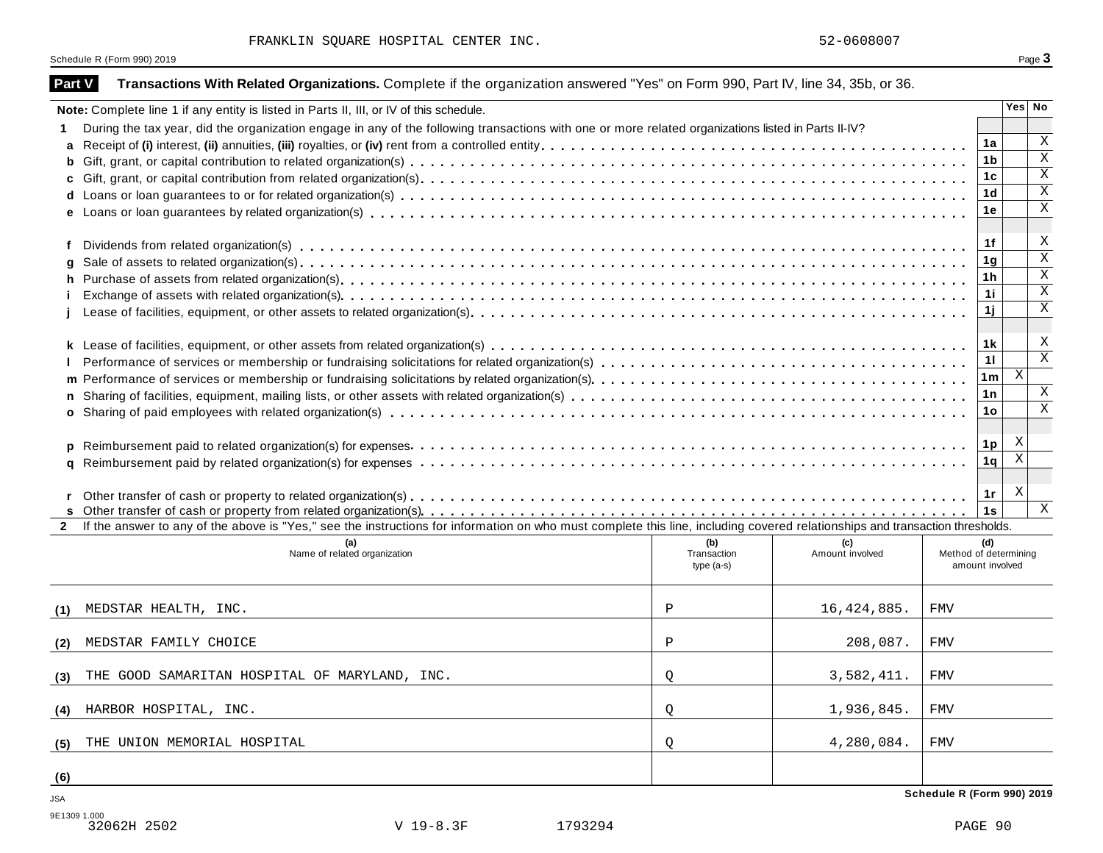|                   | Schedule R (Form 990) 2019                                                                                                                                                   |                                    |                        |                            |                        | Page 3                    |
|-------------------|------------------------------------------------------------------------------------------------------------------------------------------------------------------------------|------------------------------------|------------------------|----------------------------|------------------------|---------------------------|
| <b>Part V</b>     | Transactions With Related Organizations. Complete if the organization answered "Yes" on Form 990, Part IV, line 34, 35b, or 36.                                              |                                    |                        |                            |                        |                           |
|                   | Note: Complete line 1 if any entity is listed in Parts II, III, or IV of this schedule.                                                                                      |                                    |                        |                            |                        | Yes No                    |
| 1.                | During the tax year, did the organization engage in any of the following transactions with one or more related organizations listed in Parts II-IV?                          |                                    |                        |                            |                        |                           |
| a                 |                                                                                                                                                                              |                                    |                        |                            | 1a                     | X                         |
| b                 |                                                                                                                                                                              |                                    |                        |                            | 1b                     | $\mathbf X$               |
| C                 |                                                                                                                                                                              |                                    |                        |                            | 1c                     | $\mathbf X$               |
|                   |                                                                                                                                                                              |                                    |                        |                            | 1d                     | Χ                         |
|                   |                                                                                                                                                                              |                                    |                        |                            | 1е                     | Χ                         |
| f                 |                                                                                                                                                                              |                                    |                        |                            | 1f                     | X                         |
|                   |                                                                                                                                                                              |                                    |                        |                            | 1g                     | $\mathbf X$               |
| h.                |                                                                                                                                                                              |                                    |                        |                            | 1 h                    | Χ                         |
|                   |                                                                                                                                                                              |                                    |                        |                            | 11                     | Χ                         |
|                   |                                                                                                                                                                              |                                    |                        |                            | 1j                     | Χ                         |
|                   |                                                                                                                                                                              |                                    |                        |                            | 1 k                    | X                         |
|                   |                                                                                                                                                                              |                                    |                        |                            | 11                     | $\mathbf X$               |
|                   |                                                                                                                                                                              |                                    |                        |                            | 1m                     | $\vert X \vert$           |
| n                 |                                                                                                                                                                              |                                    |                        |                            | 1n                     | X                         |
|                   |                                                                                                                                                                              |                                    |                        |                            | 1o                     | X                         |
|                   |                                                                                                                                                                              |                                    |                        |                            |                        |                           |
|                   |                                                                                                                                                                              |                                    |                        |                            | 1p                     | X                         |
| $\mathbf{q}$      |                                                                                                                                                                              |                                    |                        |                            | 1q                     | $\boldsymbol{\mathrm{X}}$ |
|                   |                                                                                                                                                                              |                                    |                        |                            |                        |                           |
|                   |                                                                                                                                                                              |                                    |                        |                            | 1r                     | X                         |
|                   |                                                                                                                                                                              |                                    |                        |                            | 1s                     | $\,$ X                    |
| $\mathbf{2}$      | If the answer to any of the above is "Yes," see the instructions for information on who must complete this line, including covered relationships and transaction thresholds. |                                    |                        |                            |                        |                           |
|                   | (a)<br>Name of related organization                                                                                                                                          | (b)<br>Transaction<br>type $(a-s)$ | (c)<br>Amount involved | Method of determining      | (d)<br>amount involved |                           |
| (1)               | MEDSTAR HEALTH, INC.                                                                                                                                                         | Ρ                                  | 16, 424, 885.          | FMV                        |                        |                           |
| (2)               | MEDSTAR FAMILY CHOICE                                                                                                                                                        | Ρ                                  | 208,087.               | FMV                        |                        |                           |
|                   |                                                                                                                                                                              |                                    |                        |                            |                        |                           |
| (3)               | THE GOOD SAMARITAN HOSPITAL OF MARYLAND, INC.                                                                                                                                | Q                                  | 3,582,411.             | FMV                        |                        |                           |
| (4)               | HARBOR HOSPITAL, INC.                                                                                                                                                        | Q                                  | 1,936,845.             | FMV                        |                        |                           |
| (5)               | THE UNION MEMORIAL HOSPITAL                                                                                                                                                  | Q                                  | 4,280,084.             | FMV                        |                        |                           |
|                   |                                                                                                                                                                              |                                    |                        |                            |                        |                           |
| <u>(6)</u><br>JSA |                                                                                                                                                                              |                                    |                        | Schedule R (Form 990) 2019 |                        |                           |
|                   |                                                                                                                                                                              |                                    |                        |                            |                        |                           |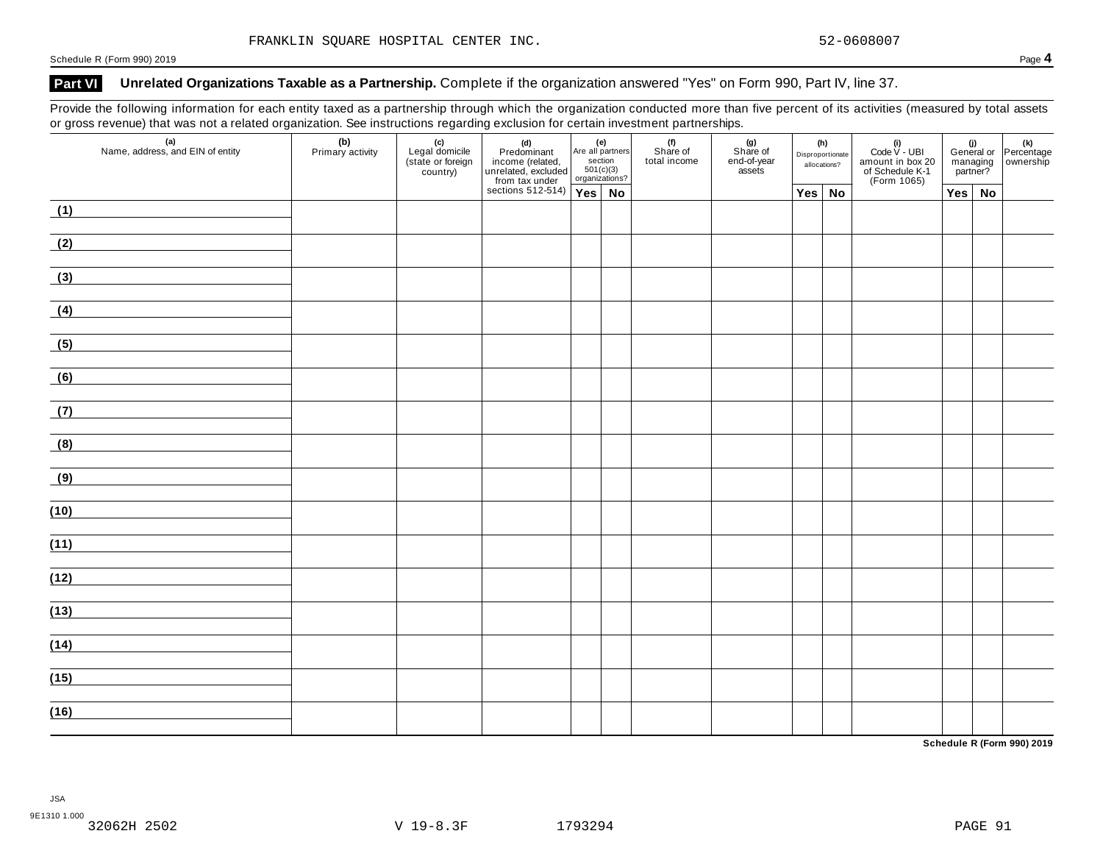### Part VI Unrelated Organizations Taxable as a Partnership. Complete if the organization answered "Yes" on Form 990, Part IV, line 37.

Provide the following information for each entity taxed as a partnership through which the organization conducted more than five percent of its activities (measured by total assets or gross revenue) that was not a related organization. See instructions regarding exclusion for certain investment partnerships.

| $\tilde{}$ | $\sim$<br>(a)<br>Name, address, and EIN of entity | (b)<br>Primary activity | (c)<br>Legal domicile<br>(state or foreign<br>country) | (d)<br>Predominant<br>income (related, Are all par<br>unrelated, excluded sectior<br>from tax under<br>sections 512-514)<br>Yes | Are all partners<br>section<br>501(c)(3)<br>organizations? |    | (f)<br>Share of<br>total income | (g)<br>Share of<br>end-of-year<br>assets | (h)<br>Disproportionate<br>allocations? |               | (i)<br>Code $V$ - UBI<br>amount in box 20<br>of Schedule K-1<br>(Form 1065) | managing<br>partner? |               | (i)<br>General or Percentage<br>managing ownership |
|------------|---------------------------------------------------|-------------------------|--------------------------------------------------------|---------------------------------------------------------------------------------------------------------------------------------|------------------------------------------------------------|----|---------------------------------|------------------------------------------|-----------------------------------------|---------------|-----------------------------------------------------------------------------|----------------------|---------------|----------------------------------------------------|
|            |                                                   |                         |                                                        |                                                                                                                                 |                                                            | No |                                 |                                          |                                         | $Yes \mid No$ |                                                                             |                      | $Yes \mid No$ |                                                    |
| (1)        |                                                   |                         |                                                        |                                                                                                                                 |                                                            |    |                                 |                                          |                                         |               |                                                                             |                      |               |                                                    |
| (2)        |                                                   |                         |                                                        |                                                                                                                                 |                                                            |    |                                 |                                          |                                         |               |                                                                             |                      |               |                                                    |
| (3)        |                                                   |                         |                                                        |                                                                                                                                 |                                                            |    |                                 |                                          |                                         |               |                                                                             |                      |               |                                                    |
| (4)        |                                                   |                         |                                                        |                                                                                                                                 |                                                            |    |                                 |                                          |                                         |               |                                                                             |                      |               |                                                    |
| (5)        |                                                   |                         |                                                        |                                                                                                                                 |                                                            |    |                                 |                                          |                                         |               |                                                                             |                      |               |                                                    |
| (6)        |                                                   |                         |                                                        |                                                                                                                                 |                                                            |    |                                 |                                          |                                         |               |                                                                             |                      |               |                                                    |
| (7)        | <u> 1980 - Jan Barnett, fransk politik (</u>      |                         |                                                        |                                                                                                                                 |                                                            |    |                                 |                                          |                                         |               |                                                                             |                      |               |                                                    |
| (8)        |                                                   |                         |                                                        |                                                                                                                                 |                                                            |    |                                 |                                          |                                         |               |                                                                             |                      |               |                                                    |
| (9)        |                                                   |                         |                                                        |                                                                                                                                 |                                                            |    |                                 |                                          |                                         |               |                                                                             |                      |               |                                                    |
| (10)       |                                                   |                         |                                                        |                                                                                                                                 |                                                            |    |                                 |                                          |                                         |               |                                                                             |                      |               |                                                    |
| (11)       |                                                   |                         |                                                        |                                                                                                                                 |                                                            |    |                                 |                                          |                                         |               |                                                                             |                      |               |                                                    |
| (12)       |                                                   |                         |                                                        |                                                                                                                                 |                                                            |    |                                 |                                          |                                         |               |                                                                             |                      |               |                                                    |
| (13)       |                                                   |                         |                                                        |                                                                                                                                 |                                                            |    |                                 |                                          |                                         |               |                                                                             |                      |               |                                                    |
| (14)       |                                                   |                         |                                                        |                                                                                                                                 |                                                            |    |                                 |                                          |                                         |               |                                                                             |                      |               |                                                    |
| (15)       |                                                   |                         |                                                        |                                                                                                                                 |                                                            |    |                                 |                                          |                                         |               |                                                                             |                      |               |                                                    |
|            |                                                   |                         |                                                        |                                                                                                                                 |                                                            |    |                                 |                                          |                                         |               |                                                                             |                      |               |                                                    |
| (16)       |                                                   |                         |                                                        |                                                                                                                                 |                                                            |    |                                 |                                          |                                         |               |                                                                             |                      |               |                                                    |

**Schedule R (Form 990) 2019**